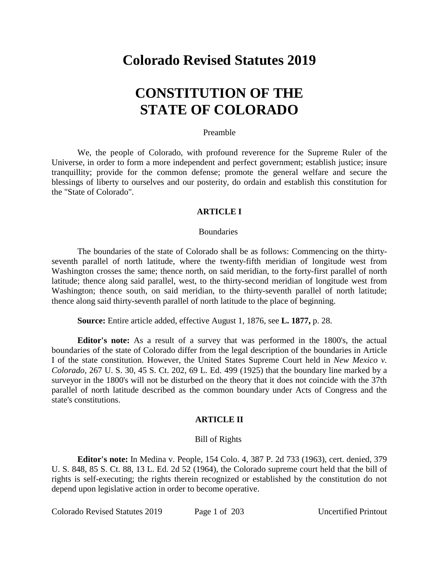## **Colorado Revised Statutes 2019**

# **CONSTITUTION OF THE STATE OF COLORADO**

#### Preamble

We, the people of Colorado, with profound reverence for the Supreme Ruler of the Universe, in order to form a more independent and perfect government; establish justice; insure tranquillity; provide for the common defense; promote the general welfare and secure the blessings of liberty to ourselves and our posterity, do ordain and establish this constitution for the "State of Colorado".

#### **ARTICLE I**

#### **Boundaries**

The boundaries of the state of Colorado shall be as follows: Commencing on the thirtyseventh parallel of north latitude, where the twenty-fifth meridian of longitude west from Washington crosses the same; thence north, on said meridian, to the forty-first parallel of north latitude; thence along said parallel, west, to the thirty-second meridian of longitude west from Washington; thence south, on said meridian, to the thirty-seventh parallel of north latitude; thence along said thirty-seventh parallel of north latitude to the place of beginning.

**Source:** Entire article added, effective August 1, 1876, see **L. 1877,** p. 28.

**Editor's note:** As a result of a survey that was performed in the 1800's, the actual boundaries of the state of Colorado differ from the legal description of the boundaries in Article I of the state constitution. However, the United States Supreme Court held in *New Mexico v. Colorado*, 267 U. S. 30, 45 S. Ct. 202, 69 L. Ed. 499 (1925) that the boundary line marked by a surveyor in the 1800's will not be disturbed on the theory that it does not coincide with the 37th parallel of north latitude described as the common boundary under Acts of Congress and the state's constitutions.

## **ARTICLE II**

#### Bill of Rights

**Editor's note:** In Medina v. People, 154 Colo. 4, 387 P. 2d 733 (1963), cert. denied, 379 U. S. 848, 85 S. Ct. 88, 13 L. Ed. 2d 52 (1964), the Colorado supreme court held that the bill of rights is self-executing; the rights therein recognized or established by the constitution do not depend upon legislative action in order to become operative.

Colorado Revised Statutes 2019 Page 1 of 203 Uncertified Printout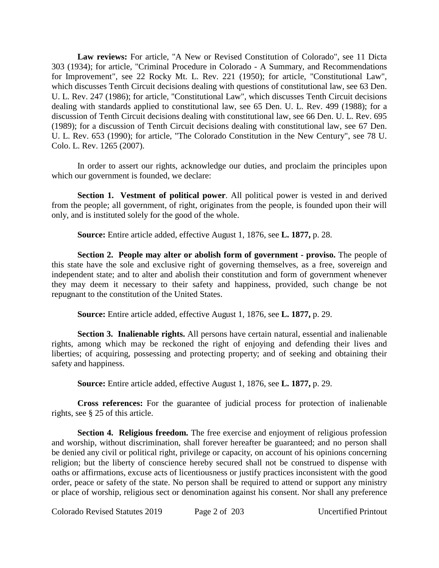**Law reviews:** For article, "A New or Revised Constitution of Colorado", see 11 Dicta 303 (1934); for article, "Criminal Procedure in Colorado - A Summary, and Recommendations for Improvement", see 22 Rocky Mt. L. Rev. 221 (1950); for article, "Constitutional Law", which discusses Tenth Circuit decisions dealing with questions of constitutional law, see 63 Den. U. L. Rev. 247 (1986); for article, "Constitutional Law", which discusses Tenth Circuit decisions dealing with standards applied to constitutional law, see 65 Den. U. L. Rev. 499 (1988); for a discussion of Tenth Circuit decisions dealing with constitutional law, see 66 Den. U. L. Rev. 695 (1989); for a discussion of Tenth Circuit decisions dealing with constitutional law, see 67 Den. U. L. Rev. 653 (1990); for article, "The Colorado Constitution in the New Century", see 78 U. Colo. L. Rev. 1265 (2007).

In order to assert our rights, acknowledge our duties, and proclaim the principles upon which our government is founded, we declare:

**Section 1. Vestment of political power**. All political power is vested in and derived from the people; all government, of right, originates from the people, is founded upon their will only, and is instituted solely for the good of the whole.

**Source:** Entire article added, effective August 1, 1876, see **L. 1877,** p. 28.

**Section 2. People may alter or abolish form of government - proviso.** The people of this state have the sole and exclusive right of governing themselves, as a free, sovereign and independent state; and to alter and abolish their constitution and form of government whenever they may deem it necessary to their safety and happiness, provided, such change be not repugnant to the constitution of the United States.

**Source:** Entire article added, effective August 1, 1876, see **L. 1877,** p. 29.

**Section 3. Inalienable rights.** All persons have certain natural, essential and inalienable rights, among which may be reckoned the right of enjoying and defending their lives and liberties; of acquiring, possessing and protecting property; and of seeking and obtaining their safety and happiness.

**Source:** Entire article added, effective August 1, 1876, see **L. 1877,** p. 29.

**Cross references:** For the guarantee of judicial process for protection of inalienable rights, see § 25 of this article.

**Section 4. Religious freedom.** The free exercise and enjoyment of religious profession and worship, without discrimination, shall forever hereafter be guaranteed; and no person shall be denied any civil or political right, privilege or capacity, on account of his opinions concerning religion; but the liberty of conscience hereby secured shall not be construed to dispense with oaths or affirmations, excuse acts of licentiousness or justify practices inconsistent with the good order, peace or safety of the state. No person shall be required to attend or support any ministry or place of worship, religious sect or denomination against his consent. Nor shall any preference

Colorado Revised Statutes 2019 Page 2 of 203 Uncertified Printout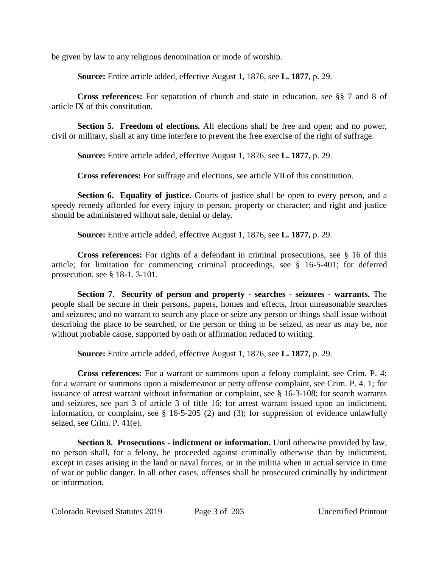be given by law to any religious denomination or mode of worship.

**Source:** Entire article added, effective August 1, 1876, see **L. 1877,** p. 29.

**Cross references:** For separation of church and state in education, see §§ 7 and 8 of article IX of this constitution.

**Section 5. Freedom of elections.** All elections shall be free and open; and no power, civil or military, shall at any time interfere to prevent the free exercise of the right of suffrage.

**Source:** Entire article added, effective August 1, 1876, see **L. 1877,** p. 29.

**Cross references:** For suffrage and elections, see article VII of this constitution.

**Section 6. Equality of justice.** Courts of justice shall be open to every person, and a speedy remedy afforded for every injury to person, property or character; and right and justice should be administered without sale, denial or delay.

**Source:** Entire article added, effective August 1, 1876, see **L. 1877,** p. 29.

**Cross references:** For rights of a defendant in criminal prosecutions, see § 16 of this article; for limitation for commencing criminal proceedings, see § 16-5-401; for deferred prosecution, see § 18-1. 3-101.

**Section 7. Security of person and property - searches - seizures - warrants.** The people shall be secure in their persons, papers, homes and effects, from unreasonable searches and seizures; and no warrant to search any place or seize any person or things shall issue without describing the place to be searched, or the person or thing to be seized, as near as may be, nor without probable cause, supported by oath or affirmation reduced to writing.

**Source:** Entire article added, effective August 1, 1876, see **L. 1877,** p. 29.

**Cross references:** For a warrant or summons upon a felony complaint, see Crim. P. 4; for a warrant or summons upon a misdemeanor or petty offense complaint, see Crim. P. 4. 1; for issuance of arrest warrant without information or complaint, see § 16-3-108; for search warrants and seizures, see part 3 of article 3 of title 16; for arrest warrant issued upon an indictment, information, or complaint, see § 16-5-205 (2) and (3); for suppression of evidence unlawfully seized, see Crim. P. 41(e).

**Section 8. Prosecutions - indictment or information.** Until otherwise provided by law, no person shall, for a felony, be proceeded against criminally otherwise than by indictment, except in cases arising in the land or naval forces, or in the militia when in actual service in time of war or public danger. In all other cases, offenses shall be prosecuted criminally by indictment or information.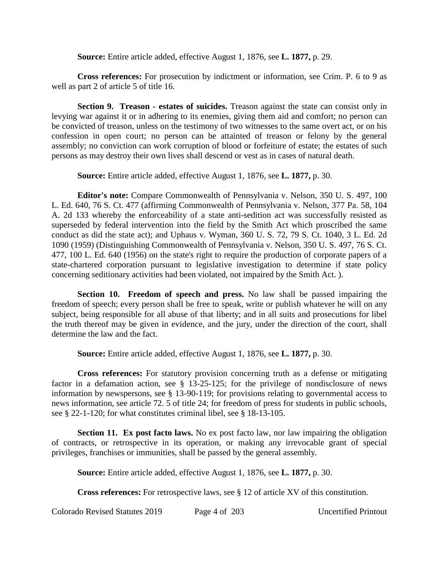**Source:** Entire article added, effective August 1, 1876, see **L. 1877,** p. 29.

**Cross references:** For prosecution by indictment or information, see Crim. P. 6 to 9 as well as part 2 of article 5 of title 16.

**Section 9. Treason - estates of suicides.** Treason against the state can consist only in levying war against it or in adhering to its enemies, giving them aid and comfort; no person can be convicted of treason, unless on the testimony of two witnesses to the same overt act, or on his confession in open court; no person can be attainted of treason or felony by the general assembly; no conviction can work corruption of blood or forfeiture of estate; the estates of such persons as may destroy their own lives shall descend or vest as in cases of natural death.

**Source:** Entire article added, effective August 1, 1876, see **L. 1877,** p. 30.

**Editor's note:** Compare Commonwealth of Pennsylvania v. Nelson, 350 U. S. 497, 100 L. Ed. 640, 76 S. Ct. 477 (affirming Commonwealth of Pennsylvania v. Nelson, 377 Pa. 58, 104 A. 2d 133 whereby the enforceability of a state anti-sedition act was successfully resisted as superseded by federal intervention into the field by the Smith Act which proscribed the same conduct as did the state act); and Uphaus v. Wyman, 360 U. S. 72, 79 S. Ct. 1040, 3 L. Ed. 2d 1090 (1959) (Distinguishing Commonwealth of Pennsylvania v. Nelson, 350 U. S. 497, 76 S. Ct. 477, 100 L. Ed. 640 (1956) on the state's right to require the production of corporate papers of a state-chartered corporation pursuant to legislative investigation to determine if state policy concerning seditionary activities had been violated, not impaired by the Smith Act. ).

**Section 10. Freedom of speech and press.** No law shall be passed impairing the freedom of speech; every person shall be free to speak, write or publish whatever he will on any subject, being responsible for all abuse of that liberty; and in all suits and prosecutions for libel the truth thereof may be given in evidence, and the jury, under the direction of the court, shall determine the law and the fact.

**Source:** Entire article added, effective August 1, 1876, see **L. 1877,** p. 30.

**Cross references:** For statutory provision concerning truth as a defense or mitigating factor in a defamation action, see § 13-25-125; for the privilege of nondisclosure of news information by newspersons, see § 13-90-119; for provisions relating to governmental access to news information, see article 72. 5 of title 24; for freedom of press for students in public schools, see § 22-1-120; for what constitutes criminal libel, see § 18-13-105.

**Section 11. Ex post facto laws.** No ex post facto law, nor law impairing the obligation of contracts, or retrospective in its operation, or making any irrevocable grant of special privileges, franchises or immunities, shall be passed by the general assembly.

**Source:** Entire article added, effective August 1, 1876, see **L. 1877,** p. 30.

**Cross references:** For retrospective laws, see § 12 of article XV of this constitution.

Colorado Revised Statutes 2019 Page 4 of 203 Uncertified Printout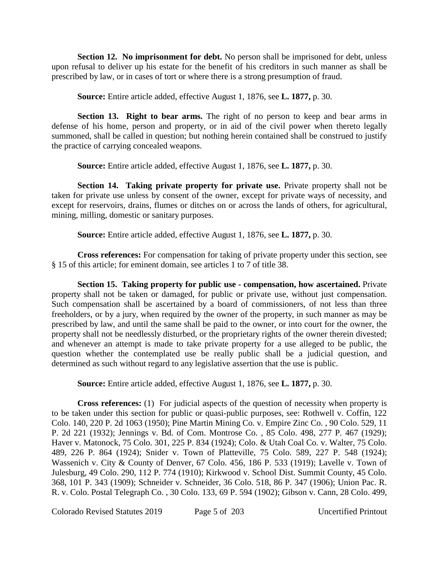**Section 12. No imprisonment for debt.** No person shall be imprisoned for debt, unless upon refusal to deliver up his estate for the benefit of his creditors in such manner as shall be prescribed by law, or in cases of tort or where there is a strong presumption of fraud.

**Source:** Entire article added, effective August 1, 1876, see **L. 1877,** p. 30.

**Section 13. Right to bear arms.** The right of no person to keep and bear arms in defense of his home, person and property, or in aid of the civil power when thereto legally summoned, shall be called in question; but nothing herein contained shall be construed to justify the practice of carrying concealed weapons.

**Source:** Entire article added, effective August 1, 1876, see **L. 1877,** p. 30.

**Section 14. Taking private property for private use.** Private property shall not be taken for private use unless by consent of the owner, except for private ways of necessity, and except for reservoirs, drains, flumes or ditches on or across the lands of others, for agricultural, mining, milling, domestic or sanitary purposes.

**Source:** Entire article added, effective August 1, 1876, see **L. 1877,** p. 30.

**Cross references:** For compensation for taking of private property under this section, see § 15 of this article; for eminent domain, see articles 1 to 7 of title 38.

**Section 15. Taking property for public use - compensation, how ascertained.** Private property shall not be taken or damaged, for public or private use, without just compensation. Such compensation shall be ascertained by a board of commissioners, of not less than three freeholders, or by a jury, when required by the owner of the property, in such manner as may be prescribed by law, and until the same shall be paid to the owner, or into court for the owner, the property shall not be needlessly disturbed, or the proprietary rights of the owner therein divested; and whenever an attempt is made to take private property for a use alleged to be public, the question whether the contemplated use be really public shall be a judicial question, and determined as such without regard to any legislative assertion that the use is public.

**Source:** Entire article added, effective August 1, 1876, see **L. 1877,** p. 30.

**Cross references:** (1) For judicial aspects of the question of necessity when property is to be taken under this section for public or quasi-public purposes, see: Rothwell v. Coffin, 122 Colo. 140, 220 P. 2d 1063 (1950); Pine Martin Mining Co. v. Empire Zinc Co. , 90 Colo. 529, 11 P. 2d 221 (1932); Jennings v. Bd. of Com. Montrose Co. , 85 Colo. 498, 277 P. 467 (1929); Haver v. Matonock, 75 Colo. 301, 225 P. 834 (1924); Colo. & Utah Coal Co. v. Walter, 75 Colo. 489, 226 P. 864 (1924); Snider v. Town of Platteville, 75 Colo. 589, 227 P. 548 (1924); Wassenich v. City & County of Denver, 67 Colo. 456, 186 P. 533 (1919); Lavelle v. Town of Julesburg, 49 Colo. 290, 112 P. 774 (1910); Kirkwood v. School Dist. Summit County, 45 Colo. 368, 101 P. 343 (1909); Schneider v. Schneider, 36 Colo. 518, 86 P. 347 (1906); Union Pac. R. R. v. Colo. Postal Telegraph Co. , 30 Colo. 133, 69 P. 594 (1902); Gibson v. Cann, 28 Colo. 499,

Colorado Revised Statutes 2019 Page 5 of 203 Uncertified Printout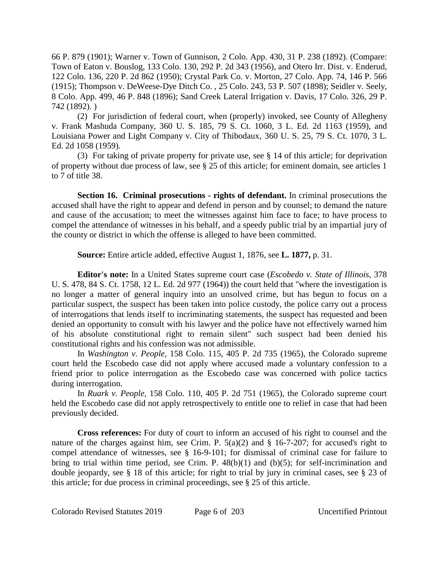66 P. 879 (1901); Warner v. Town of Gunnison, 2 Colo. App. 430, 31 P. 238 (1892). (Compare: Town of Eaton v. Bouslog, 133 Colo. 130, 292 P. 2d 343 (1956), and Otero Irr. Dist. v. Enderud, 122 Colo. 136, 220 P. 2d 862 (1950); Crystal Park Co. v. Morton, 27 Colo. App. 74, 146 P. 566 (1915); Thompson v. DeWeese-Dye Ditch Co. , 25 Colo. 243, 53 P. 507 (1898); Seidler v. Seely, 8 Colo. App. 499, 46 P. 848 (1896); Sand Creek Lateral Irrigation v. Davis, 17 Colo. 326, 29 P. 742 (1892). )

(2) For jurisdiction of federal court, when (properly) invoked, see County of Allegheny v. Frank Mashuda Company, 360 U. S. 185, 79 S. Ct. 1060, 3 L. Ed. 2d 1163 (1959), and Louisiana Power and Light Company v. City of Thibodaux, 360 U. S. 25, 79 S. Ct. 1070, 3 L. Ed. 2d 1058 (1959).

(3) For taking of private property for private use, see § 14 of this article; for deprivation of property without due process of law, see § 25 of this article; for eminent domain, see articles 1 to 7 of title 38.

**Section 16. Criminal prosecutions - rights of defendant.** In criminal prosecutions the accused shall have the right to appear and defend in person and by counsel; to demand the nature and cause of the accusation; to meet the witnesses against him face to face; to have process to compel the attendance of witnesses in his behalf, and a speedy public trial by an impartial jury of the county or district in which the offense is alleged to have been committed.

**Source:** Entire article added, effective August 1, 1876, see **L. 1877,** p. 31.

**Editor's note:** In a United States supreme court case (*Escobedo v. State of Illinois,* 378 U. S. 478, 84 S. Ct. 1758, 12 L. Ed. 2d 977 (1964)) the court held that "where the investigation is no longer a matter of general inquiry into an unsolved crime, but has begun to focus on a particular suspect, the suspect has been taken into police custody, the police carry out a process of interrogations that lends itself to incriminating statements, the suspect has requested and been denied an opportunity to consult with his lawyer and the police have not effectively warned him of his absolute constitutional right to remain silent" such suspect had been denied his constitutional rights and his confession was not admissible.

In *Washington v. People,* 158 Colo. 115, 405 P. 2d 735 (1965), the Colorado supreme court held the Escobedo case did not apply where accused made a voluntary confession to a friend prior to police interrogation as the Escobedo case was concerned with police tactics during interrogation.

In *Ruark v. People,* 158 Colo. 110, 405 P. 2d 751 (1965), the Colorado supreme court held the Escobedo case did not apply retrospectively to entitle one to relief in case that had been previously decided.

**Cross references:** For duty of court to inform an accused of his right to counsel and the nature of the charges against him, see Crim. P.  $5(a)(2)$  and § 16-7-207; for accused's right to compel attendance of witnesses, see § 16-9-101; for dismissal of criminal case for failure to bring to trial within time period, see Crim. P.  $48(b)(1)$  and  $(b)(5)$ ; for self-incrimination and double jeopardy, see § 18 of this article; for right to trial by jury in criminal cases, see § 23 of this article; for due process in criminal proceedings, see § 25 of this article.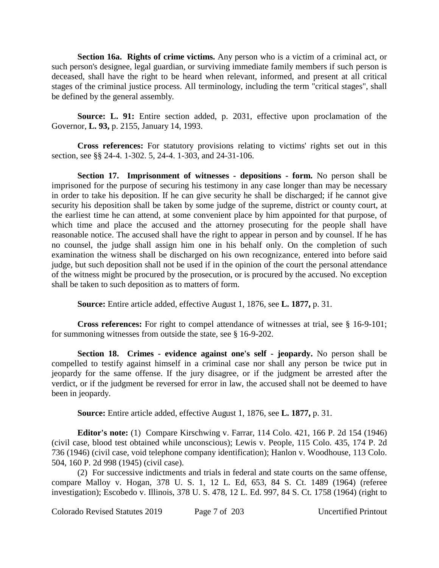**Section 16a. Rights of crime victims.** Any person who is a victim of a criminal act, or such person's designee, legal guardian, or surviving immediate family members if such person is deceased, shall have the right to be heard when relevant, informed, and present at all critical stages of the criminal justice process. All terminology, including the term "critical stages", shall be defined by the general assembly.

**Source: L. 91:** Entire section added, p. 2031, effective upon proclamation of the Governor, **L. 93,** p. 2155, January 14, 1993.

**Cross references:** For statutory provisions relating to victims' rights set out in this section, see §§ 24-4. 1-302. 5, 24-4. 1-303, and 24-31-106.

**Section 17. Imprisonment of witnesses - depositions - form.** No person shall be imprisoned for the purpose of securing his testimony in any case longer than may be necessary in order to take his deposition. If he can give security he shall be discharged; if he cannot give security his deposition shall be taken by some judge of the supreme, district or county court, at the earliest time he can attend, at some convenient place by him appointed for that purpose, of which time and place the accused and the attorney prosecuting for the people shall have reasonable notice. The accused shall have the right to appear in person and by counsel. If he has no counsel, the judge shall assign him one in his behalf only. On the completion of such examination the witness shall be discharged on his own recognizance, entered into before said judge, but such deposition shall not be used if in the opinion of the court the personal attendance of the witness might be procured by the prosecution, or is procured by the accused. No exception shall be taken to such deposition as to matters of form.

**Source:** Entire article added, effective August 1, 1876, see **L. 1877,** p. 31.

**Cross references:** For right to compel attendance of witnesses at trial, see § 16-9-101; for summoning witnesses from outside the state, see § 16-9-202.

**Section 18. Crimes - evidence against one's self - jeopardy.** No person shall be compelled to testify against himself in a criminal case nor shall any person be twice put in jeopardy for the same offense. If the jury disagree, or if the judgment be arrested after the verdict, or if the judgment be reversed for error in law, the accused shall not be deemed to have been in jeopardy.

**Source:** Entire article added, effective August 1, 1876, see **L. 1877,** p. 31.

**Editor's note:** (1) Compare Kirschwing v. Farrar, 114 Colo. 421, 166 P. 2d 154 (1946) (civil case, blood test obtained while unconscious); Lewis v. People, 115 Colo. 435, 174 P. 2d 736 (1946) (civil case, void telephone company identification); Hanlon v. Woodhouse, 113 Colo. 504, 160 P. 2d 998 (1945) (civil case).

(2) For successive indictments and trials in federal and state courts on the same offense, compare Malloy v. Hogan, 378 U. S. 1, 12 L. Ed, 653, 84 S. Ct. 1489 (1964) (referee investigation); Escobedo v. Illinois, 378 U. S. 478, 12 L. Ed. 997, 84 S. Ct. 1758 (1964) (right to

Colorado Revised Statutes 2019 Page 7 of 203 Uncertified Printout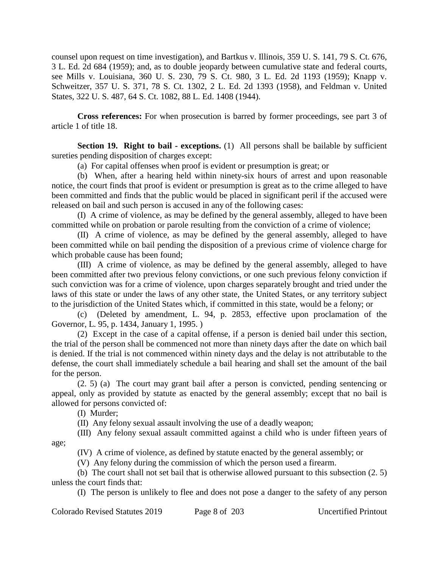counsel upon request on time investigation), and Bartkus v. Illinois, 359 U. S. 141, 79 S. Ct. 676, 3 L. Ed. 2d 684 (1959); and, as to double jeopardy between cumulative state and federal courts, see Mills v. Louisiana, 360 U. S. 230, 79 S. Ct. 980, 3 L. Ed. 2d 1193 (1959); Knapp v. Schweitzer, 357 U. S. 371, 78 S. Ct. 1302, 2 L. Ed. 2d 1393 (1958), and Feldman v. United States, 322 U. S. 487, 64 S. Ct. 1082, 88 L. Ed. 1408 (1944).

**Cross references:** For when prosecution is barred by former proceedings, see part 3 of article 1 of title 18.

**Section 19. Right to bail - exceptions.** (1) All persons shall be bailable by sufficient sureties pending disposition of charges except:

(a) For capital offenses when proof is evident or presumption is great; or

(b) When, after a hearing held within ninety-six hours of arrest and upon reasonable notice, the court finds that proof is evident or presumption is great as to the crime alleged to have been committed and finds that the public would be placed in significant peril if the accused were released on bail and such person is accused in any of the following cases:

(I) A crime of violence, as may be defined by the general assembly, alleged to have been committed while on probation or parole resulting from the conviction of a crime of violence;

(II) A crime of violence, as may be defined by the general assembly, alleged to have been committed while on bail pending the disposition of a previous crime of violence charge for which probable cause has been found;

(III) A crime of violence, as may be defined by the general assembly, alleged to have been committed after two previous felony convictions, or one such previous felony conviction if such conviction was for a crime of violence, upon charges separately brought and tried under the laws of this state or under the laws of any other state, the United States, or any territory subject to the jurisdiction of the United States which, if committed in this state, would be a felony; or

(c) (Deleted by amendment, L. 94, p. 2853, effective upon proclamation of the Governor, L. 95, p. 1434, January 1, 1995. )

(2) Except in the case of a capital offense, if a person is denied bail under this section, the trial of the person shall be commenced not more than ninety days after the date on which bail is denied. If the trial is not commenced within ninety days and the delay is not attributable to the defense, the court shall immediately schedule a bail hearing and shall set the amount of the bail for the person.

(2. 5) (a) The court may grant bail after a person is convicted, pending sentencing or appeal, only as provided by statute as enacted by the general assembly; except that no bail is allowed for persons convicted of:

(I) Murder;

(II) Any felony sexual assault involving the use of a deadly weapon;

(III) Any felony sexual assault committed against a child who is under fifteen years of age;

(IV) A crime of violence, as defined by statute enacted by the general assembly; or

(V) Any felony during the commission of which the person used a firearm.

(b) The court shall not set bail that is otherwise allowed pursuant to this subsection (2. 5) unless the court finds that:

(I) The person is unlikely to flee and does not pose a danger to the safety of any person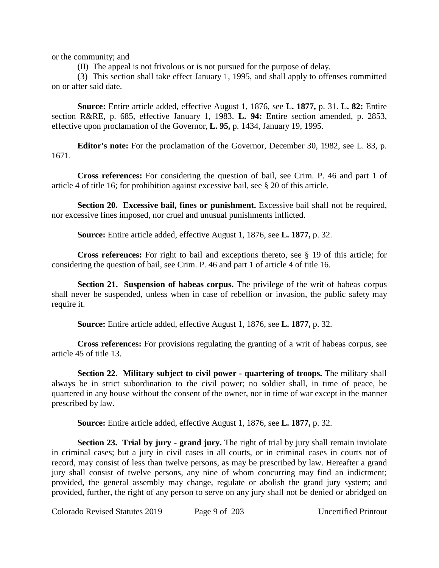or the community; and

(II) The appeal is not frivolous or is not pursued for the purpose of delay.

(3) This section shall take effect January 1, 1995, and shall apply to offenses committed on or after said date.

**Source:** Entire article added, effective August 1, 1876, see **L. 1877,** p. 31. **L. 82:** Entire section R&RE, p. 685, effective January 1, 1983. **L. 94:** Entire section amended, p. 2853, effective upon proclamation of the Governor, **L. 95,** p. 1434, January 19, 1995.

**Editor's note:** For the proclamation of the Governor, December 30, 1982, see L. 83, p. 1671.

**Cross references:** For considering the question of bail, see Crim. P. 46 and part 1 of article 4 of title 16; for prohibition against excessive bail, see § 20 of this article.

**Section 20. Excessive bail, fines or punishment.** Excessive bail shall not be required, nor excessive fines imposed, nor cruel and unusual punishments inflicted.

**Source:** Entire article added, effective August 1, 1876, see **L. 1877,** p. 32.

**Cross references:** For right to bail and exceptions thereto, see § 19 of this article; for considering the question of bail, see Crim. P. 46 and part 1 of article 4 of title 16.

**Section 21. Suspension of habeas corpus.** The privilege of the writ of habeas corpus shall never be suspended, unless when in case of rebellion or invasion, the public safety may require it.

**Source:** Entire article added, effective August 1, 1876, see **L. 1877,** p. 32.

**Cross references:** For provisions regulating the granting of a writ of habeas corpus, see article 45 of title 13.

**Section 22. Military subject to civil power - quartering of troops.** The military shall always be in strict subordination to the civil power; no soldier shall, in time of peace, be quartered in any house without the consent of the owner, nor in time of war except in the manner prescribed by law.

**Source:** Entire article added, effective August 1, 1876, see **L. 1877,** p. 32.

**Section 23. Trial by jury - grand jury.** The right of trial by jury shall remain inviolate in criminal cases; but a jury in civil cases in all courts, or in criminal cases in courts not of record, may consist of less than twelve persons, as may be prescribed by law. Hereafter a grand jury shall consist of twelve persons, any nine of whom concurring may find an indictment; provided, the general assembly may change, regulate or abolish the grand jury system; and provided, further, the right of any person to serve on any jury shall not be denied or abridged on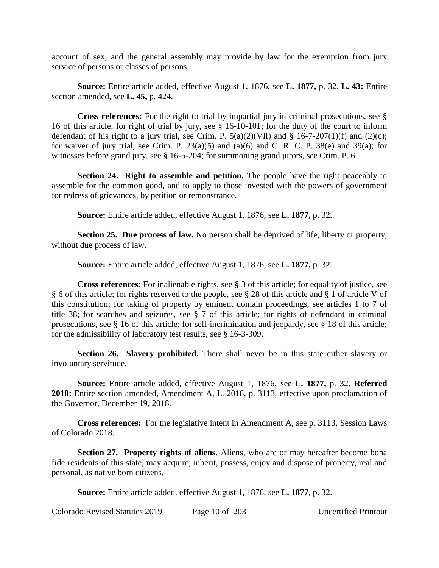account of sex, and the general assembly may provide by law for the exemption from jury service of persons or classes of persons.

**Source:** Entire article added, effective August 1, 1876, see **L. 1877,** p. 32. **L. 43:** Entire section amended, see **L. 45,** p. 424.

**Cross references:** For the right to trial by impartial jury in criminal prosecutions, see § 16 of this article; for right of trial by jury, see § 16-10-101; for the duty of the court to inform defendant of his right to a jury trial, see Crim. P.  $5(a)(2)(VII)$  and  $§$  16-7-207(1)(f) and (2)(c); for waiver of jury trial, see Crim. P.  $23(a)(5)$  and  $(a)(6)$  and C. R. C. P.  $38(e)$  and  $39(a)$ ; for witnesses before grand jury, see § 16-5-204; for summoning grand jurors, see Crim. P. 6.

**Section 24. Right to assemble and petition.** The people have the right peaceably to assemble for the common good, and to apply to those invested with the powers of government for redress of grievances, by petition or remonstrance.

**Source:** Entire article added, effective August 1, 1876, see **L. 1877,** p. 32.

**Section 25. Due process of law.** No person shall be deprived of life, liberty or property, without due process of law.

**Source:** Entire article added, effective August 1, 1876, see **L. 1877,** p. 32.

**Cross references:** For inalienable rights, see § 3 of this article; for equality of justice, see § 6 of this article; for rights reserved to the people, see § 28 of this article and § 1 of article V of this constitution; for taking of property by eminent domain proceedings, see articles 1 to 7 of title 38; for searches and seizures, see § 7 of this article; for rights of defendant in criminal prosecutions, see § 16 of this article; for self-incrimination and jeopardy, see § 18 of this article; for the admissibility of laboratory test results, see § 16-3-309.

**Section 26. Slavery prohibited.** There shall never be in this state either slavery or involuntary servitude.

**Source:** Entire article added, effective August 1, 1876, see **L. 1877,** p. 32. **Referred 2018:** Entire section amended, Amendment A, L. 2018, p. 3113, effective upon proclamation of the Governor, December 19, 2018.

**Cross references:** For the legislative intent in Amendment A, see p. 3113, Session Laws of Colorado 2018.

**Section 27. Property rights of aliens.** Aliens, who are or may hereafter become bona fide residents of this state, may acquire, inherit, possess, enjoy and dispose of property, real and personal, as native born citizens.

**Source:** Entire article added, effective August 1, 1876, see **L. 1877,** p. 32.

Colorado Revised Statutes 2019 Page 10 of 203 Uncertified Printout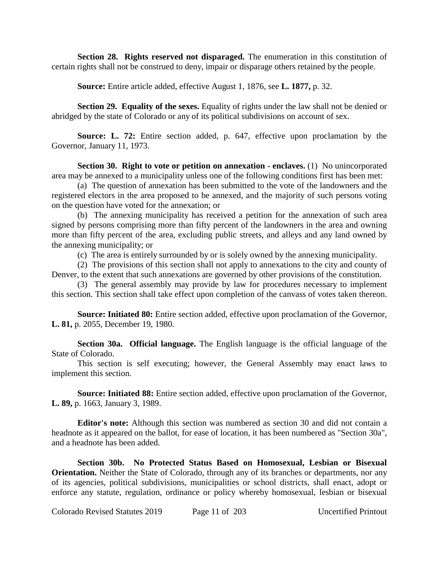**Section 28. Rights reserved not disparaged.** The enumeration in this constitution of certain rights shall not be construed to deny, impair or disparage others retained by the people.

**Source:** Entire article added, effective August 1, 1876, see **L. 1877,** p. 32.

**Section 29. Equality of the sexes.** Equality of rights under the law shall not be denied or abridged by the state of Colorado or any of its political subdivisions on account of sex.

**Source: L. 72:** Entire section added, p. 647, effective upon proclamation by the Governor, January 11, 1973.

**Section 30. Right to vote or petition on annexation - enclaves.** (1) No unincorporated area may be annexed to a municipality unless one of the following conditions first has been met:

(a) The question of annexation has been submitted to the vote of the landowners and the registered electors in the area proposed to be annexed, and the majority of such persons voting on the question have voted for the annexation; or

(b) The annexing municipality has received a petition for the annexation of such area signed by persons comprising more than fifty percent of the landowners in the area and owning more than fifty percent of the area, excluding public streets, and alleys and any land owned by the annexing municipality; or

(c) The area is entirely surrounded by or is solely owned by the annexing municipality.

(2) The provisions of this section shall not apply to annexations to the city and county of Denver, to the extent that such annexations are governed by other provisions of the constitution.

(3) The general assembly may provide by law for procedures necessary to implement this section. This section shall take effect upon completion of the canvass of votes taken thereon.

**Source: Initiated 80:** Entire section added, effective upon proclamation of the Governor, **L. 81,** p. 2055, December 19, 1980.

**Section 30a. Official language.** The English language is the official language of the State of Colorado.

This section is self executing; however, the General Assembly may enact laws to implement this section.

**Source: Initiated 88:** Entire section added, effective upon proclamation of the Governor, **L. 89,** p. 1663, January 3, 1989.

**Editor's note:** Although this section was numbered as section 30 and did not contain a headnote as it appeared on the ballot, for ease of location, it has been numbered as "Section 30a", and a headnote has been added.

**Section 30b. No Protected Status Based on Homosexual, Lesbian or Bisexual Orientation.** Neither the State of Colorado, through any of its branches or departments, nor any of its agencies, political subdivisions, municipalities or school districts, shall enact, adopt or enforce any statute, regulation, ordinance or policy whereby homosexual, lesbian or bisexual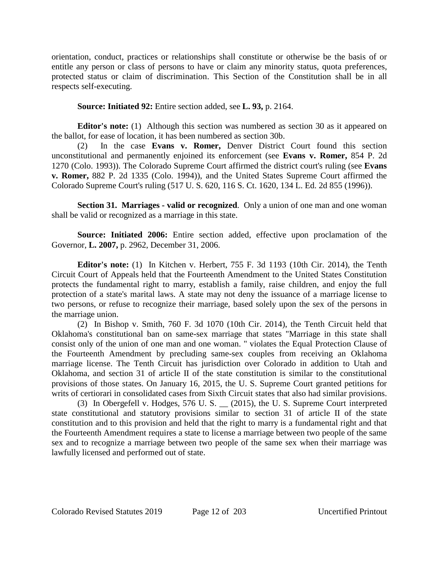orientation, conduct, practices or relationships shall constitute or otherwise be the basis of or entitle any person or class of persons to have or claim any minority status, quota preferences, protected status or claim of discrimination. This Section of the Constitution shall be in all respects self-executing.

**Source: Initiated 92:** Entire section added, see **L. 93,** p. 2164.

**Editor's note:** (1) Although this section was numbered as section 30 as it appeared on the ballot, for ease of location, it has been numbered as section 30b.

(2) In the case **Evans v. Romer,** Denver District Court found this section unconstitutional and permanently enjoined its enforcement (see **Evans v. Romer,** 854 P. 2d 1270 (Colo. 1993)). The Colorado Supreme Court affirmed the district court's ruling (see **Evans v. Romer,** 882 P. 2d 1335 (Colo. 1994)), and the United States Supreme Court affirmed the Colorado Supreme Court's ruling (517 U. S. 620, 116 S. Ct. 1620, 134 L. Ed. 2d 855 (1996)).

**Section 31. Marriages - valid or recognized**. Only a union of one man and one woman shall be valid or recognized as a marriage in this state.

**Source: Initiated 2006:** Entire section added, effective upon proclamation of the Governor, **L. 2007,** p. 2962, December 31, 2006.

**Editor's note:** (1) In Kitchen v. Herbert, 755 F. 3d 1193 (10th Cir. 2014), the Tenth Circuit Court of Appeals held that the Fourteenth Amendment to the United States Constitution protects the fundamental right to marry, establish a family, raise children, and enjoy the full protection of a state's marital laws. A state may not deny the issuance of a marriage license to two persons, or refuse to recognize their marriage, based solely upon the sex of the persons in the marriage union.

(2) In Bishop v. Smith, 760 F. 3d 1070 (10th Cir. 2014), the Tenth Circuit held that Oklahoma's constitutional ban on same-sex marriage that states "Marriage in this state shall consist only of the union of one man and one woman. " violates the Equal Protection Clause of the Fourteenth Amendment by precluding same-sex couples from receiving an Oklahoma marriage license. The Tenth Circuit has jurisdiction over Colorado in addition to Utah and Oklahoma, and section 31 of article II of the state constitution is similar to the constitutional provisions of those states. On January 16, 2015, the U. S. Supreme Court granted petitions for writs of certiorari in consolidated cases from Sixth Circuit states that also had similar provisions.

(3) In Obergefell v. Hodges, 576 U. S. \_\_ (2015), the U. S. Supreme Court interpreted state constitutional and statutory provisions similar to section 31 of article II of the state constitution and to this provision and held that the right to marry is a fundamental right and that the Fourteenth Amendment requires a state to license a marriage between two people of the same sex and to recognize a marriage between two people of the same sex when their marriage was lawfully licensed and performed out of state.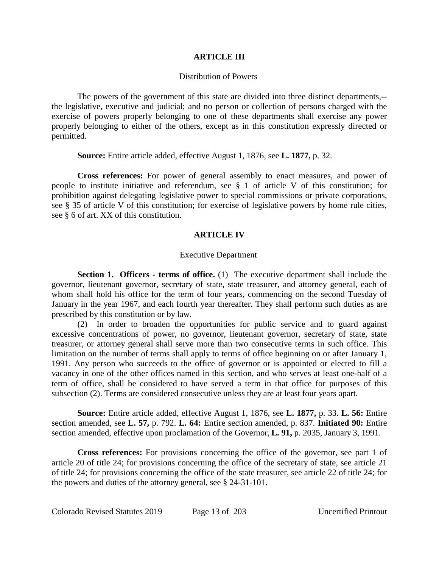#### **ARTICLE III**

#### Distribution of Powers

The powers of the government of this state are divided into three distinct departments,- the legislative, executive and judicial; and no person or collection of persons charged with the exercise of powers properly belonging to one of these departments shall exercise any power properly belonging to either of the others, except as in this constitution expressly directed or permitted.

**Source:** Entire article added, effective August 1, 1876, see **L. 1877,** p. 32.

**Cross references:** For power of general assembly to enact measures, and power of people to institute initiative and referendum, see § 1 of article V of this constitution; for prohibition against delegating legislative power to special commissions or private corporations, see § 35 of article V of this constitution; for exercise of legislative powers by home rule cities, see § 6 of art. XX of this constitution.

## **ARTICLE IV**

## Executive Department

**Section 1. Officers - terms of office.** (1) The executive department shall include the governor, lieutenant governor, secretary of state, state treasurer, and attorney general, each of whom shall hold his office for the term of four years, commencing on the second Tuesday of January in the year 1967, and each fourth year thereafter. They shall perform such duties as are prescribed by this constitution or by law.

(2) In order to broaden the opportunities for public service and to guard against excessive concentrations of power, no governor, lieutenant governor, secretary of state, state treasurer, or attorney general shall serve more than two consecutive terms in such office. This limitation on the number of terms shall apply to terms of office beginning on or after January 1, 1991. Any person who succeeds to the office of governor or is appointed or elected to fill a vacancy in one of the other offices named in this section, and who serves at least one-half of a term of office, shall be considered to have served a term in that office for purposes of this subsection (2). Terms are considered consecutive unless they are at least four years apart.

**Source:** Entire article added, effective August 1, 1876, see **L. 1877,** p. 33. **L. 56:** Entire section amended, see **L. 57,** p. 792. **L. 64:** Entire section amended, p. 837. **Initiated 90:** Entire section amended, effective upon proclamation of the Governor, **L. 91,** p. 2035, January 3, 1991.

**Cross references:** For provisions concerning the office of the governor, see part 1 of article 20 of title 24; for provisions concerning the office of the secretary of state, see article 21 of title 24; for provisions concerning the office of the state treasurer, see article 22 of title 24; for the powers and duties of the attorney general, see § 24-31-101.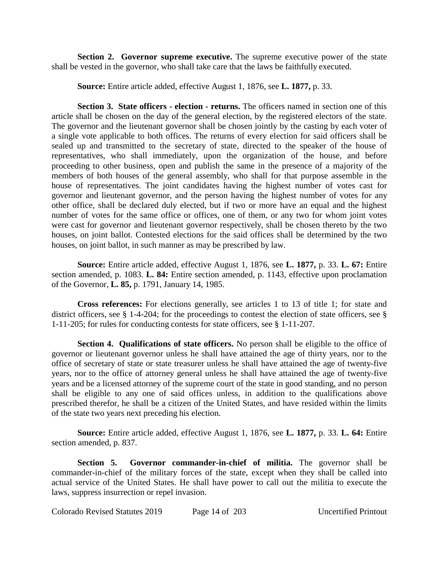**Section 2. Governor supreme executive.** The supreme executive power of the state shall be vested in the governor, who shall take care that the laws be faithfully executed.

**Source:** Entire article added, effective August 1, 1876, see **L. 1877,** p. 33.

**Section 3. State officers - election - returns.** The officers named in section one of this article shall be chosen on the day of the general election, by the registered electors of the state. The governor and the lieutenant governor shall be chosen jointly by the casting by each voter of a single vote applicable to both offices. The returns of every election for said officers shall be sealed up and transmitted to the secretary of state, directed to the speaker of the house of representatives, who shall immediately, upon the organization of the house, and before proceeding to other business, open and publish the same in the presence of a majority of the members of both houses of the general assembly, who shall for that purpose assemble in the house of representatives. The joint candidates having the highest number of votes cast for governor and lieutenant governor, and the person having the highest number of votes for any other office, shall be declared duly elected, but if two or more have an equal and the highest number of votes for the same office or offices, one of them, or any two for whom joint votes were cast for governor and lieutenant governor respectively, shall be chosen thereto by the two houses, on joint ballot. Contested elections for the said offices shall be determined by the two houses, on joint ballot, in such manner as may be prescribed by law.

**Source:** Entire article added, effective August 1, 1876, see **L. 1877,** p. 33. **L. 67:** Entire section amended, p. 1083. **L. 84:** Entire section amended, p. 1143, effective upon proclamation of the Governor, **L. 85,** p. 1791, January 14, 1985.

**Cross references:** For elections generally, see articles 1 to 13 of title 1; for state and district officers, see § 1-4-204; for the proceedings to contest the election of state officers, see § 1-11-205; for rules for conducting contests for state officers, see § 1-11-207.

**Section 4. Qualifications of state officers.** No person shall be eligible to the office of governor or lieutenant governor unless he shall have attained the age of thirty years, nor to the office of secretary of state or state treasurer unless he shall have attained the age of twenty-five years, nor to the office of attorney general unless he shall have attained the age of twenty-five years and be a licensed attorney of the supreme court of the state in good standing, and no person shall be eligible to any one of said offices unless, in addition to the qualifications above prescribed therefor, he shall be a citizen of the United States, and have resided within the limits of the state two years next preceding his election.

**Source:** Entire article added, effective August 1, 1876, see **L. 1877,** p. 33. **L. 64:** Entire section amended, p. 837.

**Section 5. Governor commander-in-chief of militia.** The governor shall be commander-in-chief of the military forces of the state, except when they shall be called into actual service of the United States. He shall have power to call out the militia to execute the laws, suppress insurrection or repel invasion.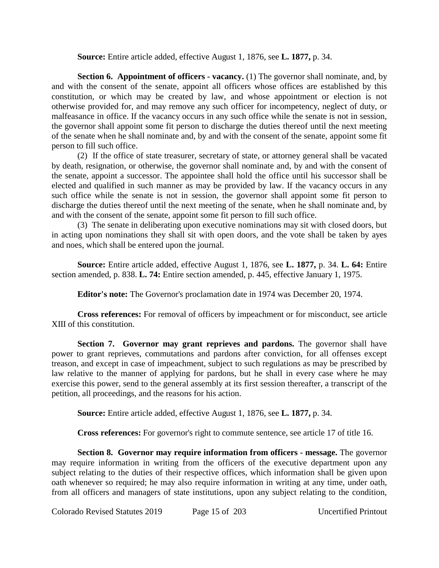**Source:** Entire article added, effective August 1, 1876, see **L. 1877,** p. 34.

**Section 6. Appointment of officers - vacancy.** (1) The governor shall nominate, and, by and with the consent of the senate, appoint all officers whose offices are established by this constitution, or which may be created by law, and whose appointment or election is not otherwise provided for, and may remove any such officer for incompetency, neglect of duty, or malfeasance in office. If the vacancy occurs in any such office while the senate is not in session, the governor shall appoint some fit person to discharge the duties thereof until the next meeting of the senate when he shall nominate and, by and with the consent of the senate, appoint some fit person to fill such office.

(2) If the office of state treasurer, secretary of state, or attorney general shall be vacated by death, resignation, or otherwise, the governor shall nominate and, by and with the consent of the senate, appoint a successor. The appointee shall hold the office until his successor shall be elected and qualified in such manner as may be provided by law. If the vacancy occurs in any such office while the senate is not in session, the governor shall appoint some fit person to discharge the duties thereof until the next meeting of the senate, when he shall nominate and, by and with the consent of the senate, appoint some fit person to fill such office.

(3) The senate in deliberating upon executive nominations may sit with closed doors, but in acting upon nominations they shall sit with open doors, and the vote shall be taken by ayes and noes, which shall be entered upon the journal.

**Source:** Entire article added, effective August 1, 1876, see **L. 1877,** p. 34. **L. 64:** Entire section amended, p. 838. **L. 74:** Entire section amended, p. 445, effective January 1, 1975.

**Editor's note:** The Governor's proclamation date in 1974 was December 20, 1974.

**Cross references:** For removal of officers by impeachment or for misconduct, see article XIII of this constitution.

**Section 7. Governor may grant reprieves and pardons.** The governor shall have power to grant reprieves, commutations and pardons after conviction, for all offenses except treason, and except in case of impeachment, subject to such regulations as may be prescribed by law relative to the manner of applying for pardons, but he shall in every case where he may exercise this power, send to the general assembly at its first session thereafter, a transcript of the petition, all proceedings, and the reasons for his action.

**Source:** Entire article added, effective August 1, 1876, see **L. 1877,** p. 34.

**Cross references:** For governor's right to commute sentence, see article 17 of title 16.

**Section 8. Governor may require information from officers - message.** The governor may require information in writing from the officers of the executive department upon any subject relating to the duties of their respective offices, which information shall be given upon oath whenever so required; he may also require information in writing at any time, under oath, from all officers and managers of state institutions, upon any subject relating to the condition,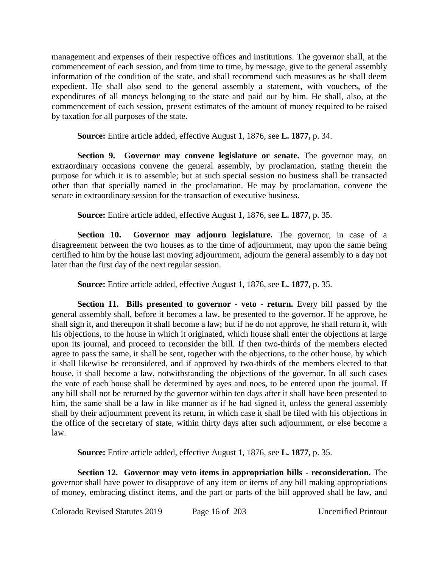management and expenses of their respective offices and institutions. The governor shall, at the commencement of each session, and from time to time, by message, give to the general assembly information of the condition of the state, and shall recommend such measures as he shall deem expedient. He shall also send to the general assembly a statement, with vouchers, of the expenditures of all moneys belonging to the state and paid out by him. He shall, also, at the commencement of each session, present estimates of the amount of money required to be raised by taxation for all purposes of the state.

**Source:** Entire article added, effective August 1, 1876, see **L. 1877,** p. 34.

Section 9. Governor may convene legislature or senate. The governor may, on extraordinary occasions convene the general assembly, by proclamation, stating therein the purpose for which it is to assemble; but at such special session no business shall be transacted other than that specially named in the proclamation. He may by proclamation, convene the senate in extraordinary session for the transaction of executive business.

**Source:** Entire article added, effective August 1, 1876, see **L. 1877,** p. 35.

**Section 10. Governor may adjourn legislature.** The governor, in case of a disagreement between the two houses as to the time of adjournment, may upon the same being certified to him by the house last moving adjournment, adjourn the general assembly to a day not later than the first day of the next regular session.

**Source:** Entire article added, effective August 1, 1876, see **L. 1877,** p. 35.

**Section 11. Bills presented to governor - veto - return.** Every bill passed by the general assembly shall, before it becomes a law, be presented to the governor. If he approve, he shall sign it, and thereupon it shall become a law; but if he do not approve, he shall return it, with his objections, to the house in which it originated, which house shall enter the objections at large upon its journal, and proceed to reconsider the bill. If then two-thirds of the members elected agree to pass the same, it shall be sent, together with the objections, to the other house, by which it shall likewise be reconsidered, and if approved by two-thirds of the members elected to that house, it shall become a law, notwithstanding the objections of the governor. In all such cases the vote of each house shall be determined by ayes and noes, to be entered upon the journal. If any bill shall not be returned by the governor within ten days after it shall have been presented to him, the same shall be a law in like manner as if he had signed it, unless the general assembly shall by their adjournment prevent its return, in which case it shall be filed with his objections in the office of the secretary of state, within thirty days after such adjournment, or else become a law.

**Source:** Entire article added, effective August 1, 1876, see **L. 1877,** p. 35.

**Section 12. Governor may veto items in appropriation bills - reconsideration.** The governor shall have power to disapprove of any item or items of any bill making appropriations of money, embracing distinct items, and the part or parts of the bill approved shall be law, and

Colorado Revised Statutes 2019 Page 16 of 203 Uncertified Printout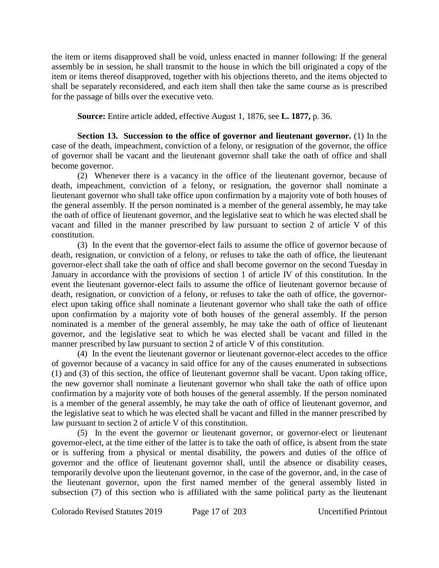the item or items disapproved shall be void, unless enacted in manner following: If the general assembly be in session, he shall transmit to the house in which the bill originated a copy of the item or items thereof disapproved, together with his objections thereto, and the items objected to shall be separately reconsidered, and each item shall then take the same course as is prescribed for the passage of bills over the executive veto.

**Source:** Entire article added, effective August 1, 1876, see **L. 1877,** p. 36.

**Section 13. Succession to the office of governor and lieutenant governor.** (1) In the case of the death, impeachment, conviction of a felony, or resignation of the governor, the office of governor shall be vacant and the lieutenant governor shall take the oath of office and shall become governor.

(2) Whenever there is a vacancy in the office of the lieutenant governor, because of death, impeachment, conviction of a felony, or resignation, the governor shall nominate a lieutenant governor who shall take office upon confirmation by a majority vote of both houses of the general assembly. If the person nominated is a member of the general assembly, he may take the oath of office of lieutenant governor, and the legislative seat to which he was elected shall be vacant and filled in the manner prescribed by law pursuant to section 2 of article V of this constitution.

(3) In the event that the governor-elect fails to assume the office of governor because of death, resignation, or conviction of a felony, or refuses to take the oath of office, the lieutenant governor-elect shall take the oath of office and shall become governor on the second Tuesday in January in accordance with the provisions of section 1 of article IV of this constitution. In the event the lieutenant governor-elect fails to assume the office of lieutenant governor because of death, resignation, or conviction of a felony, or refuses to take the oath of office, the governorelect upon taking office shall nominate a lieutenant governor who shall take the oath of office upon confirmation by a majority vote of both houses of the general assembly. If the person nominated is a member of the general assembly, he may take the oath of office of lieutenant governor, and the legislative seat to which he was elected shall be vacant and filled in the manner prescribed by law pursuant to section 2 of article V of this constitution.

(4) In the event the lieutenant governor or lieutenant governor-elect accedes to the office of governor because of a vacancy in said office for any of the causes enumerated in subsections (1) and (3) of this section, the office of lieutenant governor shall be vacant. Upon taking office, the new governor shall nominate a lieutenant governor who shall take the oath of office upon confirmation by a majority vote of both houses of the general assembly. If the person nominated is a member of the general assembly, he may take the oath of office of lieutenant governor, and the legislative seat to which he was elected shall be vacant and filled in the manner prescribed by law pursuant to section 2 of article V of this constitution.

(5) In the event the governor or lieutenant governor, or governor-elect or lieutenant governor-elect, at the time either of the latter is to take the oath of office, is absent from the state or is suffering from a physical or mental disability, the powers and duties of the office of governor and the office of lieutenant governor shall, until the absence or disability ceases, temporarily devolve upon the lieutenant governor, in the case of the governor, and, in the case of the lieutenant governor, upon the first named member of the general assembly listed in subsection (7) of this section who is affiliated with the same political party as the lieutenant

Colorado Revised Statutes 2019 Page 17 of 203 Uncertified Printout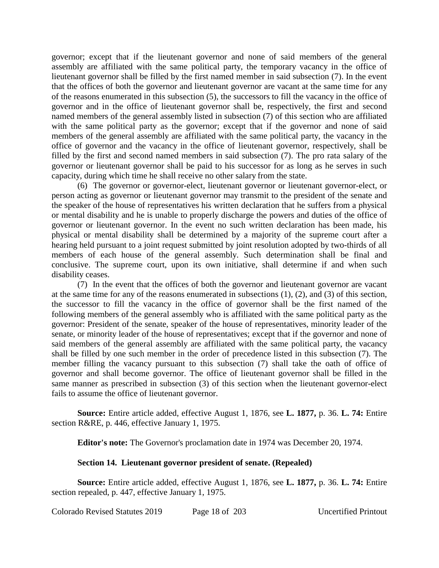governor; except that if the lieutenant governor and none of said members of the general assembly are affiliated with the same political party, the temporary vacancy in the office of lieutenant governor shall be filled by the first named member in said subsection (7). In the event that the offices of both the governor and lieutenant governor are vacant at the same time for any of the reasons enumerated in this subsection (5), the successors to fill the vacancy in the office of governor and in the office of lieutenant governor shall be, respectively, the first and second named members of the general assembly listed in subsection (7) of this section who are affiliated with the same political party as the governor; except that if the governor and none of said members of the general assembly are affiliated with the same political party, the vacancy in the office of governor and the vacancy in the office of lieutenant governor, respectively, shall be filled by the first and second named members in said subsection (7). The pro rata salary of the governor or lieutenant governor shall be paid to his successor for as long as he serves in such capacity, during which time he shall receive no other salary from the state.

(6) The governor or governor-elect, lieutenant governor or lieutenant governor-elect, or person acting as governor or lieutenant governor may transmit to the president of the senate and the speaker of the house of representatives his written declaration that he suffers from a physical or mental disability and he is unable to properly discharge the powers and duties of the office of governor or lieutenant governor. In the event no such written declaration has been made, his physical or mental disability shall be determined by a majority of the supreme court after a hearing held pursuant to a joint request submitted by joint resolution adopted by two-thirds of all members of each house of the general assembly. Such determination shall be final and conclusive. The supreme court, upon its own initiative, shall determine if and when such disability ceases.

(7) In the event that the offices of both the governor and lieutenant governor are vacant at the same time for any of the reasons enumerated in subsections (1), (2), and (3) of this section, the successor to fill the vacancy in the office of governor shall be the first named of the following members of the general assembly who is affiliated with the same political party as the governor: President of the senate, speaker of the house of representatives, minority leader of the senate, or minority leader of the house of representatives; except that if the governor and none of said members of the general assembly are affiliated with the same political party, the vacancy shall be filled by one such member in the order of precedence listed in this subsection (7). The member filling the vacancy pursuant to this subsection (7) shall take the oath of office of governor and shall become governor. The office of lieutenant governor shall be filled in the same manner as prescribed in subsection (3) of this section when the lieutenant governor-elect fails to assume the office of lieutenant governor.

**Source:** Entire article added, effective August 1, 1876, see **L. 1877,** p. 36. **L. 74:** Entire section R&RE, p. 446, effective January 1, 1975.

**Editor's note:** The Governor's proclamation date in 1974 was December 20, 1974.

## **Section 14. Lieutenant governor president of senate. (Repealed)**

**Source:** Entire article added, effective August 1, 1876, see **L. 1877,** p. 36. **L. 74:** Entire section repealed, p. 447, effective January 1, 1975.

Colorado Revised Statutes 2019 Page 18 of 203 Uncertified Printout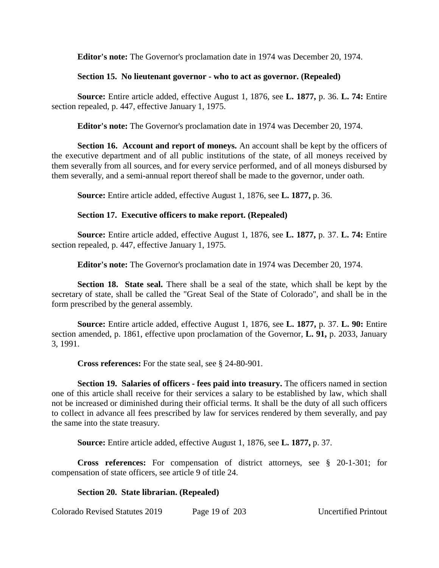**Editor's note:** The Governor's proclamation date in 1974 was December 20, 1974.

## **Section 15. No lieutenant governor - who to act as governor. (Repealed)**

**Source:** Entire article added, effective August 1, 1876, see **L. 1877,** p. 36. **L. 74:** Entire section repealed, p. 447, effective January 1, 1975.

**Editor's note:** The Governor's proclamation date in 1974 was December 20, 1974.

**Section 16. Account and report of moneys.** An account shall be kept by the officers of the executive department and of all public institutions of the state, of all moneys received by them severally from all sources, and for every service performed, and of all moneys disbursed by them severally, and a semi-annual report thereof shall be made to the governor, under oath.

**Source:** Entire article added, effective August 1, 1876, see **L. 1877,** p. 36.

## **Section 17. Executive officers to make report. (Repealed)**

**Source:** Entire article added, effective August 1, 1876, see **L. 1877,** p. 37. **L. 74:** Entire section repealed, p. 447, effective January 1, 1975.

**Editor's note:** The Governor's proclamation date in 1974 was December 20, 1974.

**Section 18. State seal.** There shall be a seal of the state, which shall be kept by the secretary of state, shall be called the "Great Seal of the State of Colorado", and shall be in the form prescribed by the general assembly.

**Source:** Entire article added, effective August 1, 1876, see **L. 1877,** p. 37. **L. 90:** Entire section amended, p. 1861, effective upon proclamation of the Governor, **L. 91,** p. 2033, January 3, 1991.

**Cross references:** For the state seal, see § 24-80-901.

**Section 19. Salaries of officers - fees paid into treasury.** The officers named in section one of this article shall receive for their services a salary to be established by law, which shall not be increased or diminished during their official terms. It shall be the duty of all such officers to collect in advance all fees prescribed by law for services rendered by them severally, and pay the same into the state treasury.

**Source:** Entire article added, effective August 1, 1876, see **L. 1877,** p. 37.

**Cross references:** For compensation of district attorneys, see § 20-1-301; for compensation of state officers, see article 9 of title 24.

## **Section 20. State librarian. (Repealed)**

Colorado Revised Statutes 2019 Page 19 of 203 Uncertified Printout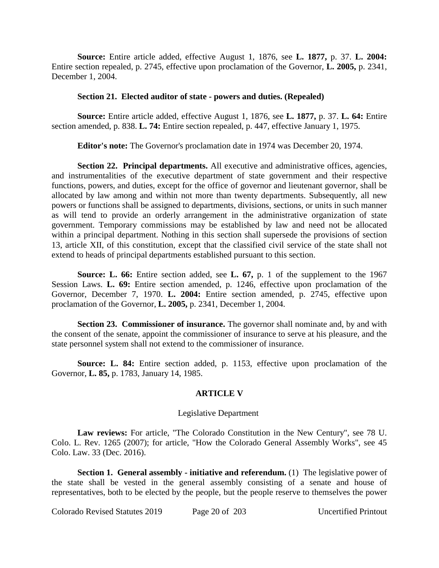**Source:** Entire article added, effective August 1, 1876, see **L. 1877,** p. 37. **L. 2004:** Entire section repealed, p. 2745, effective upon proclamation of the Governor, **L. 2005,** p. 2341, December 1, 2004.

#### **Section 21. Elected auditor of state - powers and duties. (Repealed)**

**Source:** Entire article added, effective August 1, 1876, see **L. 1877,** p. 37. **L. 64:** Entire section amended, p. 838. **L. 74:** Entire section repealed, p. 447, effective January 1, 1975.

**Editor's note:** The Governor's proclamation date in 1974 was December 20, 1974.

**Section 22. Principal departments.** All executive and administrative offices, agencies, and instrumentalities of the executive department of state government and their respective functions, powers, and duties, except for the office of governor and lieutenant governor, shall be allocated by law among and within not more than twenty departments. Subsequently, all new powers or functions shall be assigned to departments, divisions, sections, or units in such manner as will tend to provide an orderly arrangement in the administrative organization of state government. Temporary commissions may be established by law and need not be allocated within a principal department. Nothing in this section shall supersede the provisions of section 13, article XII, of this constitution, except that the classified civil service of the state shall not extend to heads of principal departments established pursuant to this section.

**Source: L. 66:** Entire section added, see **L. 67,** p. 1 of the supplement to the 1967 Session Laws. **L. 69:** Entire section amended, p. 1246, effective upon proclamation of the Governor, December 7, 1970. **L. 2004:** Entire section amended, p. 2745, effective upon proclamation of the Governor, **L. 2005,** p. 2341, December 1, 2004.

**Section 23. Commissioner of insurance.** The governor shall nominate and, by and with the consent of the senate, appoint the commissioner of insurance to serve at his pleasure, and the state personnel system shall not extend to the commissioner of insurance.

**Source: L. 84:** Entire section added, p. 1153, effective upon proclamation of the Governor, **L. 85,** p. 1783, January 14, 1985.

## **ARTICLE V**

## Legislative Department

**Law reviews:** For article, "The Colorado Constitution in the New Century", see 78 U. Colo. L. Rev. 1265 (2007); for article, "How the Colorado General Assembly Works", see 45 Colo. Law. 33 (Dec. 2016).

**Section 1. General assembly - initiative and referendum.** (1) The legislative power of the state shall be vested in the general assembly consisting of a senate and house of representatives, both to be elected by the people, but the people reserve to themselves the power

Colorado Revised Statutes 2019 Page 20 of 203 Uncertified Printout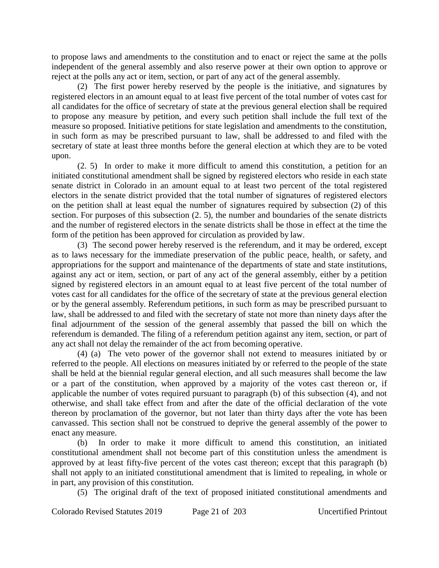to propose laws and amendments to the constitution and to enact or reject the same at the polls independent of the general assembly and also reserve power at their own option to approve or reject at the polls any act or item, section, or part of any act of the general assembly.

(2) The first power hereby reserved by the people is the initiative, and signatures by registered electors in an amount equal to at least five percent of the total number of votes cast for all candidates for the office of secretary of state at the previous general election shall be required to propose any measure by petition, and every such petition shall include the full text of the measure so proposed. Initiative petitions for state legislation and amendments to the constitution, in such form as may be prescribed pursuant to law, shall be addressed to and filed with the secretary of state at least three months before the general election at which they are to be voted upon.

(2. 5) In order to make it more difficult to amend this constitution, a petition for an initiated constitutional amendment shall be signed by registered electors who reside in each state senate district in Colorado in an amount equal to at least two percent of the total registered electors in the senate district provided that the total number of signatures of registered electors on the petition shall at least equal the number of signatures required by subsection (2) of this section. For purposes of this subsection (2. 5), the number and boundaries of the senate districts and the number of registered electors in the senate districts shall be those in effect at the time the form of the petition has been approved for circulation as provided by law.

(3) The second power hereby reserved is the referendum, and it may be ordered, except as to laws necessary for the immediate preservation of the public peace, health, or safety, and appropriations for the support and maintenance of the departments of state and state institutions, against any act or item, section, or part of any act of the general assembly, either by a petition signed by registered electors in an amount equal to at least five percent of the total number of votes cast for all candidates for the office of the secretary of state at the previous general election or by the general assembly. Referendum petitions, in such form as may be prescribed pursuant to law, shall be addressed to and filed with the secretary of state not more than ninety days after the final adjournment of the session of the general assembly that passed the bill on which the referendum is demanded. The filing of a referendum petition against any item, section, or part of any act shall not delay the remainder of the act from becoming operative.

(4) (a) The veto power of the governor shall not extend to measures initiated by or referred to the people. All elections on measures initiated by or referred to the people of the state shall be held at the biennial regular general election, and all such measures shall become the law or a part of the constitution, when approved by a majority of the votes cast thereon or, if applicable the number of votes required pursuant to paragraph (b) of this subsection (4), and not otherwise, and shall take effect from and after the date of the official declaration of the vote thereon by proclamation of the governor, but not later than thirty days after the vote has been canvassed. This section shall not be construed to deprive the general assembly of the power to enact any measure.

(b) In order to make it more difficult to amend this constitution, an initiated constitutional amendment shall not become part of this constitution unless the amendment is approved by at least fifty-five percent of the votes cast thereon; except that this paragraph (b) shall not apply to an initiated constitutional amendment that is limited to repealing, in whole or in part, any provision of this constitution.

(5) The original draft of the text of proposed initiated constitutional amendments and

Colorado Revised Statutes 2019 Page 21 of 203 Uncertified Printout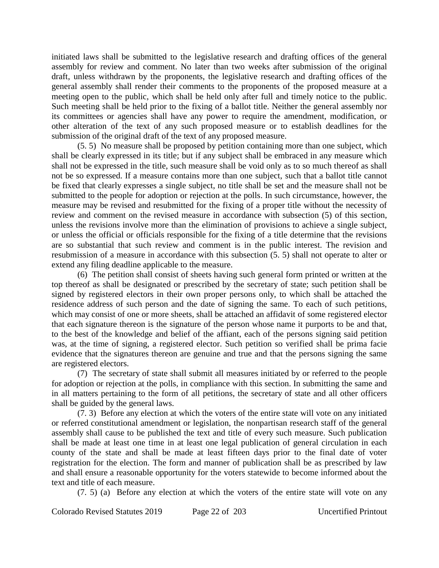initiated laws shall be submitted to the legislative research and drafting offices of the general assembly for review and comment. No later than two weeks after submission of the original draft, unless withdrawn by the proponents, the legislative research and drafting offices of the general assembly shall render their comments to the proponents of the proposed measure at a meeting open to the public, which shall be held only after full and timely notice to the public. Such meeting shall be held prior to the fixing of a ballot title. Neither the general assembly nor its committees or agencies shall have any power to require the amendment, modification, or other alteration of the text of any such proposed measure or to establish deadlines for the submission of the original draft of the text of any proposed measure.

(5. 5) No measure shall be proposed by petition containing more than one subject, which shall be clearly expressed in its title; but if any subject shall be embraced in any measure which shall not be expressed in the title, such measure shall be void only as to so much thereof as shall not be so expressed. If a measure contains more than one subject, such that a ballot title cannot be fixed that clearly expresses a single subject, no title shall be set and the measure shall not be submitted to the people for adoption or rejection at the polls. In such circumstance, however, the measure may be revised and resubmitted for the fixing of a proper title without the necessity of review and comment on the revised measure in accordance with subsection (5) of this section, unless the revisions involve more than the elimination of provisions to achieve a single subject, or unless the official or officials responsible for the fixing of a title determine that the revisions are so substantial that such review and comment is in the public interest. The revision and resubmission of a measure in accordance with this subsection (5. 5) shall not operate to alter or extend any filing deadline applicable to the measure.

(6) The petition shall consist of sheets having such general form printed or written at the top thereof as shall be designated or prescribed by the secretary of state; such petition shall be signed by registered electors in their own proper persons only, to which shall be attached the residence address of such person and the date of signing the same. To each of such petitions, which may consist of one or more sheets, shall be attached an affidavit of some registered elector that each signature thereon is the signature of the person whose name it purports to be and that, to the best of the knowledge and belief of the affiant, each of the persons signing said petition was, at the time of signing, a registered elector. Such petition so verified shall be prima facie evidence that the signatures thereon are genuine and true and that the persons signing the same are registered electors.

(7) The secretary of state shall submit all measures initiated by or referred to the people for adoption or rejection at the polls, in compliance with this section. In submitting the same and in all matters pertaining to the form of all petitions, the secretary of state and all other officers shall be guided by the general laws.

(7. 3) Before any election at which the voters of the entire state will vote on any initiated or referred constitutional amendment or legislation, the nonpartisan research staff of the general assembly shall cause to be published the text and title of every such measure. Such publication shall be made at least one time in at least one legal publication of general circulation in each county of the state and shall be made at least fifteen days prior to the final date of voter registration for the election. The form and manner of publication shall be as prescribed by law and shall ensure a reasonable opportunity for the voters statewide to become informed about the text and title of each measure.

(7. 5) (a) Before any election at which the voters of the entire state will vote on any

Colorado Revised Statutes 2019 Page 22 of 203 Uncertified Printout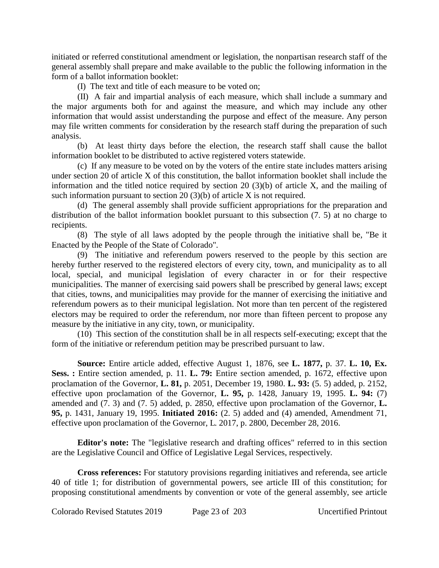initiated or referred constitutional amendment or legislation, the nonpartisan research staff of the general assembly shall prepare and make available to the public the following information in the form of a ballot information booklet:

(I) The text and title of each measure to be voted on;

(II) A fair and impartial analysis of each measure, which shall include a summary and the major arguments both for and against the measure, and which may include any other information that would assist understanding the purpose and effect of the measure. Any person may file written comments for consideration by the research staff during the preparation of such analysis.

(b) At least thirty days before the election, the research staff shall cause the ballot information booklet to be distributed to active registered voters statewide.

(c) If any measure to be voted on by the voters of the entire state includes matters arising under section 20 of article X of this constitution, the ballot information booklet shall include the information and the titled notice required by section 20 (3)(b) of article X, and the mailing of such information pursuant to section 20 (3)(b) of article X is not required.

(d) The general assembly shall provide sufficient appropriations for the preparation and distribution of the ballot information booklet pursuant to this subsection (7. 5) at no charge to recipients.

(8) The style of all laws adopted by the people through the initiative shall be, "Be it Enacted by the People of the State of Colorado".

(9) The initiative and referendum powers reserved to the people by this section are hereby further reserved to the registered electors of every city, town, and municipality as to all local, special, and municipal legislation of every character in or for their respective municipalities. The manner of exercising said powers shall be prescribed by general laws; except that cities, towns, and municipalities may provide for the manner of exercising the initiative and referendum powers as to their municipal legislation. Not more than ten percent of the registered electors may be required to order the referendum, nor more than fifteen percent to propose any measure by the initiative in any city, town, or municipality.

(10) This section of the constitution shall be in all respects self-executing; except that the form of the initiative or referendum petition may be prescribed pursuant to law.

**Source:** Entire article added, effective August 1, 1876, see **L. 1877,** p. 37. **L. 10, Ex. Sess. :** Entire section amended, p. 11. **L. 79:** Entire section amended, p. 1672, effective upon proclamation of the Governor, **L. 81,** p. 2051, December 19, 1980. **L. 93:** (5. 5) added, p. 2152, effective upon proclamation of the Governor, **L. 95,** p. 1428, January 19, 1995. **L. 94:** (7) amended and (7. 3) and (7. 5) added, p. 2850, effective upon proclamation of the Governor, **L. 95,** p. 1431, January 19, 1995. **Initiated 2016:** (2. 5) added and (4) amended, Amendment 71, effective upon proclamation of the Governor, L. 2017, p. 2800, December 28, 2016.

**Editor's note:** The "legislative research and drafting offices" referred to in this section are the Legislative Council and Office of Legislative Legal Services, respectively.

**Cross references:** For statutory provisions regarding initiatives and referenda, see article 40 of title 1; for distribution of governmental powers, see article III of this constitution; for proposing constitutional amendments by convention or vote of the general assembly, see article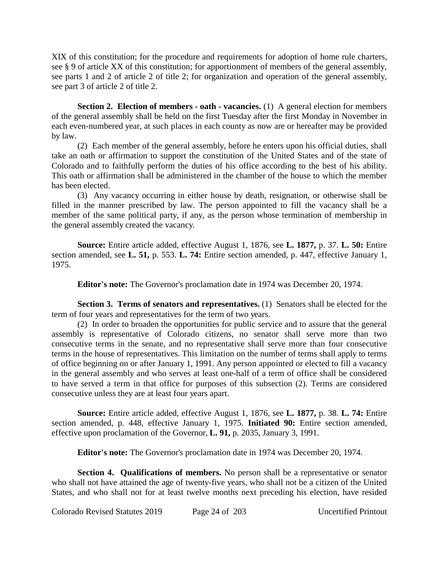XIX of this constitution; for the procedure and requirements for adoption of home rule charters, see § 9 of article XX of this constitution; for apportionment of members of the general assembly, see parts 1 and 2 of article 2 of title 2; for organization and operation of the general assembly, see part 3 of article 2 of title 2.

**Section 2. Election of members - oath - vacancies.** (1) A general election for members of the general assembly shall be held on the first Tuesday after the first Monday in November in each even-numbered year, at such places in each county as now are or hereafter may be provided by law.

(2) Each member of the general assembly, before he enters upon his official duties, shall take an oath or affirmation to support the constitution of the United States and of the state of Colorado and to faithfully perform the duties of his office according to the best of his ability. This oath or affirmation shall be administered in the chamber of the house to which the member has been elected.

(3) Any vacancy occurring in either house by death, resignation, or otherwise shall be filled in the manner prescribed by law. The person appointed to fill the vacancy shall be a member of the same political party, if any, as the person whose termination of membership in the general assembly created the vacancy.

**Source:** Entire article added, effective August 1, 1876, see **L. 1877,** p. 37. **L. 50:** Entire section amended, see **L. 51,** p. 553. **L. 74:** Entire section amended, p. 447, effective January 1, 1975.

**Editor's note:** The Governor's proclamation date in 1974 was December 20, 1974.

**Section 3. Terms of senators and representatives.** (1) Senators shall be elected for the term of four years and representatives for the term of two years.

(2) In order to broaden the opportunities for public service and to assure that the general assembly is representative of Colorado citizens, no senator shall serve more than two consecutive terms in the senate, and no representative shall serve more than four consecutive terms in the house of representatives. This limitation on the number of terms shall apply to terms of office beginning on or after January 1, 1991. Any person appointed or elected to fill a vacancy in the general assembly and who serves at least one-half of a term of office shall be considered to have served a term in that office for purposes of this subsection (2). Terms are considered consecutive unless they are at least four years apart.

**Source:** Entire article added, effective August 1, 1876, see **L. 1877,** p. 38. **L. 74:** Entire section amended, p. 448, effective January 1, 1975. **Initiated 90:** Entire section amended, effective upon proclamation of the Governor, **L. 91,** p. 2035, January 3, 1991.

**Editor's note:** The Governor's proclamation date in 1974 was December 20, 1974.

**Section 4. Qualifications of members.** No person shall be a representative or senator who shall not have attained the age of twenty-five years, who shall not be a citizen of the United States, and who shall not for at least twelve months next preceding his election, have resided

Colorado Revised Statutes 2019 Page 24 of 203 Uncertified Printout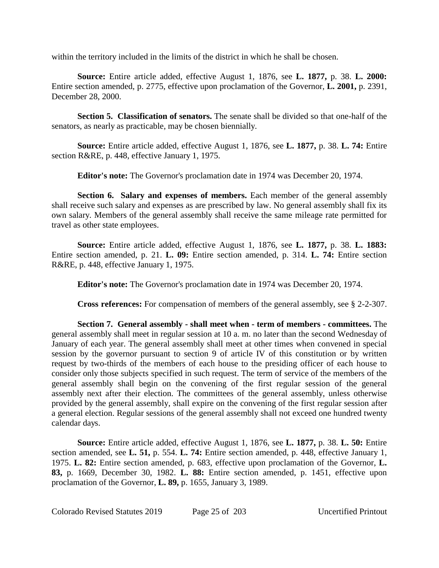within the territory included in the limits of the district in which he shall be chosen.

**Source:** Entire article added, effective August 1, 1876, see **L. 1877,** p. 38. **L. 2000:** Entire section amended, p. 2775, effective upon proclamation of the Governor, **L. 2001,** p. 2391, December 28, 2000.

**Section 5. Classification of senators.** The senate shall be divided so that one-half of the senators, as nearly as practicable, may be chosen biennially.

**Source:** Entire article added, effective August 1, 1876, see **L. 1877,** p. 38. **L. 74:** Entire section R&RE, p. 448, effective January 1, 1975.

**Editor's note:** The Governor's proclamation date in 1974 was December 20, 1974.

**Section 6. Salary and expenses of members.** Each member of the general assembly shall receive such salary and expenses as are prescribed by law. No general assembly shall fix its own salary. Members of the general assembly shall receive the same mileage rate permitted for travel as other state employees.

**Source:** Entire article added, effective August 1, 1876, see **L. 1877,** p. 38. **L. 1883:** Entire section amended, p. 21. **L. 09:** Entire section amended, p. 314. **L. 74:** Entire section R&RE, p. 448, effective January 1, 1975.

**Editor's note:** The Governor's proclamation date in 1974 was December 20, 1974.

**Cross references:** For compensation of members of the general assembly, see § 2-2-307.

**Section 7. General assembly - shall meet when - term of members - committees.** The general assembly shall meet in regular session at 10 a. m. no later than the second Wednesday of January of each year. The general assembly shall meet at other times when convened in special session by the governor pursuant to section 9 of article IV of this constitution or by written request by two-thirds of the members of each house to the presiding officer of each house to consider only those subjects specified in such request. The term of service of the members of the general assembly shall begin on the convening of the first regular session of the general assembly next after their election. The committees of the general assembly, unless otherwise provided by the general assembly, shall expire on the convening of the first regular session after a general election. Regular sessions of the general assembly shall not exceed one hundred twenty calendar days.

**Source:** Entire article added, effective August 1, 1876, see **L. 1877,** p. 38. **L. 50:** Entire section amended, see **L. 51,** p. 554. **L. 74:** Entire section amended, p. 448, effective January 1, 1975. **L. 82:** Entire section amended, p. 683, effective upon proclamation of the Governor, **L. 83,** p. 1669, December 30, 1982. **L. 88:** Entire section amended, p. 1451, effective upon proclamation of the Governor, **L. 89,** p. 1655, January 3, 1989.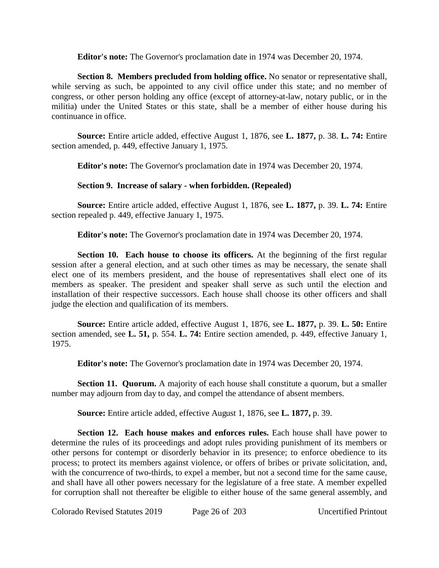**Editor's note:** The Governor's proclamation date in 1974 was December 20, 1974.

**Section 8. Members precluded from holding office.** No senator or representative shall, while serving as such, be appointed to any civil office under this state; and no member of congress, or other person holding any office (except of attorney-at-law, notary public, or in the militia) under the United States or this state, shall be a member of either house during his continuance in office.

**Source:** Entire article added, effective August 1, 1876, see **L. 1877,** p. 38. **L. 74:** Entire section amended, p. 449, effective January 1, 1975.

**Editor's note:** The Governor's proclamation date in 1974 was December 20, 1974.

## **Section 9. Increase of salary - when forbidden. (Repealed)**

**Source:** Entire article added, effective August 1, 1876, see **L. 1877,** p. 39. **L. 74:** Entire section repealed p. 449, effective January 1, 1975.

**Editor's note:** The Governor's proclamation date in 1974 was December 20, 1974.

**Section 10. Each house to choose its officers.** At the beginning of the first regular session after a general election, and at such other times as may be necessary, the senate shall elect one of its members president, and the house of representatives shall elect one of its members as speaker. The president and speaker shall serve as such until the election and installation of their respective successors. Each house shall choose its other officers and shall judge the election and qualification of its members.

**Source:** Entire article added, effective August 1, 1876, see **L. 1877,** p. 39. **L. 50:** Entire section amended, see **L. 51,** p. 554. **L. 74:** Entire section amended, p. 449, effective January 1, 1975.

**Editor's note:** The Governor's proclamation date in 1974 was December 20, 1974.

**Section 11. Quorum.** A majority of each house shall constitute a quorum, but a smaller number may adjourn from day to day, and compel the attendance of absent members.

**Source:** Entire article added, effective August 1, 1876, see **L. 1877,** p. 39.

**Section 12. Each house makes and enforces rules.** Each house shall have power to determine the rules of its proceedings and adopt rules providing punishment of its members or other persons for contempt or disorderly behavior in its presence; to enforce obedience to its process; to protect its members against violence, or offers of bribes or private solicitation, and, with the concurrence of two-thirds, to expel a member, but not a second time for the same cause, and shall have all other powers necessary for the legislature of a free state. A member expelled for corruption shall not thereafter be eligible to either house of the same general assembly, and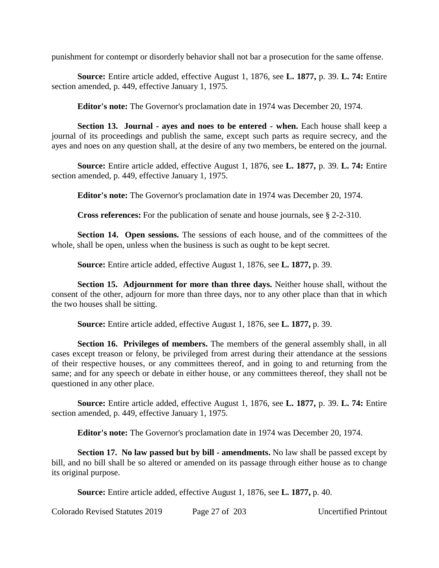punishment for contempt or disorderly behavior shall not bar a prosecution for the same offense.

**Source:** Entire article added, effective August 1, 1876, see **L. 1877,** p. 39. **L. 74:** Entire section amended, p. 449, effective January 1, 1975.

**Editor's note:** The Governor's proclamation date in 1974 was December 20, 1974.

**Section 13. Journal - ayes and noes to be entered - when.** Each house shall keep a journal of its proceedings and publish the same, except such parts as require secrecy, and the ayes and noes on any question shall, at the desire of any two members, be entered on the journal.

**Source:** Entire article added, effective August 1, 1876, see **L. 1877,** p. 39. **L. 74:** Entire section amended, p. 449, effective January 1, 1975.

**Editor's note:** The Governor's proclamation date in 1974 was December 20, 1974.

**Cross references:** For the publication of senate and house journals, see § 2-2-310.

**Section 14. Open sessions.** The sessions of each house, and of the committees of the whole, shall be open, unless when the business is such as ought to be kept secret.

**Source:** Entire article added, effective August 1, 1876, see **L. 1877,** p. 39.

**Section 15. Adjournment for more than three days.** Neither house shall, without the consent of the other, adjourn for more than three days, nor to any other place than that in which the two houses shall be sitting.

**Source:** Entire article added, effective August 1, 1876, see **L. 1877,** p. 39.

**Section 16. Privileges of members.** The members of the general assembly shall, in all cases except treason or felony, be privileged from arrest during their attendance at the sessions of their respective houses, or any committees thereof, and in going to and returning from the same; and for any speech or debate in either house, or any committees thereof, they shall not be questioned in any other place.

**Source:** Entire article added, effective August 1, 1876, see **L. 1877,** p. 39. **L. 74:** Entire section amended, p. 449, effective January 1, 1975.

**Editor's note:** The Governor's proclamation date in 1974 was December 20, 1974.

**Section 17. No law passed but by bill - amendments.** No law shall be passed except by bill, and no bill shall be so altered or amended on its passage through either house as to change its original purpose.

**Source:** Entire article added, effective August 1, 1876, see **L. 1877,** p. 40.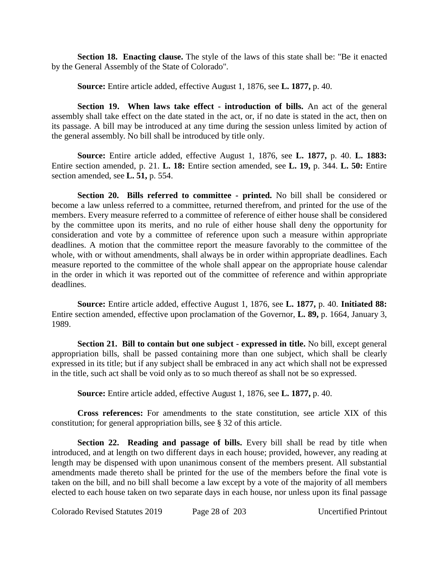**Section 18. Enacting clause.** The style of the laws of this state shall be: "Be it enacted by the General Assembly of the State of Colorado".

**Source:** Entire article added, effective August 1, 1876, see **L. 1877,** p. 40.

**Section 19. When laws take effect - introduction of bills.** An act of the general assembly shall take effect on the date stated in the act, or, if no date is stated in the act, then on its passage. A bill may be introduced at any time during the session unless limited by action of the general assembly. No bill shall be introduced by title only.

**Source:** Entire article added, effective August 1, 1876, see **L. 1877,** p. 40. **L. 1883:** Entire section amended, p. 21. **L. 18:** Entire section amended, see **L. 19,** p. 344. **L. 50:** Entire section amended, see **L. 51,** p. 554.

**Section 20. Bills referred to committee - printed.** No bill shall be considered or become a law unless referred to a committee, returned therefrom, and printed for the use of the members. Every measure referred to a committee of reference of either house shall be considered by the committee upon its merits, and no rule of either house shall deny the opportunity for consideration and vote by a committee of reference upon such a measure within appropriate deadlines. A motion that the committee report the measure favorably to the committee of the whole, with or without amendments, shall always be in order within appropriate deadlines. Each measure reported to the committee of the whole shall appear on the appropriate house calendar in the order in which it was reported out of the committee of reference and within appropriate deadlines.

**Source:** Entire article added, effective August 1, 1876, see **L. 1877,** p. 40. **Initiated 88:** Entire section amended, effective upon proclamation of the Governor, **L. 89,** p. 1664, January 3, 1989.

**Section 21. Bill to contain but one subject - expressed in title.** No bill, except general appropriation bills, shall be passed containing more than one subject, which shall be clearly expressed in its title; but if any subject shall be embraced in any act which shall not be expressed in the title, such act shall be void only as to so much thereof as shall not be so expressed.

**Source:** Entire article added, effective August 1, 1876, see **L. 1877,** p. 40.

**Cross references:** For amendments to the state constitution, see article XIX of this constitution; for general appropriation bills, see § 32 of this article.

**Section 22. Reading and passage of bills.** Every bill shall be read by title when introduced, and at length on two different days in each house; provided, however, any reading at length may be dispensed with upon unanimous consent of the members present. All substantial amendments made thereto shall be printed for the use of the members before the final vote is taken on the bill, and no bill shall become a law except by a vote of the majority of all members elected to each house taken on two separate days in each house, nor unless upon its final passage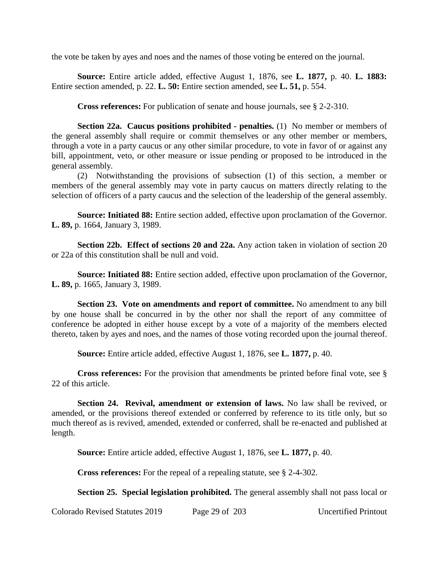the vote be taken by ayes and noes and the names of those voting be entered on the journal.

**Source:** Entire article added, effective August 1, 1876, see **L. 1877,** p. 40. **L. 1883:** Entire section amended, p. 22. **L. 50:** Entire section amended, see **L. 51,** p. 554.

**Cross references:** For publication of senate and house journals, see § 2-2-310.

**Section 22a. Caucus positions prohibited - penalties.** (1) No member or members of the general assembly shall require or commit themselves or any other member or members, through a vote in a party caucus or any other similar procedure, to vote in favor of or against any bill, appointment, veto, or other measure or issue pending or proposed to be introduced in the general assembly.

(2) Notwithstanding the provisions of subsection (1) of this section, a member or members of the general assembly may vote in party caucus on matters directly relating to the selection of officers of a party caucus and the selection of the leadership of the general assembly.

**Source: Initiated 88:** Entire section added, effective upon proclamation of the Governor. **L. 89,** p. 1664, January 3, 1989.

**Section 22b. Effect of sections 20 and 22a.** Any action taken in violation of section 20 or 22a of this constitution shall be null and void.

**Source: Initiated 88:** Entire section added, effective upon proclamation of the Governor, **L. 89,** p. 1665, January 3, 1989.

**Section 23. Vote on amendments and report of committee.** No amendment to any bill by one house shall be concurred in by the other nor shall the report of any committee of conference be adopted in either house except by a vote of a majority of the members elected thereto, taken by ayes and noes, and the names of those voting recorded upon the journal thereof.

**Source:** Entire article added, effective August 1, 1876, see **L. 1877,** p. 40.

**Cross references:** For the provision that amendments be printed before final vote, see § 22 of this article.

**Section 24. Revival, amendment or extension of laws.** No law shall be revived, or amended, or the provisions thereof extended or conferred by reference to its title only, but so much thereof as is revived, amended, extended or conferred, shall be re-enacted and published at length.

**Source:** Entire article added, effective August 1, 1876, see **L. 1877,** p. 40.

**Cross references:** For the repeal of a repealing statute, see § 2-4-302.

**Section 25. Special legislation prohibited.** The general assembly shall not pass local or

Colorado Revised Statutes 2019 Page 29 of 203 Uncertified Printout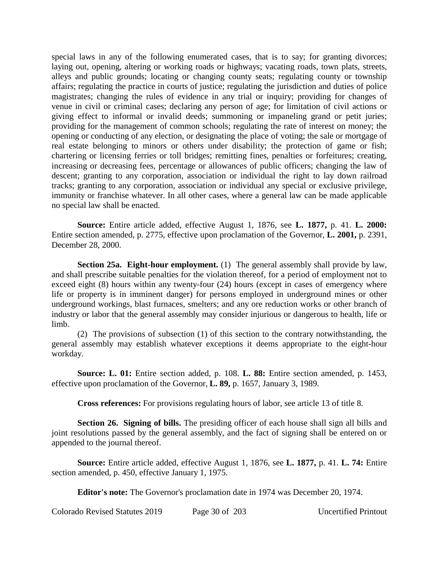special laws in any of the following enumerated cases, that is to say; for granting divorces; laying out, opening, altering or working roads or highways; vacating roads, town plats, streets, alleys and public grounds; locating or changing county seats; regulating county or township affairs; regulating the practice in courts of justice; regulating the jurisdiction and duties of police magistrates; changing the rules of evidence in any trial or inquiry; providing for changes of venue in civil or criminal cases; declaring any person of age; for limitation of civil actions or giving effect to informal or invalid deeds; summoning or impaneling grand or petit juries; providing for the management of common schools; regulating the rate of interest on money; the opening or conducting of any election, or designating the place of voting; the sale or mortgage of real estate belonging to minors or others under disability; the protection of game or fish; chartering or licensing ferries or toll bridges; remitting fines, penalties or forfeitures; creating, increasing or decreasing fees, percentage or allowances of public officers; changing the law of descent; granting to any corporation, association or individual the right to lay down railroad tracks; granting to any corporation, association or individual any special or exclusive privilege, immunity or franchise whatever. In all other cases, where a general law can be made applicable no special law shall be enacted.

**Source:** Entire article added, effective August 1, 1876, see **L. 1877,** p. 41. **L. 2000:** Entire section amended, p. 2775, effective upon proclamation of the Governor, **L. 2001,** p. 2391, December 28, 2000.

**Section 25a. Eight-hour employment.** (1) The general assembly shall provide by law, and shall prescribe suitable penalties for the violation thereof, for a period of employment not to exceed eight (8) hours within any twenty-four (24) hours (except in cases of emergency where life or property is in imminent danger) for persons employed in underground mines or other underground workings, blast furnaces, smelters; and any ore reduction works or other branch of industry or labor that the general assembly may consider injurious or dangerous to health, life or limb.

(2) The provisions of subsection (1) of this section to the contrary notwithstanding, the general assembly may establish whatever exceptions it deems appropriate to the eight-hour workday.

**Source: L. 01:** Entire section added, p. 108. **L. 88:** Entire section amended, p. 1453, effective upon proclamation of the Governor, **L. 89,** p. 1657, January 3, 1989.

**Cross references:** For provisions regulating hours of labor, see article 13 of title 8.

**Section 26. Signing of bills.** The presiding officer of each house shall sign all bills and joint resolutions passed by the general assembly, and the fact of signing shall be entered on or appended to the journal thereof.

**Source:** Entire article added, effective August 1, 1876, see **L. 1877,** p. 41. **L. 74:** Entire section amended, p. 450, effective January 1, 1975.

**Editor's note:** The Governor's proclamation date in 1974 was December 20, 1974.

Colorado Revised Statutes 2019 Page 30 of 203 Uncertified Printout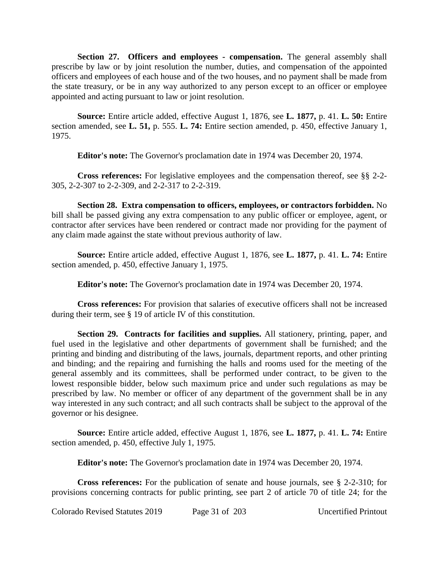**Section 27. Officers and employees - compensation.** The general assembly shall prescribe by law or by joint resolution the number, duties, and compensation of the appointed officers and employees of each house and of the two houses, and no payment shall be made from the state treasury, or be in any way authorized to any person except to an officer or employee appointed and acting pursuant to law or joint resolution.

**Source:** Entire article added, effective August 1, 1876, see **L. 1877,** p. 41. **L. 50:** Entire section amended, see **L. 51,** p. 555. **L. 74:** Entire section amended, p. 450, effective January 1, 1975.

**Editor's note:** The Governor's proclamation date in 1974 was December 20, 1974.

**Cross references:** For legislative employees and the compensation thereof, see §§ 2-2- 305, 2-2-307 to 2-2-309, and 2-2-317 to 2-2-319.

**Section 28. Extra compensation to officers, employees, or contractors forbidden.** No bill shall be passed giving any extra compensation to any public officer or employee, agent, or contractor after services have been rendered or contract made nor providing for the payment of any claim made against the state without previous authority of law.

**Source:** Entire article added, effective August 1, 1876, see **L. 1877,** p. 41. **L. 74:** Entire section amended, p. 450, effective January 1, 1975.

**Editor's note:** The Governor's proclamation date in 1974 was December 20, 1974.

**Cross references:** For provision that salaries of executive officers shall not be increased during their term, see § 19 of article IV of this constitution.

**Section 29. Contracts for facilities and supplies.** All stationery, printing, paper, and fuel used in the legislative and other departments of government shall be furnished; and the printing and binding and distributing of the laws, journals, department reports, and other printing and binding; and the repairing and furnishing the halls and rooms used for the meeting of the general assembly and its committees, shall be performed under contract, to be given to the lowest responsible bidder, below such maximum price and under such regulations as may be prescribed by law. No member or officer of any department of the government shall be in any way interested in any such contract; and all such contracts shall be subject to the approval of the governor or his designee.

**Source:** Entire article added, effective August 1, 1876, see **L. 1877,** p. 41. **L. 74:** Entire section amended, p. 450, effective July 1, 1975.

**Editor's note:** The Governor's proclamation date in 1974 was December 20, 1974.

**Cross references:** For the publication of senate and house journals, see § 2-2-310; for provisions concerning contracts for public printing, see part 2 of article 70 of title 24; for the

Colorado Revised Statutes 2019 Page 31 of 203 Uncertified Printout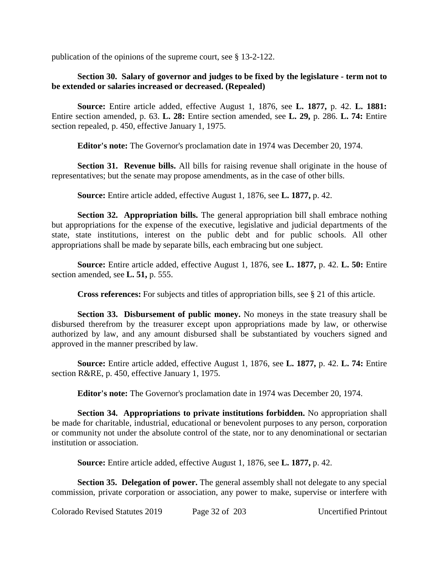publication of the opinions of the supreme court, see § 13-2-122.

## **Section 30. Salary of governor and judges to be fixed by the legislature - term not to be extended or salaries increased or decreased. (Repealed)**

**Source:** Entire article added, effective August 1, 1876, see **L. 1877,** p. 42. **L. 1881:** Entire section amended, p. 63. **L. 28:** Entire section amended, see **L. 29,** p. 286. **L. 74:** Entire section repealed, p. 450, effective January 1, 1975.

**Editor's note:** The Governor's proclamation date in 1974 was December 20, 1974.

**Section 31. Revenue bills.** All bills for raising revenue shall originate in the house of representatives; but the senate may propose amendments, as in the case of other bills.

**Source:** Entire article added, effective August 1, 1876, see **L. 1877,** p. 42.

**Section 32. Appropriation bills.** The general appropriation bill shall embrace nothing but appropriations for the expense of the executive, legislative and judicial departments of the state, state institutions, interest on the public debt and for public schools. All other appropriations shall be made by separate bills, each embracing but one subject.

**Source:** Entire article added, effective August 1, 1876, see **L. 1877,** p. 42. **L. 50:** Entire section amended, see **L. 51,** p. 555.

**Cross references:** For subjects and titles of appropriation bills, see § 21 of this article.

**Section 33. Disbursement of public money.** No moneys in the state treasury shall be disbursed therefrom by the treasurer except upon appropriations made by law, or otherwise authorized by law, and any amount disbursed shall be substantiated by vouchers signed and approved in the manner prescribed by law.

**Source:** Entire article added, effective August 1, 1876, see **L. 1877,** p. 42. **L. 74:** Entire section R&RE, p. 450, effective January 1, 1975.

**Editor's note:** The Governor's proclamation date in 1974 was December 20, 1974.

**Section 34. Appropriations to private institutions forbidden.** No appropriation shall be made for charitable, industrial, educational or benevolent purposes to any person, corporation or community not under the absolute control of the state, nor to any denominational or sectarian institution or association.

**Source:** Entire article added, effective August 1, 1876, see **L. 1877,** p. 42.

**Section 35. Delegation of power.** The general assembly shall not delegate to any special commission, private corporation or association, any power to make, supervise or interfere with

Colorado Revised Statutes 2019 Page 32 of 203 Uncertified Printout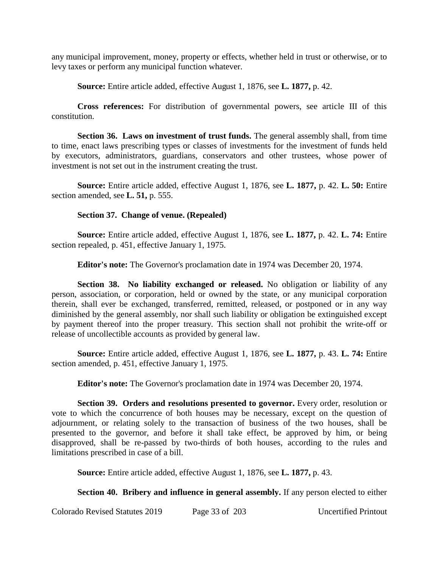any municipal improvement, money, property or effects, whether held in trust or otherwise, or to levy taxes or perform any municipal function whatever.

**Source:** Entire article added, effective August 1, 1876, see **L. 1877,** p. 42.

**Cross references:** For distribution of governmental powers, see article III of this constitution.

**Section 36. Laws on investment of trust funds.** The general assembly shall, from time to time, enact laws prescribing types or classes of investments for the investment of funds held by executors, administrators, guardians, conservators and other trustees, whose power of investment is not set out in the instrument creating the trust.

**Source:** Entire article added, effective August 1, 1876, see **L. 1877,** p. 42. **L. 50:** Entire section amended, see **L. 51,** p. 555.

## **Section 37. Change of venue. (Repealed)**

**Source:** Entire article added, effective August 1, 1876, see **L. 1877,** p. 42. **L. 74:** Entire section repealed, p. 451, effective January 1, 1975.

**Editor's note:** The Governor's proclamation date in 1974 was December 20, 1974.

**Section 38. No liability exchanged or released.** No obligation or liability of any person, association, or corporation, held or owned by the state, or any municipal corporation therein, shall ever be exchanged, transferred, remitted, released, or postponed or in any way diminished by the general assembly, nor shall such liability or obligation be extinguished except by payment thereof into the proper treasury. This section shall not prohibit the write-off or release of uncollectible accounts as provided by general law.

**Source:** Entire article added, effective August 1, 1876, see **L. 1877,** p. 43. **L. 74:** Entire section amended, p. 451, effective January 1, 1975.

**Editor's note:** The Governor's proclamation date in 1974 was December 20, 1974.

**Section 39. Orders and resolutions presented to governor.** Every order, resolution or vote to which the concurrence of both houses may be necessary, except on the question of adjournment, or relating solely to the transaction of business of the two houses, shall be presented to the governor, and before it shall take effect, be approved by him, or being disapproved, shall be re-passed by two-thirds of both houses, according to the rules and limitations prescribed in case of a bill.

**Source:** Entire article added, effective August 1, 1876, see **L. 1877,** p. 43.

**Section 40. Bribery and influence in general assembly.** If any person elected to either

Colorado Revised Statutes 2019 Page 33 of 203 Uncertified Printout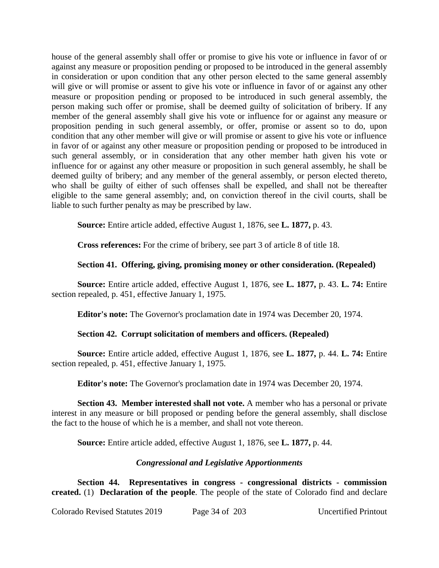house of the general assembly shall offer or promise to give his vote or influence in favor of or against any measure or proposition pending or proposed to be introduced in the general assembly in consideration or upon condition that any other person elected to the same general assembly will give or will promise or assent to give his vote or influence in favor of or against any other measure or proposition pending or proposed to be introduced in such general assembly, the person making such offer or promise, shall be deemed guilty of solicitation of bribery. If any member of the general assembly shall give his vote or influence for or against any measure or proposition pending in such general assembly, or offer, promise or assent so to do, upon condition that any other member will give or will promise or assent to give his vote or influence in favor of or against any other measure or proposition pending or proposed to be introduced in such general assembly, or in consideration that any other member hath given his vote or influence for or against any other measure or proposition in such general assembly, he shall be deemed guilty of bribery; and any member of the general assembly, or person elected thereto, who shall be guilty of either of such offenses shall be expelled, and shall not be thereafter eligible to the same general assembly; and, on conviction thereof in the civil courts, shall be liable to such further penalty as may be prescribed by law.

**Source:** Entire article added, effective August 1, 1876, see **L. 1877,** p. 43.

**Cross references:** For the crime of bribery, see part 3 of article 8 of title 18.

## **Section 41. Offering, giving, promising money or other consideration. (Repealed)**

**Source:** Entire article added, effective August 1, 1876, see **L. 1877,** p. 43. **L. 74:** Entire section repealed, p. 451, effective January 1, 1975.

**Editor's note:** The Governor's proclamation date in 1974 was December 20, 1974.

## **Section 42. Corrupt solicitation of members and officers. (Repealed)**

**Source:** Entire article added, effective August 1, 1876, see **L. 1877,** p. 44. **L. 74:** Entire section repealed, p. 451, effective January 1, 1975.

**Editor's note:** The Governor's proclamation date in 1974 was December 20, 1974.

**Section 43. Member interested shall not vote.** A member who has a personal or private interest in any measure or bill proposed or pending before the general assembly, shall disclose the fact to the house of which he is a member, and shall not vote thereon.

**Source:** Entire article added, effective August 1, 1876, see **L. 1877,** p. 44.

## *Congressional and Legislative Apportionments*

**Section 44. Representatives in congress - congressional districts - commission created.** (1) **Declaration of the people**. The people of the state of Colorado find and declare

Colorado Revised Statutes 2019 Page 34 of 203 Uncertified Printout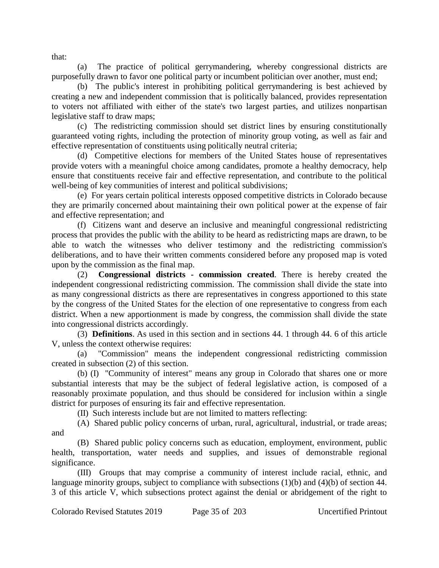that:

(a) The practice of political gerrymandering, whereby congressional districts are purposefully drawn to favor one political party or incumbent politician over another, must end;

(b) The public's interest in prohibiting political gerrymandering is best achieved by creating a new and independent commission that is politically balanced, provides representation to voters not affiliated with either of the state's two largest parties, and utilizes nonpartisan legislative staff to draw maps;

(c) The redistricting commission should set district lines by ensuring constitutionally guaranteed voting rights, including the protection of minority group voting, as well as fair and effective representation of constituents using politically neutral criteria;

(d) Competitive elections for members of the United States house of representatives provide voters with a meaningful choice among candidates, promote a healthy democracy, help ensure that constituents receive fair and effective representation, and contribute to the political well-being of key communities of interest and political subdivisions;

(e) For years certain political interests opposed competitive districts in Colorado because they are primarily concerned about maintaining their own political power at the expense of fair and effective representation; and

(f) Citizens want and deserve an inclusive and meaningful congressional redistricting process that provides the public with the ability to be heard as redistricting maps are drawn, to be able to watch the witnesses who deliver testimony and the redistricting commission's deliberations, and to have their written comments considered before any proposed map is voted upon by the commission as the final map.

(2) **Congressional districts - commission created**. There is hereby created the independent congressional redistricting commission. The commission shall divide the state into as many congressional districts as there are representatives in congress apportioned to this state by the congress of the United States for the election of one representative to congress from each district. When a new apportionment is made by congress, the commission shall divide the state into congressional districts accordingly.

(3) **Definitions**. As used in this section and in sections 44. 1 through 44. 6 of this article V, unless the context otherwise requires:

(a) "Commission" means the independent congressional redistricting commission created in subsection (2) of this section.

(b) (I) "Community of interest" means any group in Colorado that shares one or more substantial interests that may be the subject of federal legislative action, is composed of a reasonably proximate population, and thus should be considered for inclusion within a single district for purposes of ensuring its fair and effective representation.

(II) Such interests include but are not limited to matters reflecting:

(A) Shared public policy concerns of urban, rural, agricultural, industrial, or trade areas; and

(B) Shared public policy concerns such as education, employment, environment, public health, transportation, water needs and supplies, and issues of demonstrable regional significance.

(III) Groups that may comprise a community of interest include racial, ethnic, and language minority groups, subject to compliance with subsections (1)(b) and (4)(b) of section 44. 3 of this article V, which subsections protect against the denial or abridgement of the right to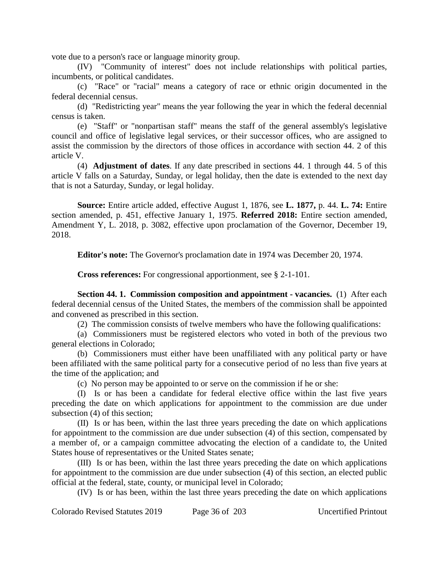vote due to a person's race or language minority group.

(IV) "Community of interest" does not include relationships with political parties, incumbents, or political candidates.

(c) "Race" or "racial" means a category of race or ethnic origin documented in the federal decennial census.

(d) "Redistricting year" means the year following the year in which the federal decennial census is taken.

(e) "Staff" or "nonpartisan staff" means the staff of the general assembly's legislative council and office of legislative legal services, or their successor offices, who are assigned to assist the commission by the directors of those offices in accordance with section 44. 2 of this article V.

(4) **Adjustment of dates**. If any date prescribed in sections 44. 1 through 44. 5 of this article V falls on a Saturday, Sunday, or legal holiday, then the date is extended to the next day that is not a Saturday, Sunday, or legal holiday.

**Source:** Entire article added, effective August 1, 1876, see **L. 1877,** p. 44. **L. 74:** Entire section amended, p. 451, effective January 1, 1975. **Referred 2018:** Entire section amended, Amendment Y, L. 2018, p. 3082, effective upon proclamation of the Governor, December 19, 2018.

**Editor's note:** The Governor's proclamation date in 1974 was December 20, 1974.

**Cross references:** For congressional apportionment, see § 2-1-101.

**Section 44. 1. Commission composition and appointment - vacancies.** (1) After each federal decennial census of the United States, the members of the commission shall be appointed and convened as prescribed in this section.

(2) The commission consists of twelve members who have the following qualifications:

(a) Commissioners must be registered electors who voted in both of the previous two general elections in Colorado;

(b) Commissioners must either have been unaffiliated with any political party or have been affiliated with the same political party for a consecutive period of no less than five years at the time of the application; and

(c) No person may be appointed to or serve on the commission if he or she:

(I) Is or has been a candidate for federal elective office within the last five years preceding the date on which applications for appointment to the commission are due under subsection (4) of this section;

(II) Is or has been, within the last three years preceding the date on which applications for appointment to the commission are due under subsection (4) of this section, compensated by a member of, or a campaign committee advocating the election of a candidate to, the United States house of representatives or the United States senate;

(III) Is or has been, within the last three years preceding the date on which applications for appointment to the commission are due under subsection (4) of this section, an elected public official at the federal, state, county, or municipal level in Colorado;

(IV) Is or has been, within the last three years preceding the date on which applications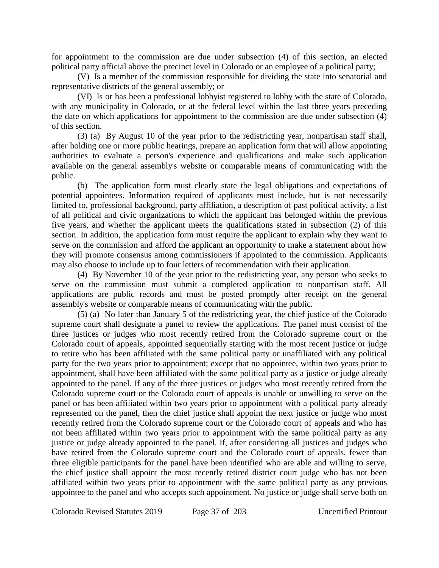for appointment to the commission are due under subsection (4) of this section, an elected political party official above the precinct level in Colorado or an employee of a political party;

(V) Is a member of the commission responsible for dividing the state into senatorial and representative districts of the general assembly; or

(VI) Is or has been a professional lobbyist registered to lobby with the state of Colorado, with any municipality in Colorado, or at the federal level within the last three years preceding the date on which applications for appointment to the commission are due under subsection (4) of this section.

(3) (a) By August 10 of the year prior to the redistricting year, nonpartisan staff shall, after holding one or more public hearings, prepare an application form that will allow appointing authorities to evaluate a person's experience and qualifications and make such application available on the general assembly's website or comparable means of communicating with the public.

(b) The application form must clearly state the legal obligations and expectations of potential appointees. Information required of applicants must include, but is not necessarily limited to, professional background, party affiliation, a description of past political activity, a list of all political and civic organizations to which the applicant has belonged within the previous five years, and whether the applicant meets the qualifications stated in subsection (2) of this section. In addition, the application form must require the applicant to explain why they want to serve on the commission and afford the applicant an opportunity to make a statement about how they will promote consensus among commissioners if appointed to the commission. Applicants may also choose to include up to four letters of recommendation with their application.

(4) By November 10 of the year prior to the redistricting year, any person who seeks to serve on the commission must submit a completed application to nonpartisan staff. All applications are public records and must be posted promptly after receipt on the general assembly's website or comparable means of communicating with the public.

(5) (a) No later than January 5 of the redistricting year, the chief justice of the Colorado supreme court shall designate a panel to review the applications. The panel must consist of the three justices or judges who most recently retired from the Colorado supreme court or the Colorado court of appeals, appointed sequentially starting with the most recent justice or judge to retire who has been affiliated with the same political party or unaffiliated with any political party for the two years prior to appointment; except that no appointee, within two years prior to appointment, shall have been affiliated with the same political party as a justice or judge already appointed to the panel. If any of the three justices or judges who most recently retired from the Colorado supreme court or the Colorado court of appeals is unable or unwilling to serve on the panel or has been affiliated within two years prior to appointment with a political party already represented on the panel, then the chief justice shall appoint the next justice or judge who most recently retired from the Colorado supreme court or the Colorado court of appeals and who has not been affiliated within two years prior to appointment with the same political party as any justice or judge already appointed to the panel. If, after considering all justices and judges who have retired from the Colorado supreme court and the Colorado court of appeals, fewer than three eligible participants for the panel have been identified who are able and willing to serve, the chief justice shall appoint the most recently retired district court judge who has not been affiliated within two years prior to appointment with the same political party as any previous appointee to the panel and who accepts such appointment. No justice or judge shall serve both on

Colorado Revised Statutes 2019 Page 37 of 203 Uncertified Printout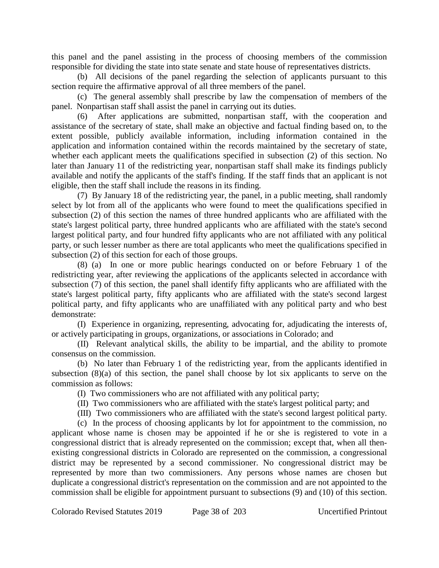this panel and the panel assisting in the process of choosing members of the commission responsible for dividing the state into state senate and state house of representatives districts.

(b) All decisions of the panel regarding the selection of applicants pursuant to this section require the affirmative approval of all three members of the panel.

(c) The general assembly shall prescribe by law the compensation of members of the panel. Nonpartisan staff shall assist the panel in carrying out its duties.

(6) After applications are submitted, nonpartisan staff, with the cooperation and assistance of the secretary of state, shall make an objective and factual finding based on, to the extent possible, publicly available information, including information contained in the application and information contained within the records maintained by the secretary of state, whether each applicant meets the qualifications specified in subsection (2) of this section. No later than January 11 of the redistricting year, nonpartisan staff shall make its findings publicly available and notify the applicants of the staff's finding. If the staff finds that an applicant is not eligible, then the staff shall include the reasons in its finding.

(7) By January 18 of the redistricting year, the panel, in a public meeting, shall randomly select by lot from all of the applicants who were found to meet the qualifications specified in subsection (2) of this section the names of three hundred applicants who are affiliated with the state's largest political party, three hundred applicants who are affiliated with the state's second largest political party, and four hundred fifty applicants who are not affiliated with any political party, or such lesser number as there are total applicants who meet the qualifications specified in subsection (2) of this section for each of those groups.

(8) (a) In one or more public hearings conducted on or before February 1 of the redistricting year, after reviewing the applications of the applicants selected in accordance with subsection (7) of this section, the panel shall identify fifty applicants who are affiliated with the state's largest political party, fifty applicants who are affiliated with the state's second largest political party, and fifty applicants who are unaffiliated with any political party and who best demonstrate:

(I) Experience in organizing, representing, advocating for, adjudicating the interests of, or actively participating in groups, organizations, or associations in Colorado; and

(II) Relevant analytical skills, the ability to be impartial, and the ability to promote consensus on the commission.

(b) No later than February 1 of the redistricting year, from the applicants identified in subsection (8)(a) of this section, the panel shall choose by lot six applicants to serve on the commission as follows:

(I) Two commissioners who are not affiliated with any political party;

(II) Two commissioners who are affiliated with the state's largest political party; and

(III) Two commissioners who are affiliated with the state's second largest political party.

(c) In the process of choosing applicants by lot for appointment to the commission, no applicant whose name is chosen may be appointed if he or she is registered to vote in a congressional district that is already represented on the commission; except that, when all thenexisting congressional districts in Colorado are represented on the commission, a congressional district may be represented by a second commissioner. No congressional district may be represented by more than two commissioners. Any persons whose names are chosen but duplicate a congressional district's representation on the commission and are not appointed to the commission shall be eligible for appointment pursuant to subsections (9) and (10) of this section.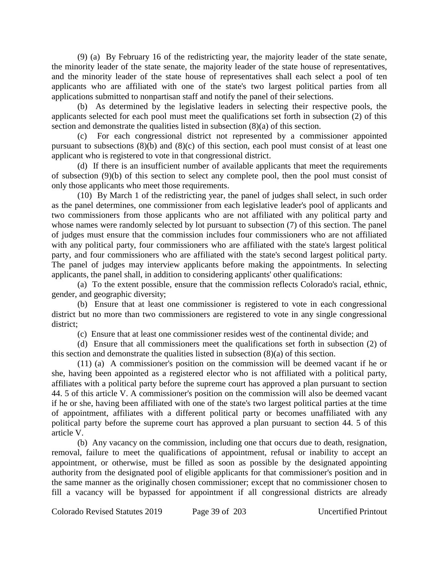(9) (a) By February 16 of the redistricting year, the majority leader of the state senate, the minority leader of the state senate, the majority leader of the state house of representatives, and the minority leader of the state house of representatives shall each select a pool of ten applicants who are affiliated with one of the state's two largest political parties from all applications submitted to nonpartisan staff and notify the panel of their selections.

(b) As determined by the legislative leaders in selecting their respective pools, the applicants selected for each pool must meet the qualifications set forth in subsection (2) of this section and demonstrate the qualities listed in subsection (8)(a) of this section.

(c) For each congressional district not represented by a commissioner appointed pursuant to subsections (8)(b) and (8)(c) of this section, each pool must consist of at least one applicant who is registered to vote in that congressional district.

(d) If there is an insufficient number of available applicants that meet the requirements of subsection (9)(b) of this section to select any complete pool, then the pool must consist of only those applicants who meet those requirements.

(10) By March 1 of the redistricting year, the panel of judges shall select, in such order as the panel determines, one commissioner from each legislative leader's pool of applicants and two commissioners from those applicants who are not affiliated with any political party and whose names were randomly selected by lot pursuant to subsection (7) of this section. The panel of judges must ensure that the commission includes four commissioners who are not affiliated with any political party, four commissioners who are affiliated with the state's largest political party, and four commissioners who are affiliated with the state's second largest political party. The panel of judges may interview applicants before making the appointments. In selecting applicants, the panel shall, in addition to considering applicants' other qualifications:

(a) To the extent possible, ensure that the commission reflects Colorado's racial, ethnic, gender, and geographic diversity;

(b) Ensure that at least one commissioner is registered to vote in each congressional district but no more than two commissioners are registered to vote in any single congressional district;

(c) Ensure that at least one commissioner resides west of the continental divide; and

(d) Ensure that all commissioners meet the qualifications set forth in subsection (2) of this section and demonstrate the qualities listed in subsection (8)(a) of this section.

(11) (a) A commissioner's position on the commission will be deemed vacant if he or she, having been appointed as a registered elector who is not affiliated with a political party, affiliates with a political party before the supreme court has approved a plan pursuant to section 44. 5 of this article V. A commissioner's position on the commission will also be deemed vacant if he or she, having been affiliated with one of the state's two largest political parties at the time of appointment, affiliates with a different political party or becomes unaffiliated with any political party before the supreme court has approved a plan pursuant to section 44. 5 of this article V.

(b) Any vacancy on the commission, including one that occurs due to death, resignation, removal, failure to meet the qualifications of appointment, refusal or inability to accept an appointment, or otherwise, must be filled as soon as possible by the designated appointing authority from the designated pool of eligible applicants for that commissioner's position and in the same manner as the originally chosen commissioner; except that no commissioner chosen to fill a vacancy will be bypassed for appointment if all congressional districts are already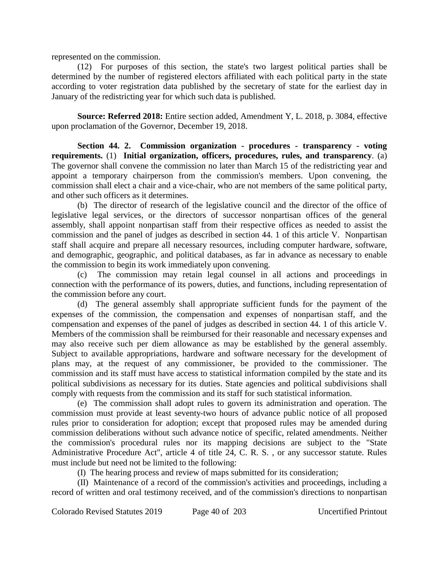represented on the commission.

(12) For purposes of this section, the state's two largest political parties shall be determined by the number of registered electors affiliated with each political party in the state according to voter registration data published by the secretary of state for the earliest day in January of the redistricting year for which such data is published.

**Source: Referred 2018:** Entire section added, Amendment Y, L. 2018, p. 3084, effective upon proclamation of the Governor, December 19, 2018.

**Section 44. 2. Commission organization - procedures - transparency - voting requirements.** (1) **Initial organization, officers, procedures, rules, and transparency**. (a) The governor shall convene the commission no later than March 15 of the redistricting year and appoint a temporary chairperson from the commission's members. Upon convening, the commission shall elect a chair and a vice-chair, who are not members of the same political party, and other such officers as it determines.

(b) The director of research of the legislative council and the director of the office of legislative legal services, or the directors of successor nonpartisan offices of the general assembly, shall appoint nonpartisan staff from their respective offices as needed to assist the commission and the panel of judges as described in section 44. 1 of this article V. Nonpartisan staff shall acquire and prepare all necessary resources, including computer hardware, software, and demographic, geographic, and political databases, as far in advance as necessary to enable the commission to begin its work immediately upon convening.

(c) The commission may retain legal counsel in all actions and proceedings in connection with the performance of its powers, duties, and functions, including representation of the commission before any court.

(d) The general assembly shall appropriate sufficient funds for the payment of the expenses of the commission, the compensation and expenses of nonpartisan staff, and the compensation and expenses of the panel of judges as described in section 44. 1 of this article V. Members of the commission shall be reimbursed for their reasonable and necessary expenses and may also receive such per diem allowance as may be established by the general assembly. Subject to available appropriations, hardware and software necessary for the development of plans may, at the request of any commissioner, be provided to the commissioner. The commission and its staff must have access to statistical information compiled by the state and its political subdivisions as necessary for its duties. State agencies and political subdivisions shall comply with requests from the commission and its staff for such statistical information.

(e) The commission shall adopt rules to govern its administration and operation. The commission must provide at least seventy-two hours of advance public notice of all proposed rules prior to consideration for adoption; except that proposed rules may be amended during commission deliberations without such advance notice of specific, related amendments. Neither the commission's procedural rules nor its mapping decisions are subject to the "State Administrative Procedure Act", article 4 of title 24, C. R. S. , or any successor statute. Rules must include but need not be limited to the following:

(I) The hearing process and review of maps submitted for its consideration;

(II) Maintenance of a record of the commission's activities and proceedings, including a record of written and oral testimony received, and of the commission's directions to nonpartisan

Colorado Revised Statutes 2019 Page 40 of 203 Uncertified Printout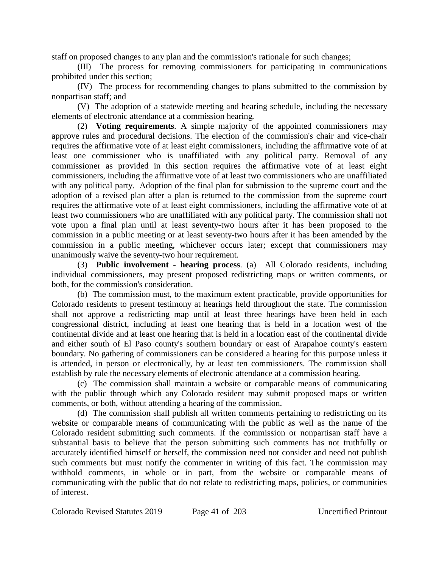staff on proposed changes to any plan and the commission's rationale for such changes;

(III) The process for removing commissioners for participating in communications prohibited under this section;

(IV) The process for recommending changes to plans submitted to the commission by nonpartisan staff; and

(V) The adoption of a statewide meeting and hearing schedule, including the necessary elements of electronic attendance at a commission hearing.

(2) **Voting requirements**. A simple majority of the appointed commissioners may approve rules and procedural decisions. The election of the commission's chair and vice-chair requires the affirmative vote of at least eight commissioners, including the affirmative vote of at least one commissioner who is unaffiliated with any political party. Removal of any commissioner as provided in this section requires the affirmative vote of at least eight commissioners, including the affirmative vote of at least two commissioners who are unaffiliated with any political party. Adoption of the final plan for submission to the supreme court and the adoption of a revised plan after a plan is returned to the commission from the supreme court requires the affirmative vote of at least eight commissioners, including the affirmative vote of at least two commissioners who are unaffiliated with any political party. The commission shall not vote upon a final plan until at least seventy-two hours after it has been proposed to the commission in a public meeting or at least seventy-two hours after it has been amended by the commission in a public meeting, whichever occurs later; except that commissioners may unanimously waive the seventy-two hour requirement.

(3) **Public involvement - hearing process**. (a) All Colorado residents, including individual commissioners, may present proposed redistricting maps or written comments, or both, for the commission's consideration.

(b) The commission must, to the maximum extent practicable, provide opportunities for Colorado residents to present testimony at hearings held throughout the state. The commission shall not approve a redistricting map until at least three hearings have been held in each congressional district, including at least one hearing that is held in a location west of the continental divide and at least one hearing that is held in a location east of the continental divide and either south of El Paso county's southern boundary or east of Arapahoe county's eastern boundary. No gathering of commissioners can be considered a hearing for this purpose unless it is attended, in person or electronically, by at least ten commissioners. The commission shall establish by rule the necessary elements of electronic attendance at a commission hearing.

(c) The commission shall maintain a website or comparable means of communicating with the public through which any Colorado resident may submit proposed maps or written comments, or both, without attending a hearing of the commission.

(d) The commission shall publish all written comments pertaining to redistricting on its website or comparable means of communicating with the public as well as the name of the Colorado resident submitting such comments. If the commission or nonpartisan staff have a substantial basis to believe that the person submitting such comments has not truthfully or accurately identified himself or herself, the commission need not consider and need not publish such comments but must notify the commenter in writing of this fact. The commission may withhold comments, in whole or in part, from the website or comparable means of communicating with the public that do not relate to redistricting maps, policies, or communities of interest.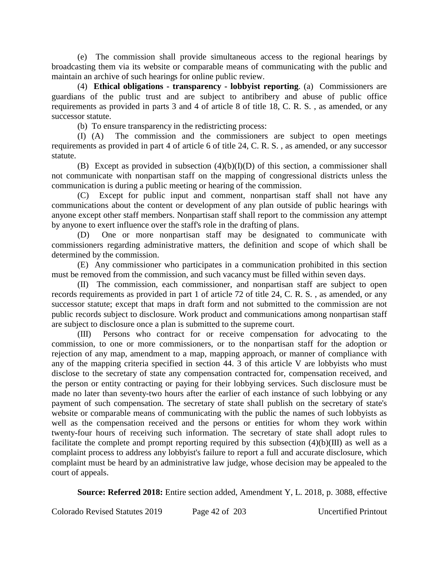(e) The commission shall provide simultaneous access to the regional hearings by broadcasting them via its website or comparable means of communicating with the public and maintain an archive of such hearings for online public review.

(4) **Ethical obligations - transparency - lobbyist reporting**. (a) Commissioners are guardians of the public trust and are subject to antibribery and abuse of public office requirements as provided in parts 3 and 4 of article 8 of title 18, C. R. S. , as amended, or any successor statute.

(b) To ensure transparency in the redistricting process:

(I) (A) The commission and the commissioners are subject to open meetings requirements as provided in part 4 of article 6 of title 24, C. R. S. , as amended, or any successor statute.

(B) Except as provided in subsection  $(4)(b)(I)(D)$  of this section, a commissioner shall not communicate with nonpartisan staff on the mapping of congressional districts unless the communication is during a public meeting or hearing of the commission.

(C) Except for public input and comment, nonpartisan staff shall not have any communications about the content or development of any plan outside of public hearings with anyone except other staff members. Nonpartisan staff shall report to the commission any attempt by anyone to exert influence over the staff's role in the drafting of plans.

(D) One or more nonpartisan staff may be designated to communicate with commissioners regarding administrative matters, the definition and scope of which shall be determined by the commission.

(E) Any commissioner who participates in a communication prohibited in this section must be removed from the commission, and such vacancy must be filled within seven days.

(II) The commission, each commissioner, and nonpartisan staff are subject to open records requirements as provided in part 1 of article 72 of title 24, C. R. S. , as amended, or any successor statute; except that maps in draft form and not submitted to the commission are not public records subject to disclosure. Work product and communications among nonpartisan staff are subject to disclosure once a plan is submitted to the supreme court.

(III) Persons who contract for or receive compensation for advocating to the commission, to one or more commissioners, or to the nonpartisan staff for the adoption or rejection of any map, amendment to a map, mapping approach, or manner of compliance with any of the mapping criteria specified in section 44. 3 of this article V are lobbyists who must disclose to the secretary of state any compensation contracted for, compensation received, and the person or entity contracting or paying for their lobbying services. Such disclosure must be made no later than seventy-two hours after the earlier of each instance of such lobbying or any payment of such compensation. The secretary of state shall publish on the secretary of state's website or comparable means of communicating with the public the names of such lobbyists as well as the compensation received and the persons or entities for whom they work within twenty-four hours of receiving such information. The secretary of state shall adopt rules to facilitate the complete and prompt reporting required by this subsection  $(4)(b)(III)$  as well as a complaint process to address any lobbyist's failure to report a full and accurate disclosure, which complaint must be heard by an administrative law judge, whose decision may be appealed to the court of appeals.

**Source: Referred 2018:** Entire section added, Amendment Y, L. 2018, p. 3088, effective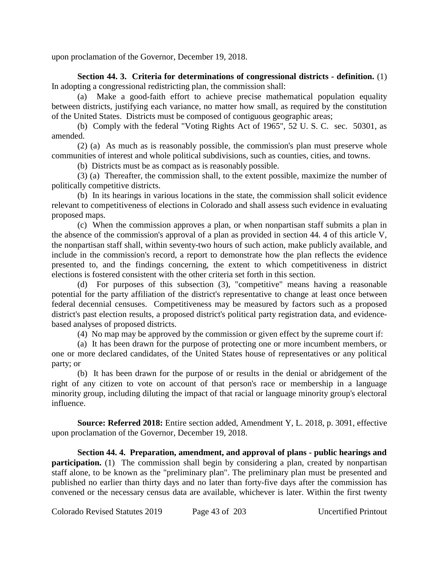upon proclamation of the Governor, December 19, 2018.

**Section 44. 3. Criteria for determinations of congressional districts - definition.** (1) In adopting a congressional redistricting plan, the commission shall:

(a) Make a good-faith effort to achieve precise mathematical population equality between districts, justifying each variance, no matter how small, as required by the constitution of the United States. Districts must be composed of contiguous geographic areas;

(b) Comply with the federal "Voting Rights Act of 1965", 52 U. S. C. sec. 50301, as amended.

(2) (a) As much as is reasonably possible, the commission's plan must preserve whole communities of interest and whole political subdivisions, such as counties, cities, and towns.

(b) Districts must be as compact as is reasonably possible.

(3) (a) Thereafter, the commission shall, to the extent possible, maximize the number of politically competitive districts.

(b) In its hearings in various locations in the state, the commission shall solicit evidence relevant to competitiveness of elections in Colorado and shall assess such evidence in evaluating proposed maps.

(c) When the commission approves a plan, or when nonpartisan staff submits a plan in the absence of the commission's approval of a plan as provided in section 44. 4 of this article V, the nonpartisan staff shall, within seventy-two hours of such action, make publicly available, and include in the commission's record, a report to demonstrate how the plan reflects the evidence presented to, and the findings concerning, the extent to which competitiveness in district elections is fostered consistent with the other criteria set forth in this section.

(d) For purposes of this subsection (3), "competitive" means having a reasonable potential for the party affiliation of the district's representative to change at least once between federal decennial censuses. Competitiveness may be measured by factors such as a proposed district's past election results, a proposed district's political party registration data, and evidencebased analyses of proposed districts.

(4) No map may be approved by the commission or given effect by the supreme court if:

(a) It has been drawn for the purpose of protecting one or more incumbent members, or one or more declared candidates, of the United States house of representatives or any political party; or

(b) It has been drawn for the purpose of or results in the denial or abridgement of the right of any citizen to vote on account of that person's race or membership in a language minority group, including diluting the impact of that racial or language minority group's electoral influence.

**Source: Referred 2018:** Entire section added, Amendment Y, L. 2018, p. 3091, effective upon proclamation of the Governor, December 19, 2018.

**Section 44. 4. Preparation, amendment, and approval of plans - public hearings and participation.** (1) The commission shall begin by considering a plan, created by nonpartisan staff alone, to be known as the "preliminary plan". The preliminary plan must be presented and published no earlier than thirty days and no later than forty-five days after the commission has convened or the necessary census data are available, whichever is later. Within the first twenty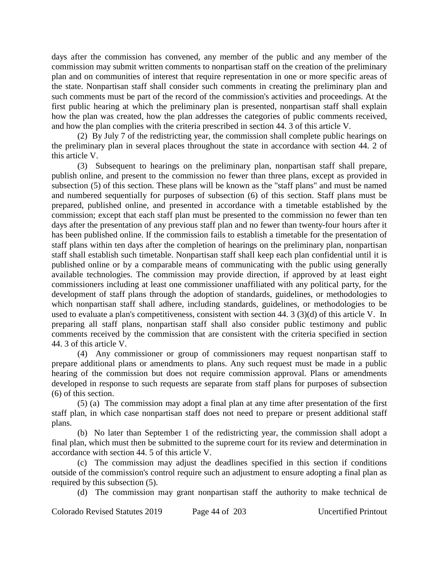days after the commission has convened, any member of the public and any member of the commission may submit written comments to nonpartisan staff on the creation of the preliminary plan and on communities of interest that require representation in one or more specific areas of the state. Nonpartisan staff shall consider such comments in creating the preliminary plan and such comments must be part of the record of the commission's activities and proceedings. At the first public hearing at which the preliminary plan is presented, nonpartisan staff shall explain how the plan was created, how the plan addresses the categories of public comments received, and how the plan complies with the criteria prescribed in section 44. 3 of this article V.

(2) By July 7 of the redistricting year, the commission shall complete public hearings on the preliminary plan in several places throughout the state in accordance with section 44. 2 of this article V.

(3) Subsequent to hearings on the preliminary plan, nonpartisan staff shall prepare, publish online, and present to the commission no fewer than three plans, except as provided in subsection (5) of this section. These plans will be known as the "staff plans" and must be named and numbered sequentially for purposes of subsection (6) of this section. Staff plans must be prepared, published online, and presented in accordance with a timetable established by the commission; except that each staff plan must be presented to the commission no fewer than ten days after the presentation of any previous staff plan and no fewer than twenty-four hours after it has been published online. If the commission fails to establish a timetable for the presentation of staff plans within ten days after the completion of hearings on the preliminary plan, nonpartisan staff shall establish such timetable. Nonpartisan staff shall keep each plan confidential until it is published online or by a comparable means of communicating with the public using generally available technologies. The commission may provide direction, if approved by at least eight commissioners including at least one commissioner unaffiliated with any political party, for the development of staff plans through the adoption of standards, guidelines, or methodologies to which nonpartisan staff shall adhere, including standards, guidelines, or methodologies to be used to evaluate a plan's competitiveness, consistent with section 44. 3 (3)(d) of this article V. In preparing all staff plans, nonpartisan staff shall also consider public testimony and public comments received by the commission that are consistent with the criteria specified in section 44. 3 of this article V.

(4) Any commissioner or group of commissioners may request nonpartisan staff to prepare additional plans or amendments to plans. Any such request must be made in a public hearing of the commission but does not require commission approval. Plans or amendments developed in response to such requests are separate from staff plans for purposes of subsection (6) of this section.

(5) (a) The commission may adopt a final plan at any time after presentation of the first staff plan, in which case nonpartisan staff does not need to prepare or present additional staff plans.

(b) No later than September 1 of the redistricting year, the commission shall adopt a final plan, which must then be submitted to the supreme court for its review and determination in accordance with section 44. 5 of this article V.

(c) The commission may adjust the deadlines specified in this section if conditions outside of the commission's control require such an adjustment to ensure adopting a final plan as required by this subsection (5).

(d) The commission may grant nonpartisan staff the authority to make technical de

Colorado Revised Statutes 2019 Page 44 of 203 Uncertified Printout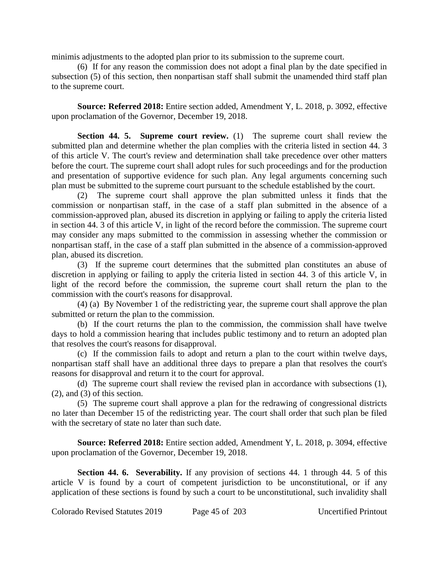minimis adjustments to the adopted plan prior to its submission to the supreme court.

(6) If for any reason the commission does not adopt a final plan by the date specified in subsection (5) of this section, then nonpartisan staff shall submit the unamended third staff plan to the supreme court.

**Source: Referred 2018:** Entire section added, Amendment Y, L. 2018, p. 3092, effective upon proclamation of the Governor, December 19, 2018.

**Section 44. 5. Supreme court review.** (1) The supreme court shall review the submitted plan and determine whether the plan complies with the criteria listed in section 44. 3 of this article V. The court's review and determination shall take precedence over other matters before the court. The supreme court shall adopt rules for such proceedings and for the production and presentation of supportive evidence for such plan. Any legal arguments concerning such plan must be submitted to the supreme court pursuant to the schedule established by the court.

(2) The supreme court shall approve the plan submitted unless it finds that the commission or nonpartisan staff, in the case of a staff plan submitted in the absence of a commission-approved plan, abused its discretion in applying or failing to apply the criteria listed in section 44. 3 of this article V, in light of the record before the commission. The supreme court may consider any maps submitted to the commission in assessing whether the commission or nonpartisan staff, in the case of a staff plan submitted in the absence of a commission-approved plan, abused its discretion.

(3) If the supreme court determines that the submitted plan constitutes an abuse of discretion in applying or failing to apply the criteria listed in section 44. 3 of this article V, in light of the record before the commission, the supreme court shall return the plan to the commission with the court's reasons for disapproval.

(4) (a) By November 1 of the redistricting year, the supreme court shall approve the plan submitted or return the plan to the commission.

(b) If the court returns the plan to the commission, the commission shall have twelve days to hold a commission hearing that includes public testimony and to return an adopted plan that resolves the court's reasons for disapproval.

(c) If the commission fails to adopt and return a plan to the court within twelve days, nonpartisan staff shall have an additional three days to prepare a plan that resolves the court's reasons for disapproval and return it to the court for approval.

(d) The supreme court shall review the revised plan in accordance with subsections (1), (2), and (3) of this section.

(5) The supreme court shall approve a plan for the redrawing of congressional districts no later than December 15 of the redistricting year. The court shall order that such plan be filed with the secretary of state no later than such date.

**Source: Referred 2018:** Entire section added, Amendment Y, L. 2018, p. 3094, effective upon proclamation of the Governor, December 19, 2018.

**Section 44. 6. Severability.** If any provision of sections 44. 1 through 44. 5 of this article V is found by a court of competent jurisdiction to be unconstitutional, or if any application of these sections is found by such a court to be unconstitutional, such invalidity shall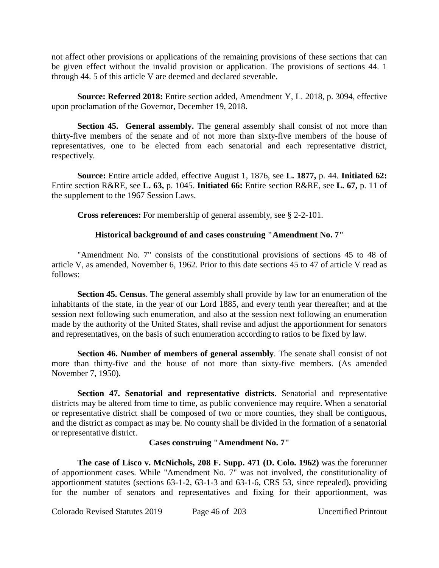not affect other provisions or applications of the remaining provisions of these sections that can be given effect without the invalid provision or application. The provisions of sections 44. 1 through 44. 5 of this article V are deemed and declared severable.

**Source: Referred 2018:** Entire section added, Amendment Y, L. 2018, p. 3094, effective upon proclamation of the Governor, December 19, 2018.

**Section 45. General assembly.** The general assembly shall consist of not more than thirty-five members of the senate and of not more than sixty-five members of the house of representatives, one to be elected from each senatorial and each representative district, respectively.

**Source:** Entire article added, effective August 1, 1876, see **L. 1877,** p. 44. **Initiated 62:** Entire section R&RE, see **L. 63,** p. 1045. **Initiated 66:** Entire section R&RE, see **L. 67,** p. 11 of the supplement to the 1967 Session Laws.

**Cross references:** For membership of general assembly, see § 2-2-101.

## **Historical background of and cases construing "Amendment No. 7"**

"Amendment No. 7" consists of the constitutional provisions of sections 45 to 48 of article V, as amended, November 6, 1962. Prior to this date sections 45 to 47 of article V read as follows:

**Section 45. Census**. The general assembly shall provide by law for an enumeration of the inhabitants of the state, in the year of our Lord 1885, and every tenth year thereafter; and at the session next following such enumeration, and also at the session next following an enumeration made by the authority of the United States, shall revise and adjust the apportionment for senators and representatives, on the basis of such enumeration according to ratios to be fixed by law.

**Section 46. Number of members of general assembly**. The senate shall consist of not more than thirty-five and the house of not more than sixty-five members. (As amended November 7, 1950).

**Section 47. Senatorial and representative districts**. Senatorial and representative districts may be altered from time to time, as public convenience may require. When a senatorial or representative district shall be composed of two or more counties, they shall be contiguous, and the district as compact as may be. No county shall be divided in the formation of a senatorial or representative district.

### **Cases construing "Amendment No. 7"**

**The case of Lisco v. McNichols, 208 F. Supp. 471 (D. Colo. 1962)** was the forerunner of apportionment cases. While "Amendment No. 7" was not involved, the constitutionality of apportionment statutes (sections 63-1-2, 63-1-3 and 63-1-6, CRS 53, since repealed), providing for the number of senators and representatives and fixing for their apportionment, was

Colorado Revised Statutes 2019 Page 46 of 203 Uncertified Printout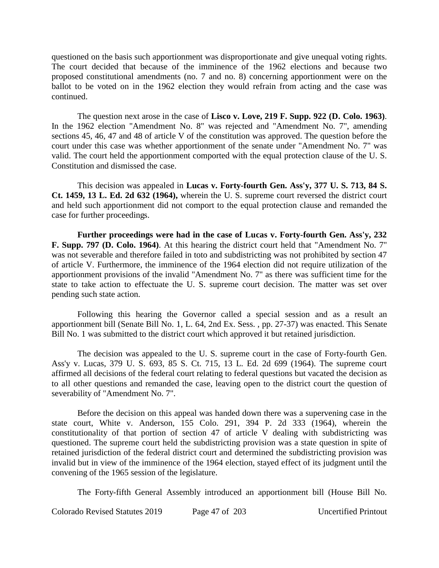questioned on the basis such apportionment was disproportionate and give unequal voting rights. The court decided that because of the imminence of the 1962 elections and because two proposed constitutional amendments (no. 7 and no. 8) concerning apportionment were on the ballot to be voted on in the 1962 election they would refrain from acting and the case was continued.

The question next arose in the case of **Lisco v. Love, 219 F. Supp. 922 (D. Colo. 1963)**. In the 1962 election "Amendment No. 8" was rejected and "Amendment No. 7", amending sections 45, 46, 47 and 48 of article V of the constitution was approved. The question before the court under this case was whether apportionment of the senate under "Amendment No. 7" was valid. The court held the apportionment comported with the equal protection clause of the U. S. Constitution and dismissed the case.

This decision was appealed in **Lucas v. Forty-fourth Gen. Ass'y, 377 U. S. 713, 84 S. Ct. 1459, 13 L. Ed. 2d 632 (1964),** wherein the U. S. supreme court reversed the district court and held such apportionment did not comport to the equal protection clause and remanded the case for further proceedings.

**Further proceedings were had in the case of Lucas v. Forty-fourth Gen. Ass'y, 232 F. Supp. 797 (D. Colo. 1964)**. At this hearing the district court held that "Amendment No. 7" was not severable and therefore failed in toto and subdistricting was not prohibited by section 47 of article V. Furthermore, the imminence of the 1964 election did not require utilization of the apportionment provisions of the invalid "Amendment No. 7" as there was sufficient time for the state to take action to effectuate the U. S. supreme court decision. The matter was set over pending such state action.

Following this hearing the Governor called a special session and as a result an apportionment bill (Senate Bill No. 1, L. 64, 2nd Ex. Sess. , pp. 27-37) was enacted. This Senate Bill No. 1 was submitted to the district court which approved it but retained jurisdiction.

The decision was appealed to the U. S. supreme court in the case of Forty-fourth Gen. Ass'y v. Lucas, 379 U. S. 693, 85 S. Ct. 715, 13 L. Ed. 2d 699 (1964). The supreme court affirmed all decisions of the federal court relating to federal questions but vacated the decision as to all other questions and remanded the case, leaving open to the district court the question of severability of "Amendment No. 7".

Before the decision on this appeal was handed down there was a supervening case in the state court, White v. Anderson, 155 Colo. 291, 394 P. 2d 333 (1964), wherein the constitutionality of that portion of section 47 of article V dealing with subdistricting was questioned. The supreme court held the subdistricting provision was a state question in spite of retained jurisdiction of the federal district court and determined the subdistricting provision was invalid but in view of the imminence of the 1964 election, stayed effect of its judgment until the convening of the 1965 session of the legislature.

The Forty-fifth General Assembly introduced an apportionment bill (House Bill No.

Colorado Revised Statutes 2019 Page 47 of 203 Uncertified Printout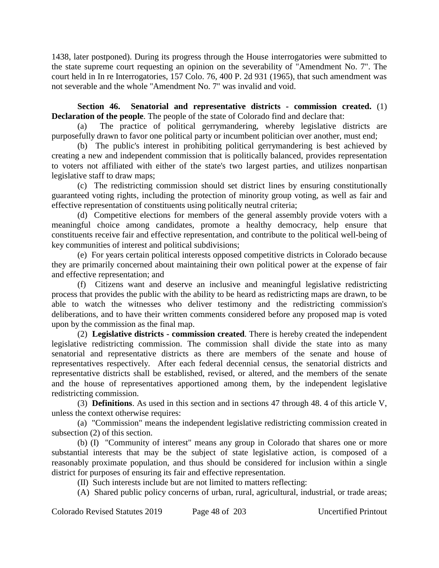1438, later postponed). During its progress through the House interrogatories were submitted to the state supreme court requesting an opinion on the severability of "Amendment No. 7". The court held in In re Interrogatories, 157 Colo. 76, 400 P. 2d 931 (1965), that such amendment was not severable and the whole "Amendment No. 7" was invalid and void.

**Section 46. Senatorial and representative districts - commission created.** (1) **Declaration of the people**. The people of the state of Colorado find and declare that:

(a) The practice of political gerrymandering, whereby legislative districts are purposefully drawn to favor one political party or incumbent politician over another, must end;

(b) The public's interest in prohibiting political gerrymandering is best achieved by creating a new and independent commission that is politically balanced, provides representation to voters not affiliated with either of the state's two largest parties, and utilizes nonpartisan legislative staff to draw maps;

(c) The redistricting commission should set district lines by ensuring constitutionally guaranteed voting rights, including the protection of minority group voting, as well as fair and effective representation of constituents using politically neutral criteria;

(d) Competitive elections for members of the general assembly provide voters with a meaningful choice among candidates, promote a healthy democracy, help ensure that constituents receive fair and effective representation, and contribute to the political well-being of key communities of interest and political subdivisions;

(e) For years certain political interests opposed competitive districts in Colorado because they are primarily concerned about maintaining their own political power at the expense of fair and effective representation; and

(f) Citizens want and deserve an inclusive and meaningful legislative redistricting process that provides the public with the ability to be heard as redistricting maps are drawn, to be able to watch the witnesses who deliver testimony and the redistricting commission's deliberations, and to have their written comments considered before any proposed map is voted upon by the commission as the final map.

(2) **Legislative districts - commission created**. There is hereby created the independent legislative redistricting commission. The commission shall divide the state into as many senatorial and representative districts as there are members of the senate and house of representatives respectively. After each federal decennial census, the senatorial districts and representative districts shall be established, revised, or altered, and the members of the senate and the house of representatives apportioned among them, by the independent legislative redistricting commission.

(3) **Definitions**. As used in this section and in sections 47 through 48. 4 of this article V, unless the context otherwise requires:

(a) "Commission" means the independent legislative redistricting commission created in subsection (2) of this section.

(b) (I) "Community of interest" means any group in Colorado that shares one or more substantial interests that may be the subject of state legislative action, is composed of a reasonably proximate population, and thus should be considered for inclusion within a single district for purposes of ensuring its fair and effective representation.

(II) Such interests include but are not limited to matters reflecting:

(A) Shared public policy concerns of urban, rural, agricultural, industrial, or trade areas;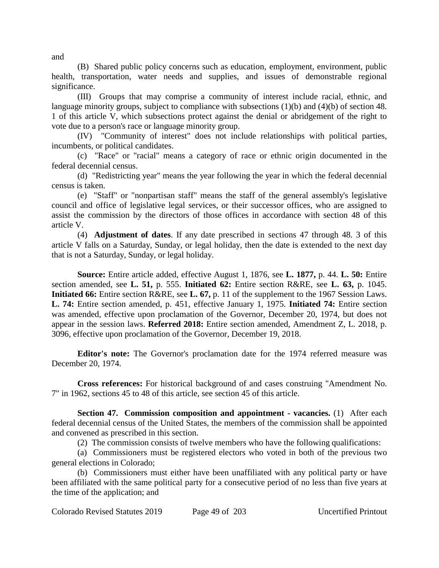(B) Shared public policy concerns such as education, employment, environment, public health, transportation, water needs and supplies, and issues of demonstrable regional significance.

(III) Groups that may comprise a community of interest include racial, ethnic, and language minority groups, subject to compliance with subsections (1)(b) and (4)(b) of section 48. 1 of this article V, which subsections protect against the denial or abridgement of the right to vote due to a person's race or language minority group.

(IV) "Community of interest" does not include relationships with political parties, incumbents, or political candidates.

(c) "Race" or "racial" means a category of race or ethnic origin documented in the federal decennial census.

(d) "Redistricting year" means the year following the year in which the federal decennial census is taken.

(e) "Staff" or "nonpartisan staff" means the staff of the general assembly's legislative council and office of legislative legal services, or their successor offices, who are assigned to assist the commission by the directors of those offices in accordance with section 48 of this article V.

(4) **Adjustment of dates**. If any date prescribed in sections 47 through 48. 3 of this article V falls on a Saturday, Sunday, or legal holiday, then the date is extended to the next day that is not a Saturday, Sunday, or legal holiday.

**Source:** Entire article added, effective August 1, 1876, see **L. 1877,** p. 44. **L. 50:** Entire section amended, see **L. 51,** p. 555. **Initiated 62:** Entire section R&RE, see **L. 63,** p. 1045. **Initiated 66:** Entire section R&RE, see **L. 67,** p. 11 of the supplement to the 1967 Session Laws. **L. 74:** Entire section amended, p. 451, effective January 1, 1975. **Initiated 74:** Entire section was amended, effective upon proclamation of the Governor, December 20, 1974, but does not appear in the session laws. **Referred 2018:** Entire section amended, Amendment Z, L. 2018, p. 3096, effective upon proclamation of the Governor, December 19, 2018.

**Editor's note:** The Governor's proclamation date for the 1974 referred measure was December 20, 1974.

**Cross references:** For historical background of and cases construing "Amendment No. 7" in 1962, sections 45 to 48 of this article, see section 45 of this article.

**Section 47. Commission composition and appointment - vacancies.** (1) After each federal decennial census of the United States, the members of the commission shall be appointed and convened as prescribed in this section.

(2) The commission consists of twelve members who have the following qualifications:

(a) Commissioners must be registered electors who voted in both of the previous two general elections in Colorado;

(b) Commissioners must either have been unaffiliated with any political party or have been affiliated with the same political party for a consecutive period of no less than five years at the time of the application; and

and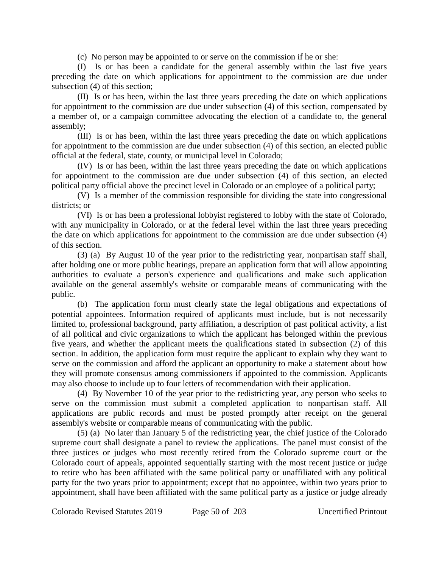(c) No person may be appointed to or serve on the commission if he or she:

(I) Is or has been a candidate for the general assembly within the last five years preceding the date on which applications for appointment to the commission are due under subsection (4) of this section;

(II) Is or has been, within the last three years preceding the date on which applications for appointment to the commission are due under subsection (4) of this section, compensated by a member of, or a campaign committee advocating the election of a candidate to, the general assembly;

(III) Is or has been, within the last three years preceding the date on which applications for appointment to the commission are due under subsection (4) of this section, an elected public official at the federal, state, county, or municipal level in Colorado;

(IV) Is or has been, within the last three years preceding the date on which applications for appointment to the commission are due under subsection (4) of this section, an elected political party official above the precinct level in Colorado or an employee of a political party;

(V) Is a member of the commission responsible for dividing the state into congressional districts; or

(VI) Is or has been a professional lobbyist registered to lobby with the state of Colorado, with any municipality in Colorado, or at the federal level within the last three years preceding the date on which applications for appointment to the commission are due under subsection (4) of this section.

(3) (a) By August 10 of the year prior to the redistricting year, nonpartisan staff shall, after holding one or more public hearings, prepare an application form that will allow appointing authorities to evaluate a person's experience and qualifications and make such application available on the general assembly's website or comparable means of communicating with the public.

(b) The application form must clearly state the legal obligations and expectations of potential appointees. Information required of applicants must include, but is not necessarily limited to, professional background, party affiliation, a description of past political activity, a list of all political and civic organizations to which the applicant has belonged within the previous five years, and whether the applicant meets the qualifications stated in subsection (2) of this section. In addition, the application form must require the applicant to explain why they want to serve on the commission and afford the applicant an opportunity to make a statement about how they will promote consensus among commissioners if appointed to the commission. Applicants may also choose to include up to four letters of recommendation with their application.

(4) By November 10 of the year prior to the redistricting year, any person who seeks to serve on the commission must submit a completed application to nonpartisan staff. All applications are public records and must be posted promptly after receipt on the general assembly's website or comparable means of communicating with the public.

(5) (a) No later than January 5 of the redistricting year, the chief justice of the Colorado supreme court shall designate a panel to review the applications. The panel must consist of the three justices or judges who most recently retired from the Colorado supreme court or the Colorado court of appeals, appointed sequentially starting with the most recent justice or judge to retire who has been affiliated with the same political party or unaffiliated with any political party for the two years prior to appointment; except that no appointee, within two years prior to appointment, shall have been affiliated with the same political party as a justice or judge already

Colorado Revised Statutes 2019 Page 50 of 203 Uncertified Printout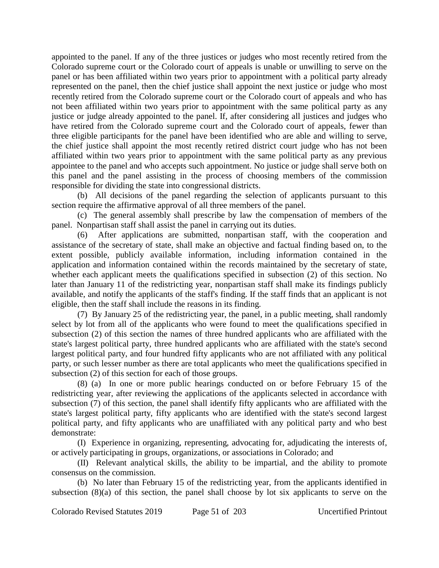appointed to the panel. If any of the three justices or judges who most recently retired from the Colorado supreme court or the Colorado court of appeals is unable or unwilling to serve on the panel or has been affiliated within two years prior to appointment with a political party already represented on the panel, then the chief justice shall appoint the next justice or judge who most recently retired from the Colorado supreme court or the Colorado court of appeals and who has not been affiliated within two years prior to appointment with the same political party as any justice or judge already appointed to the panel. If, after considering all justices and judges who have retired from the Colorado supreme court and the Colorado court of appeals, fewer than three eligible participants for the panel have been identified who are able and willing to serve, the chief justice shall appoint the most recently retired district court judge who has not been affiliated within two years prior to appointment with the same political party as any previous appointee to the panel and who accepts such appointment. No justice or judge shall serve both on this panel and the panel assisting in the process of choosing members of the commission responsible for dividing the state into congressional districts.

(b) All decisions of the panel regarding the selection of applicants pursuant to this section require the affirmative approval of all three members of the panel.

(c) The general assembly shall prescribe by law the compensation of members of the panel. Nonpartisan staff shall assist the panel in carrying out its duties.

(6) After applications are submitted, nonpartisan staff, with the cooperation and assistance of the secretary of state, shall make an objective and factual finding based on, to the extent possible, publicly available information, including information contained in the application and information contained within the records maintained by the secretary of state, whether each applicant meets the qualifications specified in subsection (2) of this section. No later than January 11 of the redistricting year, nonpartisan staff shall make its findings publicly available, and notify the applicants of the staff's finding. If the staff finds that an applicant is not eligible, then the staff shall include the reasons in its finding.

(7) By January 25 of the redistricting year, the panel, in a public meeting, shall randomly select by lot from all of the applicants who were found to meet the qualifications specified in subsection (2) of this section the names of three hundred applicants who are affiliated with the state's largest political party, three hundred applicants who are affiliated with the state's second largest political party, and four hundred fifty applicants who are not affiliated with any political party, or such lesser number as there are total applicants who meet the qualifications specified in subsection (2) of this section for each of those groups.

(8) (a) In one or more public hearings conducted on or before February 15 of the redistricting year, after reviewing the applications of the applicants selected in accordance with subsection (7) of this section, the panel shall identify fifty applicants who are affiliated with the state's largest political party, fifty applicants who are identified with the state's second largest political party, and fifty applicants who are unaffiliated with any political party and who best demonstrate:

(I) Experience in organizing, representing, advocating for, adjudicating the interests of, or actively participating in groups, organizations, or associations in Colorado; and

(II) Relevant analytical skills, the ability to be impartial, and the ability to promote consensus on the commission.

(b) No later than February 15 of the redistricting year, from the applicants identified in subsection  $(8)(a)$  of this section, the panel shall choose by lot six applicants to serve on the

Colorado Revised Statutes 2019 Page 51 of 203 Uncertified Printout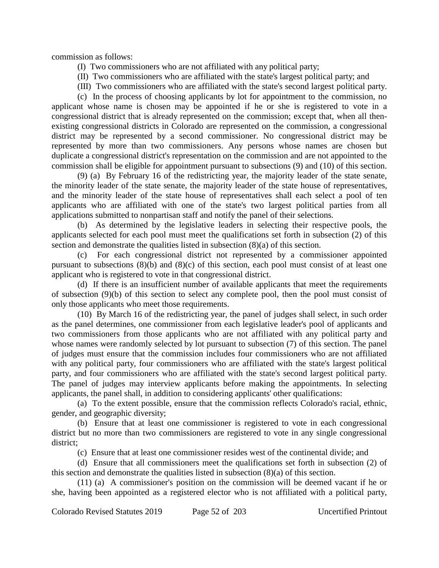commission as follows:

- (I) Two commissioners who are not affiliated with any political party;
- (II) Two commissioners who are affiliated with the state's largest political party; and
- (III) Two commissioners who are affiliated with the state's second largest political party.

(c) In the process of choosing applicants by lot for appointment to the commission, no applicant whose name is chosen may be appointed if he or she is registered to vote in a congressional district that is already represented on the commission; except that, when all thenexisting congressional districts in Colorado are represented on the commission, a congressional district may be represented by a second commissioner. No congressional district may be represented by more than two commissioners. Any persons whose names are chosen but duplicate a congressional district's representation on the commission and are not appointed to the commission shall be eligible for appointment pursuant to subsections (9) and (10) of this section.

(9) (a) By February 16 of the redistricting year, the majority leader of the state senate, the minority leader of the state senate, the majority leader of the state house of representatives, and the minority leader of the state house of representatives shall each select a pool of ten applicants who are affiliated with one of the state's two largest political parties from all applications submitted to nonpartisan staff and notify the panel of their selections.

(b) As determined by the legislative leaders in selecting their respective pools, the applicants selected for each pool must meet the qualifications set forth in subsection (2) of this section and demonstrate the qualities listed in subsection (8)(a) of this section.

(c) For each congressional district not represented by a commissioner appointed pursuant to subsections (8)(b) and (8)(c) of this section, each pool must consist of at least one applicant who is registered to vote in that congressional district.

(d) If there is an insufficient number of available applicants that meet the requirements of subsection (9)(b) of this section to select any complete pool, then the pool must consist of only those applicants who meet those requirements.

(10) By March 16 of the redistricting year, the panel of judges shall select, in such order as the panel determines, one commissioner from each legislative leader's pool of applicants and two commissioners from those applicants who are not affiliated with any political party and whose names were randomly selected by lot pursuant to subsection (7) of this section. The panel of judges must ensure that the commission includes four commissioners who are not affiliated with any political party, four commissioners who are affiliated with the state's largest political party, and four commissioners who are affiliated with the state's second largest political party. The panel of judges may interview applicants before making the appointments. In selecting applicants, the panel shall, in addition to considering applicants' other qualifications:

(a) To the extent possible, ensure that the commission reflects Colorado's racial, ethnic, gender, and geographic diversity;

(b) Ensure that at least one commissioner is registered to vote in each congressional district but no more than two commissioners are registered to vote in any single congressional district;

(c) Ensure that at least one commissioner resides west of the continental divide; and

(d) Ensure that all commissioners meet the qualifications set forth in subsection (2) of this section and demonstrate the qualities listed in subsection (8)(a) of this section.

(11) (a) A commissioner's position on the commission will be deemed vacant if he or she, having been appointed as a registered elector who is not affiliated with a political party,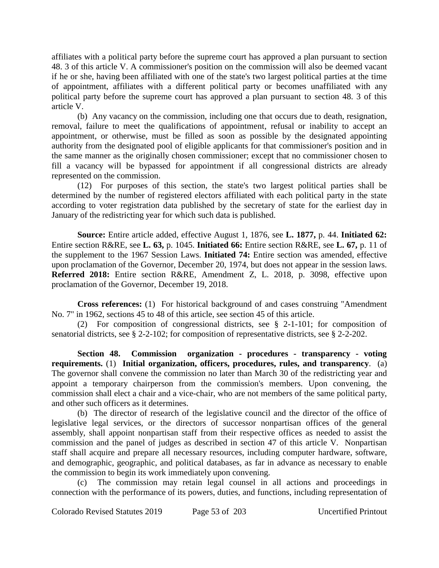affiliates with a political party before the supreme court has approved a plan pursuant to section 48. 3 of this article V. A commissioner's position on the commission will also be deemed vacant if he or she, having been affiliated with one of the state's two largest political parties at the time of appointment, affiliates with a different political party or becomes unaffiliated with any political party before the supreme court has approved a plan pursuant to section 48. 3 of this article V.

(b) Any vacancy on the commission, including one that occurs due to death, resignation, removal, failure to meet the qualifications of appointment, refusal or inability to accept an appointment, or otherwise, must be filled as soon as possible by the designated appointing authority from the designated pool of eligible applicants for that commissioner's position and in the same manner as the originally chosen commissioner; except that no commissioner chosen to fill a vacancy will be bypassed for appointment if all congressional districts are already represented on the commission.

(12) For purposes of this section, the state's two largest political parties shall be determined by the number of registered electors affiliated with each political party in the state according to voter registration data published by the secretary of state for the earliest day in January of the redistricting year for which such data is published.

**Source:** Entire article added, effective August 1, 1876, see **L. 1877,** p. 44. **Initiated 62:** Entire section R&RE, see **L. 63,** p. 1045. **Initiated 66:** Entire section R&RE, see **L. 67,** p. 11 of the supplement to the 1967 Session Laws. **Initiated 74:** Entire section was amended, effective upon proclamation of the Governor, December 20, 1974, but does not appear in the session laws. **Referred 2018:** Entire section R&RE, Amendment Z, L. 2018, p. 3098, effective upon proclamation of the Governor, December 19, 2018.

**Cross references:** (1) For historical background of and cases construing "Amendment No. 7" in 1962, sections 45 to 48 of this article, see section 45 of this article.

(2) For composition of congressional districts, see § 2-1-101; for composition of senatorial districts, see § 2-2-102; for composition of representative districts, see § 2-2-202.

**Section 48. Commission organization - procedures - transparency - voting requirements.** (1) **Initial organization, officers, procedures, rules, and transparency**. (a) The governor shall convene the commission no later than March 30 of the redistricting year and appoint a temporary chairperson from the commission's members. Upon convening, the commission shall elect a chair and a vice-chair, who are not members of the same political party, and other such officers as it determines.

(b) The director of research of the legislative council and the director of the office of legislative legal services, or the directors of successor nonpartisan offices of the general assembly, shall appoint nonpartisan staff from their respective offices as needed to assist the commission and the panel of judges as described in section 47 of this article V. Nonpartisan staff shall acquire and prepare all necessary resources, including computer hardware, software, and demographic, geographic, and political databases, as far in advance as necessary to enable the commission to begin its work immediately upon convening.

The commission may retain legal counsel in all actions and proceedings in connection with the performance of its powers, duties, and functions, including representation of

Colorado Revised Statutes 2019 Page 53 of 203 Uncertified Printout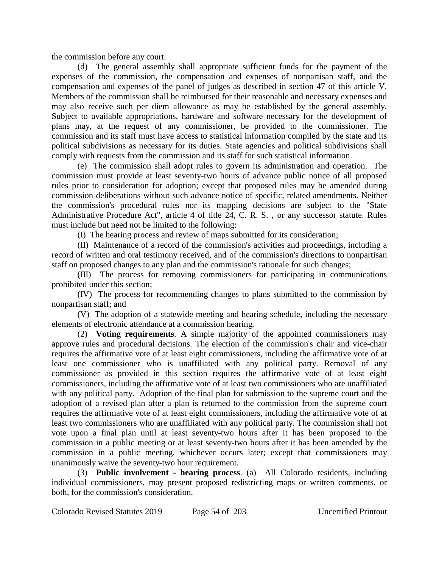the commission before any court.

(d) The general assembly shall appropriate sufficient funds for the payment of the expenses of the commission, the compensation and expenses of nonpartisan staff, and the compensation and expenses of the panel of judges as described in section 47 of this article V. Members of the commission shall be reimbursed for their reasonable and necessary expenses and may also receive such per diem allowance as may be established by the general assembly. Subject to available appropriations, hardware and software necessary for the development of plans may, at the request of any commissioner, be provided to the commissioner. The commission and its staff must have access to statistical information compiled by the state and its political subdivisions as necessary for its duties. State agencies and political subdivisions shall comply with requests from the commission and its staff for such statistical information.

(e) The commission shall adopt rules to govern its administration and operation. The commission must provide at least seventy-two hours of advance public notice of all proposed rules prior to consideration for adoption; except that proposed rules may be amended during commission deliberations without such advance notice of specific, related amendments. Neither the commission's procedural rules nor its mapping decisions are subject to the "State Administrative Procedure Act", article 4 of title 24, C. R. S. , or any successor statute. Rules must include but need not be limited to the following:

(I) The hearing process and review of maps submitted for its consideration;

(II) Maintenance of a record of the commission's activities and proceedings, including a record of written and oral testimony received, and of the commission's directions to nonpartisan staff on proposed changes to any plan and the commission's rationale for such changes;

(III) The process for removing commissioners for participating in communications prohibited under this section;

(IV) The process for recommending changes to plans submitted to the commission by nonpartisan staff; and

(V) The adoption of a statewide meeting and hearing schedule, including the necessary elements of electronic attendance at a commission hearing.

(2) **Voting requirements**. A simple majority of the appointed commissioners may approve rules and procedural decisions. The election of the commission's chair and vice-chair requires the affirmative vote of at least eight commissioners, including the affirmative vote of at least one commissioner who is unaffiliated with any political party. Removal of any commissioner as provided in this section requires the affirmative vote of at least eight commissioners, including the affirmative vote of at least two commissioners who are unaffiliated with any political party. Adoption of the final plan for submission to the supreme court and the adoption of a revised plan after a plan is returned to the commission from the supreme court requires the affirmative vote of at least eight commissioners, including the affirmative vote of at least two commissioners who are unaffiliated with any political party. The commission shall not vote upon a final plan until at least seventy-two hours after it has been proposed to the commission in a public meeting or at least seventy-two hours after it has been amended by the commission in a public meeting, whichever occurs later; except that commissioners may unanimously waive the seventy-two hour requirement.

(3) **Public involvement - hearing process**. (a) All Colorado residents, including individual commissioners, may present proposed redistricting maps or written comments, or both, for the commission's consideration.

Colorado Revised Statutes 2019 Page 54 of 203 Uncertified Printout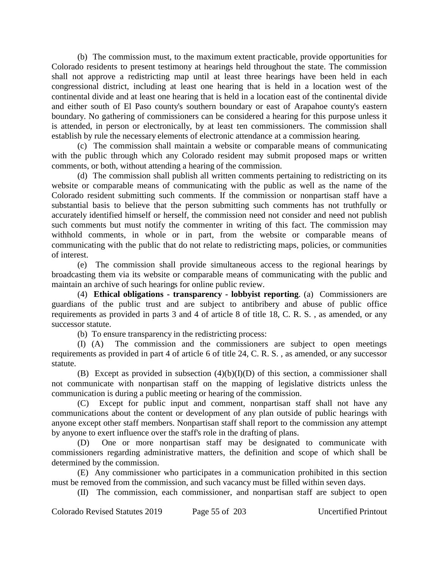(b) The commission must, to the maximum extent practicable, provide opportunities for Colorado residents to present testimony at hearings held throughout the state. The commission shall not approve a redistricting map until at least three hearings have been held in each congressional district, including at least one hearing that is held in a location west of the continental divide and at least one hearing that is held in a location east of the continental divide and either south of El Paso county's southern boundary or east of Arapahoe county's eastern boundary. No gathering of commissioners can be considered a hearing for this purpose unless it is attended, in person or electronically, by at least ten commissioners. The commission shall establish by rule the necessary elements of electronic attendance at a commission hearing.

(c) The commission shall maintain a website or comparable means of communicating with the public through which any Colorado resident may submit proposed maps or written comments, or both, without attending a hearing of the commission.

(d) The commission shall publish all written comments pertaining to redistricting on its website or comparable means of communicating with the public as well as the name of the Colorado resident submitting such comments. If the commission or nonpartisan staff have a substantial basis to believe that the person submitting such comments has not truthfully or accurately identified himself or herself, the commission need not consider and need not publish such comments but must notify the commenter in writing of this fact. The commission may withhold comments, in whole or in part, from the website or comparable means of communicating with the public that do not relate to redistricting maps, policies, or communities of interest.

(e) The commission shall provide simultaneous access to the regional hearings by broadcasting them via its website or comparable means of communicating with the public and maintain an archive of such hearings for online public review.

(4) **Ethical obligations - transparency - lobbyist reporting**. (a) Commissioners are guardians of the public trust and are subject to antibribery and abuse of public office requirements as provided in parts 3 and 4 of article 8 of title 18, C. R. S. , as amended, or any successor statute.

(b) To ensure transparency in the redistricting process:

(I) (A) The commission and the commissioners are subject to open meetings requirements as provided in part 4 of article 6 of title 24, C. R. S. , as amended, or any successor statute.

(B) Except as provided in subsection  $(4)(b)(I)(D)$  of this section, a commissioner shall not communicate with nonpartisan staff on the mapping of legislative districts unless the communication is during a public meeting or hearing of the commission.

(C) Except for public input and comment, nonpartisan staff shall not have any communications about the content or development of any plan outside of public hearings with anyone except other staff members. Nonpartisan staff shall report to the commission any attempt by anyone to exert influence over the staff's role in the drafting of plans.

(D) One or more nonpartisan staff may be designated to communicate with commissioners regarding administrative matters, the definition and scope of which shall be determined by the commission.

(E) Any commissioner who participates in a communication prohibited in this section must be removed from the commission, and such vacancy must be filled within seven days.

(II) The commission, each commissioner, and nonpartisan staff are subject to open

Colorado Revised Statutes 2019 Page 55 of 203 Uncertified Printout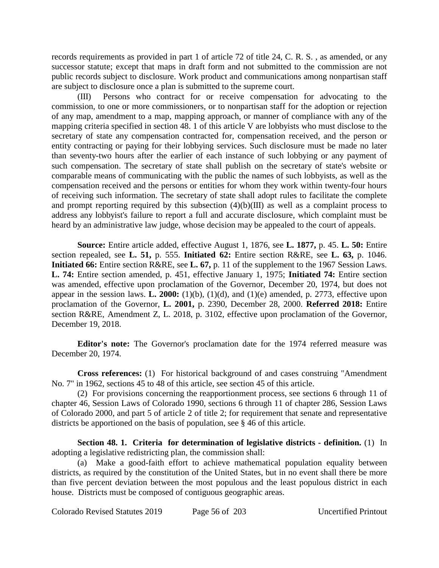records requirements as provided in part 1 of article 72 of title 24, C. R. S. , as amended, or any successor statute; except that maps in draft form and not submitted to the commission are not public records subject to disclosure. Work product and communications among nonpartisan staff are subject to disclosure once a plan is submitted to the supreme court.

(III) Persons who contract for or receive compensation for advocating to the commission, to one or more commissioners, or to nonpartisan staff for the adoption or rejection of any map, amendment to a map, mapping approach, or manner of compliance with any of the mapping criteria specified in section 48. 1 of this article V are lobbyists who must disclose to the secretary of state any compensation contracted for, compensation received, and the person or entity contracting or paying for their lobbying services. Such disclosure must be made no later than seventy-two hours after the earlier of each instance of such lobbying or any payment of such compensation. The secretary of state shall publish on the secretary of state's website or comparable means of communicating with the public the names of such lobbyists, as well as the compensation received and the persons or entities for whom they work within twenty-four hours of receiving such information. The secretary of state shall adopt rules to facilitate the complete and prompt reporting required by this subsection  $(4)(b)(III)$  as well as a complaint process to address any lobbyist's failure to report a full and accurate disclosure, which complaint must be heard by an administrative law judge, whose decision may be appealed to the court of appeals.

**Source:** Entire article added, effective August 1, 1876, see **L. 1877,** p. 45. **L. 50:** Entire section repealed, see **L. 51,** p. 555. **Initiated 62:** Entire section R&RE, see **L. 63,** p. 1046. **Initiated 66:** Entire section R&RE, see **L. 67,** p. 11 of the supplement to the 1967 Session Laws. **L. 74:** Entire section amended, p. 451, effective January 1, 1975; **Initiated 74:** Entire section was amended, effective upon proclamation of the Governor, December 20, 1974, but does not appear in the session laws. **L. 2000:** (1)(b), (1)(d), and (1)(e) amended, p. 2773, effective upon proclamation of the Governor, **L. 2001,** p. 2390, December 28, 2000. **Referred 2018:** Entire section R&RE, Amendment Z, L. 2018, p. 3102, effective upon proclamation of the Governor, December 19, 2018.

**Editor's note:** The Governor's proclamation date for the 1974 referred measure was December 20, 1974.

**Cross references:** (1) For historical background of and cases construing "Amendment No. 7" in 1962, sections 45 to 48 of this article, see section 45 of this article.

(2) For provisions concerning the reapportionment process, see sections 6 through 11 of chapter 46, Session Laws of Colorado 1990, sections 6 through 11 of chapter 286, Session Laws of Colorado 2000, and part 5 of article 2 of title 2; for requirement that senate and representative districts be apportioned on the basis of population, see § 46 of this article.

**Section 48. 1. Criteria for determination of legislative districts - definition.** (1) In adopting a legislative redistricting plan, the commission shall:

(a) Make a good-faith effort to achieve mathematical population equality between districts, as required by the constitution of the United States, but in no event shall there be more than five percent deviation between the most populous and the least populous district in each house. Districts must be composed of contiguous geographic areas.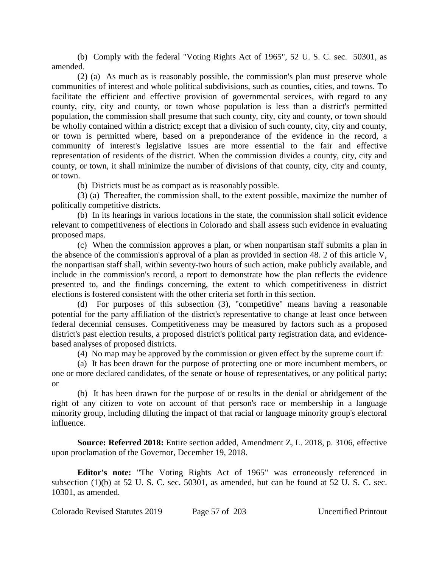(b) Comply with the federal "Voting Rights Act of 1965", 52 U. S. C. sec. 50301, as amended.

(2) (a) As much as is reasonably possible, the commission's plan must preserve whole communities of interest and whole political subdivisions, such as counties, cities, and towns. To facilitate the efficient and effective provision of governmental services, with regard to any county, city, city and county, or town whose population is less than a district's permitted population, the commission shall presume that such county, city, city and county, or town should be wholly contained within a district; except that a division of such county, city, city and county, or town is permitted where, based on a preponderance of the evidence in the record, a community of interest's legislative issues are more essential to the fair and effective representation of residents of the district. When the commission divides a county, city, city and county, or town, it shall minimize the number of divisions of that county, city, city and county, or town.

(b) Districts must be as compact as is reasonably possible.

(3) (a) Thereafter, the commission shall, to the extent possible, maximize the number of politically competitive districts.

(b) In its hearings in various locations in the state, the commission shall solicit evidence relevant to competitiveness of elections in Colorado and shall assess such evidence in evaluating proposed maps.

(c) When the commission approves a plan, or when nonpartisan staff submits a plan in the absence of the commission's approval of a plan as provided in section 48. 2 of this article V, the nonpartisan staff shall, within seventy-two hours of such action, make publicly available, and include in the commission's record, a report to demonstrate how the plan reflects the evidence presented to, and the findings concerning, the extent to which competitiveness in district elections is fostered consistent with the other criteria set forth in this section.

(d) For purposes of this subsection (3), "competitive" means having a reasonable potential for the party affiliation of the district's representative to change at least once between federal decennial censuses. Competitiveness may be measured by factors such as a proposed district's past election results, a proposed district's political party registration data, and evidencebased analyses of proposed districts.

(4) No map may be approved by the commission or given effect by the supreme court if:

(a) It has been drawn for the purpose of protecting one or more incumbent members, or one or more declared candidates, of the senate or house of representatives, or any political party; or

(b) It has been drawn for the purpose of or results in the denial or abridgement of the right of any citizen to vote on account of that person's race or membership in a language minority group, including diluting the impact of that racial or language minority group's electoral influence.

**Source: Referred 2018:** Entire section added, Amendment Z, L. 2018, p. 3106, effective upon proclamation of the Governor, December 19, 2018.

**Editor's note:** "The Voting Rights Act of 1965" was erroneously referenced in subsection (1)(b) at 52 U. S. C. sec. 50301, as amended, but can be found at 52 U. S. C. sec. 10301, as amended.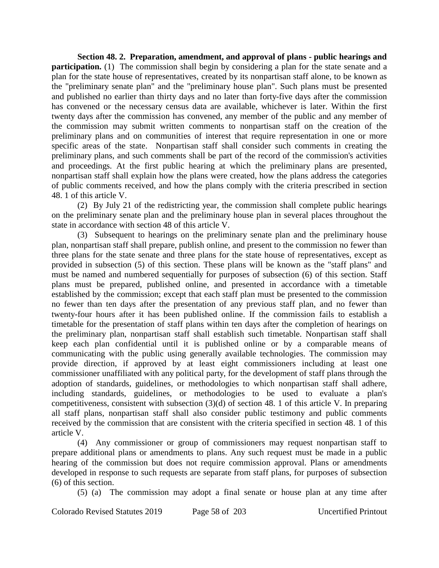**Section 48. 2. Preparation, amendment, and approval of plans - public hearings and participation.** (1) The commission shall begin by considering a plan for the state senate and a plan for the state house of representatives, created by its nonpartisan staff alone, to be known as the "preliminary senate plan" and the "preliminary house plan". Such plans must be presented and published no earlier than thirty days and no later than forty-five days after the commission has convened or the necessary census data are available, whichever is later. Within the first twenty days after the commission has convened, any member of the public and any member of the commission may submit written comments to nonpartisan staff on the creation of the preliminary plans and on communities of interest that require representation in one or more specific areas of the state. Nonpartisan staff shall consider such comments in creating the preliminary plans, and such comments shall be part of the record of the commission's activities and proceedings. At the first public hearing at which the preliminary plans are presented, nonpartisan staff shall explain how the plans were created, how the plans address the categories of public comments received, and how the plans comply with the criteria prescribed in section 48. 1 of this article V.

(2) By July 21 of the redistricting year, the commission shall complete public hearings on the preliminary senate plan and the preliminary house plan in several places throughout the state in accordance with section 48 of this article V.

(3) Subsequent to hearings on the preliminary senate plan and the preliminary house plan, nonpartisan staff shall prepare, publish online, and present to the commission no fewer than three plans for the state senate and three plans for the state house of representatives, except as provided in subsection (5) of this section. These plans will be known as the "staff plans" and must be named and numbered sequentially for purposes of subsection (6) of this section. Staff plans must be prepared, published online, and presented in accordance with a timetable established by the commission; except that each staff plan must be presented to the commission no fewer than ten days after the presentation of any previous staff plan, and no fewer than twenty-four hours after it has been published online. If the commission fails to establish a timetable for the presentation of staff plans within ten days after the completion of hearings on the preliminary plan, nonpartisan staff shall establish such timetable. Nonpartisan staff shall keep each plan confidential until it is published online or by a comparable means of communicating with the public using generally available technologies. The commission may provide direction, if approved by at least eight commissioners including at least one commissioner unaffiliated with any political party, for the development of staff plans through the adoption of standards, guidelines, or methodologies to which nonpartisan staff shall adhere, including standards, guidelines, or methodologies to be used to evaluate a plan's competitiveness, consistent with subsection (3)(d) of section 48. 1 of this article V. In preparing all staff plans, nonpartisan staff shall also consider public testimony and public comments received by the commission that are consistent with the criteria specified in section 48. 1 of this article V.

(4) Any commissioner or group of commissioners may request nonpartisan staff to prepare additional plans or amendments to plans. Any such request must be made in a public hearing of the commission but does not require commission approval. Plans or amendments developed in response to such requests are separate from staff plans, for purposes of subsection (6) of this section.

(5) (a) The commission may adopt a final senate or house plan at any time after

Colorado Revised Statutes 2019 Page 58 of 203 Uncertified Printout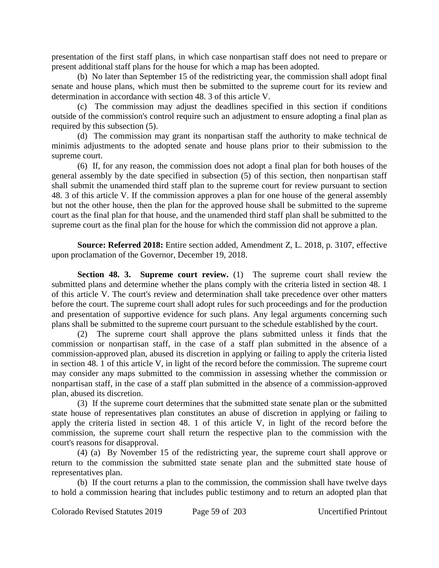presentation of the first staff plans, in which case nonpartisan staff does not need to prepare or present additional staff plans for the house for which a map has been adopted.

(b) No later than September 15 of the redistricting year, the commission shall adopt final senate and house plans, which must then be submitted to the supreme court for its review and determination in accordance with section 48. 3 of this article V.

(c) The commission may adjust the deadlines specified in this section if conditions outside of the commission's control require such an adjustment to ensure adopting a final plan as required by this subsection (5).

(d) The commission may grant its nonpartisan staff the authority to make technical de minimis adjustments to the adopted senate and house plans prior to their submission to the supreme court.

(6) If, for any reason, the commission does not adopt a final plan for both houses of the general assembly by the date specified in subsection (5) of this section, then nonpartisan staff shall submit the unamended third staff plan to the supreme court for review pursuant to section 48. 3 of this article V. If the commission approves a plan for one house of the general assembly but not the other house, then the plan for the approved house shall be submitted to the supreme court as the final plan for that house, and the unamended third staff plan shall be submitted to the supreme court as the final plan for the house for which the commission did not approve a plan.

**Source: Referred 2018:** Entire section added, Amendment Z, L. 2018, p. 3107, effective upon proclamation of the Governor, December 19, 2018.

**Section 48. 3. Supreme court review.** (1) The supreme court shall review the submitted plans and determine whether the plans comply with the criteria listed in section 48. 1 of this article V. The court's review and determination shall take precedence over other matters before the court. The supreme court shall adopt rules for such proceedings and for the production and presentation of supportive evidence for such plans. Any legal arguments concerning such plans shall be submitted to the supreme court pursuant to the schedule established by the court.

(2) The supreme court shall approve the plans submitted unless it finds that the commission or nonpartisan staff, in the case of a staff plan submitted in the absence of a commission-approved plan, abused its discretion in applying or failing to apply the criteria listed in section 48. 1 of this article V, in light of the record before the commission. The supreme court may consider any maps submitted to the commission in assessing whether the commission or nonpartisan staff, in the case of a staff plan submitted in the absence of a commission-approved plan, abused its discretion.

(3) If the supreme court determines that the submitted state senate plan or the submitted state house of representatives plan constitutes an abuse of discretion in applying or failing to apply the criteria listed in section 48. 1 of this article V, in light of the record before the commission, the supreme court shall return the respective plan to the commission with the court's reasons for disapproval.

(4) (a) By November 15 of the redistricting year, the supreme court shall approve or return to the commission the submitted state senate plan and the submitted state house of representatives plan.

(b) If the court returns a plan to the commission, the commission shall have twelve days to hold a commission hearing that includes public testimony and to return an adopted plan that

Colorado Revised Statutes 2019 Page 59 of 203 Uncertified Printout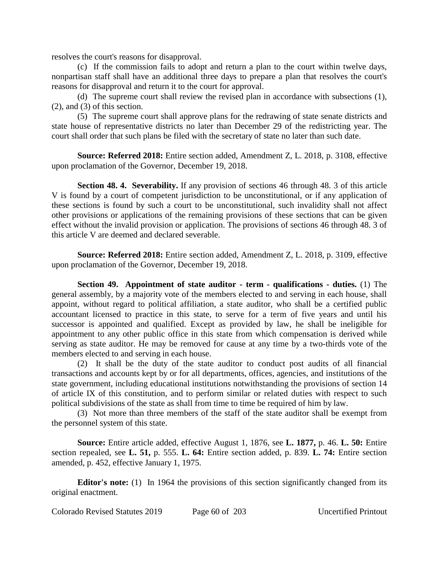resolves the court's reasons for disapproval.

(c) If the commission fails to adopt and return a plan to the court within twelve days, nonpartisan staff shall have an additional three days to prepare a plan that resolves the court's reasons for disapproval and return it to the court for approval.

(d) The supreme court shall review the revised plan in accordance with subsections (1), (2), and (3) of this section.

(5) The supreme court shall approve plans for the redrawing of state senate districts and state house of representative districts no later than December 29 of the redistricting year. The court shall order that such plans be filed with the secretary of state no later than such date.

**Source: Referred 2018:** Entire section added, Amendment Z, L. 2018, p. 3108, effective upon proclamation of the Governor, December 19, 2018.

**Section 48. 4. Severability.** If any provision of sections 46 through 48. 3 of this article V is found by a court of competent jurisdiction to be unconstitutional, or if any application of these sections is found by such a court to be unconstitutional, such invalidity shall not affect other provisions or applications of the remaining provisions of these sections that can be given effect without the invalid provision or application. The provisions of sections 46 through 48. 3 of this article V are deemed and declared severable.

**Source: Referred 2018:** Entire section added, Amendment Z, L. 2018, p. 3109, effective upon proclamation of the Governor, December 19, 2018.

**Section 49. Appointment of state auditor - term - qualifications - duties.** (1) The general assembly, by a majority vote of the members elected to and serving in each house, shall appoint, without regard to political affiliation, a state auditor, who shall be a certified public accountant licensed to practice in this state, to serve for a term of five years and until his successor is appointed and qualified. Except as provided by law, he shall be ineligible for appointment to any other public office in this state from which compensation is derived while serving as state auditor. He may be removed for cause at any time by a two-thirds vote of the members elected to and serving in each house.

(2) It shall be the duty of the state auditor to conduct post audits of all financial transactions and accounts kept by or for all departments, offices, agencies, and institutions of the state government, including educational institutions notwithstanding the provisions of section 14 of article IX of this constitution, and to perform similar or related duties with respect to such political subdivisions of the state as shall from time to time be required of him by law.

(3) Not more than three members of the staff of the state auditor shall be exempt from the personnel system of this state.

**Source:** Entire article added, effective August 1, 1876, see **L. 1877,** p. 46. **L. 50:** Entire section repealed, see **L. 51,** p. 555. **L. 64:** Entire section added, p. 839. **L. 74:** Entire section amended, p. 452, effective January 1, 1975.

**Editor's note:** (1) In 1964 the provisions of this section significantly changed from its original enactment.

Colorado Revised Statutes 2019 Page 60 of 203 Uncertified Printout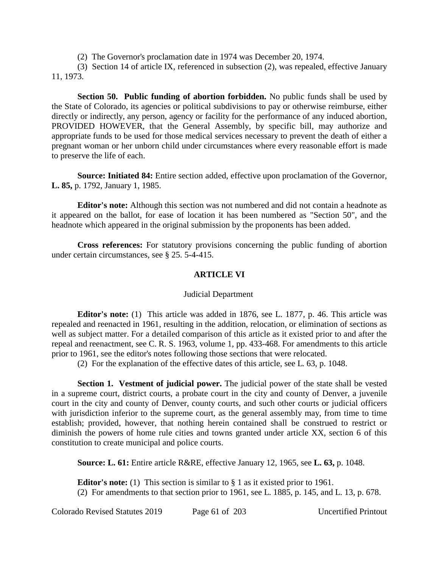(2) The Governor's proclamation date in 1974 was December 20, 1974.

(3) Section 14 of article IX, referenced in subsection (2), was repealed, effective January 11, 1973.

**Section 50. Public funding of abortion forbidden.** No public funds shall be used by the State of Colorado, its agencies or political subdivisions to pay or otherwise reimburse, either directly or indirectly, any person, agency or facility for the performance of any induced abortion, PROVIDED HOWEVER, that the General Assembly, by specific bill, may authorize and appropriate funds to be used for those medical services necessary to prevent the death of either a pregnant woman or her unborn child under circumstances where every reasonable effort is made to preserve the life of each.

**Source: Initiated 84:** Entire section added, effective upon proclamation of the Governor, **L. 85,** p. 1792, January 1, 1985.

**Editor's note:** Although this section was not numbered and did not contain a headnote as it appeared on the ballot, for ease of location it has been numbered as "Section 50", and the headnote which appeared in the original submission by the proponents has been added.

**Cross references:** For statutory provisions concerning the public funding of abortion under certain circumstances, see § 25. 5-4-415.

## **ARTICLE VI**

### Judicial Department

**Editor's note:** (1) This article was added in 1876, see L. 1877, p. 46. This article was repealed and reenacted in 1961, resulting in the addition, relocation, or elimination of sections as well as subject matter. For a detailed comparison of this article as it existed prior to and after the repeal and reenactment, see C. R. S. 1963, volume 1, pp. 433-468. For amendments to this article prior to 1961, see the editor's notes following those sections that were relocated.

(2) For the explanation of the effective dates of this article, see L. 63, p. 1048.

**Section 1. Vestment of judicial power.** The judicial power of the state shall be vested in a supreme court, district courts, a probate court in the city and county of Denver, a juvenile court in the city and county of Denver, county courts, and such other courts or judicial officers with jurisdiction inferior to the supreme court, as the general assembly may, from time to time establish; provided, however, that nothing herein contained shall be construed to restrict or diminish the powers of home rule cities and towns granted under article XX, section 6 of this constitution to create municipal and police courts.

**Source: L. 61:** Entire article R&RE, effective January 12, 1965, see **L. 63,** p. 1048.

**Editor's note:** (1) This section is similar to  $\S$  1 as it existed prior to 1961.

(2) For amendments to that section prior to 1961, see L. 1885, p. 145, and L. 13, p. 678.

Colorado Revised Statutes 2019 Page 61 of 203 Uncertified Printout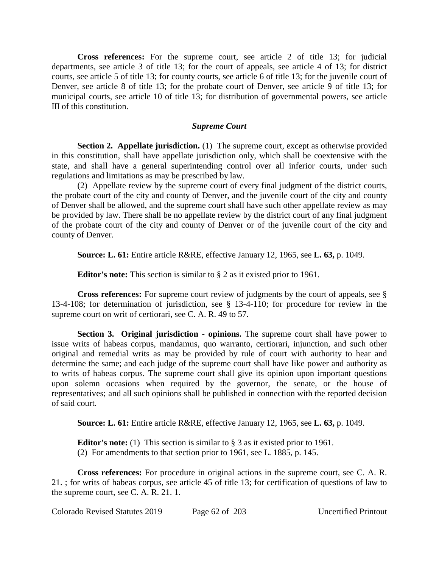**Cross references:** For the supreme court, see article 2 of title 13; for judicial departments, see article 3 of title 13; for the court of appeals, see article 4 of 13; for district courts, see article 5 of title 13; for county courts, see article 6 of title 13; for the juvenile court of Denver, see article 8 of title 13; for the probate court of Denver, see article 9 of title 13; for municipal courts, see article 10 of title 13; for distribution of governmental powers, see article III of this constitution.

#### *Supreme Court*

**Section 2. Appellate jurisdiction.** (1) The supreme court, except as otherwise provided in this constitution, shall have appellate jurisdiction only, which shall be coextensive with the state, and shall have a general superintending control over all inferior courts, under such regulations and limitations as may be prescribed by law.

(2) Appellate review by the supreme court of every final judgment of the district courts, the probate court of the city and county of Denver, and the juvenile court of the city and county of Denver shall be allowed, and the supreme court shall have such other appellate review as may be provided by law. There shall be no appellate review by the district court of any final judgment of the probate court of the city and county of Denver or of the juvenile court of the city and county of Denver.

**Source: L. 61:** Entire article R&RE, effective January 12, 1965, see **L. 63,** p. 1049.

**Editor's note:** This section is similar to § 2 as it existed prior to 1961.

**Cross references:** For supreme court review of judgments by the court of appeals, see § 13-4-108; for determination of jurisdiction, see § 13-4-110; for procedure for review in the supreme court on writ of certiorari, see C. A. R. 49 to 57.

**Section 3. Original jurisdiction - opinions.** The supreme court shall have power to issue writs of habeas corpus, mandamus, quo warranto, certiorari, injunction, and such other original and remedial writs as may be provided by rule of court with authority to hear and determine the same; and each judge of the supreme court shall have like power and authority as to writs of habeas corpus. The supreme court shall give its opinion upon important questions upon solemn occasions when required by the governor, the senate, or the house of representatives; and all such opinions shall be published in connection with the reported decision of said court.

**Source: L. 61:** Entire article R&RE, effective January 12, 1965, see **L. 63,** p. 1049.

**Editor's note:** (1) This section is similar to § 3 as it existed prior to 1961. (2) For amendments to that section prior to 1961, see L. 1885, p. 145.

**Cross references:** For procedure in original actions in the supreme court, see C. A. R. 21. ; for writs of habeas corpus, see article 45 of title 13; for certification of questions of law to the supreme court, see C. A. R. 21. 1.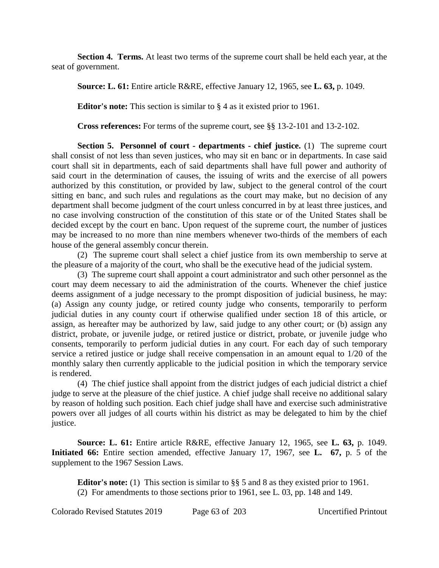**Section 4. Terms.** At least two terms of the supreme court shall be held each year, at the seat of government.

**Source: L. 61:** Entire article R&RE, effective January 12, 1965, see **L. 63,** p. 1049.

**Editor's note:** This section is similar to  $\S 4$  as it existed prior to 1961.

**Cross references:** For terms of the supreme court, see §§ 13-2-101 and 13-2-102.

**Section 5. Personnel of court - departments - chief justice.** (1) The supreme court shall consist of not less than seven justices, who may sit en banc or in departments. In case said court shall sit in departments, each of said departments shall have full power and authority of said court in the determination of causes, the issuing of writs and the exercise of all powers authorized by this constitution, or provided by law, subject to the general control of the court sitting en banc, and such rules and regulations as the court may make, but no decision of any department shall become judgment of the court unless concurred in by at least three justices, and no case involving construction of the constitution of this state or of the United States shall be decided except by the court en banc. Upon request of the supreme court, the number of justices may be increased to no more than nine members whenever two-thirds of the members of each house of the general assembly concur therein.

(2) The supreme court shall select a chief justice from its own membership to serve at the pleasure of a majority of the court, who shall be the executive head of the judicial system.

(3) The supreme court shall appoint a court administrator and such other personnel as the court may deem necessary to aid the administration of the courts. Whenever the chief justice deems assignment of a judge necessary to the prompt disposition of judicial business, he may: (a) Assign any county judge, or retired county judge who consents, temporarily to perform judicial duties in any county court if otherwise qualified under section 18 of this article, or assign, as hereafter may be authorized by law, said judge to any other court; or (b) assign any district, probate, or juvenile judge, or retired justice or district, probate, or juvenile judge who consents, temporarily to perform judicial duties in any court. For each day of such temporary service a retired justice or judge shall receive compensation in an amount equal to 1/20 of the monthly salary then currently applicable to the judicial position in which the temporary service is rendered.

(4) The chief justice shall appoint from the district judges of each judicial district a chief judge to serve at the pleasure of the chief justice. A chief judge shall receive no additional salary by reason of holding such position. Each chief judge shall have and exercise such administrative powers over all judges of all courts within his district as may be delegated to him by the chief justice.

**Source: L. 61:** Entire article R&RE, effective January 12, 1965, see **L. 63,** p. 1049. **Initiated 66:** Entire section amended, effective January 17, 1967, see **L. 67,** p. 5 of the supplement to the 1967 Session Laws.

**Editor's note:** (1) This section is similar to §§ 5 and 8 as they existed prior to 1961. (2) For amendments to those sections prior to 1961, see L. 03, pp. 148 and 149.

Colorado Revised Statutes 2019 Page 63 of 203 Uncertified Printout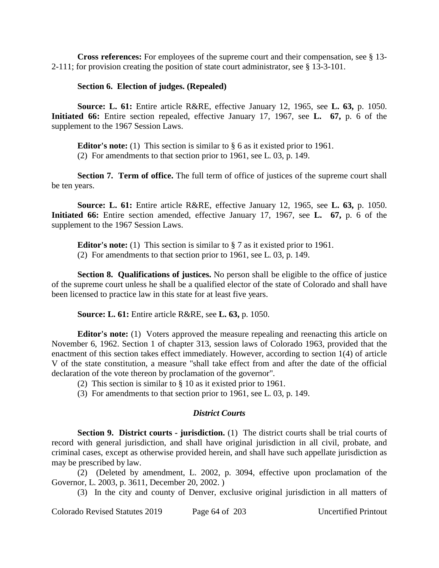**Cross references:** For employees of the supreme court and their compensation, see § 13- 2-111; for provision creating the position of state court administrator, see § 13-3-101.

#### **Section 6. Election of judges. (Repealed)**

**Source: L. 61:** Entire article R&RE, effective January 12, 1965, see **L. 63,** p. 1050. **Initiated 66:** Entire section repealed, effective January 17, 1967, see **L. 67,** p. 6 of the supplement to the 1967 Session Laws.

**Editor's note:** (1) This section is similar to  $\S$  6 as it existed prior to 1961. (2) For amendments to that section prior to 1961, see L. 03, p. 149.

**Section 7. Term of office.** The full term of office of justices of the supreme court shall be ten years.

**Source: L. 61:** Entire article R&RE, effective January 12, 1965, see **L. 63,** p. 1050. **Initiated 66:** Entire section amended, effective January 17, 1967, see **L. 67,** p. 6 of the supplement to the 1967 Session Laws.

**Editor's note:** (1) This section is similar to  $\S$  7 as it existed prior to 1961. (2) For amendments to that section prior to 1961, see L. 03, p. 149.

**Section 8. Qualifications of justices.** No person shall be eligible to the office of justice of the supreme court unless he shall be a qualified elector of the state of Colorado and shall have been licensed to practice law in this state for at least five years.

**Source: L. 61:** Entire article R&RE, see **L. 63,** p. 1050.

**Editor's note:** (1) Voters approved the measure repealing and reenacting this article on November 6, 1962. Section 1 of chapter 313, session laws of Colorado 1963, provided that the enactment of this section takes effect immediately. However, according to section 1(4) of article V of the state constitution, a measure "shall take effect from and after the date of the official declaration of the vote thereon by proclamation of the governor".

- (2) This section is similar to § 10 as it existed prior to 1961.
- (3) For amendments to that section prior to 1961, see L. 03, p. 149.

#### *District Courts*

**Section 9. District courts - jurisdiction.** (1) The district courts shall be trial courts of record with general jurisdiction, and shall have original jurisdiction in all civil, probate, and criminal cases, except as otherwise provided herein, and shall have such appellate jurisdiction as may be prescribed by law.

(2) (Deleted by amendment, L. 2002, p. 3094, effective upon proclamation of the Governor, L. 2003, p. 3611, December 20, 2002. )

(3) In the city and county of Denver, exclusive original jurisdiction in all matters of

Colorado Revised Statutes 2019 Page 64 of 203 Uncertified Printout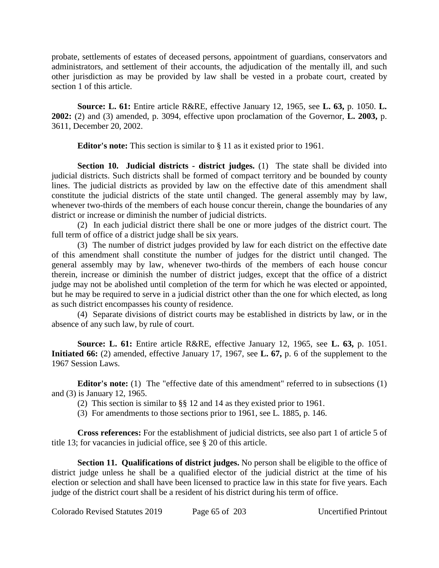probate, settlements of estates of deceased persons, appointment of guardians, conservators and administrators, and settlement of their accounts, the adjudication of the mentally ill, and such other jurisdiction as may be provided by law shall be vested in a probate court, created by section 1 of this article.

**Source: L. 61:** Entire article R&RE, effective January 12, 1965, see **L. 63,** p. 1050. **L. 2002:** (2) and (3) amended, p. 3094, effective upon proclamation of the Governor, **L. 2003,** p. 3611, December 20, 2002.

**Editor's note:** This section is similar to § 11 as it existed prior to 1961.

**Section 10. Judicial districts - district judges.** (1) The state shall be divided into judicial districts. Such districts shall be formed of compact territory and be bounded by county lines. The judicial districts as provided by law on the effective date of this amendment shall constitute the judicial districts of the state until changed. The general assembly may by law, whenever two-thirds of the members of each house concur therein, change the boundaries of any district or increase or diminish the number of judicial districts.

(2) In each judicial district there shall be one or more judges of the district court. The full term of office of a district judge shall be six years.

(3) The number of district judges provided by law for each district on the effective date of this amendment shall constitute the number of judges for the district until changed. The general assembly may by law, whenever two-thirds of the members of each house concur therein, increase or diminish the number of district judges, except that the office of a district judge may not be abolished until completion of the term for which he was elected or appointed, but he may be required to serve in a judicial district other than the one for which elected, as long as such district encompasses his county of residence.

(4) Separate divisions of district courts may be established in districts by law, or in the absence of any such law, by rule of court.

**Source: L. 61:** Entire article R&RE, effective January 12, 1965, see **L. 63,** p. 1051. **Initiated 66:** (2) amended, effective January 17, 1967, see **L. 67,** p. 6 of the supplement to the 1967 Session Laws.

**Editor's note:** (1) The "effective date of this amendment" referred to in subsections (1) and (3) is January 12, 1965.

(2) This section is similar to §§ 12 and 14 as they existed prior to 1961.

(3) For amendments to those sections prior to 1961, see L. 1885, p. 146.

**Cross references:** For the establishment of judicial districts, see also part 1 of article 5 of title 13; for vacancies in judicial office, see § 20 of this article.

**Section 11. Qualifications of district judges.** No person shall be eligible to the office of district judge unless he shall be a qualified elector of the judicial district at the time of his election or selection and shall have been licensed to practice law in this state for five years. Each judge of the district court shall be a resident of his district during his term of office.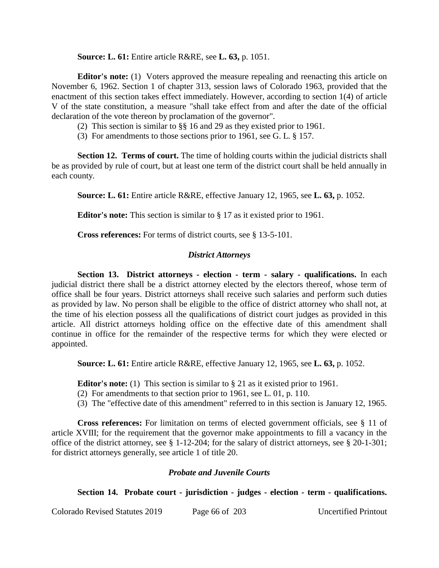**Source: L. 61:** Entire article R&RE, see **L. 63,** p. 1051.

**Editor's note:** (1) Voters approved the measure repealing and reenacting this article on November 6, 1962. Section 1 of chapter 313, session laws of Colorado 1963, provided that the enactment of this section takes effect immediately. However, according to section 1(4) of article V of the state constitution, a measure "shall take effect from and after the date of the official declaration of the vote thereon by proclamation of the governor".

- (2) This section is similar to §§ 16 and 29 as they existed prior to 1961.
- (3) For amendments to those sections prior to 1961, see G. L. § 157.

**Section 12. Terms of court.** The time of holding courts within the judicial districts shall be as provided by rule of court, but at least one term of the district court shall be held annually in each county.

**Source: L. 61:** Entire article R&RE, effective January 12, 1965, see **L. 63,** p. 1052.

**Editor's note:** This section is similar to § 17 as it existed prior to 1961.

**Cross references:** For terms of district courts, see § 13-5-101.

### *District Attorneys*

**Section 13. District attorneys - election - term - salary - qualifications.** In each judicial district there shall be a district attorney elected by the electors thereof, whose term of office shall be four years. District attorneys shall receive such salaries and perform such duties as provided by law. No person shall be eligible to the office of district attorney who shall not, at the time of his election possess all the qualifications of district court judges as provided in this article. All district attorneys holding office on the effective date of this amendment shall continue in office for the remainder of the respective terms for which they were elected or appointed.

**Source: L. 61:** Entire article R&RE, effective January 12, 1965, see **L. 63,** p. 1052.

**Editor's note:** (1) This section is similar to § 21 as it existed prior to 1961.

- (2) For amendments to that section prior to 1961, see L. 01, p. 110.
- (3) The "effective date of this amendment" referred to in this section is January 12, 1965.

**Cross references:** For limitation on terms of elected government officials, see § 11 of article XVIII; for the requirement that the governor make appointments to fill a vacancy in the office of the district attorney, see § 1-12-204; for the salary of district attorneys, see § 20-1-301; for district attorneys generally, see article 1 of title 20.

## *Probate and Juvenile Courts*

**Section 14. Probate court - jurisdiction - judges - election - term - qualifications.**

Colorado Revised Statutes 2019 Page 66 of 203 Uncertified Printout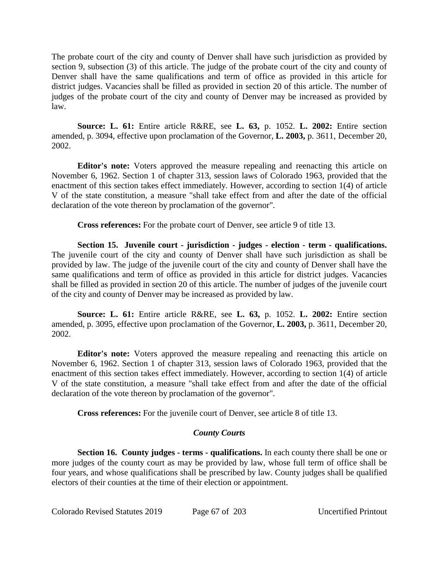The probate court of the city and county of Denver shall have such jurisdiction as provided by section 9, subsection (3) of this article. The judge of the probate court of the city and county of Denver shall have the same qualifications and term of office as provided in this article for district judges. Vacancies shall be filled as provided in section 20 of this article. The number of judges of the probate court of the city and county of Denver may be increased as provided by law.

**Source: L. 61:** Entire article R&RE, see **L. 63,** p. 1052. **L. 2002:** Entire section amended, p. 3094, effective upon proclamation of the Governor, **L. 2003,** p. 3611, December 20, 2002.

**Editor's note:** Voters approved the measure repealing and reenacting this article on November 6, 1962. Section 1 of chapter 313, session laws of Colorado 1963, provided that the enactment of this section takes effect immediately. However, according to section 1(4) of article V of the state constitution, a measure "shall take effect from and after the date of the official declaration of the vote thereon by proclamation of the governor".

**Cross references:** For the probate court of Denver, see article 9 of title 13.

**Section 15. Juvenile court - jurisdiction - judges - election - term - qualifications.** The juvenile court of the city and county of Denver shall have such jurisdiction as shall be provided by law. The judge of the juvenile court of the city and county of Denver shall have the same qualifications and term of office as provided in this article for district judges. Vacancies shall be filled as provided in section 20 of this article. The number of judges of the juvenile court of the city and county of Denver may be increased as provided by law.

**Source: L. 61:** Entire article R&RE, see **L. 63,** p. 1052. **L. 2002:** Entire section amended, p. 3095, effective upon proclamation of the Governor, **L. 2003,** p. 3611, December 20, 2002.

**Editor's note:** Voters approved the measure repealing and reenacting this article on November 6, 1962. Section 1 of chapter 313, session laws of Colorado 1963, provided that the enactment of this section takes effect immediately. However, according to section 1(4) of article V of the state constitution, a measure "shall take effect from and after the date of the official declaration of the vote thereon by proclamation of the governor".

**Cross references:** For the juvenile court of Denver, see article 8 of title 13.

# *County Courts*

**Section 16. County judges - terms - qualifications.** In each county there shall be one or more judges of the county court as may be provided by law, whose full term of office shall be four years, and whose qualifications shall be prescribed by law. County judges shall be qualified electors of their counties at the time of their election or appointment.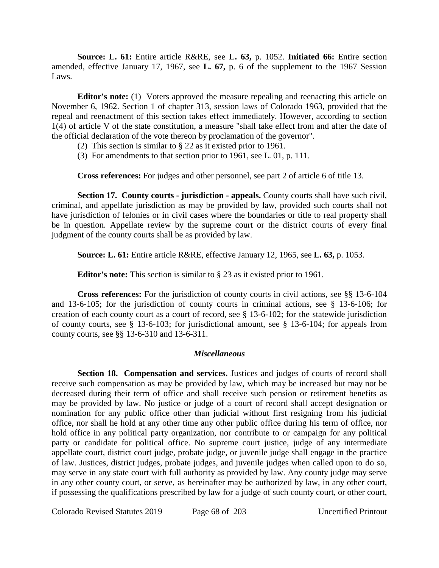**Source: L. 61:** Entire article R&RE, see **L. 63,** p. 1052. **Initiated 66:** Entire section amended, effective January 17, 1967, see **L. 67,** p. 6 of the supplement to the 1967 Session Laws.

**Editor's note:** (1) Voters approved the measure repealing and reenacting this article on November 6, 1962. Section 1 of chapter 313, session laws of Colorado 1963, provided that the repeal and reenactment of this section takes effect immediately. However, according to section 1(4) of article V of the state constitution, a measure "shall take effect from and after the date of the official declaration of the vote thereon by proclamation of the governor".

- (2) This section is similar to § 22 as it existed prior to 1961.
- (3) For amendments to that section prior to 1961, see L. 01, p. 111.

**Cross references:** For judges and other personnel, see part 2 of article 6 of title 13.

**Section 17. County courts - jurisdiction - appeals.** County courts shall have such civil, criminal, and appellate jurisdiction as may be provided by law, provided such courts shall not have jurisdiction of felonies or in civil cases where the boundaries or title to real property shall be in question. Appellate review by the supreme court or the district courts of every final judgment of the county courts shall be as provided by law.

**Source: L. 61:** Entire article R&RE, effective January 12, 1965, see **L. 63,** p. 1053.

**Editor's note:** This section is similar to § 23 as it existed prior to 1961.

**Cross references:** For the jurisdiction of county courts in civil actions, see §§ 13-6-104 and 13-6-105; for the jurisdiction of county courts in criminal actions, see § 13-6-106; for creation of each county court as a court of record, see § 13-6-102; for the statewide jurisdiction of county courts, see § 13-6-103; for jurisdictional amount, see § 13-6-104; for appeals from county courts, see §§ 13-6-310 and 13-6-311.

## *Miscellaneous*

**Section 18. Compensation and services.** Justices and judges of courts of record shall receive such compensation as may be provided by law, which may be increased but may not be decreased during their term of office and shall receive such pension or retirement benefits as may be provided by law. No justice or judge of a court of record shall accept designation or nomination for any public office other than judicial without first resigning from his judicial office, nor shall he hold at any other time any other public office during his term of office, nor hold office in any political party organization, nor contribute to or campaign for any political party or candidate for political office. No supreme court justice, judge of any intermediate appellate court, district court judge, probate judge, or juvenile judge shall engage in the practice of law. Justices, district judges, probate judges, and juvenile judges when called upon to do so, may serve in any state court with full authority as provided by law. Any county judge may serve in any other county court, or serve, as hereinafter may be authorized by law, in any other court, if possessing the qualifications prescribed by law for a judge of such county court, or other court,

Colorado Revised Statutes 2019 Page 68 of 203 Uncertified Printout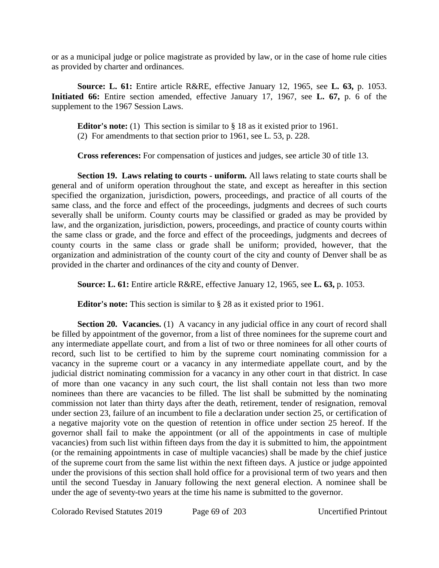or as a municipal judge or police magistrate as provided by law, or in the case of home rule cities as provided by charter and ordinances.

**Source: L. 61:** Entire article R&RE, effective January 12, 1965, see **L. 63,** p. 1053. **Initiated 66:** Entire section amended, effective January 17, 1967, see **L. 67,** p. 6 of the supplement to the 1967 Session Laws.

**Editor's note:** (1) This section is similar to  $\S$  18 as it existed prior to 1961.

(2) For amendments to that section prior to 1961, see L. 53, p. 228.

**Cross references:** For compensation of justices and judges, see article 30 of title 13.

**Section 19. Laws relating to courts - uniform.** All laws relating to state courts shall be general and of uniform operation throughout the state, and except as hereafter in this section specified the organization, jurisdiction, powers, proceedings, and practice of all courts of the same class, and the force and effect of the proceedings, judgments and decrees of such courts severally shall be uniform. County courts may be classified or graded as may be provided by law, and the organization, jurisdiction, powers, proceedings, and practice of county courts within the same class or grade, and the force and effect of the proceedings, judgments and decrees of county courts in the same class or grade shall be uniform; provided, however, that the organization and administration of the county court of the city and county of Denver shall be as provided in the charter and ordinances of the city and county of Denver.

**Source: L. 61:** Entire article R&RE, effective January 12, 1965, see **L. 63,** p. 1053.

**Editor's note:** This section is similar to § 28 as it existed prior to 1961.

**Section 20. Vacancies.** (1) A vacancy in any judicial office in any court of record shall be filled by appointment of the governor, from a list of three nominees for the supreme court and any intermediate appellate court, and from a list of two or three nominees for all other courts of record, such list to be certified to him by the supreme court nominating commission for a vacancy in the supreme court or a vacancy in any intermediate appellate court, and by the judicial district nominating commission for a vacancy in any other court in that district. In case of more than one vacancy in any such court, the list shall contain not less than two more nominees than there are vacancies to be filled. The list shall be submitted by the nominating commission not later than thirty days after the death, retirement, tender of resignation, removal under section 23, failure of an incumbent to file a declaration under section 25, or certification of a negative majority vote on the question of retention in office under section 25 hereof. If the governor shall fail to make the appointment (or all of the appointments in case of multiple vacancies) from such list within fifteen days from the day it is submitted to him, the appointment (or the remaining appointments in case of multiple vacancies) shall be made by the chief justice of the supreme court from the same list within the next fifteen days. A justice or judge appointed under the provisions of this section shall hold office for a provisional term of two years and then until the second Tuesday in January following the next general election. A nominee shall be under the age of seventy-two years at the time his name is submitted to the governor.

Colorado Revised Statutes 2019 Page 69 of 203 Uncertified Printout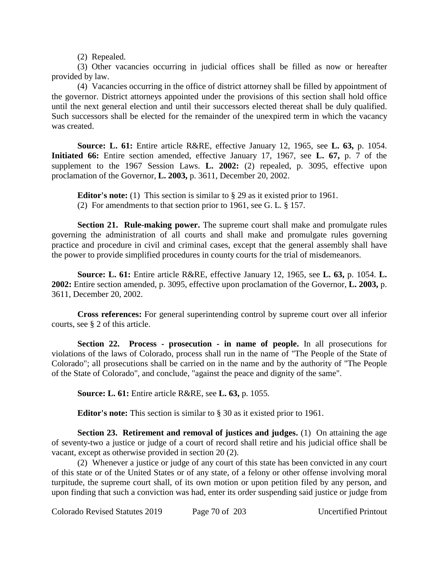(2) Repealed.

(3) Other vacancies occurring in judicial offices shall be filled as now or hereafter provided by law.

(4) Vacancies occurring in the office of district attorney shall be filled by appointment of the governor. District attorneys appointed under the provisions of this section shall hold office until the next general election and until their successors elected thereat shall be duly qualified. Such successors shall be elected for the remainder of the unexpired term in which the vacancy was created.

**Source: L. 61:** Entire article R&RE, effective January 12, 1965, see **L. 63,** p. 1054. **Initiated 66:** Entire section amended, effective January 17, 1967, see **L. 67,** p. 7 of the supplement to the 1967 Session Laws. **L. 2002:** (2) repealed, p. 3095, effective upon proclamation of the Governor, **L. 2003,** p. 3611, December 20, 2002.

**Editor's note:** (1) This section is similar to § 29 as it existed prior to 1961.

(2) For amendments to that section prior to 1961, see G. L. § 157.

**Section 21. Rule-making power.** The supreme court shall make and promulgate rules governing the administration of all courts and shall make and promulgate rules governing practice and procedure in civil and criminal cases, except that the general assembly shall have the power to provide simplified procedures in county courts for the trial of misdemeanors.

**Source: L. 61:** Entire article R&RE, effective January 12, 1965, see **L. 63,** p. 1054. **L. 2002:** Entire section amended, p. 3095, effective upon proclamation of the Governor, **L. 2003,** p. 3611, December 20, 2002.

**Cross references:** For general superintending control by supreme court over all inferior courts, see § 2 of this article.

**Section 22. Process - prosecution - in name of people.** In all prosecutions for violations of the laws of Colorado, process shall run in the name of "The People of the State of Colorado"; all prosecutions shall be carried on in the name and by the authority of "The People of the State of Colorado", and conclude, "against the peace and dignity of the same".

**Source: L. 61:** Entire article R&RE, see **L. 63,** p. 1055.

**Editor's note:** This section is similar to § 30 as it existed prior to 1961.

**Section 23. Retirement and removal of justices and judges.** (1) On attaining the age of seventy-two a justice or judge of a court of record shall retire and his judicial office shall be vacant, except as otherwise provided in section 20 (2).

(2) Whenever a justice or judge of any court of this state has been convicted in any court of this state or of the United States or of any state, of a felony or other offense involving moral turpitude, the supreme court shall, of its own motion or upon petition filed by any person, and upon finding that such a conviction was had, enter its order suspending said justice or judge from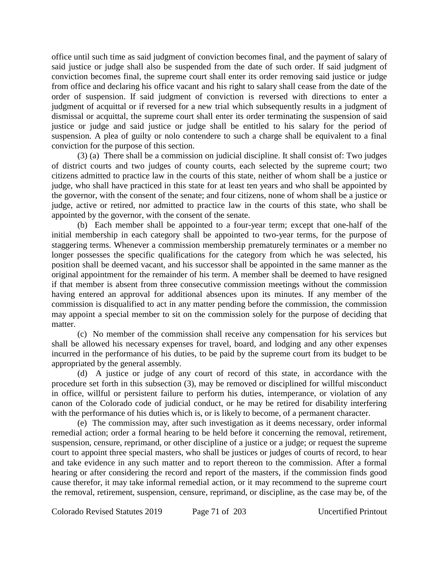office until such time as said judgment of conviction becomes final, and the payment of salary of said justice or judge shall also be suspended from the date of such order. If said judgment of conviction becomes final, the supreme court shall enter its order removing said justice or judge from office and declaring his office vacant and his right to salary shall cease from the date of the order of suspension. If said judgment of conviction is reversed with directions to enter a judgment of acquittal or if reversed for a new trial which subsequently results in a judgment of dismissal or acquittal, the supreme court shall enter its order terminating the suspension of said justice or judge and said justice or judge shall be entitled to his salary for the period of suspension. A plea of guilty or nolo contendere to such a charge shall be equivalent to a final conviction for the purpose of this section.

(3) (a) There shall be a commission on judicial discipline. It shall consist of: Two judges of district courts and two judges of county courts, each selected by the supreme court; two citizens admitted to practice law in the courts of this state, neither of whom shall be a justice or judge, who shall have practiced in this state for at least ten years and who shall be appointed by the governor, with the consent of the senate; and four citizens, none of whom shall be a justice or judge, active or retired, nor admitted to practice law in the courts of this state, who shall be appointed by the governor, with the consent of the senate.

(b) Each member shall be appointed to a four-year term; except that one-half of the initial membership in each category shall be appointed to two-year terms, for the purpose of staggering terms. Whenever a commission membership prematurely terminates or a member no longer possesses the specific qualifications for the category from which he was selected, his position shall be deemed vacant, and his successor shall be appointed in the same manner as the original appointment for the remainder of his term. A member shall be deemed to have resigned if that member is absent from three consecutive commission meetings without the commission having entered an approval for additional absences upon its minutes. If any member of the commission is disqualified to act in any matter pending before the commission, the commission may appoint a special member to sit on the commission solely for the purpose of deciding that matter.

(c) No member of the commission shall receive any compensation for his services but shall be allowed his necessary expenses for travel, board, and lodging and any other expenses incurred in the performance of his duties, to be paid by the supreme court from its budget to be appropriated by the general assembly.

(d) A justice or judge of any court of record of this state, in accordance with the procedure set forth in this subsection (3), may be removed or disciplined for willful misconduct in office, willful or persistent failure to perform his duties, intemperance, or violation of any canon of the Colorado code of judicial conduct, or he may be retired for disability interfering with the performance of his duties which is, or is likely to become, of a permanent character.

(e) The commission may, after such investigation as it deems necessary, order informal remedial action; order a formal hearing to be held before it concerning the removal, retirement, suspension, censure, reprimand, or other discipline of a justice or a judge; or request the supreme court to appoint three special masters, who shall be justices or judges of courts of record, to hear and take evidence in any such matter and to report thereon to the commission. After a formal hearing or after considering the record and report of the masters, if the commission finds good cause therefor, it may take informal remedial action, or it may recommend to the supreme court the removal, retirement, suspension, censure, reprimand, or discipline, as the case may be, of the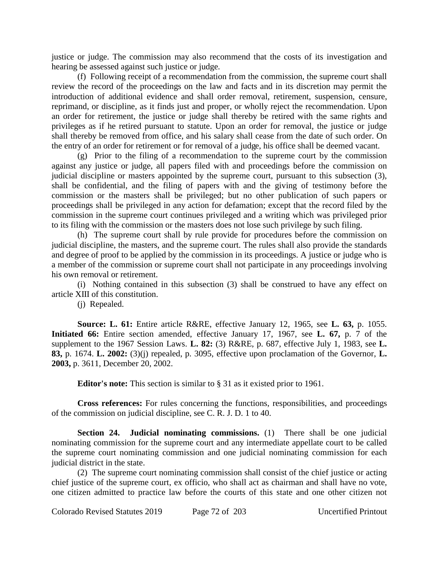justice or judge. The commission may also recommend that the costs of its investigation and hearing be assessed against such justice or judge.

(f) Following receipt of a recommendation from the commission, the supreme court shall review the record of the proceedings on the law and facts and in its discretion may permit the introduction of additional evidence and shall order removal, retirement, suspension, censure, reprimand, or discipline, as it finds just and proper, or wholly reject the recommendation. Upon an order for retirement, the justice or judge shall thereby be retired with the same rights and privileges as if he retired pursuant to statute. Upon an order for removal, the justice or judge shall thereby be removed from office, and his salary shall cease from the date of such order. On the entry of an order for retirement or for removal of a judge, his office shall be deemed vacant.

(g) Prior to the filing of a recommendation to the supreme court by the commission against any justice or judge, all papers filed with and proceedings before the commission on judicial discipline or masters appointed by the supreme court, pursuant to this subsection (3), shall be confidential, and the filing of papers with and the giving of testimony before the commission or the masters shall be privileged; but no other publication of such papers or proceedings shall be privileged in any action for defamation; except that the record filed by the commission in the supreme court continues privileged and a writing which was privileged prior to its filing with the commission or the masters does not lose such privilege by such filing.

(h) The supreme court shall by rule provide for procedures before the commission on judicial discipline, the masters, and the supreme court. The rules shall also provide the standards and degree of proof to be applied by the commission in its proceedings. A justice or judge who is a member of the commission or supreme court shall not participate in any proceedings involving his own removal or retirement.

(i) Nothing contained in this subsection (3) shall be construed to have any effect on article XIII of this constitution.

(j) Repealed.

**Source: L. 61:** Entire article R&RE, effective January 12, 1965, see **L. 63,** p. 1055. **Initiated 66:** Entire section amended, effective January 17, 1967, see **L. 67,** p. 7 of the supplement to the 1967 Session Laws. **L. 82:** (3) R&RE, p. 687, effective July 1, 1983, see **L. 83,** p. 1674. **L. 2002:** (3)(j) repealed, p. 3095, effective upon proclamation of the Governor, **L. 2003,** p. 3611, December 20, 2002.

**Editor's note:** This section is similar to § 31 as it existed prior to 1961.

**Cross references:** For rules concerning the functions, responsibilities, and proceedings of the commission on judicial discipline, see C. R. J. D. 1 to 40.

**Section 24. Judicial nominating commissions.** (1) There shall be one judicial nominating commission for the supreme court and any intermediate appellate court to be called the supreme court nominating commission and one judicial nominating commission for each judicial district in the state.

(2) The supreme court nominating commission shall consist of the chief justice or acting chief justice of the supreme court, ex officio, who shall act as chairman and shall have no vote, one citizen admitted to practice law before the courts of this state and one other citizen not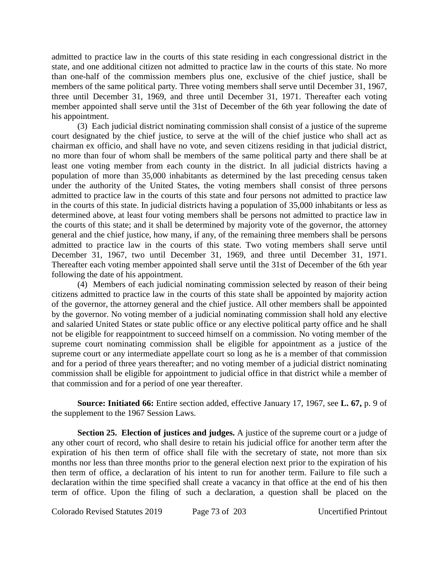admitted to practice law in the courts of this state residing in each congressional district in the state, and one additional citizen not admitted to practice law in the courts of this state. No more than one-half of the commission members plus one, exclusive of the chief justice, shall be members of the same political party. Three voting members shall serve until December 31, 1967, three until December 31, 1969, and three until December 31, 1971. Thereafter each voting member appointed shall serve until the 31st of December of the 6th year following the date of his appointment.

(3) Each judicial district nominating commission shall consist of a justice of the supreme court designated by the chief justice, to serve at the will of the chief justice who shall act as chairman ex officio, and shall have no vote, and seven citizens residing in that judicial district, no more than four of whom shall be members of the same political party and there shall be at least one voting member from each county in the district. In all judicial districts having a population of more than 35,000 inhabitants as determined by the last preceding census taken under the authority of the United States, the voting members shall consist of three persons admitted to practice law in the courts of this state and four persons not admitted to practice law in the courts of this state. In judicial districts having a population of 35,000 inhabitants or less as determined above, at least four voting members shall be persons not admitted to practice law in the courts of this state; and it shall be determined by majority vote of the governor, the attorney general and the chief justice, how many, if any, of the remaining three members shall be persons admitted to practice law in the courts of this state. Two voting members shall serve until December 31, 1967, two until December 31, 1969, and three until December 31, 1971. Thereafter each voting member appointed shall serve until the 31st of December of the 6th year following the date of his appointment.

(4) Members of each judicial nominating commission selected by reason of their being citizens admitted to practice law in the courts of this state shall be appointed by majority action of the governor, the attorney general and the chief justice. All other members shall be appointed by the governor. No voting member of a judicial nominating commission shall hold any elective and salaried United States or state public office or any elective political party office and he shall not be eligible for reappointment to succeed himself on a commission. No voting member of the supreme court nominating commission shall be eligible for appointment as a justice of the supreme court or any intermediate appellate court so long as he is a member of that commission and for a period of three years thereafter; and no voting member of a judicial district nominating commission shall be eligible for appointment to judicial office in that district while a member of that commission and for a period of one year thereafter.

**Source: Initiated 66:** Entire section added, effective January 17, 1967, see **L. 67,** p. 9 of the supplement to the 1967 Session Laws.

**Section 25. Election of justices and judges.** A justice of the supreme court or a judge of any other court of record, who shall desire to retain his judicial office for another term after the expiration of his then term of office shall file with the secretary of state, not more than six months nor less than three months prior to the general election next prior to the expiration of his then term of office, a declaration of his intent to run for another term. Failure to file such a declaration within the time specified shall create a vacancy in that office at the end of his then term of office. Upon the filing of such a declaration, a question shall be placed on the

Colorado Revised Statutes 2019 Page 73 of 203 Uncertified Printout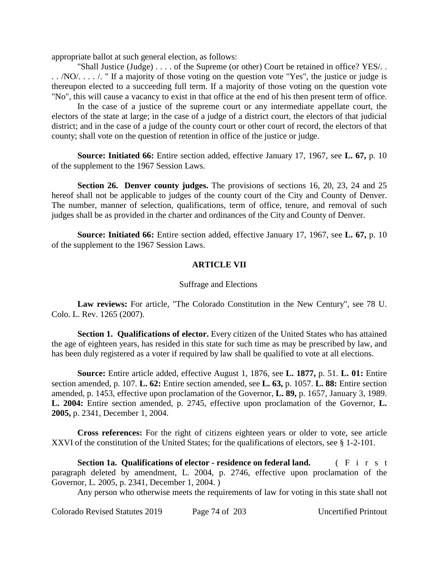appropriate ballot at such general election, as follows:

"Shall Justice (Judge) . . . . of the Supreme (or other) Court be retained in office? YES/. . . . /NO/. . . . /. " If a majority of those voting on the question vote "Yes", the justice or judge is thereupon elected to a succeeding full term. If a majority of those voting on the question vote "No", this will cause a vacancy to exist in that office at the end of his then present term of office.

In the case of a justice of the supreme court or any intermediate appellate court, the electors of the state at large; in the case of a judge of a district court, the electors of that judicial district; and in the case of a judge of the county court or other court of record, the electors of that county; shall vote on the question of retention in office of the justice or judge.

**Source: Initiated 66:** Entire section added, effective January 17, 1967, see **L. 67,** p. 10 of the supplement to the 1967 Session Laws.

**Section 26. Denver county judges.** The provisions of sections 16, 20, 23, 24 and 25 hereof shall not be applicable to judges of the county court of the City and County of Denver. The number, manner of selection, qualifications, term of office, tenure, and removal of such judges shall be as provided in the charter and ordinances of the City and County of Denver.

**Source: Initiated 66:** Entire section added, effective January 17, 1967, see **L. 67,** p. 10 of the supplement to the 1967 Session Laws.

### **ARTICLE VII**

#### Suffrage and Elections

**Law reviews:** For article, "The Colorado Constitution in the New Century", see 78 U. Colo. L. Rev. 1265 (2007).

**Section 1. Qualifications of elector.** Every citizen of the United States who has attained the age of eighteen years, has resided in this state for such time as may be prescribed by law, and has been duly registered as a voter if required by law shall be qualified to vote at all elections.

**Source:** Entire article added, effective August 1, 1876, see **L. 1877,** p. 51. **L. 01:** Entire section amended, p. 107. **L. 62:** Entire section amended, see **L. 63,** p. 1057. **L. 88:** Entire section amended, p. 1453, effective upon proclamation of the Governor, **L. 89,** p. 1657, January 3, 1989. **L. 2004:** Entire section amended, p. 2745, effective upon proclamation of the Governor, **L. 2005,** p. 2341, December 1, 2004.

**Cross references:** For the right of citizens eighteen years or older to vote, see article XXVI of the constitution of the United States; for the qualifications of electors, see § 1-2-101.

**Section 1a. Qualifications of elector - residence on federal land.** ( F i r s t paragraph deleted by amendment, L. 2004, p. 2746, effective upon proclamation of the Governor, L. 2005, p. 2341, December 1, 2004. )

Any person who otherwise meets the requirements of law for voting in this state shall not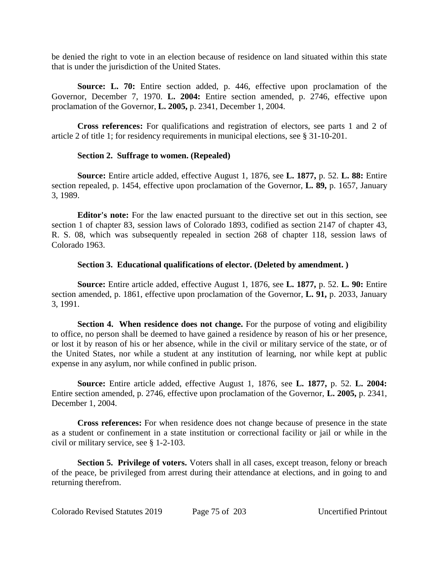be denied the right to vote in an election because of residence on land situated within this state that is under the jurisdiction of the United States.

**Source: L. 70:** Entire section added, p. 446, effective upon proclamation of the Governor, December 7, 1970. **L. 2004:** Entire section amended, p. 2746, effective upon proclamation of the Governor, **L. 2005,** p. 2341, December 1, 2004.

**Cross references:** For qualifications and registration of electors, see parts 1 and 2 of article 2 of title 1; for residency requirements in municipal elections, see § 31-10-201.

### **Section 2. Suffrage to women. (Repealed)**

**Source:** Entire article added, effective August 1, 1876, see **L. 1877,** p. 52. **L. 88:** Entire section repealed, p. 1454, effective upon proclamation of the Governor, **L. 89,** p. 1657, January 3, 1989.

**Editor's note:** For the law enacted pursuant to the directive set out in this section, see section 1 of chapter 83, session laws of Colorado 1893, codified as section 2147 of chapter 43, R. S. 08, which was subsequently repealed in section 268 of chapter 118, session laws of Colorado 1963.

### **Section 3. Educational qualifications of elector. (Deleted by amendment. )**

**Source:** Entire article added, effective August 1, 1876, see **L. 1877,** p. 52. **L. 90:** Entire section amended, p. 1861, effective upon proclamation of the Governor, **L. 91,** p. 2033, January 3, 1991.

**Section 4. When residence does not change.** For the purpose of voting and eligibility to office, no person shall be deemed to have gained a residence by reason of his or her presence, or lost it by reason of his or her absence, while in the civil or military service of the state, or of the United States, nor while a student at any institution of learning, nor while kept at public expense in any asylum, nor while confined in public prison.

**Source:** Entire article added, effective August 1, 1876, see **L. 1877,** p. 52. **L. 2004:** Entire section amended, p. 2746, effective upon proclamation of the Governor, **L. 2005,** p. 2341, December 1, 2004.

**Cross references:** For when residence does not change because of presence in the state as a student or confinement in a state institution or correctional facility or jail or while in the civil or military service, see § 1-2-103.

**Section 5. Privilege of voters.** Voters shall in all cases, except treason, felony or breach of the peace, be privileged from arrest during their attendance at elections, and in going to and returning therefrom.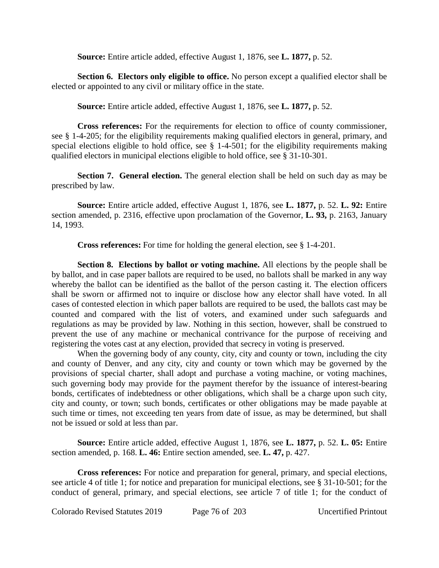**Source:** Entire article added, effective August 1, 1876, see **L. 1877,** p. 52.

**Section 6. Electors only eligible to office.** No person except a qualified elector shall be elected or appointed to any civil or military office in the state.

**Source:** Entire article added, effective August 1, 1876, see **L. 1877,** p. 52.

**Cross references:** For the requirements for election to office of county commissioner, see § 1-4-205; for the eligibility requirements making qualified electors in general, primary, and special elections eligible to hold office, see § 1-4-501; for the eligibility requirements making qualified electors in municipal elections eligible to hold office, see § 31-10-301.

**Section 7. General election.** The general election shall be held on such day as may be prescribed by law.

**Source:** Entire article added, effective August 1, 1876, see **L. 1877,** p. 52. **L. 92:** Entire section amended, p. 2316, effective upon proclamation of the Governor, **L. 93,** p. 2163, January 14, 1993.

**Cross references:** For time for holding the general election, see § 1-4-201.

**Section 8. Elections by ballot or voting machine.** All elections by the people shall be by ballot, and in case paper ballots are required to be used, no ballots shall be marked in any way whereby the ballot can be identified as the ballot of the person casting it. The election officers shall be sworn or affirmed not to inquire or disclose how any elector shall have voted. In all cases of contested election in which paper ballots are required to be used, the ballots cast may be counted and compared with the list of voters, and examined under such safeguards and regulations as may be provided by law. Nothing in this section, however, shall be construed to prevent the use of any machine or mechanical contrivance for the purpose of receiving and registering the votes cast at any election, provided that secrecy in voting is preserved.

When the governing body of any county, city, city and county or town, including the city and county of Denver, and any city, city and county or town which may be governed by the provisions of special charter, shall adopt and purchase a voting machine, or voting machines, such governing body may provide for the payment therefor by the issuance of interest-bearing bonds, certificates of indebtedness or other obligations, which shall be a charge upon such city, city and county, or town; such bonds, certificates or other obligations may be made payable at such time or times, not exceeding ten years from date of issue, as may be determined, but shall not be issued or sold at less than par.

**Source:** Entire article added, effective August 1, 1876, see **L. 1877,** p. 52. **L. 05:** Entire section amended, p. 168. **L. 46:** Entire section amended, see. **L. 47,** p. 427.

**Cross references:** For notice and preparation for general, primary, and special elections, see article 4 of title 1; for notice and preparation for municipal elections, see § 31-10-501; for the conduct of general, primary, and special elections, see article 7 of title 1; for the conduct of

Colorado Revised Statutes 2019 Page 76 of 203 Uncertified Printout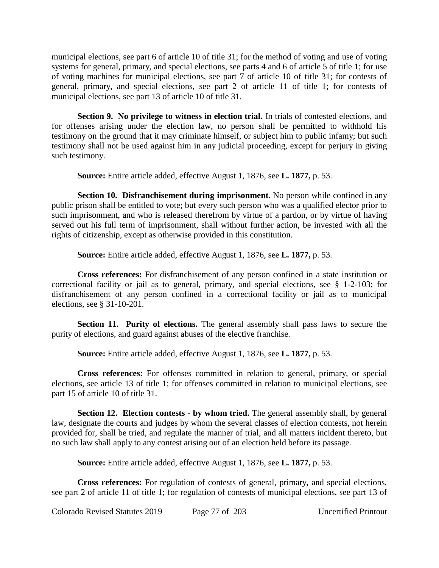municipal elections, see part 6 of article 10 of title 31; for the method of voting and use of voting systems for general, primary, and special elections, see parts 4 and 6 of article 5 of title 1; for use of voting machines for municipal elections, see part 7 of article 10 of title 31; for contests of general, primary, and special elections, see part 2 of article 11 of title 1; for contests of municipal elections, see part 13 of article 10 of title 31.

**Section 9. No privilege to witness in election trial.** In trials of contested elections, and for offenses arising under the election law, no person shall be permitted to withhold his testimony on the ground that it may criminate himself, or subject him to public infamy; but such testimony shall not be used against him in any judicial proceeding, except for perjury in giving such testimony.

**Source:** Entire article added, effective August 1, 1876, see **L. 1877,** p. 53.

**Section 10. Disfranchisement during imprisonment.** No person while confined in any public prison shall be entitled to vote; but every such person who was a qualified elector prior to such imprisonment, and who is released therefrom by virtue of a pardon, or by virtue of having served out his full term of imprisonment, shall without further action, be invested with all the rights of citizenship, except as otherwise provided in this constitution.

**Source:** Entire article added, effective August 1, 1876, see **L. 1877,** p. 53.

**Cross references:** For disfranchisement of any person confined in a state institution or correctional facility or jail as to general, primary, and special elections, see § 1-2-103; for disfranchisement of any person confined in a correctional facility or jail as to municipal elections, see § 31-10-201.

**Section 11. Purity of elections.** The general assembly shall pass laws to secure the purity of elections, and guard against abuses of the elective franchise.

**Source:** Entire article added, effective August 1, 1876, see **L. 1877,** p. 53.

**Cross references:** For offenses committed in relation to general, primary, or special elections, see article 13 of title 1; for offenses committed in relation to municipal elections, see part 15 of article 10 of title 31.

**Section 12. Election contests - by whom tried.** The general assembly shall, by general law, designate the courts and judges by whom the several classes of election contests, not herein provided for, shall be tried, and regulate the manner of trial, and all matters incident thereto, but no such law shall apply to any contest arising out of an election held before its passage.

**Source:** Entire article added, effective August 1, 1876, see **L. 1877,** p. 53.

**Cross references:** For regulation of contests of general, primary, and special elections, see part 2 of article 11 of title 1; for regulation of contests of municipal elections, see part 13 of

Colorado Revised Statutes 2019 Page 77 of 203 Uncertified Printout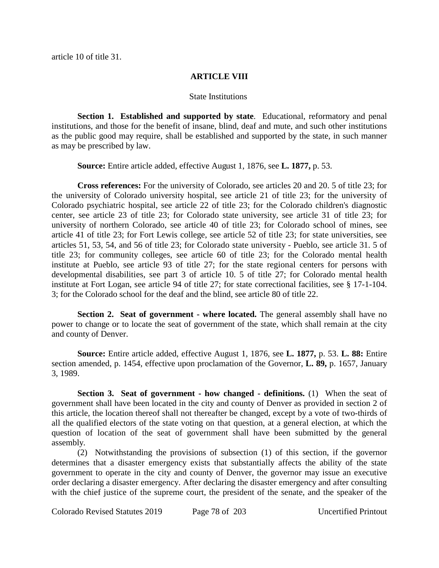article 10 of title 31.

### **ARTICLE VIII**

#### State Institutions

**Section 1. Established and supported by state**. Educational, reformatory and penal institutions, and those for the benefit of insane, blind, deaf and mute, and such other institutions as the public good may require, shall be established and supported by the state, in such manner as may be prescribed by law.

**Source:** Entire article added, effective August 1, 1876, see **L. 1877,** p. 53.

**Cross references:** For the university of Colorado, see articles 20 and 20. 5 of title 23; for the university of Colorado university hospital, see article 21 of title 23; for the university of Colorado psychiatric hospital, see article 22 of title 23; for the Colorado children's diagnostic center, see article 23 of title 23; for Colorado state university, see article 31 of title 23; for university of northern Colorado, see article 40 of title 23; for Colorado school of mines, see article 41 of title 23; for Fort Lewis college, see article 52 of title 23; for state universities, see articles 51, 53, 54, and 56 of title 23; for Colorado state university - Pueblo, see article 31. 5 of title 23; for community colleges, see article 60 of title 23; for the Colorado mental health institute at Pueblo, see article 93 of title 27; for the state regional centers for persons with developmental disabilities, see part 3 of article 10. 5 of title 27; for Colorado mental health institute at Fort Logan, see article 94 of title 27; for state correctional facilities, see § 17-1-104. 3; for the Colorado school for the deaf and the blind, see article 80 of title 22.

**Section 2. Seat of government - where located.** The general assembly shall have no power to change or to locate the seat of government of the state, which shall remain at the city and county of Denver.

**Source:** Entire article added, effective August 1, 1876, see **L. 1877,** p. 53. **L. 88:** Entire section amended, p. 1454, effective upon proclamation of the Governor, **L. 89,** p. 1657, January 3, 1989.

**Section 3. Seat of government - how changed - definitions.** (1) When the seat of government shall have been located in the city and county of Denver as provided in section 2 of this article, the location thereof shall not thereafter be changed, except by a vote of two-thirds of all the qualified electors of the state voting on that question, at a general election, at which the question of location of the seat of government shall have been submitted by the general assembly.

(2) Notwithstanding the provisions of subsection (1) of this section, if the governor determines that a disaster emergency exists that substantially affects the ability of the state government to operate in the city and county of Denver, the governor may issue an executive order declaring a disaster emergency. After declaring the disaster emergency and after consulting with the chief justice of the supreme court, the president of the senate, and the speaker of the

Colorado Revised Statutes 2019 Page 78 of 203 Uncertified Printout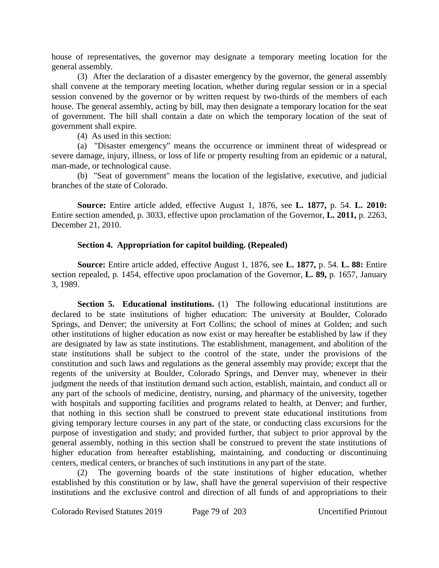house of representatives, the governor may designate a temporary meeting location for the general assembly.

(3) After the declaration of a disaster emergency by the governor, the general assembly shall convene at the temporary meeting location, whether during regular session or in a special session convened by the governor or by written request by two-thirds of the members of each house. The general assembly, acting by bill, may then designate a temporary location for the seat of government. The bill shall contain a date on which the temporary location of the seat of government shall expire.

(4) As used in this section:

(a) "Disaster emergency" means the occurrence or imminent threat of widespread or severe damage, injury, illness, or loss of life or property resulting from an epidemic or a natural, man-made, or technological cause.

(b) "Seat of government" means the location of the legislative, executive, and judicial branches of the state of Colorado.

**Source:** Entire article added, effective August 1, 1876, see **L. 1877,** p. 54. **L. 2010:** Entire section amended, p. 3033, effective upon proclamation of the Governor, **L. 2011,** p. 2263, December 21, 2010.

## **Section 4. Appropriation for capitol building. (Repealed)**

**Source:** Entire article added, effective August 1, 1876, see **L. 1877,** p. 54. **L. 88:** Entire section repealed, p. 1454, effective upon proclamation of the Governor, **L. 89,** p. 1657, January 3, 1989.

**Section 5. Educational institutions.** (1) The following educational institutions are declared to be state institutions of higher education: The university at Boulder, Colorado Springs, and Denver; the university at Fort Collins; the school of mines at Golden; and such other institutions of higher education as now exist or may hereafter be established by law if they are designated by law as state institutions. The establishment, management, and abolition of the state institutions shall be subject to the control of the state, under the provisions of the constitution and such laws and regulations as the general assembly may provide; except that the regents of the university at Boulder, Colorado Springs, and Denver may, whenever in their judgment the needs of that institution demand such action, establish, maintain, and conduct all or any part of the schools of medicine, dentistry, nursing, and pharmacy of the university, together with hospitals and supporting facilities and programs related to health, at Denver; and further, that nothing in this section shall be construed to prevent state educational institutions from giving temporary lecture courses in any part of the state, or conducting class excursions for the purpose of investigation and study; and provided further, that subject to prior approval by the general assembly, nothing in this section shall be construed to prevent the state institutions of higher education from hereafter establishing, maintaining, and conducting or discontinuing centers, medical centers, or branches of such institutions in any part of the state.

(2) The governing boards of the state institutions of higher education, whether established by this constitution or by law, shall have the general supervision of their respective institutions and the exclusive control and direction of all funds of and appropriations to their

Colorado Revised Statutes 2019 Page 79 of 203 Uncertified Printout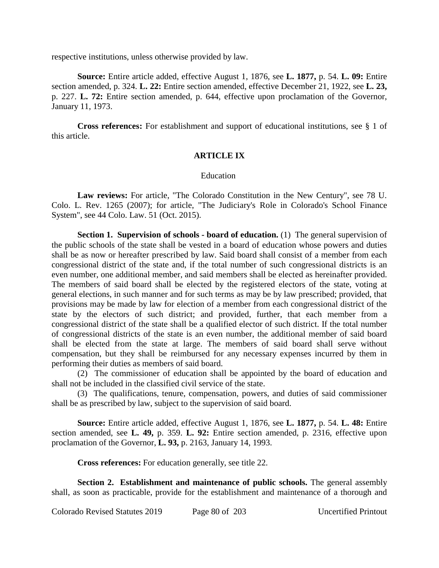respective institutions, unless otherwise provided by law.

**Source:** Entire article added, effective August 1, 1876, see **L. 1877,** p. 54. **L. 09:** Entire section amended, p. 324. **L. 22:** Entire section amended, effective December 21, 1922, see **L. 23,** p. 227. **L. 72:** Entire section amended, p. 644, effective upon proclamation of the Governor, January 11, 1973.

**Cross references:** For establishment and support of educational institutions, see § 1 of this article.

### **ARTICLE IX**

#### Education

**Law reviews:** For article, "The Colorado Constitution in the New Century", see 78 U. Colo. L. Rev. 1265 (2007); for article, "The Judiciary's Role in Colorado's School Finance System", see 44 Colo. Law. 51 (Oct. 2015).

**Section 1. Supervision of schools - board of education.** (1) The general supervision of the public schools of the state shall be vested in a board of education whose powers and duties shall be as now or hereafter prescribed by law. Said board shall consist of a member from each congressional district of the state and, if the total number of such congressional districts is an even number, one additional member, and said members shall be elected as hereinafter provided. The members of said board shall be elected by the registered electors of the state, voting at general elections, in such manner and for such terms as may be by law prescribed; provided, that provisions may be made by law for election of a member from each congressional district of the state by the electors of such district; and provided, further, that each member from a congressional district of the state shall be a qualified elector of such district. If the total number of congressional districts of the state is an even number, the additional member of said board shall be elected from the state at large. The members of said board shall serve without compensation, but they shall be reimbursed for any necessary expenses incurred by them in performing their duties as members of said board.

(2) The commissioner of education shall be appointed by the board of education and shall not be included in the classified civil service of the state.

(3) The qualifications, tenure, compensation, powers, and duties of said commissioner shall be as prescribed by law, subject to the supervision of said board.

**Source:** Entire article added, effective August 1, 1876, see **L. 1877,** p. 54. **L. 48:** Entire section amended, see **L. 49,** p. 359. **L. 92:** Entire section amended, p. 2316, effective upon proclamation of the Governor, **L. 93,** p. 2163, January 14, 1993.

**Cross references:** For education generally, see title 22.

**Section 2. Establishment and maintenance of public schools.** The general assembly shall, as soon as practicable, provide for the establishment and maintenance of a thorough and

Colorado Revised Statutes 2019 Page 80 of 203 Uncertified Printout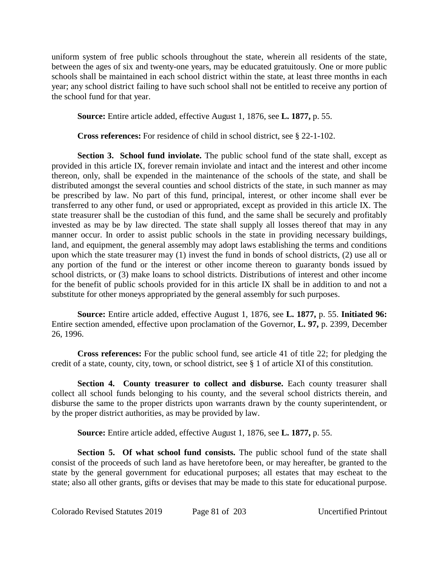uniform system of free public schools throughout the state, wherein all residents of the state, between the ages of six and twenty-one years, may be educated gratuitously. One or more public schools shall be maintained in each school district within the state, at least three months in each year; any school district failing to have such school shall not be entitled to receive any portion of the school fund for that year.

**Source:** Entire article added, effective August 1, 1876, see **L. 1877,** p. 55.

**Cross references:** For residence of child in school district, see § 22-1-102.

**Section 3. School fund inviolate.** The public school fund of the state shall, except as provided in this article IX, forever remain inviolate and intact and the interest and other income thereon, only, shall be expended in the maintenance of the schools of the state, and shall be distributed amongst the several counties and school districts of the state, in such manner as may be prescribed by law. No part of this fund, principal, interest, or other income shall ever be transferred to any other fund, or used or appropriated, except as provided in this article IX. The state treasurer shall be the custodian of this fund, and the same shall be securely and profitably invested as may be by law directed. The state shall supply all losses thereof that may in any manner occur. In order to assist public schools in the state in providing necessary buildings, land, and equipment, the general assembly may adopt laws establishing the terms and conditions upon which the state treasurer may (1) invest the fund in bonds of school districts, (2) use all or any portion of the fund or the interest or other income thereon to guaranty bonds issued by school districts, or (3) make loans to school districts. Distributions of interest and other income for the benefit of public schools provided for in this article IX shall be in addition to and not a substitute for other moneys appropriated by the general assembly for such purposes.

**Source:** Entire article added, effective August 1, 1876, see **L. 1877,** p. 55. **Initiated 96:** Entire section amended, effective upon proclamation of the Governor, **L. 97,** p. 2399, December 26, 1996.

**Cross references:** For the public school fund, see article 41 of title 22; for pledging the credit of a state, county, city, town, or school district, see § 1 of article XI of this constitution.

**Section 4. County treasurer to collect and disburse.** Each county treasurer shall collect all school funds belonging to his county, and the several school districts therein, and disburse the same to the proper districts upon warrants drawn by the county superintendent, or by the proper district authorities, as may be provided by law.

**Source:** Entire article added, effective August 1, 1876, see **L. 1877,** p. 55.

**Section 5. Of what school fund consists.** The public school fund of the state shall consist of the proceeds of such land as have heretofore been, or may hereafter, be granted to the state by the general government for educational purposes; all estates that may escheat to the state; also all other grants, gifts or devises that may be made to this state for educational purpose.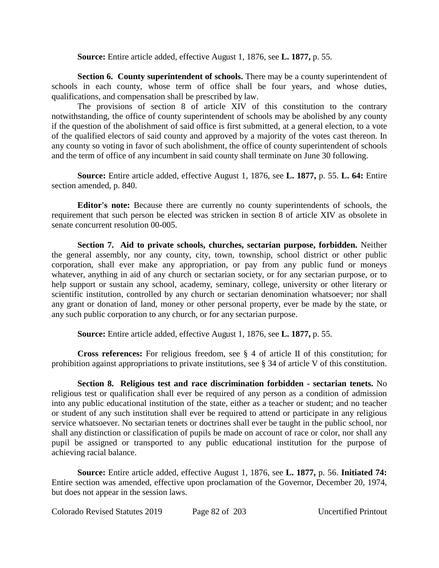**Source:** Entire article added, effective August 1, 1876, see **L. 1877,** p. 55.

**Section 6. County superintendent of schools.** There may be a county superintendent of schools in each county, whose term of office shall be four years, and whose duties, qualifications, and compensation shall be prescribed by law.

The provisions of section 8 of article XIV of this constitution to the contrary notwithstanding, the office of county superintendent of schools may be abolished by any county if the question of the abolishment of said office is first submitted, at a general election, to a vote of the qualified electors of said county and approved by a majority of the votes cast thereon. In any county so voting in favor of such abolishment, the office of county superintendent of schools and the term of office of any incumbent in said county shall terminate on June 30 following.

**Source:** Entire article added, effective August 1, 1876, see **L. 1877,** p. 55. **L. 64:** Entire section amended, p. 840.

**Editor's note:** Because there are currently no county superintendents of schools, the requirement that such person be elected was stricken in section 8 of article XIV as obsolete in senate concurrent resolution 00-005.

**Section 7. Aid to private schools, churches, sectarian purpose, forbidden.** Neither the general assembly, nor any county, city, town, township, school district or other public corporation, shall ever make any appropriation, or pay from any public fund or moneys whatever, anything in aid of any church or sectarian society, or for any sectarian purpose, or to help support or sustain any school, academy, seminary, college, university or other literary or scientific institution, controlled by any church or sectarian denomination whatsoever; nor shall any grant or donation of land, money or other personal property, ever be made by the state, or any such public corporation to any church, or for any sectarian purpose.

**Source:** Entire article added, effective August 1, 1876, see **L. 1877,** p. 55.

**Cross references:** For religious freedom, see § 4 of article II of this constitution; for prohibition against appropriations to private institutions, see § 34 of article V of this constitution.

**Section 8. Religious test and race discrimination forbidden - sectarian tenets.** No religious test or qualification shall ever be required of any person as a condition of admission into any public educational institution of the state, either as a teacher or student; and no teacher or student of any such institution shall ever be required to attend or participate in any religious service whatsoever. No sectarian tenets or doctrines shall ever be taught in the public school, nor shall any distinction or classification of pupils be made on account of race or color, nor shall any pupil be assigned or transported to any public educational institution for the purpose of achieving racial balance.

**Source:** Entire article added, effective August 1, 1876, see **L. 1877,** p. 56. **Initiated 74:** Entire section was amended, effective upon proclamation of the Governor, December 20, 1974, but does not appear in the session laws.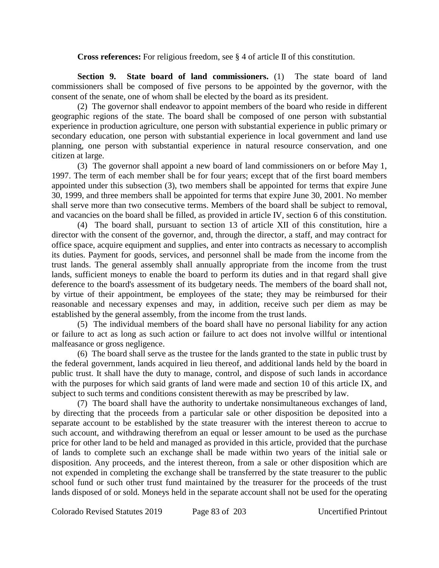**Cross references:** For religious freedom, see § 4 of article II of this constitution.

**Section 9. State board of land commissioners.** (1) The state board of land commissioners shall be composed of five persons to be appointed by the governor, with the consent of the senate, one of whom shall be elected by the board as its president.

(2) The governor shall endeavor to appoint members of the board who reside in different geographic regions of the state. The board shall be composed of one person with substantial experience in production agriculture, one person with substantial experience in public primary or secondary education, one person with substantial experience in local government and land use planning, one person with substantial experience in natural resource conservation, and one citizen at large.

(3) The governor shall appoint a new board of land commissioners on or before May 1, 1997. The term of each member shall be for four years; except that of the first board members appointed under this subsection (3), two members shall be appointed for terms that expire June 30, 1999, and three members shall be appointed for terms that expire June 30, 2001. No member shall serve more than two consecutive terms. Members of the board shall be subject to removal, and vacancies on the board shall be filled, as provided in article IV, section 6 of this constitution.

(4) The board shall, pursuant to section 13 of article XII of this constitution, hire a director with the consent of the governor, and, through the director, a staff, and may contract for office space, acquire equipment and supplies, and enter into contracts as necessary to accomplish its duties. Payment for goods, services, and personnel shall be made from the income from the trust lands. The general assembly shall annually appropriate from the income from the trust lands, sufficient moneys to enable the board to perform its duties and in that regard shall give deference to the board's assessment of its budgetary needs. The members of the board shall not, by virtue of their appointment, be employees of the state; they may be reimbursed for their reasonable and necessary expenses and may, in addition, receive such per diem as may be established by the general assembly, from the income from the trust lands.

(5) The individual members of the board shall have no personal liability for any action or failure to act as long as such action or failure to act does not involve willful or intentional malfeasance or gross negligence.

(6) The board shall serve as the trustee for the lands granted to the state in public trust by the federal government, lands acquired in lieu thereof, and additional lands held by the board in public trust. It shall have the duty to manage, control, and dispose of such lands in accordance with the purposes for which said grants of land were made and section 10 of this article IX, and subject to such terms and conditions consistent therewith as may be prescribed by law.

(7) The board shall have the authority to undertake nonsimultaneous exchanges of land, by directing that the proceeds from a particular sale or other disposition be deposited into a separate account to be established by the state treasurer with the interest thereon to accrue to such account, and withdrawing therefrom an equal or lesser amount to be used as the purchase price for other land to be held and managed as provided in this article, provided that the purchase of lands to complete such an exchange shall be made within two years of the initial sale or disposition. Any proceeds, and the interest thereon, from a sale or other disposition which are not expended in completing the exchange shall be transferred by the state treasurer to the public school fund or such other trust fund maintained by the treasurer for the proceeds of the trust lands disposed of or sold. Moneys held in the separate account shall not be used for the operating

Colorado Revised Statutes 2019 Page 83 of 203 Uncertified Printout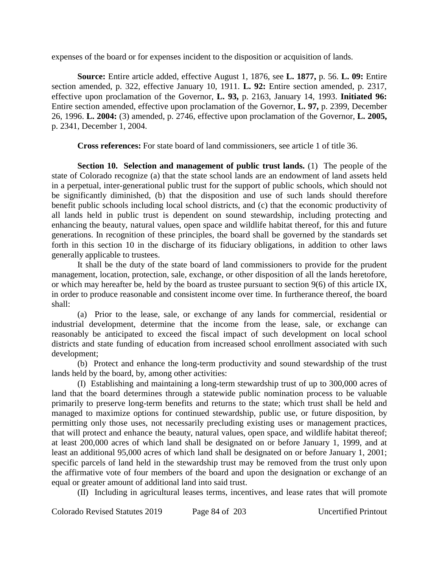expenses of the board or for expenses incident to the disposition or acquisition of lands.

**Source:** Entire article added, effective August 1, 1876, see **L. 1877,** p. 56. **L. 09:** Entire section amended, p. 322, effective January 10, 1911. **L. 92:** Entire section amended, p. 2317, effective upon proclamation of the Governor, **L. 93,** p. 2163, January 14, 1993. **Initiated 96:** Entire section amended, effective upon proclamation of the Governor, **L. 97,** p. 2399, December 26, 1996. **L. 2004:** (3) amended, p. 2746, effective upon proclamation of the Governor, **L. 2005,** p. 2341, December 1, 2004.

**Cross references:** For state board of land commissioners, see article 1 of title 36.

**Section 10. Selection and management of public trust lands.** (1) The people of the state of Colorado recognize (a) that the state school lands are an endowment of land assets held in a perpetual, inter-generational public trust for the support of public schools, which should not be significantly diminished, (b) that the disposition and use of such lands should therefore benefit public schools including local school districts, and (c) that the economic productivity of all lands held in public trust is dependent on sound stewardship, including protecting and enhancing the beauty, natural values, open space and wildlife habitat thereof, for this and future generations. In recognition of these principles, the board shall be governed by the standards set forth in this section 10 in the discharge of its fiduciary obligations, in addition to other laws generally applicable to trustees.

It shall be the duty of the state board of land commissioners to provide for the prudent management, location, protection, sale, exchange, or other disposition of all the lands heretofore, or which may hereafter be, held by the board as trustee pursuant to section 9(6) of this article IX, in order to produce reasonable and consistent income over time. In furtherance thereof, the board shall:

(a) Prior to the lease, sale, or exchange of any lands for commercial, residential or industrial development, determine that the income from the lease, sale, or exchange can reasonably be anticipated to exceed the fiscal impact of such development on local school districts and state funding of education from increased school enrollment associated with such development;

(b) Protect and enhance the long-term productivity and sound stewardship of the trust lands held by the board, by, among other activities:

(I) Establishing and maintaining a long-term stewardship trust of up to 300,000 acres of land that the board determines through a statewide public nomination process to be valuable primarily to preserve long-term benefits and returns to the state; which trust shall be held and managed to maximize options for continued stewardship, public use, or future disposition, by permitting only those uses, not necessarily precluding existing uses or management practices, that will protect and enhance the beauty, natural values, open space, and wildlife habitat thereof; at least 200,000 acres of which land shall be designated on or before January 1, 1999, and at least an additional 95,000 acres of which land shall be designated on or before January 1, 2001; specific parcels of land held in the stewardship trust may be removed from the trust only upon the affirmative vote of four members of the board and upon the designation or exchange of an equal or greater amount of additional land into said trust.

(II) Including in agricultural leases terms, incentives, and lease rates that will promote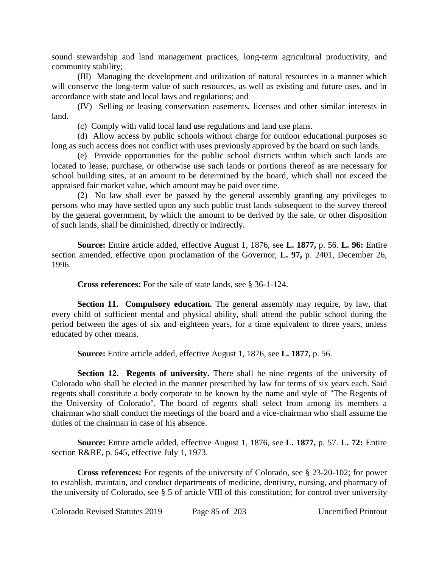sound stewardship and land management practices, long-term agricultural productivity, and community stability;

(III) Managing the development and utilization of natural resources in a manner which will conserve the long-term value of such resources, as well as existing and future uses, and in accordance with state and local laws and regulations; and

(IV) Selling or leasing conservation easements, licenses and other similar interests in land.

(c) Comply with valid local land use regulations and land use plans.

(d) Allow access by public schools without charge for outdoor educational purposes so long as such access does not conflict with uses previously approved by the board on such lands.

(e) Provide opportunities for the public school districts within which such lands are located to lease, purchase, or otherwise use such lands or portions thereof as are necessary for school building sites, at an amount to be determined by the board, which shall not exceed the appraised fair market value, which amount may be paid over time.

(2) No law shall ever be passed by the general assembly granting any privileges to persons who may have settled upon any such public trust lands subsequent to the survey thereof by the general government, by which the amount to be derived by the sale, or other disposition of such lands, shall be diminished, directly or indirectly.

**Source:** Entire article added, effective August 1, 1876, see **L. 1877,** p. 56. **L. 96:** Entire section amended, effective upon proclamation of the Governor, **L. 97,** p. 2401, December 26, 1996.

**Cross references:** For the sale of state lands, see § 36-1-124.

**Section 11. Compulsory education.** The general assembly may require, by law, that every child of sufficient mental and physical ability, shall attend the public school during the period between the ages of six and eighteen years, for a time equivalent to three years, unless educated by other means.

**Source:** Entire article added, effective August 1, 1876, see **L. 1877,** p. 56.

**Section 12. Regents of university.** There shall be nine regents of the university of Colorado who shall be elected in the manner prescribed by law for terms of six years each. Said regents shall constitute a body corporate to be known by the name and style of "The Regents of the University of Colorado". The board of regents shall select from among its members a chairman who shall conduct the meetings of the board and a vice-chairman who shall assume the duties of the chairman in case of his absence.

**Source:** Entire article added, effective August 1, 1876, see **L. 1877,** p. 57. **L. 72:** Entire section R&RE, p. 645, effective July 1, 1973.

**Cross references:** For regents of the university of Colorado, see § 23-20-102; for power to establish, maintain, and conduct departments of medicine, dentistry, nursing, and pharmacy of the university of Colorado, see § 5 of article VIII of this constitution; for control over university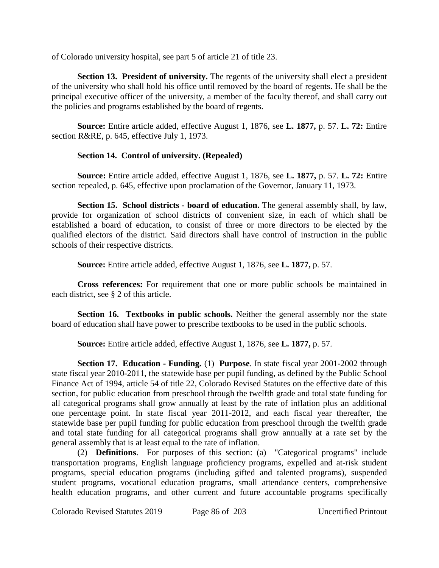of Colorado university hospital, see part 5 of article 21 of title 23.

**Section 13. President of university.** The regents of the university shall elect a president of the university who shall hold his office until removed by the board of regents. He shall be the principal executive officer of the university, a member of the faculty thereof, and shall carry out the policies and programs established by the board of regents.

**Source:** Entire article added, effective August 1, 1876, see **L. 1877,** p. 57. **L. 72:** Entire section R&RE, p. 645, effective July 1, 1973.

# **Section 14. Control of university. (Repealed)**

**Source:** Entire article added, effective August 1, 1876, see **L. 1877,** p. 57. **L. 72:** Entire section repealed, p. 645, effective upon proclamation of the Governor, January 11, 1973.

**Section 15. School districts - board of education.** The general assembly shall, by law, provide for organization of school districts of convenient size, in each of which shall be established a board of education, to consist of three or more directors to be elected by the qualified electors of the district. Said directors shall have control of instruction in the public schools of their respective districts.

**Source:** Entire article added, effective August 1, 1876, see **L. 1877,** p. 57.

**Cross references:** For requirement that one or more public schools be maintained in each district, see § 2 of this article.

**Section 16. Textbooks in public schools.** Neither the general assembly nor the state board of education shall have power to prescribe textbooks to be used in the public schools.

**Source:** Entire article added, effective August 1, 1876, see **L. 1877,** p. 57.

**Section 17. Education - Funding.** (1) **Purpose**. In state fiscal year 2001-2002 through state fiscal year 2010-2011, the statewide base per pupil funding, as defined by the Public School Finance Act of 1994, article 54 of title 22, Colorado Revised Statutes on the effective date of this section, for public education from preschool through the twelfth grade and total state funding for all categorical programs shall grow annually at least by the rate of inflation plus an additional one percentage point. In state fiscal year 2011-2012, and each fiscal year thereafter, the statewide base per pupil funding for public education from preschool through the twelfth grade and total state funding for all categorical programs shall grow annually at a rate set by the general assembly that is at least equal to the rate of inflation.

(2) **Definitions**. For purposes of this section: (a) "Categorical programs" include transportation programs, English language proficiency programs, expelled and at-risk student programs, special education programs (including gifted and talented programs), suspended student programs, vocational education programs, small attendance centers, comprehensive health education programs, and other current and future accountable programs specifically

Colorado Revised Statutes 2019 Page 86 of 203 Uncertified Printout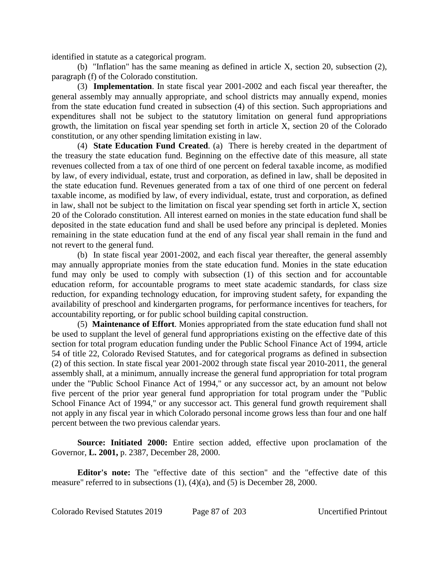identified in statute as a categorical program.

(b) "Inflation" has the same meaning as defined in article X, section 20, subsection (2), paragraph (f) of the Colorado constitution.

(3) **Implementation**. In state fiscal year 2001-2002 and each fiscal year thereafter, the general assembly may annually appropriate, and school districts may annually expend, monies from the state education fund created in subsection (4) of this section. Such appropriations and expenditures shall not be subject to the statutory limitation on general fund appropriations growth, the limitation on fiscal year spending set forth in article X, section 20 of the Colorado constitution, or any other spending limitation existing in law.

(4) **State Education Fund Created**. (a) There is hereby created in the department of the treasury the state education fund. Beginning on the effective date of this measure, all state revenues collected from a tax of one third of one percent on federal taxable income, as modified by law, of every individual, estate, trust and corporation, as defined in law, shall be deposited in the state education fund. Revenues generated from a tax of one third of one percent on federal taxable income, as modified by law, of every individual, estate, trust and corporation, as defined in law, shall not be subject to the limitation on fiscal year spending set forth in article X, section 20 of the Colorado constitution. All interest earned on monies in the state education fund shall be deposited in the state education fund and shall be used before any principal is depleted. Monies remaining in the state education fund at the end of any fiscal year shall remain in the fund and not revert to the general fund.

(b) In state fiscal year 2001-2002, and each fiscal year thereafter, the general assembly may annually appropriate monies from the state education fund. Monies in the state education fund may only be used to comply with subsection (1) of this section and for accountable education reform, for accountable programs to meet state academic standards, for class size reduction, for expanding technology education, for improving student safety, for expanding the availability of preschool and kindergarten programs, for performance incentives for teachers, for accountability reporting, or for public school building capital construction.

(5) **Maintenance of Effort**. Monies appropriated from the state education fund shall not be used to supplant the level of general fund appropriations existing on the effective date of this section for total program education funding under the Public School Finance Act of 1994, article 54 of title 22, Colorado Revised Statutes, and for categorical programs as defined in subsection (2) of this section. In state fiscal year 2001-2002 through state fiscal year 2010-2011, the general assembly shall, at a minimum, annually increase the general fund appropriation for total program under the "Public School Finance Act of 1994," or any successor act, by an amount not below five percent of the prior year general fund appropriation for total program under the "Public School Finance Act of 1994," or any successor act. This general fund growth requirement shall not apply in any fiscal year in which Colorado personal income grows less than four and one half percent between the two previous calendar years.

**Source: Initiated 2000:** Entire section added, effective upon proclamation of the Governor, **L. 2001,** p. 2387, December 28, 2000.

**Editor's note:** The "effective date of this section" and the "effective date of this measure" referred to in subsections (1), (4)(a), and (5) is December 28, 2000.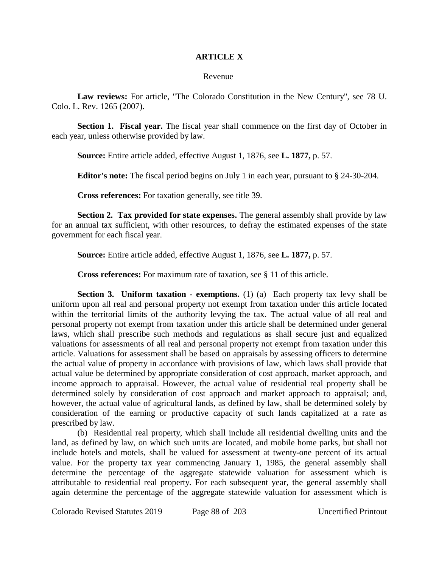#### **ARTICLE X**

#### Revenue

**Law reviews:** For article, "The Colorado Constitution in the New Century", see 78 U. Colo. L. Rev. 1265 (2007).

**Section 1. Fiscal year.** The fiscal year shall commence on the first day of October in each year, unless otherwise provided by law.

**Source:** Entire article added, effective August 1, 1876, see **L. 1877,** p. 57.

**Editor's note:** The fiscal period begins on July 1 in each year, pursuant to § 24-30-204.

**Cross references:** For taxation generally, see title 39.

**Section 2. Tax provided for state expenses.** The general assembly shall provide by law for an annual tax sufficient, with other resources, to defray the estimated expenses of the state government for each fiscal year.

**Source:** Entire article added, effective August 1, 1876, see **L. 1877,** p. 57.

**Cross references:** For maximum rate of taxation, see § 11 of this article.

**Section 3. Uniform taxation - exemptions.** (1) (a) Each property tax levy shall be uniform upon all real and personal property not exempt from taxation under this article located within the territorial limits of the authority levying the tax. The actual value of all real and personal property not exempt from taxation under this article shall be determined under general laws, which shall prescribe such methods and regulations as shall secure just and equalized valuations for assessments of all real and personal property not exempt from taxation under this article. Valuations for assessment shall be based on appraisals by assessing officers to determine the actual value of property in accordance with provisions of law, which laws shall provide that actual value be determined by appropriate consideration of cost approach, market approach, and income approach to appraisal. However, the actual value of residential real property shall be determined solely by consideration of cost approach and market approach to appraisal; and, however, the actual value of agricultural lands, as defined by law, shall be determined solely by consideration of the earning or productive capacity of such lands capitalized at a rate as prescribed by law.

(b) Residential real property, which shall include all residential dwelling units and the land, as defined by law, on which such units are located, and mobile home parks, but shall not include hotels and motels, shall be valued for assessment at twenty-one percent of its actual value. For the property tax year commencing January 1, 1985, the general assembly shall determine the percentage of the aggregate statewide valuation for assessment which is attributable to residential real property. For each subsequent year, the general assembly shall again determine the percentage of the aggregate statewide valuation for assessment which is

Colorado Revised Statutes 2019 Page 88 of 203 Uncertified Printout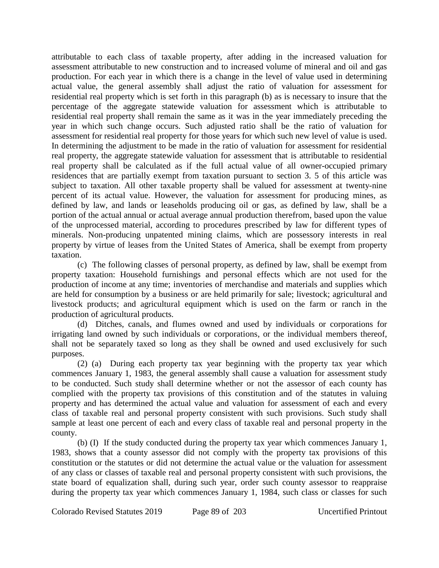attributable to each class of taxable property, after adding in the increased valuation for assessment attributable to new construction and to increased volume of mineral and oil and gas production. For each year in which there is a change in the level of value used in determining actual value, the general assembly shall adjust the ratio of valuation for assessment for residential real property which is set forth in this paragraph (b) as is necessary to insure that the percentage of the aggregate statewide valuation for assessment which is attributable to residential real property shall remain the same as it was in the year immediately preceding the year in which such change occurs. Such adjusted ratio shall be the ratio of valuation for assessment for residential real property for those years for which such new level of value is used. In determining the adjustment to be made in the ratio of valuation for assessment for residential real property, the aggregate statewide valuation for assessment that is attributable to residential real property shall be calculated as if the full actual value of all owner-occupied primary residences that are partially exempt from taxation pursuant to section 3. 5 of this article was subject to taxation. All other taxable property shall be valued for assessment at twenty-nine percent of its actual value. However, the valuation for assessment for producing mines, as defined by law, and lands or leaseholds producing oil or gas, as defined by law, shall be a portion of the actual annual or actual average annual production therefrom, based upon the value of the unprocessed material, according to procedures prescribed by law for different types of minerals. Non-producing unpatented mining claims, which are possessory interests in real property by virtue of leases from the United States of America, shall be exempt from property taxation.

(c) The following classes of personal property, as defined by law, shall be exempt from property taxation: Household furnishings and personal effects which are not used for the production of income at any time; inventories of merchandise and materials and supplies which are held for consumption by a business or are held primarily for sale; livestock; agricultural and livestock products; and agricultural equipment which is used on the farm or ranch in the production of agricultural products.

(d) Ditches, canals, and flumes owned and used by individuals or corporations for irrigating land owned by such individuals or corporations, or the individual members thereof, shall not be separately taxed so long as they shall be owned and used exclusively for such purposes.

(2) (a) During each property tax year beginning with the property tax year which commences January 1, 1983, the general assembly shall cause a valuation for assessment study to be conducted. Such study shall determine whether or not the assessor of each county has complied with the property tax provisions of this constitution and of the statutes in valuing property and has determined the actual value and valuation for assessment of each and every class of taxable real and personal property consistent with such provisions. Such study shall sample at least one percent of each and every class of taxable real and personal property in the county.

(b) (I) If the study conducted during the property tax year which commences January 1, 1983, shows that a county assessor did not comply with the property tax provisions of this constitution or the statutes or did not determine the actual value or the valuation for assessment of any class or classes of taxable real and personal property consistent with such provisions, the state board of equalization shall, during such year, order such county assessor to reappraise during the property tax year which commences January 1, 1984, such class or classes for such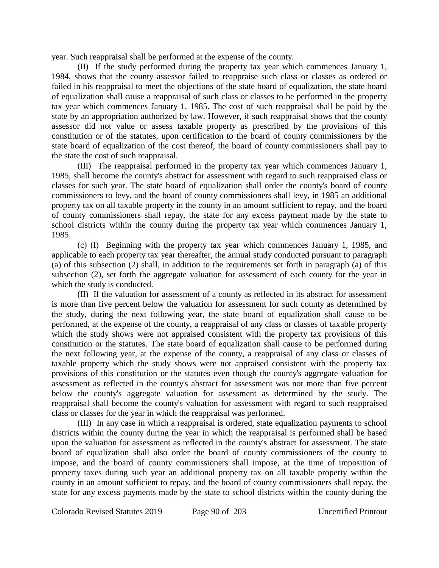year. Such reappraisal shall be performed at the expense of the county.

(II) If the study performed during the property tax year which commences January 1, 1984, shows that the county assessor failed to reappraise such class or classes as ordered or failed in his reappraisal to meet the objections of the state board of equalization, the state board of equalization shall cause a reappraisal of such class or classes to be performed in the property tax year which commences January 1, 1985. The cost of such reappraisal shall be paid by the state by an appropriation authorized by law. However, if such reappraisal shows that the county assessor did not value or assess taxable property as prescribed by the provisions of this constitution or of the statutes, upon certification to the board of county commissioners by the state board of equalization of the cost thereof, the board of county commissioners shall pay to the state the cost of such reappraisal.

(III) The reappraisal performed in the property tax year which commences January 1, 1985, shall become the county's abstract for assessment with regard to such reappraised class or classes for such year. The state board of equalization shall order the county's board of county commissioners to levy, and the board of county commissioners shall levy, in 1985 an additional property tax on all taxable property in the county in an amount sufficient to repay, and the board of county commissioners shall repay, the state for any excess payment made by the state to school districts within the county during the property tax year which commences January 1, 1985.

(c) (I) Beginning with the property tax year which commences January 1, 1985, and applicable to each property tax year thereafter, the annual study conducted pursuant to paragraph (a) of this subsection (2) shall, in addition to the requirements set forth in paragraph (a) of this subsection (2), set forth the aggregate valuation for assessment of each county for the year in which the study is conducted.

(II) If the valuation for assessment of a county as reflected in its abstract for assessment is more than five percent below the valuation for assessment for such county as determined by the study, during the next following year, the state board of equalization shall cause to be performed, at the expense of the county, a reappraisal of any class or classes of taxable property which the study shows were not appraised consistent with the property tax provisions of this constitution or the statutes. The state board of equalization shall cause to be performed during the next following year, at the expense of the county, a reappraisal of any class or classes of taxable property which the study shows were not appraised consistent with the property tax provisions of this constitution or the statutes even though the county's aggregate valuation for assessment as reflected in the county's abstract for assessment was not more than five percent below the county's aggregate valuation for assessment as determined by the study. The reappraisal shall become the county's valuation for assessment with regard to such reappraised class or classes for the year in which the reappraisal was performed.

(III) In any case in which a reappraisal is ordered, state equalization payments to school districts within the county during the year in which the reappraisal is performed shall be based upon the valuation for assessment as reflected in the county's abstract for assessment. The state board of equalization shall also order the board of county commissioners of the county to impose, and the board of county commissioners shall impose, at the time of imposition of property taxes during such year an additional property tax on all taxable property within the county in an amount sufficient to repay, and the board of county commissioners shall repay, the state for any excess payments made by the state to school districts within the county during the

Colorado Revised Statutes 2019 Page 90 of 203 Uncertified Printout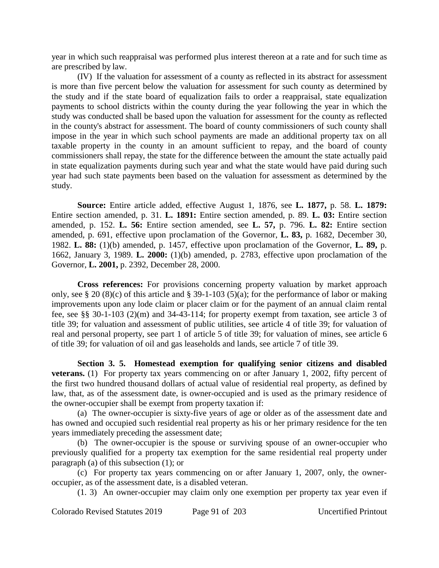year in which such reappraisal was performed plus interest thereon at a rate and for such time as are prescribed by law.

(IV) If the valuation for assessment of a county as reflected in its abstract for assessment is more than five percent below the valuation for assessment for such county as determined by the study and if the state board of equalization fails to order a reappraisal, state equalization payments to school districts within the county during the year following the year in which the study was conducted shall be based upon the valuation for assessment for the county as reflected in the county's abstract for assessment. The board of county commissioners of such county shall impose in the year in which such school payments are made an additional property tax on all taxable property in the county in an amount sufficient to repay, and the board of county commissioners shall repay, the state for the difference between the amount the state actually paid in state equalization payments during such year and what the state would have paid during such year had such state payments been based on the valuation for assessment as determined by the study.

**Source:** Entire article added, effective August 1, 1876, see **L. 1877,** p. 58. **L. 1879:** Entire section amended, p. 31. **L. 1891:** Entire section amended, p. 89. **L. 03:** Entire section amended, p. 152. **L. 56:** Entire section amended, see **L. 57,** p. 796. **L. 82:** Entire section amended, p. 691, effective upon proclamation of the Governor, **L. 83,** p. 1682, December 30, 1982. **L. 88:** (1)(b) amended, p. 1457, effective upon proclamation of the Governor, **L. 89,** p. 1662, January 3, 1989. **L. 2000:** (1)(b) amended, p. 2783, effective upon proclamation of the Governor, **L. 2001,** p. 2392, December 28, 2000.

**Cross references:** For provisions concerning property valuation by market approach only, see § 20 (8)(c) of this article and § 39-1-103 (5)(a); for the performance of labor or making improvements upon any lode claim or placer claim or for the payment of an annual claim rental fee, see §§ 30-1-103 (2)(m) and 34-43-114; for property exempt from taxation, see article 3 of title 39; for valuation and assessment of public utilities, see article 4 of title 39; for valuation of real and personal property, see part 1 of article 5 of title 39; for valuation of mines, see article 6 of title 39; for valuation of oil and gas leaseholds and lands, see article 7 of title 39.

**Section 3. 5. Homestead exemption for qualifying senior citizens and disabled veterans.** (1) For property tax years commencing on or after January 1, 2002, fifty percent of the first two hundred thousand dollars of actual value of residential real property, as defined by law, that, as of the assessment date, is owner-occupied and is used as the primary residence of the owner-occupier shall be exempt from property taxation if:

(a) The owner-occupier is sixty-five years of age or older as of the assessment date and has owned and occupied such residential real property as his or her primary residence for the ten years immediately preceding the assessment date;

(b) The owner-occupier is the spouse or surviving spouse of an owner-occupier who previously qualified for a property tax exemption for the same residential real property under paragraph (a) of this subsection (1); or

(c) For property tax years commencing on or after January 1, 2007, only, the owneroccupier, as of the assessment date, is a disabled veteran.

(1. 3) An owner-occupier may claim only one exemption per property tax year even if

Colorado Revised Statutes 2019 Page 91 of 203 Uncertified Printout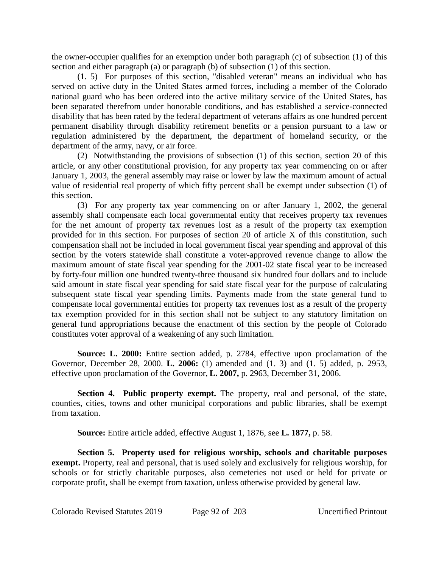the owner-occupier qualifies for an exemption under both paragraph (c) of subsection (1) of this section and either paragraph (a) or paragraph (b) of subsection (1) of this section.

(1. 5) For purposes of this section, "disabled veteran" means an individual who has served on active duty in the United States armed forces, including a member of the Colorado national guard who has been ordered into the active military service of the United States, has been separated therefrom under honorable conditions, and has established a service-connected disability that has been rated by the federal department of veterans affairs as one hundred percent permanent disability through disability retirement benefits or a pension pursuant to a law or regulation administered by the department, the department of homeland security, or the department of the army, navy, or air force.

(2) Notwithstanding the provisions of subsection (1) of this section, section 20 of this article, or any other constitutional provision, for any property tax year commencing on or after January 1, 2003, the general assembly may raise or lower by law the maximum amount of actual value of residential real property of which fifty percent shall be exempt under subsection (1) of this section.

(3) For any property tax year commencing on or after January 1, 2002, the general assembly shall compensate each local governmental entity that receives property tax revenues for the net amount of property tax revenues lost as a result of the property tax exemption provided for in this section. For purposes of section 20 of article X of this constitution, such compensation shall not be included in local government fiscal year spending and approval of this section by the voters statewide shall constitute a voter-approved revenue change to allow the maximum amount of state fiscal year spending for the 2001-02 state fiscal year to be increased by forty-four million one hundred twenty-three thousand six hundred four dollars and to include said amount in state fiscal year spending for said state fiscal year for the purpose of calculating subsequent state fiscal year spending limits. Payments made from the state general fund to compensate local governmental entities for property tax revenues lost as a result of the property tax exemption provided for in this section shall not be subject to any statutory limitation on general fund appropriations because the enactment of this section by the people of Colorado constitutes voter approval of a weakening of any such limitation.

**Source: L. 2000:** Entire section added, p. 2784, effective upon proclamation of the Governor, December 28, 2000. **L. 2006:** (1) amended and (1. 3) and (1. 5) added, p. 2953, effective upon proclamation of the Governor, **L. 2007,** p. 2963, December 31, 2006.

**Section 4. Public property exempt.** The property, real and personal, of the state, counties, cities, towns and other municipal corporations and public libraries, shall be exempt from taxation.

**Source:** Entire article added, effective August 1, 1876, see **L. 1877,** p. 58.

**Section 5. Property used for religious worship, schools and charitable purposes exempt.** Property, real and personal, that is used solely and exclusively for religious worship, for schools or for strictly charitable purposes, also cemeteries not used or held for private or corporate profit, shall be exempt from taxation, unless otherwise provided by general law.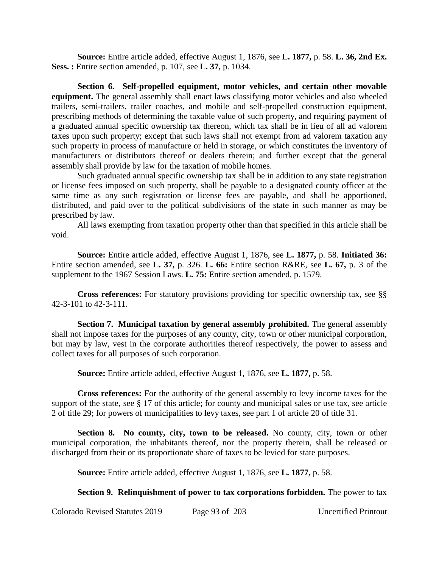**Source:** Entire article added, effective August 1, 1876, see **L. 1877,** p. 58. **L. 36, 2nd Ex. Sess. :** Entire section amended, p. 107, see **L. 37,** p. 1034.

**Section 6. Self-propelled equipment, motor vehicles, and certain other movable equipment.** The general assembly shall enact laws classifying motor vehicles and also wheeled trailers, semi-trailers, trailer coaches, and mobile and self-propelled construction equipment, prescribing methods of determining the taxable value of such property, and requiring payment of a graduated annual specific ownership tax thereon, which tax shall be in lieu of all ad valorem taxes upon such property; except that such laws shall not exempt from ad valorem taxation any such property in process of manufacture or held in storage, or which constitutes the inventory of manufacturers or distributors thereof or dealers therein; and further except that the general assembly shall provide by law for the taxation of mobile homes.

Such graduated annual specific ownership tax shall be in addition to any state registration or license fees imposed on such property, shall be payable to a designated county officer at the same time as any such registration or license fees are payable, and shall be apportioned, distributed, and paid over to the political subdivisions of the state in such manner as may be prescribed by law.

All laws exempting from taxation property other than that specified in this article shall be void.

**Source:** Entire article added, effective August 1, 1876, see **L. 1877,** p. 58. **Initiated 36:** Entire section amended, see **L. 37,** p. 326. **L. 66:** Entire section R&RE, see **L. 67,** p. 3 of the supplement to the 1967 Session Laws. **L. 75:** Entire section amended, p. 1579.

**Cross references:** For statutory provisions providing for specific ownership tax, see §§ 42-3-101 to 42-3-111.

**Section 7. Municipal taxation by general assembly prohibited.** The general assembly shall not impose taxes for the purposes of any county, city, town or other municipal corporation, but may by law, vest in the corporate authorities thereof respectively, the power to assess and collect taxes for all purposes of such corporation.

**Source:** Entire article added, effective August 1, 1876, see **L. 1877,** p. 58.

**Cross references:** For the authority of the general assembly to levy income taxes for the support of the state, see § 17 of this article; for county and municipal sales or use tax, see article 2 of title 29; for powers of municipalities to levy taxes, see part 1 of article 20 of title 31.

**Section 8. No county, city, town to be released.** No county, city, town or other municipal corporation, the inhabitants thereof, nor the property therein, shall be released or discharged from their or its proportionate share of taxes to be levied for state purposes.

**Source:** Entire article added, effective August 1, 1876, see **L. 1877,** p. 58.

**Section 9. Relinquishment of power to tax corporations forbidden.** The power to tax

Colorado Revised Statutes 2019 Page 93 of 203 Uncertified Printout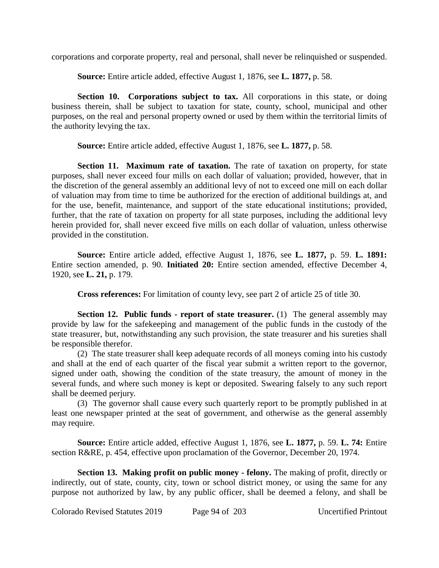corporations and corporate property, real and personal, shall never be relinquished or suspended.

**Source:** Entire article added, effective August 1, 1876, see **L. 1877,** p. 58.

**Section 10. Corporations subject to tax.** All corporations in this state, or doing business therein, shall be subject to taxation for state, county, school, municipal and other purposes, on the real and personal property owned or used by them within the territorial limits of the authority levying the tax.

**Source:** Entire article added, effective August 1, 1876, see **L. 1877,** p. 58.

**Section 11. Maximum rate of taxation.** The rate of taxation on property, for state purposes, shall never exceed four mills on each dollar of valuation; provided, however, that in the discretion of the general assembly an additional levy of not to exceed one mill on each dollar of valuation may from time to time be authorized for the erection of additional buildings at, and for the use, benefit, maintenance, and support of the state educational institutions; provided, further, that the rate of taxation on property for all state purposes, including the additional levy herein provided for, shall never exceed five mills on each dollar of valuation, unless otherwise provided in the constitution.

**Source:** Entire article added, effective August 1, 1876, see **L. 1877,** p. 59. **L. 1891:** Entire section amended, p. 90. **Initiated 20:** Entire section amended, effective December 4, 1920, see **L. 21,** p. 179.

**Cross references:** For limitation of county levy, see part 2 of article 25 of title 30.

**Section 12. Public funds - report of state treasurer.** (1) The general assembly may provide by law for the safekeeping and management of the public funds in the custody of the state treasurer, but, notwithstanding any such provision, the state treasurer and his sureties shall be responsible therefor.

(2) The state treasurer shall keep adequate records of all moneys coming into his custody and shall at the end of each quarter of the fiscal year submit a written report to the governor, signed under oath, showing the condition of the state treasury, the amount of money in the several funds, and where such money is kept or deposited. Swearing falsely to any such report shall be deemed perjury.

(3) The governor shall cause every such quarterly report to be promptly published in at least one newspaper printed at the seat of government, and otherwise as the general assembly may require.

**Source:** Entire article added, effective August 1, 1876, see **L. 1877,** p. 59. **L. 74:** Entire section R&RE, p. 454, effective upon proclamation of the Governor, December 20, 1974.

**Section 13. Making profit on public money - felony.** The making of profit, directly or indirectly, out of state, county, city, town or school district money, or using the same for any purpose not authorized by law, by any public officer, shall be deemed a felony, and shall be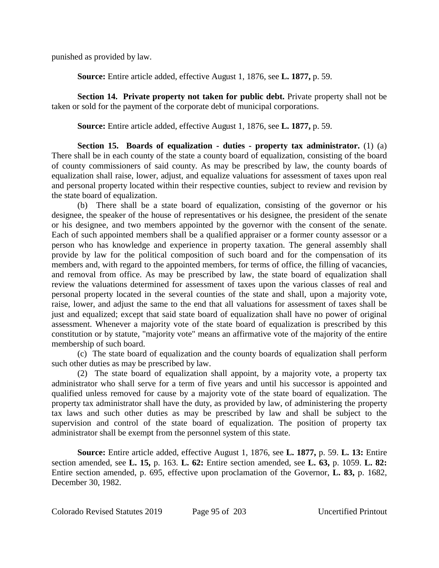punished as provided by law.

**Source:** Entire article added, effective August 1, 1876, see **L. 1877,** p. 59.

**Section 14. Private property not taken for public debt.** Private property shall not be taken or sold for the payment of the corporate debt of municipal corporations.

**Source:** Entire article added, effective August 1, 1876, see **L. 1877,** p. 59.

**Section 15. Boards of equalization - duties - property tax administrator.** (1) (a) There shall be in each county of the state a county board of equalization, consisting of the board of county commissioners of said county. As may be prescribed by law, the county boards of equalization shall raise, lower, adjust, and equalize valuations for assessment of taxes upon real and personal property located within their respective counties, subject to review and revision by the state board of equalization.

(b) There shall be a state board of equalization, consisting of the governor or his designee, the speaker of the house of representatives or his designee, the president of the senate or his designee, and two members appointed by the governor with the consent of the senate. Each of such appointed members shall be a qualified appraiser or a former county assessor or a person who has knowledge and experience in property taxation. The general assembly shall provide by law for the political composition of such board and for the compensation of its members and, with regard to the appointed members, for terms of office, the filling of vacancies, and removal from office. As may be prescribed by law, the state board of equalization shall review the valuations determined for assessment of taxes upon the various classes of real and personal property located in the several counties of the state and shall, upon a majority vote, raise, lower, and adjust the same to the end that all valuations for assessment of taxes shall be just and equalized; except that said state board of equalization shall have no power of original assessment. Whenever a majority vote of the state board of equalization is prescribed by this constitution or by statute, "majority vote" means an affirmative vote of the majority of the entire membership of such board.

(c) The state board of equalization and the county boards of equalization shall perform such other duties as may be prescribed by law.

(2) The state board of equalization shall appoint, by a majority vote, a property tax administrator who shall serve for a term of five years and until his successor is appointed and qualified unless removed for cause by a majority vote of the state board of equalization. The property tax administrator shall have the duty, as provided by law, of administering the property tax laws and such other duties as may be prescribed by law and shall be subject to the supervision and control of the state board of equalization. The position of property tax administrator shall be exempt from the personnel system of this state.

**Source:** Entire article added, effective August 1, 1876, see **L. 1877,** p. 59. **L. 13:** Entire section amended, see **L. 15,** p. 163. **L. 62:** Entire section amended, see **L. 63,** p. 1059. **L. 82:** Entire section amended, p. 695, effective upon proclamation of the Governor, **L. 83,** p. 1682, December 30, 1982.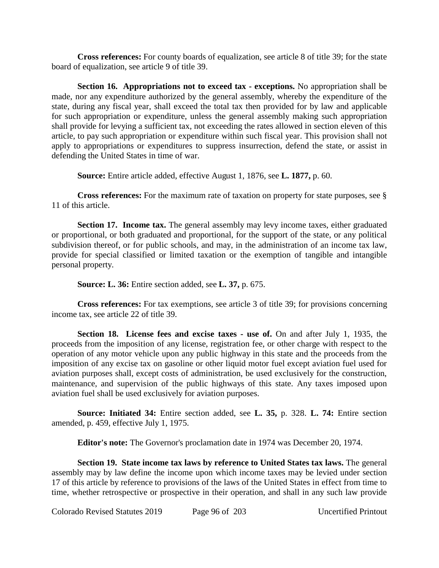**Cross references:** For county boards of equalization, see article 8 of title 39; for the state board of equalization, see article 9 of title 39.

**Section 16. Appropriations not to exceed tax - exceptions.** No appropriation shall be made, nor any expenditure authorized by the general assembly, whereby the expenditure of the state, during any fiscal year, shall exceed the total tax then provided for by law and applicable for such appropriation or expenditure, unless the general assembly making such appropriation shall provide for levying a sufficient tax, not exceeding the rates allowed in section eleven of this article, to pay such appropriation or expenditure within such fiscal year. This provision shall not apply to appropriations or expenditures to suppress insurrection, defend the state, or assist in defending the United States in time of war.

**Source:** Entire article added, effective August 1, 1876, see **L. 1877,** p. 60.

**Cross references:** For the maximum rate of taxation on property for state purposes, see § 11 of this article.

**Section 17. Income tax.** The general assembly may levy income taxes, either graduated or proportional, or both graduated and proportional, for the support of the state, or any political subdivision thereof, or for public schools, and may, in the administration of an income tax law, provide for special classified or limited taxation or the exemption of tangible and intangible personal property.

**Source: L. 36:** Entire section added, see **L. 37,** p. 675.

**Cross references:** For tax exemptions, see article 3 of title 39; for provisions concerning income tax, see article 22 of title 39.

**Section 18. License fees and excise taxes - use of.** On and after July 1, 1935, the proceeds from the imposition of any license, registration fee, or other charge with respect to the operation of any motor vehicle upon any public highway in this state and the proceeds from the imposition of any excise tax on gasoline or other liquid motor fuel except aviation fuel used for aviation purposes shall, except costs of administration, be used exclusively for the construction, maintenance, and supervision of the public highways of this state. Any taxes imposed upon aviation fuel shall be used exclusively for aviation purposes.

**Source: Initiated 34:** Entire section added, see **L. 35,** p. 328. **L. 74:** Entire section amended, p. 459, effective July 1, 1975.

**Editor's note:** The Governor's proclamation date in 1974 was December 20, 1974.

**Section 19. State income tax laws by reference to United States tax laws.** The general assembly may by law define the income upon which income taxes may be levied under section 17 of this article by reference to provisions of the laws of the United States in effect from time to time, whether retrospective or prospective in their operation, and shall in any such law provide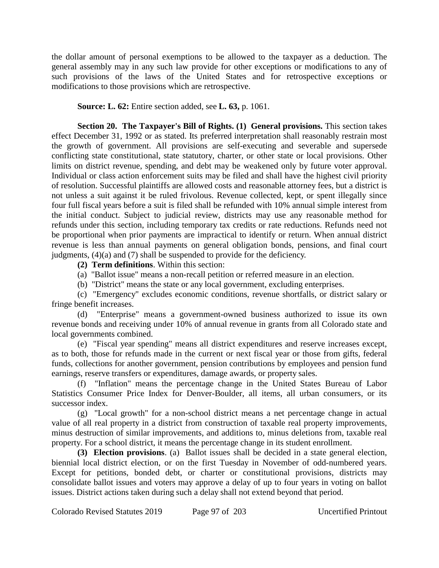the dollar amount of personal exemptions to be allowed to the taxpayer as a deduction. The general assembly may in any such law provide for other exceptions or modifications to any of such provisions of the laws of the United States and for retrospective exceptions or modifications to those provisions which are retrospective.

**Source: L. 62:** Entire section added, see **L. 63,** p. 1061.

**Section 20. The Taxpayer's Bill of Rights. (1) General provisions.** This section takes effect December 31, 1992 or as stated. Its preferred interpretation shall reasonably restrain most the growth of government. All provisions are self-executing and severable and supersede conflicting state constitutional, state statutory, charter, or other state or local provisions. Other limits on district revenue, spending, and debt may be weakened only by future voter approval. Individual or class action enforcement suits may be filed and shall have the highest civil priority of resolution. Successful plaintiffs are allowed costs and reasonable attorney fees, but a district is not unless a suit against it be ruled frivolous. Revenue collected, kept, or spent illegally since four full fiscal years before a suit is filed shall be refunded with 10% annual simple interest from the initial conduct. Subject to judicial review, districts may use any reasonable method for refunds under this section, including temporary tax credits or rate reductions. Refunds need not be proportional when prior payments are impractical to identify or return. When annual district revenue is less than annual payments on general obligation bonds, pensions, and final court judgments, (4)(a) and (7) shall be suspended to provide for the deficiency.

**(2) Term definitions**. Within this section:

- (a) "Ballot issue" means a non-recall petition or referred measure in an election.
- (b) "District" means the state or any local government, excluding enterprises.

(c) "Emergency" excludes economic conditions, revenue shortfalls, or district salary or fringe benefit increases.

(d) "Enterprise" means a government-owned business authorized to issue its own revenue bonds and receiving under 10% of annual revenue in grants from all Colorado state and local governments combined.

(e) "Fiscal year spending" means all district expenditures and reserve increases except, as to both, those for refunds made in the current or next fiscal year or those from gifts, federal funds, collections for another government, pension contributions by employees and pension fund earnings, reserve transfers or expenditures, damage awards, or property sales.

(f) "Inflation" means the percentage change in the United States Bureau of Labor Statistics Consumer Price Index for Denver-Boulder, all items, all urban consumers, or its successor index.

(g) "Local growth" for a non-school district means a net percentage change in actual value of all real property in a district from construction of taxable real property improvements, minus destruction of similar improvements, and additions to, minus deletions from, taxable real property. For a school district, it means the percentage change in its student enrollment.

**(3) Election provisions**. (a) Ballot issues shall be decided in a state general election, biennial local district election, or on the first Tuesday in November of odd-numbered years. Except for petitions, bonded debt, or charter or constitutional provisions, districts may consolidate ballot issues and voters may approve a delay of up to four years in voting on ballot issues. District actions taken during such a delay shall not extend beyond that period.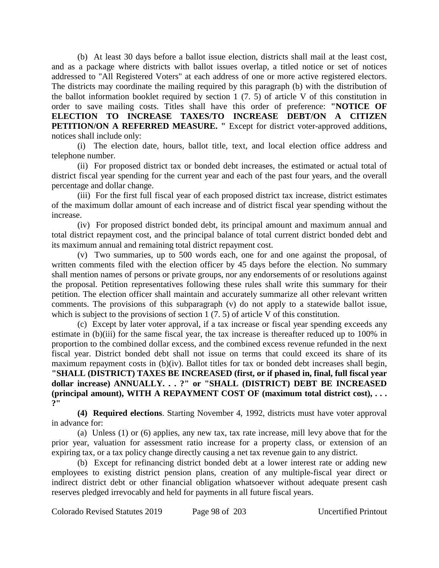(b) At least 30 days before a ballot issue election, districts shall mail at the least cost, and as a package where districts with ballot issues overlap, a titled notice or set of notices addressed to "All Registered Voters" at each address of one or more active registered electors. The districts may coordinate the mailing required by this paragraph (b) with the distribution of the ballot information booklet required by section 1 (7. 5) of article V of this constitution in order to save mailing costs. Titles shall have this order of preference: **"NOTICE OF ELECTION TO INCREASE TAXES/TO INCREASE DEBT/ON A CITIZEN PETITION/ON A REFERRED MEASURE. "** Except for district voter-approved additions, notices shall include only:

(i) The election date, hours, ballot title, text, and local election office address and telephone number.

(ii) For proposed district tax or bonded debt increases, the estimated or actual total of district fiscal year spending for the current year and each of the past four years, and the overall percentage and dollar change.

(iii) For the first full fiscal year of each proposed district tax increase, district estimates of the maximum dollar amount of each increase and of district fiscal year spending without the increase.

(iv) For proposed district bonded debt, its principal amount and maximum annual and total district repayment cost, and the principal balance of total current district bonded debt and its maximum annual and remaining total district repayment cost.

(v) Two summaries, up to 500 words each, one for and one against the proposal, of written comments filed with the election officer by 45 days before the election. No summary shall mention names of persons or private groups, nor any endorsements of or resolutions against the proposal. Petition representatives following these rules shall write this summary for their petition. The election officer shall maintain and accurately summarize all other relevant written comments. The provisions of this subparagraph (v) do not apply to a statewide ballot issue, which is subject to the provisions of section 1 (7. 5) of article V of this constitution.

(c) Except by later voter approval, if a tax increase or fiscal year spending exceeds any estimate in (b)(iii) for the same fiscal year, the tax increase is thereafter reduced up to 100% in proportion to the combined dollar excess, and the combined excess revenue refunded in the next fiscal year. District bonded debt shall not issue on terms that could exceed its share of its maximum repayment costs in (b)(iv). Ballot titles for tax or bonded debt increases shall begin, **"SHALL (DISTRICT) TAXES BE INCREASED (first, or if phased in, final, full fiscal year dollar increase) ANNUALLY. . . ?" or "SHALL (DISTRICT) DEBT BE INCREASED (principal amount), WITH A REPAYMENT COST OF (maximum total district cost), . . . ?"**

**(4) Required elections**. Starting November 4, 1992, districts must have voter approval in advance for:

(a) Unless (1) or (6) applies, any new tax, tax rate increase, mill levy above that for the prior year, valuation for assessment ratio increase for a property class, or extension of an expiring tax, or a tax policy change directly causing a net tax revenue gain to any district.

(b) Except for refinancing district bonded debt at a lower interest rate or adding new employees to existing district pension plans, creation of any multiple-fiscal year direct or indirect district debt or other financial obligation whatsoever without adequate present cash reserves pledged irrevocably and held for payments in all future fiscal years.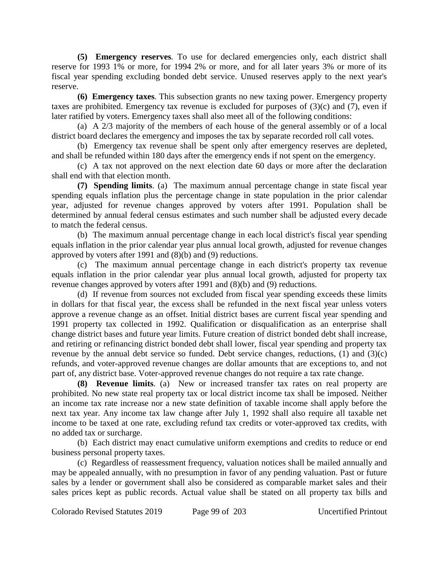**(5) Emergency reserves**. To use for declared emergencies only, each district shall reserve for 1993 1% or more, for 1994 2% or more, and for all later years 3% or more of its fiscal year spending excluding bonded debt service. Unused reserves apply to the next year's reserve.

**(6) Emergency taxes**. This subsection grants no new taxing power. Emergency property taxes are prohibited. Emergency tax revenue is excluded for purposes of  $(3)(c)$  and  $(7)$ , even if later ratified by voters. Emergency taxes shall also meet all of the following conditions:

(a) A 2/3 majority of the members of each house of the general assembly or of a local district board declares the emergency and imposes the tax by separate recorded roll call votes.

(b) Emergency tax revenue shall be spent only after emergency reserves are depleted, and shall be refunded within 180 days after the emergency ends if not spent on the emergency.

(c) A tax not approved on the next election date 60 days or more after the declaration shall end with that election month.

**(7) Spending limits**. (a) The maximum annual percentage change in state fiscal year spending equals inflation plus the percentage change in state population in the prior calendar year, adjusted for revenue changes approved by voters after 1991. Population shall be determined by annual federal census estimates and such number shall be adjusted every decade to match the federal census.

(b) The maximum annual percentage change in each local district's fiscal year spending equals inflation in the prior calendar year plus annual local growth, adjusted for revenue changes approved by voters after 1991 and (8)(b) and (9) reductions.

(c) The maximum annual percentage change in each district's property tax revenue equals inflation in the prior calendar year plus annual local growth, adjusted for property tax revenue changes approved by voters after 1991 and (8)(b) and (9) reductions.

(d) If revenue from sources not excluded from fiscal year spending exceeds these limits in dollars for that fiscal year, the excess shall be refunded in the next fiscal year unless voters approve a revenue change as an offset. Initial district bases are current fiscal year spending and 1991 property tax collected in 1992. Qualification or disqualification as an enterprise shall change district bases and future year limits. Future creation of district bonded debt shall increase, and retiring or refinancing district bonded debt shall lower, fiscal year spending and property tax revenue by the annual debt service so funded. Debt service changes, reductions, (1) and (3)(c) refunds, and voter-approved revenue changes are dollar amounts that are exceptions to, and not part of, any district base. Voter-approved revenue changes do not require a tax rate change.

**(8) Revenue limits**. (a) New or increased transfer tax rates on real property are prohibited. No new state real property tax or local district income tax shall be imposed. Neither an income tax rate increase nor a new state definition of taxable income shall apply before the next tax year. Any income tax law change after July 1, 1992 shall also require all taxable net income to be taxed at one rate, excluding refund tax credits or voter-approved tax credits, with no added tax or surcharge.

(b) Each district may enact cumulative uniform exemptions and credits to reduce or end business personal property taxes.

(c) Regardless of reassessment frequency, valuation notices shall be mailed annually and may be appealed annually, with no presumption in favor of any pending valuation. Past or future sales by a lender or government shall also be considered as comparable market sales and their sales prices kept as public records. Actual value shall be stated on all property tax bills and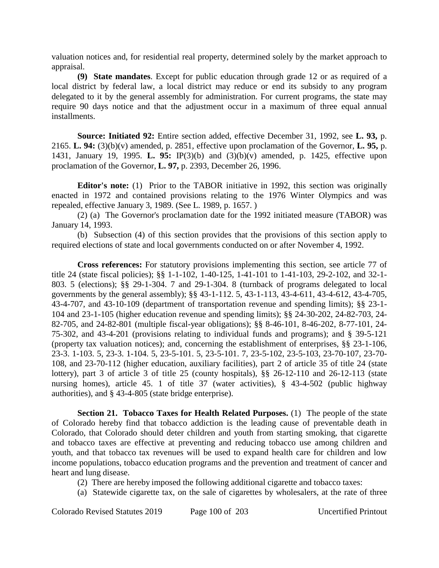valuation notices and, for residential real property, determined solely by the market approach to appraisal.

**(9) State mandates**. Except for public education through grade 12 or as required of a local district by federal law, a local district may reduce or end its subsidy to any program delegated to it by the general assembly for administration. For current programs, the state may require 90 days notice and that the adjustment occur in a maximum of three equal annual installments.

**Source: Initiated 92:** Entire section added, effective December 31, 1992, see **L. 93,** p. 2165. **L. 94:** (3)(b)(v) amended, p. 2851, effective upon proclamation of the Governor, **L. 95,** p. 1431, January 19, 1995. **L. 95:** IP(3)(b) and (3)(b)(v) amended, p. 1425, effective upon proclamation of the Governor, **L. 97,** p. 2393, December 26, 1996.

**Editor's note:** (1) Prior to the TABOR initiative in 1992, this section was originally enacted in 1972 and contained provisions relating to the 1976 Winter Olympics and was repealed, effective January 3, 1989. (See L. 1989, p. 1657. )

(2) (a) The Governor's proclamation date for the 1992 initiated measure (TABOR) was January 14, 1993.

(b) Subsection (4) of this section provides that the provisions of this section apply to required elections of state and local governments conducted on or after November 4, 1992.

**Cross references:** For statutory provisions implementing this section, see article 77 of title 24 (state fiscal policies); §§ 1-1-102, 1-40-125, 1-41-101 to 1-41-103, 29-2-102, and 32-1- 803. 5 (elections); §§ 29-1-304. 7 and 29-1-304. 8 (turnback of programs delegated to local governments by the general assembly); §§ 43-1-112. 5, 43-1-113, 43-4-611, 43-4-612, 43-4-705, 43-4-707, and 43-10-109 (department of transportation revenue and spending limits); §§ 23-1- 104 and 23-1-105 (higher education revenue and spending limits); §§ 24-30-202, 24-82-703, 24- 82-705, and 24-82-801 (multiple fiscal-year obligations); §§ 8-46-101, 8-46-202, 8-77-101, 24- 75-302, and 43-4-201 (provisions relating to individual funds and programs); and § 39-5-121 (property tax valuation notices); and, concerning the establishment of enterprises, §§ 23-1-106, 23-3. 1-103. 5, 23-3. 1-104. 5, 23-5-101. 5, 23-5-101. 7, 23-5-102, 23-5-103, 23-70-107, 23-70- 108, and 23-70-112 (higher education, auxiliary facilities), part 2 of article 35 of title 24 (state lottery), part 3 of article 3 of title 25 (county hospitals), §§ 26-12-110 and 26-12-113 (state nursing homes), article 45. 1 of title 37 (water activities), § 43-4-502 (public highway authorities), and § 43-4-805 (state bridge enterprise).

**Section 21. Tobacco Taxes for Health Related Purposes.** (1) The people of the state of Colorado hereby find that tobacco addiction is the leading cause of preventable death in Colorado, that Colorado should deter children and youth from starting smoking, that cigarette and tobacco taxes are effective at preventing and reducing tobacco use among children and youth, and that tobacco tax revenues will be used to expand health care for children and low income populations, tobacco education programs and the prevention and treatment of cancer and heart and lung disease.

- (2) There are hereby imposed the following additional cigarette and tobacco taxes:
- (a) Statewide cigarette tax, on the sale of cigarettes by wholesalers, at the rate of three

Colorado Revised Statutes 2019 Page 100 of 203 Uncertified Printout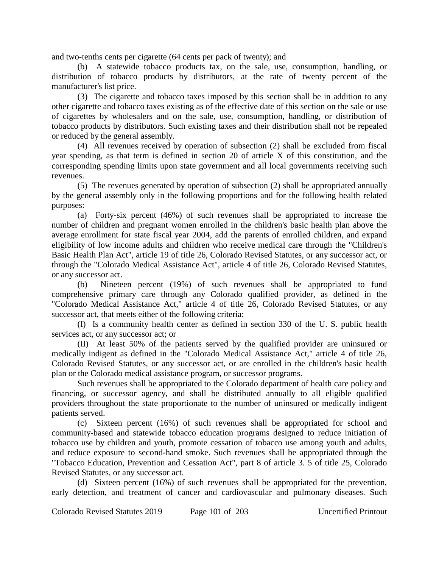and two-tenths cents per cigarette (64 cents per pack of twenty); and

(b) A statewide tobacco products tax, on the sale, use, consumption, handling, or distribution of tobacco products by distributors, at the rate of twenty percent of the manufacturer's list price.

(3) The cigarette and tobacco taxes imposed by this section shall be in addition to any other cigarette and tobacco taxes existing as of the effective date of this section on the sale or use of cigarettes by wholesalers and on the sale, use, consumption, handling, or distribution of tobacco products by distributors. Such existing taxes and their distribution shall not be repealed or reduced by the general assembly.

(4) All revenues received by operation of subsection (2) shall be excluded from fiscal year spending, as that term is defined in section 20 of article X of this constitution, and the corresponding spending limits upon state government and all local governments receiving such revenues.

(5) The revenues generated by operation of subsection (2) shall be appropriated annually by the general assembly only in the following proportions and for the following health related purposes:

(a) Forty-six percent (46%) of such revenues shall be appropriated to increase the number of children and pregnant women enrolled in the children's basic health plan above the average enrollment for state fiscal year 2004, add the parents of enrolled children, and expand eligibility of low income adults and children who receive medical care through the "Children's Basic Health Plan Act", article 19 of title 26, Colorado Revised Statutes, or any successor act, or through the "Colorado Medical Assistance Act", article 4 of title 26, Colorado Revised Statutes, or any successor act.

(b) Nineteen percent (19%) of such revenues shall be appropriated to fund comprehensive primary care through any Colorado qualified provider, as defined in the "Colorado Medical Assistance Act," article 4 of title 26, Colorado Revised Statutes, or any successor act, that meets either of the following criteria:

(I) Is a community health center as defined in section 330 of the U. S. public health services act, or any successor act; or

(II) At least 50% of the patients served by the qualified provider are uninsured or medically indigent as defined in the "Colorado Medical Assistance Act," article 4 of title 26, Colorado Revised Statutes, or any successor act, or are enrolled in the children's basic health plan or the Colorado medical assistance program, or successor programs.

Such revenues shall be appropriated to the Colorado department of health care policy and financing, or successor agency, and shall be distributed annually to all eligible qualified providers throughout the state proportionate to the number of uninsured or medically indigent patients served.

(c) Sixteen percent (16%) of such revenues shall be appropriated for school and community-based and statewide tobacco education programs designed to reduce initiation of tobacco use by children and youth, promote cessation of tobacco use among youth and adults, and reduce exposure to second-hand smoke. Such revenues shall be appropriated through the "Tobacco Education, Prevention and Cessation Act", part 8 of article 3. 5 of title 25, Colorado Revised Statutes, or any successor act.

(d) Sixteen percent (16%) of such revenues shall be appropriated for the prevention, early detection, and treatment of cancer and cardiovascular and pulmonary diseases. Such

Colorado Revised Statutes 2019 Page 101 of 203 Uncertified Printout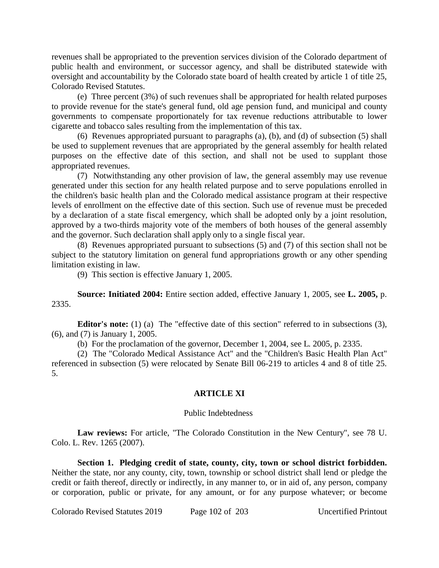revenues shall be appropriated to the prevention services division of the Colorado department of public health and environment, or successor agency, and shall be distributed statewide with oversight and accountability by the Colorado state board of health created by article 1 of title 25, Colorado Revised Statutes.

(e) Three percent (3%) of such revenues shall be appropriated for health related purposes to provide revenue for the state's general fund, old age pension fund, and municipal and county governments to compensate proportionately for tax revenue reductions attributable to lower cigarette and tobacco sales resulting from the implementation of this tax.

(6) Revenues appropriated pursuant to paragraphs (a), (b), and (d) of subsection (5) shall be used to supplement revenues that are appropriated by the general assembly for health related purposes on the effective date of this section, and shall not be used to supplant those appropriated revenues.

(7) Notwithstanding any other provision of law, the general assembly may use revenue generated under this section for any health related purpose and to serve populations enrolled in the children's basic health plan and the Colorado medical assistance program at their respective levels of enrollment on the effective date of this section. Such use of revenue must be preceded by a declaration of a state fiscal emergency, which shall be adopted only by a joint resolution, approved by a two-thirds majority vote of the members of both houses of the general assembly and the governor. Such declaration shall apply only to a single fiscal year.

(8) Revenues appropriated pursuant to subsections (5) and (7) of this section shall not be subject to the statutory limitation on general fund appropriations growth or any other spending limitation existing in law.

(9) This section is effective January 1, 2005.

**Source: Initiated 2004:** Entire section added, effective January 1, 2005, see **L. 2005,** p. 2335.

**Editor's note:** (1) (a) The "effective date of this section" referred to in subsections (3), (6), and (7) is January 1, 2005.

(b) For the proclamation of the governor, December 1, 2004, see L. 2005, p. 2335.

(2) The "Colorado Medical Assistance Act" and the "Children's Basic Health Plan Act" referenced in subsection (5) were relocated by Senate Bill 06-219 to articles 4 and 8 of title 25. 5.

### **ARTICLE XI**

### Public Indebtedness

**Law reviews:** For article, "The Colorado Constitution in the New Century", see 78 U. Colo. L. Rev. 1265 (2007).

**Section 1. Pledging credit of state, county, city, town or school district forbidden.** Neither the state, nor any county, city, town, township or school district shall lend or pledge the credit or faith thereof, directly or indirectly, in any manner to, or in aid of, any person, company or corporation, public or private, for any amount, or for any purpose whatever; or become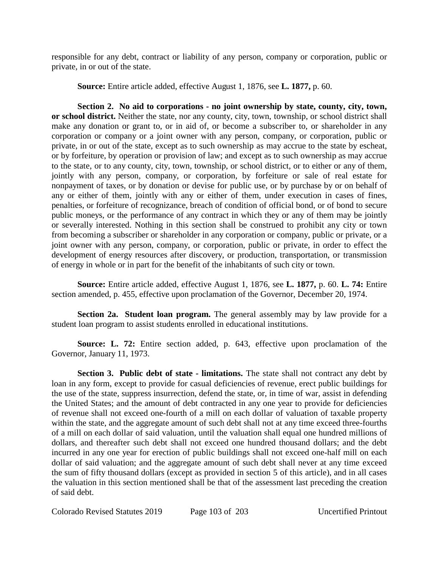responsible for any debt, contract or liability of any person, company or corporation, public or private, in or out of the state.

**Source:** Entire article added, effective August 1, 1876, see **L. 1877,** p. 60.

**Section 2. No aid to corporations - no joint ownership by state, county, city, town, or school district.** Neither the state, nor any county, city, town, township, or school district shall make any donation or grant to, or in aid of, or become a subscriber to, or shareholder in any corporation or company or a joint owner with any person, company, or corporation, public or private, in or out of the state, except as to such ownership as may accrue to the state by escheat, or by forfeiture, by operation or provision of law; and except as to such ownership as may accrue to the state, or to any county, city, town, township, or school district, or to either or any of them, jointly with any person, company, or corporation, by forfeiture or sale of real estate for nonpayment of taxes, or by donation or devise for public use, or by purchase by or on behalf of any or either of them, jointly with any or either of them, under execution in cases of fines, penalties, or forfeiture of recognizance, breach of condition of official bond, or of bond to secure public moneys, or the performance of any contract in which they or any of them may be jointly or severally interested. Nothing in this section shall be construed to prohibit any city or town from becoming a subscriber or shareholder in any corporation or company, public or private, or a joint owner with any person, company, or corporation, public or private, in order to effect the development of energy resources after discovery, or production, transportation, or transmission of energy in whole or in part for the benefit of the inhabitants of such city or town.

**Source:** Entire article added, effective August 1, 1876, see **L. 1877,** p. 60. **L. 74:** Entire section amended, p. 455, effective upon proclamation of the Governor, December 20, 1974.

**Section 2a. Student loan program.** The general assembly may by law provide for a student loan program to assist students enrolled in educational institutions.

**Source: L. 72:** Entire section added, p. 643, effective upon proclamation of the Governor, January 11, 1973.

**Section 3. Public debt of state - limitations.** The state shall not contract any debt by loan in any form, except to provide for casual deficiencies of revenue, erect public buildings for the use of the state, suppress insurrection, defend the state, or, in time of war, assist in defending the United States; and the amount of debt contracted in any one year to provide for deficiencies of revenue shall not exceed one-fourth of a mill on each dollar of valuation of taxable property within the state, and the aggregate amount of such debt shall not at any time exceed three-fourths of a mill on each dollar of said valuation, until the valuation shall equal one hundred millions of dollars, and thereafter such debt shall not exceed one hundred thousand dollars; and the debt incurred in any one year for erection of public buildings shall not exceed one-half mill on each dollar of said valuation; and the aggregate amount of such debt shall never at any time exceed the sum of fifty thousand dollars (except as provided in section 5 of this article), and in all cases the valuation in this section mentioned shall be that of the assessment last preceding the creation of said debt.

Colorado Revised Statutes 2019 Page 103 of 203 Uncertified Printout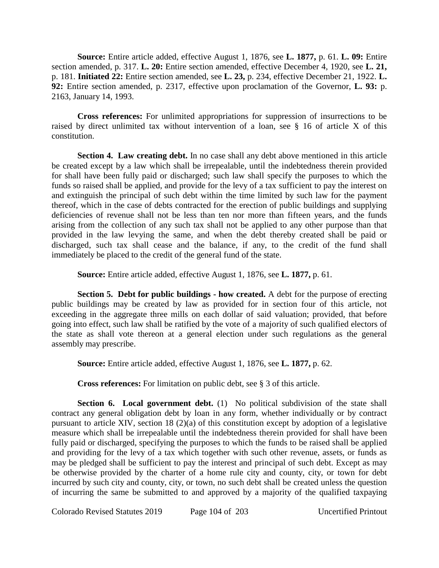**Source:** Entire article added, effective August 1, 1876, see **L. 1877,** p. 61. **L. 09:** Entire section amended, p. 317. **L. 20:** Entire section amended, effective December 4, 1920, see **L. 21,** p. 181. **Initiated 22:** Entire section amended, see **L. 23,** p. 234, effective December 21, 1922. **L. 92:** Entire section amended, p. 2317, effective upon proclamation of the Governor, **L. 93:** p. 2163, January 14, 1993.

**Cross references:** For unlimited appropriations for suppression of insurrections to be raised by direct unlimited tax without intervention of a loan, see § 16 of article X of this constitution.

**Section 4. Law creating debt.** In no case shall any debt above mentioned in this article be created except by a law which shall be irrepealable, until the indebtedness therein provided for shall have been fully paid or discharged; such law shall specify the purposes to which the funds so raised shall be applied, and provide for the levy of a tax sufficient to pay the interest on and extinguish the principal of such debt within the time limited by such law for the payment thereof, which in the case of debts contracted for the erection of public buildings and supplying deficiencies of revenue shall not be less than ten nor more than fifteen years, and the funds arising from the collection of any such tax shall not be applied to any other purpose than that provided in the law levying the same, and when the debt thereby created shall be paid or discharged, such tax shall cease and the balance, if any, to the credit of the fund shall immediately be placed to the credit of the general fund of the state.

**Source:** Entire article added, effective August 1, 1876, see **L. 1877,** p. 61.

**Section 5. Debt for public buildings - how created.** A debt for the purpose of erecting public buildings may be created by law as provided for in section four of this article, not exceeding in the aggregate three mills on each dollar of said valuation; provided, that before going into effect, such law shall be ratified by the vote of a majority of such qualified electors of the state as shall vote thereon at a general election under such regulations as the general assembly may prescribe.

**Source:** Entire article added, effective August 1, 1876, see **L. 1877,** p. 62.

**Cross references:** For limitation on public debt, see § 3 of this article.

**Section 6. Local government debt.** (1) No political subdivision of the state shall contract any general obligation debt by loan in any form, whether individually or by contract pursuant to article XIV, section 18 (2)(a) of this constitution except by adoption of a legislative measure which shall be irrepealable until the indebtedness therein provided for shall have been fully paid or discharged, specifying the purposes to which the funds to be raised shall be applied and providing for the levy of a tax which together with such other revenue, assets, or funds as may be pledged shall be sufficient to pay the interest and principal of such debt. Except as may be otherwise provided by the charter of a home rule city and county, city, or town for debt incurred by such city and county, city, or town, no such debt shall be created unless the question of incurring the same be submitted to and approved by a majority of the qualified taxpaying

Colorado Revised Statutes 2019 Page 104 of 203 Uncertified Printout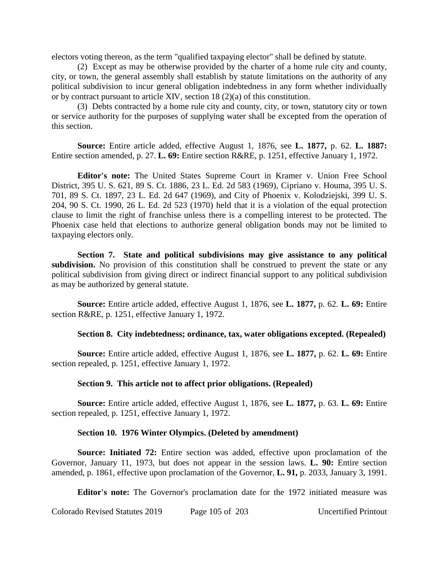electors voting thereon, as the term "qualified taxpaying elector" shall be defined by statute.

(2) Except as may be otherwise provided by the charter of a home rule city and county, city, or town, the general assembly shall establish by statute limitations on the authority of any political subdivision to incur general obligation indebtedness in any form whether individually or by contract pursuant to article XIV, section 18 (2)(a) of this constitution.

(3) Debts contracted by a home rule city and county, city, or town, statutory city or town or service authority for the purposes of supplying water shall be excepted from the operation of this section.

**Source:** Entire article added, effective August 1, 1876, see **L. 1877,** p. 62. **L. 1887:** Entire section amended, p. 27. **L. 69:** Entire section R&RE, p. 1251, effective January 1, 1972.

**Editor's note:** The United States Supreme Court in Kramer v. Union Free School District, 395 U. S. 621, 89 S. Ct. 1886, 23 L. Ed. 2d 583 (1969), Cipriano v. Houma, 395 U. S. 701, 89 S. Ct. 1897, 23 L. Ed. 2d 647 (1969), and City of Phoenix v. Kolodziejski, 399 U. S. 204, 90 S. Ct. 1990, 26 L. Ed. 2d 523 (1970) held that it is a violation of the equal protection clause to limit the right of franchise unless there is a compelling interest to be protected. The Phoenix case held that elections to authorize general obligation bonds may not be limited to taxpaying electors only.

**Section 7. State and political subdivisions may give assistance to any political subdivision.** No provision of this constitution shall be construed to prevent the state or any political subdivision from giving direct or indirect financial support to any political subdivision as may be authorized by general statute.

**Source:** Entire article added, effective August 1, 1876, see **L. 1877,** p. 62. **L. 69:** Entire section R&RE, p. 1251, effective January 1, 1972.

### **Section 8. City indebtedness; ordinance, tax, water obligations excepted. (Repealed)**

**Source:** Entire article added, effective August 1, 1876, see **L. 1877,** p. 62. **L. 69:** Entire section repealed, p. 1251, effective January 1, 1972.

### **Section 9. This article not to affect prior obligations. (Repealed)**

**Source:** Entire article added, effective August 1, 1876, see **L. 1877,** p. 63. **L. 69:** Entire section repealed, p. 1251, effective January 1, 1972.

### **Section 10. 1976 Winter Olympics. (Deleted by amendment)**

**Source: Initiated 72:** Entire section was added, effective upon proclamation of the Governor, January 11, 1973, but does not appear in the session laws. **L. 90:** Entire section amended, p. 1861, effective upon proclamation of the Governor, **L. 91,** p. 2033, January 3, 1991.

**Editor's note:** The Governor's proclamation date for the 1972 initiated measure was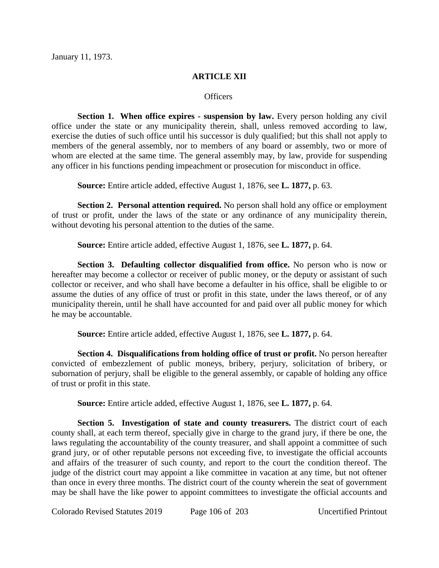January 11, 1973.

## **ARTICLE XII**

#### **Officers**

**Section 1. When office expires - suspension by law.** Every person holding any civil office under the state or any municipality therein, shall, unless removed according to law, exercise the duties of such office until his successor is duly qualified; but this shall not apply to members of the general assembly, nor to members of any board or assembly, two or more of whom are elected at the same time. The general assembly may, by law, provide for suspending any officer in his functions pending impeachment or prosecution for misconduct in office.

**Source:** Entire article added, effective August 1, 1876, see **L. 1877,** p. 63.

**Section 2. Personal attention required.** No person shall hold any office or employment of trust or profit, under the laws of the state or any ordinance of any municipality therein, without devoting his personal attention to the duties of the same.

**Source:** Entire article added, effective August 1, 1876, see **L. 1877,** p. 64.

**Section 3. Defaulting collector disqualified from office.** No person who is now or hereafter may become a collector or receiver of public money, or the deputy or assistant of such collector or receiver, and who shall have become a defaulter in his office, shall be eligible to or assume the duties of any office of trust or profit in this state, under the laws thereof, or of any municipality therein, until he shall have accounted for and paid over all public money for which he may be accountable.

**Source:** Entire article added, effective August 1, 1876, see **L. 1877,** p. 64.

**Section 4. Disqualifications from holding office of trust or profit.** No person hereafter convicted of embezzlement of public moneys, bribery, perjury, solicitation of bribery, or subornation of perjury, shall be eligible to the general assembly, or capable of holding any office of trust or profit in this state.

**Source:** Entire article added, effective August 1, 1876, see **L. 1877,** p. 64.

**Section 5. Investigation of state and county treasurers.** The district court of each county shall, at each term thereof, specially give in charge to the grand jury, if there be one, the laws regulating the accountability of the county treasurer, and shall appoint a committee of such grand jury, or of other reputable persons not exceeding five, to investigate the official accounts and affairs of the treasurer of such county, and report to the court the condition thereof. The judge of the district court may appoint a like committee in vacation at any time, but not oftener than once in every three months. The district court of the county wherein the seat of government may be shall have the like power to appoint committees to investigate the official accounts and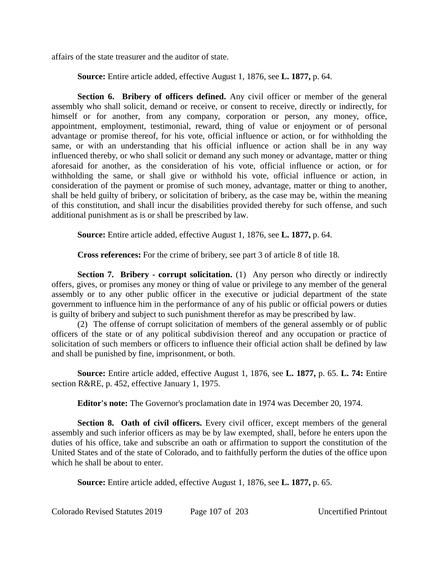affairs of the state treasurer and the auditor of state.

**Source:** Entire article added, effective August 1, 1876, see **L. 1877,** p. 64.

**Section 6. Bribery of officers defined.** Any civil officer or member of the general assembly who shall solicit, demand or receive, or consent to receive, directly or indirectly, for himself or for another, from any company, corporation or person, any money, office, appointment, employment, testimonial, reward, thing of value or enjoyment or of personal advantage or promise thereof, for his vote, official influence or action, or for withholding the same, or with an understanding that his official influence or action shall be in any way influenced thereby, or who shall solicit or demand any such money or advantage, matter or thing aforesaid for another, as the consideration of his vote, official influence or action, or for withholding the same, or shall give or withhold his vote, official influence or action, in consideration of the payment or promise of such money, advantage, matter or thing to another, shall be held guilty of bribery, or solicitation of bribery, as the case may be, within the meaning of this constitution, and shall incur the disabilities provided thereby for such offense, and such additional punishment as is or shall be prescribed by law.

**Source:** Entire article added, effective August 1, 1876, see **L. 1877,** p. 64.

**Cross references:** For the crime of bribery, see part 3 of article 8 of title 18.

**Section 7. Bribery - corrupt solicitation.** (1) Any person who directly or indirectly offers, gives, or promises any money or thing of value or privilege to any member of the general assembly or to any other public officer in the executive or judicial department of the state government to influence him in the performance of any of his public or official powers or duties is guilty of bribery and subject to such punishment therefor as may be prescribed by law.

(2) The offense of corrupt solicitation of members of the general assembly or of public officers of the state or of any political subdivision thereof and any occupation or practice of solicitation of such members or officers to influence their official action shall be defined by law and shall be punished by fine, imprisonment, or both.

**Source:** Entire article added, effective August 1, 1876, see **L. 1877,** p. 65. **L. 74:** Entire section R&RE, p. 452, effective January 1, 1975.

**Editor's note:** The Governor's proclamation date in 1974 was December 20, 1974.

**Section 8. Oath of civil officers.** Every civil officer, except members of the general assembly and such inferior officers as may be by law exempted, shall, before he enters upon the duties of his office, take and subscribe an oath or affirmation to support the constitution of the United States and of the state of Colorado, and to faithfully perform the duties of the office upon which he shall be about to enter.

**Source:** Entire article added, effective August 1, 1876, see **L. 1877,** p. 65.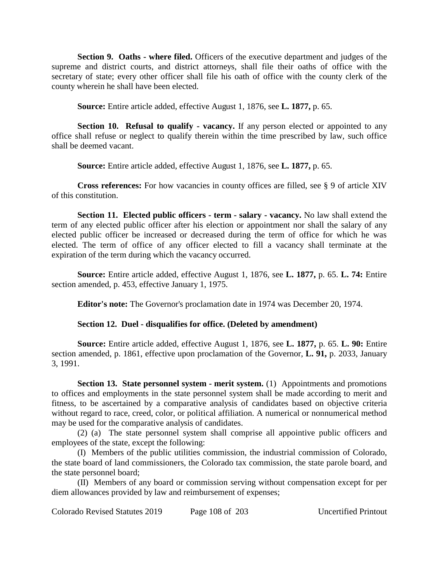**Section 9. Oaths - where filed.** Officers of the executive department and judges of the supreme and district courts, and district attorneys, shall file their oaths of office with the secretary of state; every other officer shall file his oath of office with the county clerk of the county wherein he shall have been elected.

**Source:** Entire article added, effective August 1, 1876, see **L. 1877,** p. 65.

**Section 10. Refusal to qualify - vacancy.** If any person elected or appointed to any office shall refuse or neglect to qualify therein within the time prescribed by law, such office shall be deemed vacant.

**Source:** Entire article added, effective August 1, 1876, see **L. 1877,** p. 65.

**Cross references:** For how vacancies in county offices are filled, see § 9 of article XIV of this constitution.

**Section 11. Elected public officers - term - salary - vacancy.** No law shall extend the term of any elected public officer after his election or appointment nor shall the salary of any elected public officer be increased or decreased during the term of office for which he was elected. The term of office of any officer elected to fill a vacancy shall terminate at the expiration of the term during which the vacancy occurred.

**Source:** Entire article added, effective August 1, 1876, see **L. 1877,** p. 65. **L. 74:** Entire section amended, p. 453, effective January 1, 1975.

**Editor's note:** The Governor's proclamation date in 1974 was December 20, 1974.

# **Section 12. Duel - disqualifies for office. (Deleted by amendment)**

**Source:** Entire article added, effective August 1, 1876, see **L. 1877,** p. 65. **L. 90:** Entire section amended, p. 1861, effective upon proclamation of the Governor, **L. 91,** p. 2033, January 3, 1991.

**Section 13. State personnel system - merit system.** (1) Appointments and promotions to offices and employments in the state personnel system shall be made according to merit and fitness, to be ascertained by a comparative analysis of candidates based on objective criteria without regard to race, creed, color, or political affiliation. A numerical or nonnumerical method may be used for the comparative analysis of candidates.

(2) (a) The state personnel system shall comprise all appointive public officers and employees of the state, except the following:

(I) Members of the public utilities commission, the industrial commission of Colorado, the state board of land commissioners, the Colorado tax commission, the state parole board, and the state personnel board;

(II) Members of any board or commission serving without compensation except for per diem allowances provided by law and reimbursement of expenses;

Colorado Revised Statutes 2019 Page 108 of 203 Uncertified Printout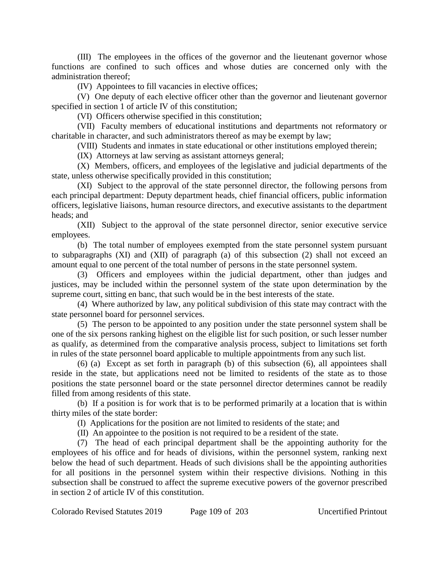(III) The employees in the offices of the governor and the lieutenant governor whose functions are confined to such offices and whose duties are concerned only with the administration thereof;

(IV) Appointees to fill vacancies in elective offices;

(V) One deputy of each elective officer other than the governor and lieutenant governor specified in section 1 of article IV of this constitution;

(VI) Officers otherwise specified in this constitution;

(VII) Faculty members of educational institutions and departments not reformatory or charitable in character, and such administrators thereof as may be exempt by law;

(VIII) Students and inmates in state educational or other institutions employed therein;

(IX) Attorneys at law serving as assistant attorneys general;

(X) Members, officers, and employees of the legislative and judicial departments of the state, unless otherwise specifically provided in this constitution;

(XI) Subject to the approval of the state personnel director, the following persons from each principal department: Deputy department heads, chief financial officers, public information officers, legislative liaisons, human resource directors, and executive assistants to the department heads; and

(XII) Subject to the approval of the state personnel director, senior executive service employees.

(b) The total number of employees exempted from the state personnel system pursuant to subparagraphs (XI) and (XII) of paragraph (a) of this subsection (2) shall not exceed an amount equal to one percent of the total number of persons in the state personnel system.

(3) Officers and employees within the judicial department, other than judges and justices, may be included within the personnel system of the state upon determination by the supreme court, sitting en banc, that such would be in the best interests of the state.

(4) Where authorized by law, any political subdivision of this state may contract with the state personnel board for personnel services.

(5) The person to be appointed to any position under the state personnel system shall be one of the six persons ranking highest on the eligible list for such position, or such lesser number as qualify, as determined from the comparative analysis process, subject to limitations set forth in rules of the state personnel board applicable to multiple appointments from any such list.

(6) (a) Except as set forth in paragraph (b) of this subsection (6), all appointees shall reside in the state, but applications need not be limited to residents of the state as to those positions the state personnel board or the state personnel director determines cannot be readily filled from among residents of this state.

(b) If a position is for work that is to be performed primarily at a location that is within thirty miles of the state border:

(I) Applications for the position are not limited to residents of the state; and

(II) An appointee to the position is not required to be a resident of the state.

(7) The head of each principal department shall be the appointing authority for the employees of his office and for heads of divisions, within the personnel system, ranking next below the head of such department. Heads of such divisions shall be the appointing authorities for all positions in the personnel system within their respective divisions. Nothing in this subsection shall be construed to affect the supreme executive powers of the governor prescribed in section 2 of article IV of this constitution.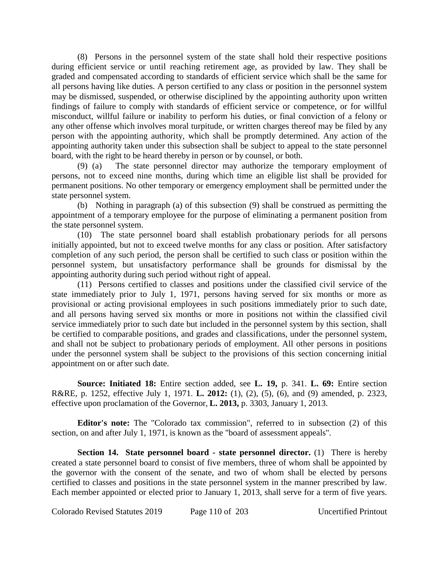(8) Persons in the personnel system of the state shall hold their respective positions during efficient service or until reaching retirement age, as provided by law. They shall be graded and compensated according to standards of efficient service which shall be the same for all persons having like duties. A person certified to any class or position in the personnel system may be dismissed, suspended, or otherwise disciplined by the appointing authority upon written findings of failure to comply with standards of efficient service or competence, or for willful misconduct, willful failure or inability to perform his duties, or final conviction of a felony or any other offense which involves moral turpitude, or written charges thereof may be filed by any person with the appointing authority, which shall be promptly determined. Any action of the appointing authority taken under this subsection shall be subject to appeal to the state personnel board, with the right to be heard thereby in person or by counsel, or both.

(9) (a) The state personnel director may authorize the temporary employment of persons, not to exceed nine months, during which time an eligible list shall be provided for permanent positions. No other temporary or emergency employment shall be permitted under the state personnel system.

(b) Nothing in paragraph (a) of this subsection (9) shall be construed as permitting the appointment of a temporary employee for the purpose of eliminating a permanent position from the state personnel system.

(10) The state personnel board shall establish probationary periods for all persons initially appointed, but not to exceed twelve months for any class or position. After satisfactory completion of any such period, the person shall be certified to such class or position within the personnel system, but unsatisfactory performance shall be grounds for dismissal by the appointing authority during such period without right of appeal.

(11) Persons certified to classes and positions under the classified civil service of the state immediately prior to July 1, 1971, persons having served for six months or more as provisional or acting provisional employees in such positions immediately prior to such date, and all persons having served six months or more in positions not within the classified civil service immediately prior to such date but included in the personnel system by this section, shall be certified to comparable positions, and grades and classifications, under the personnel system, and shall not be subject to probationary periods of employment. All other persons in positions under the personnel system shall be subject to the provisions of this section concerning initial appointment on or after such date.

**Source: Initiated 18:** Entire section added, see **L. 19,** p. 341. **L. 69:** Entire section R&RE, p. 1252, effective July 1, 1971. **L. 2012:** (1), (2), (5), (6), and (9) amended, p. 2323, effective upon proclamation of the Governor, **L. 2013,** p. 3303, January 1, 2013.

**Editor's note:** The "Colorado tax commission", referred to in subsection (2) of this section, on and after July 1, 1971, is known as the "board of assessment appeals".

**Section 14. State personnel board - state personnel director.** (1) There is hereby created a state personnel board to consist of five members, three of whom shall be appointed by the governor with the consent of the senate, and two of whom shall be elected by persons certified to classes and positions in the state personnel system in the manner prescribed by law. Each member appointed or elected prior to January 1, 2013, shall serve for a term of five years.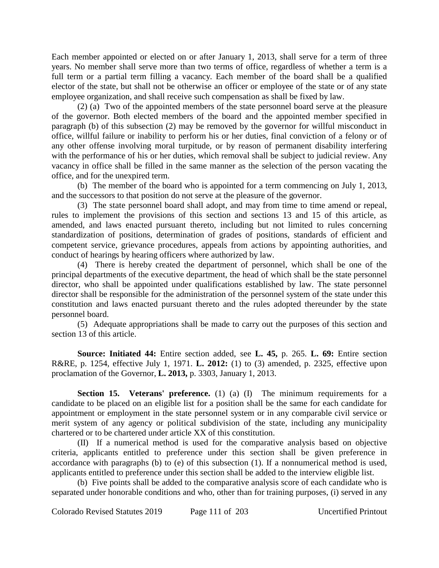Each member appointed or elected on or after January 1, 2013, shall serve for a term of three years. No member shall serve more than two terms of office, regardless of whether a term is a full term or a partial term filling a vacancy. Each member of the board shall be a qualified elector of the state, but shall not be otherwise an officer or employee of the state or of any state employee organization, and shall receive such compensation as shall be fixed by law.

(2) (a) Two of the appointed members of the state personnel board serve at the pleasure of the governor. Both elected members of the board and the appointed member specified in paragraph (b) of this subsection (2) may be removed by the governor for willful misconduct in office, willful failure or inability to perform his or her duties, final conviction of a felony or of any other offense involving moral turpitude, or by reason of permanent disability interfering with the performance of his or her duties, which removal shall be subject to judicial review. Any vacancy in office shall be filled in the same manner as the selection of the person vacating the office, and for the unexpired term.

(b) The member of the board who is appointed for a term commencing on July 1, 2013, and the successors to that position do not serve at the pleasure of the governor.

(3) The state personnel board shall adopt, and may from time to time amend or repeal, rules to implement the provisions of this section and sections 13 and 15 of this article, as amended, and laws enacted pursuant thereto, including but not limited to rules concerning standardization of positions, determination of grades of positions, standards of efficient and competent service, grievance procedures, appeals from actions by appointing authorities, and conduct of hearings by hearing officers where authorized by law.

(4) There is hereby created the department of personnel, which shall be one of the principal departments of the executive department, the head of which shall be the state personnel director, who shall be appointed under qualifications established by law. The state personnel director shall be responsible for the administration of the personnel system of the state under this constitution and laws enacted pursuant thereto and the rules adopted thereunder by the state personnel board.

(5) Adequate appropriations shall be made to carry out the purposes of this section and section 13 of this article.

**Source: Initiated 44:** Entire section added, see **L. 45,** p. 265. **L. 69:** Entire section R&RE, p. 1254, effective July 1, 1971. **L. 2012:** (1) to (3) amended, p. 2325, effective upon proclamation of the Governor, **L. 2013,** p. 3303, January 1, 2013.

**Section 15. Veterans' preference.** (1) (a) (I) The minimum requirements for a candidate to be placed on an eligible list for a position shall be the same for each candidate for appointment or employment in the state personnel system or in any comparable civil service or merit system of any agency or political subdivision of the state, including any municipality chartered or to be chartered under article XX of this constitution.

(II) If a numerical method is used for the comparative analysis based on objective criteria, applicants entitled to preference under this section shall be given preference in accordance with paragraphs (b) to (e) of this subsection (1). If a nonnumerical method is used, applicants entitled to preference under this section shall be added to the interview eligible list.

(b) Five points shall be added to the comparative analysis score of each candidate who is separated under honorable conditions and who, other than for training purposes, (i) served in any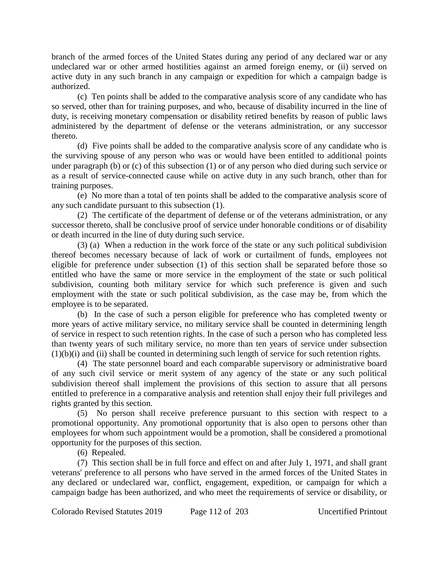branch of the armed forces of the United States during any period of any declared war or any undeclared war or other armed hostilities against an armed foreign enemy, or (ii) served on active duty in any such branch in any campaign or expedition for which a campaign badge is authorized.

(c) Ten points shall be added to the comparative analysis score of any candidate who has so served, other than for training purposes, and who, because of disability incurred in the line of duty, is receiving monetary compensation or disability retired benefits by reason of public laws administered by the department of defense or the veterans administration, or any successor thereto.

(d) Five points shall be added to the comparative analysis score of any candidate who is the surviving spouse of any person who was or would have been entitled to additional points under paragraph (b) or (c) of this subsection (1) or of any person who died during such service or as a result of service-connected cause while on active duty in any such branch, other than for training purposes.

(e) No more than a total of ten points shall be added to the comparative analysis score of any such candidate pursuant to this subsection (1).

(2) The certificate of the department of defense or of the veterans administration, or any successor thereto, shall be conclusive proof of service under honorable conditions or of disability or death incurred in the line of duty during such service.

(3) (a) When a reduction in the work force of the state or any such political subdivision thereof becomes necessary because of lack of work or curtailment of funds, employees not eligible for preference under subsection (1) of this section shall be separated before those so entitled who have the same or more service in the employment of the state or such political subdivision, counting both military service for which such preference is given and such employment with the state or such political subdivision, as the case may be, from which the employee is to be separated.

(b) In the case of such a person eligible for preference who has completed twenty or more years of active military service, no military service shall be counted in determining length of service in respect to such retention rights. In the case of such a person who has completed less than twenty years of such military service, no more than ten years of service under subsection  $(1)(b)(i)$  and  $(ii)$  shall be counted in determining such length of service for such retention rights.

(4) The state personnel board and each comparable supervisory or administrative board of any such civil service or merit system of any agency of the state or any such political subdivision thereof shall implement the provisions of this section to assure that all persons entitled to preference in a comparative analysis and retention shall enjoy their full privileges and rights granted by this section.

(5) No person shall receive preference pursuant to this section with respect to a promotional opportunity. Any promotional opportunity that is also open to persons other than employees for whom such appointment would be a promotion, shall be considered a promotional opportunity for the purposes of this section.

(6) Repealed.

(7) This section shall be in full force and effect on and after July 1, 1971, and shall grant veterans' preference to all persons who have served in the armed forces of the United States in any declared or undeclared war, conflict, engagement, expedition, or campaign for which a campaign badge has been authorized, and who meet the requirements of service or disability, or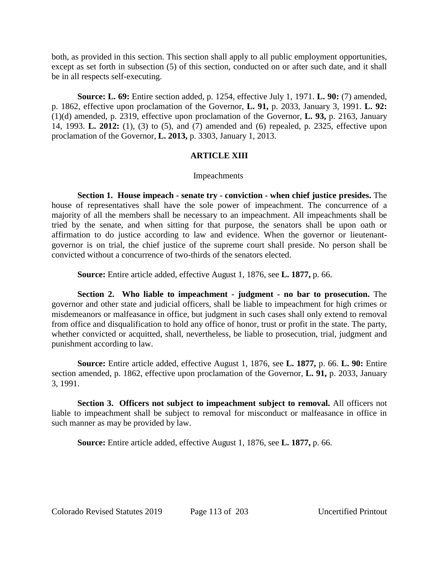both, as provided in this section. This section shall apply to all public employment opportunities, except as set forth in subsection (5) of this section, conducted on or after such date, and it shall be in all respects self-executing.

**Source: L. 69:** Entire section added, p. 1254, effective July 1, 1971. **L. 90:** (7) amended, p. 1862, effective upon proclamation of the Governor, **L. 91,** p. 2033, January 3, 1991. **L. 92:** (1)(d) amended, p. 2319, effective upon proclamation of the Governor, **L. 93,** p. 2163, January 14, 1993. **L. 2012:** (1), (3) to (5), and (7) amended and (6) repealed, p. 2325, effective upon proclamation of the Governor, **L. 2013,** p. 3303, January 1, 2013.

# **ARTICLE XIII**

## Impeachments

**Section 1. House impeach - senate try - conviction - when chief justice presides.** The house of representatives shall have the sole power of impeachment. The concurrence of a majority of all the members shall be necessary to an impeachment. All impeachments shall be tried by the senate, and when sitting for that purpose, the senators shall be upon oath or affirmation to do justice according to law and evidence. When the governor or lieutenantgovernor is on trial, the chief justice of the supreme court shall preside. No person shall be convicted without a concurrence of two-thirds of the senators elected.

**Source:** Entire article added, effective August 1, 1876, see **L. 1877,** p. 66.

**Section 2. Who liable to impeachment - judgment - no bar to prosecution.** The governor and other state and judicial officers, shall be liable to impeachment for high crimes or misdemeanors or malfeasance in office, but judgment in such cases shall only extend to removal from office and disqualification to hold any office of honor, trust or profit in the state. The party, whether convicted or acquitted, shall, nevertheless, be liable to prosecution, trial, judgment and punishment according to law.

**Source:** Entire article added, effective August 1, 1876, see **L. 1877,** p. 66. **L. 90:** Entire section amended, p. 1862, effective upon proclamation of the Governor, **L. 91,** p. 2033, January 3, 1991.

**Section 3. Officers not subject to impeachment subject to removal.** All officers not liable to impeachment shall be subject to removal for misconduct or malfeasance in office in such manner as may be provided by law.

**Source:** Entire article added, effective August 1, 1876, see **L. 1877,** p. 66.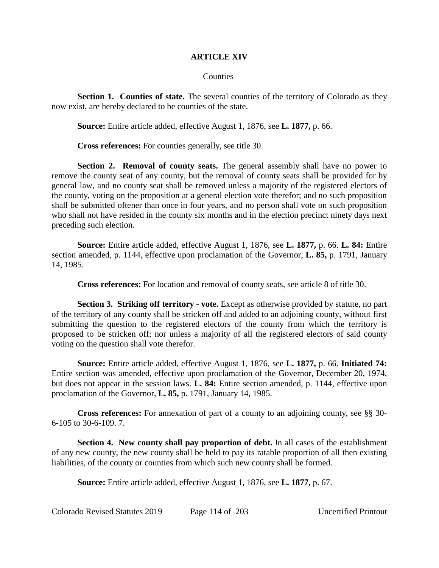## **ARTICLE XIV**

## **Counties**

**Section 1. Counties of state.** The several counties of the territory of Colorado as they now exist, are hereby declared to be counties of the state.

**Source:** Entire article added, effective August 1, 1876, see **L. 1877,** p. 66.

**Cross references:** For counties generally, see title 30.

**Section 2. Removal of county seats.** The general assembly shall have no power to remove the county seat of any county, but the removal of county seats shall be provided for by general law, and no county seat shall be removed unless a majority of the registered electors of the county, voting on the proposition at a general election vote therefor; and no such proposition shall be submitted oftener than once in four years, and no person shall vote on such proposition who shall not have resided in the county six months and in the election precinct ninety days next preceding such election.

**Source:** Entire article added, effective August 1, 1876, see **L. 1877,** p. 66. **L. 84:** Entire section amended, p. 1144, effective upon proclamation of the Governor, **L. 85,** p. 1791, January 14, 1985.

**Cross references:** For location and removal of county seats, see article 8 of title 30.

**Section 3. Striking off territory - vote.** Except as otherwise provided by statute, no part of the territory of any county shall be stricken off and added to an adjoining county, without first submitting the question to the registered electors of the county from which the territory is proposed to be stricken off; nor unless a majority of all the registered electors of said county voting on the question shall vote therefor.

**Source:** Entire article added, effective August 1, 1876, see **L. 1877,** p. 66. **Initiated 74:** Entire section was amended, effective upon proclamation of the Governor, December 20, 1974, but does not appear in the session laws. **L. 84:** Entire section amended, p. 1144, effective upon proclamation of the Governor, **L. 85,** p. 1791, January 14, 1985.

**Cross references:** For annexation of part of a county to an adjoining county, see §§ 30- 6-105 to 30-6-109. 7.

**Section 4. New county shall pay proportion of debt.** In all cases of the establishment of any new county, the new county shall be held to pay its ratable proportion of all then existing liabilities, of the county or counties from which such new county shall be formed.

**Source:** Entire article added, effective August 1, 1876, see **L. 1877,** p. 67.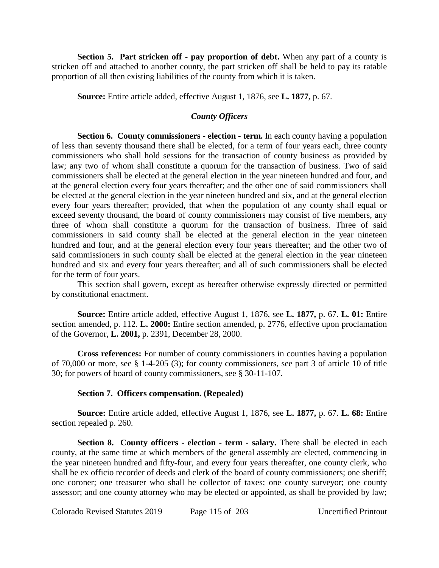**Section 5. Part stricken off - pay proportion of debt.** When any part of a county is stricken off and attached to another county, the part stricken off shall be held to pay its ratable proportion of all then existing liabilities of the county from which it is taken.

**Source:** Entire article added, effective August 1, 1876, see **L. 1877,** p. 67.

# *County Officers*

**Section 6. County commissioners - election - term.** In each county having a population of less than seventy thousand there shall be elected, for a term of four years each, three county commissioners who shall hold sessions for the transaction of county business as provided by law; any two of whom shall constitute a quorum for the transaction of business. Two of said commissioners shall be elected at the general election in the year nineteen hundred and four, and at the general election every four years thereafter; and the other one of said commissioners shall be elected at the general election in the year nineteen hundred and six, and at the general election every four years thereafter; provided, that when the population of any county shall equal or exceed seventy thousand, the board of county commissioners may consist of five members, any three of whom shall constitute a quorum for the transaction of business. Three of said commissioners in said county shall be elected at the general election in the year nineteen hundred and four, and at the general election every four years thereafter; and the other two of said commissioners in such county shall be elected at the general election in the year nineteen hundred and six and every four years thereafter; and all of such commissioners shall be elected for the term of four years.

This section shall govern, except as hereafter otherwise expressly directed or permitted by constitutional enactment.

**Source:** Entire article added, effective August 1, 1876, see **L. 1877,** p. 67. **L. 01:** Entire section amended, p. 112. **L. 2000:** Entire section amended, p. 2776, effective upon proclamation of the Governor, **L. 2001,** p. 2391, December 28, 2000.

**Cross references:** For number of county commissioners in counties having a population of 70,000 or more, see § 1-4-205 (3); for county commissioners, see part 3 of article 10 of title 30; for powers of board of county commissioners, see § 30-11-107.

# **Section 7. Officers compensation. (Repealed)**

**Source:** Entire article added, effective August 1, 1876, see **L. 1877,** p. 67. **L. 68:** Entire section repealed p. 260.

**Section 8. County officers - election - term - salary.** There shall be elected in each county, at the same time at which members of the general assembly are elected, commencing in the year nineteen hundred and fifty-four, and every four years thereafter, one county clerk, who shall be ex officio recorder of deeds and clerk of the board of county commissioners; one sheriff; one coroner; one treasurer who shall be collector of taxes; one county surveyor; one county assessor; and one county attorney who may be elected or appointed, as shall be provided by law;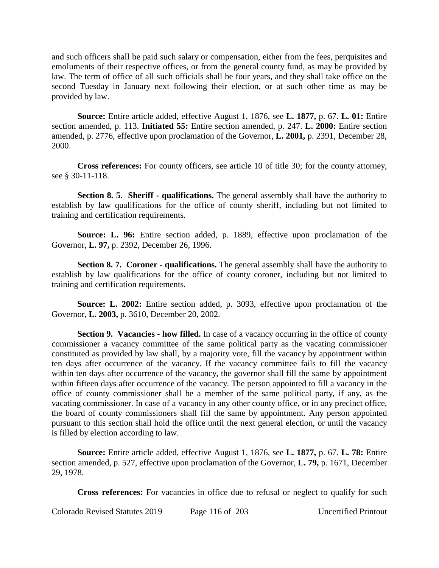and such officers shall be paid such salary or compensation, either from the fees, perquisites and emoluments of their respective offices, or from the general county fund, as may be provided by law. The term of office of all such officials shall be four years, and they shall take office on the second Tuesday in January next following their election, or at such other time as may be provided by law.

**Source:** Entire article added, effective August 1, 1876, see **L. 1877,** p. 67. **L. 01:** Entire section amended, p. 113. **Initiated 55:** Entire section amended, p. 247. **L. 2000:** Entire section amended, p. 2776, effective upon proclamation of the Governor, **L. 2001,** p. 2391, December 28, 2000.

**Cross references:** For county officers, see article 10 of title 30; for the county attorney, see § 30-11-118.

**Section 8. 5. Sheriff - qualifications.** The general assembly shall have the authority to establish by law qualifications for the office of county sheriff, including but not limited to training and certification requirements.

**Source: L. 96:** Entire section added, p. 1889, effective upon proclamation of the Governor, **L. 97,** p. 2392, December 26, 1996.

**Section 8. 7. Coroner - qualifications.** The general assembly shall have the authority to establish by law qualifications for the office of county coroner, including but not limited to training and certification requirements.

**Source: L. 2002:** Entire section added, p. 3093, effective upon proclamation of the Governor, **L. 2003,** p. 3610, December 20, 2002.

**Section 9. Vacancies - how filled.** In case of a vacancy occurring in the office of county commissioner a vacancy committee of the same political party as the vacating commissioner constituted as provided by law shall, by a majority vote, fill the vacancy by appointment within ten days after occurrence of the vacancy. If the vacancy committee fails to fill the vacancy within ten days after occurrence of the vacancy, the governor shall fill the same by appointment within fifteen days after occurrence of the vacancy. The person appointed to fill a vacancy in the office of county commissioner shall be a member of the same political party, if any, as the vacating commissioner. In case of a vacancy in any other county office, or in any precinct office, the board of county commissioners shall fill the same by appointment. Any person appointed pursuant to this section shall hold the office until the next general election, or until the vacancy is filled by election according to law.

**Source:** Entire article added, effective August 1, 1876, see **L. 1877,** p. 67. **L. 78:** Entire section amended, p. 527, effective upon proclamation of the Governor, **L. 79,** p. 1671, December 29, 1978.

**Cross references:** For vacancies in office due to refusal or neglect to qualify for such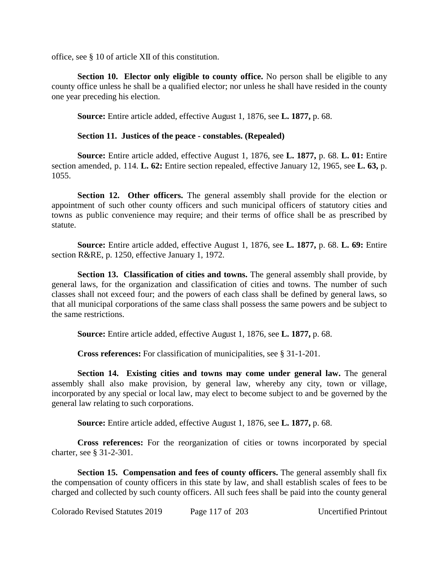office, see § 10 of article XII of this constitution.

**Section 10. Elector only eligible to county office.** No person shall be eligible to any county office unless he shall be a qualified elector; nor unless he shall have resided in the county one year preceding his election.

**Source:** Entire article added, effective August 1, 1876, see **L. 1877,** p. 68.

## **Section 11. Justices of the peace - constables. (Repealed)**

**Source:** Entire article added, effective August 1, 1876, see **L. 1877,** p. 68. **L. 01:** Entire section amended, p. 114. **L. 62:** Entire section repealed, effective January 12, 1965, see **L. 63,** p. 1055.

**Section 12. Other officers.** The general assembly shall provide for the election or appointment of such other county officers and such municipal officers of statutory cities and towns as public convenience may require; and their terms of office shall be as prescribed by statute.

**Source:** Entire article added, effective August 1, 1876, see **L. 1877,** p. 68. **L. 69:** Entire section R&RE, p. 1250, effective January 1, 1972.

**Section 13. Classification of cities and towns.** The general assembly shall provide, by general laws, for the organization and classification of cities and towns. The number of such classes shall not exceed four; and the powers of each class shall be defined by general laws, so that all municipal corporations of the same class shall possess the same powers and be subject to the same restrictions.

**Source:** Entire article added, effective August 1, 1876, see **L. 1877,** p. 68.

**Cross references:** For classification of municipalities, see § 31-1-201.

**Section 14. Existing cities and towns may come under general law.** The general assembly shall also make provision, by general law, whereby any city, town or village, incorporated by any special or local law, may elect to become subject to and be governed by the general law relating to such corporations.

**Source:** Entire article added, effective August 1, 1876, see **L. 1877,** p. 68.

**Cross references:** For the reorganization of cities or towns incorporated by special charter, see § 31-2-301.

**Section 15. Compensation and fees of county officers.** The general assembly shall fix the compensation of county officers in this state by law, and shall establish scales of fees to be charged and collected by such county officers. All such fees shall be paid into the county general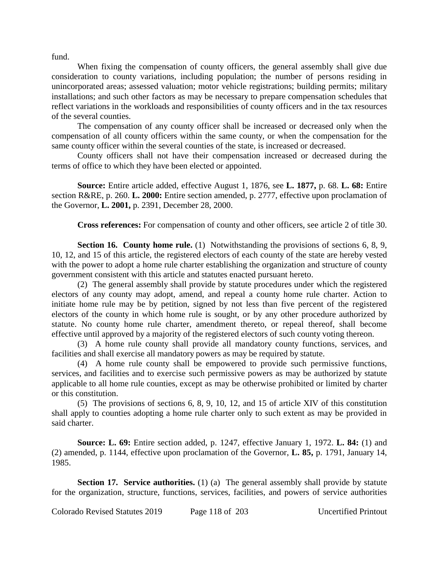fund.

When fixing the compensation of county officers, the general assembly shall give due consideration to county variations, including population; the number of persons residing in unincorporated areas; assessed valuation; motor vehicle registrations; building permits; military installations; and such other factors as may be necessary to prepare compensation schedules that reflect variations in the workloads and responsibilities of county officers and in the tax resources of the several counties.

The compensation of any county officer shall be increased or decreased only when the compensation of all county officers within the same county, or when the compensation for the same county officer within the several counties of the state, is increased or decreased.

County officers shall not have their compensation increased or decreased during the terms of office to which they have been elected or appointed.

**Source:** Entire article added, effective August 1, 1876, see **L. 1877,** p. 68. **L. 68:** Entire section R&RE, p. 260. **L. 2000:** Entire section amended, p. 2777, effective upon proclamation of the Governor, **L. 2001,** p. 2391, December 28, 2000.

**Cross references:** For compensation of county and other officers, see article 2 of title 30.

**Section 16. County home rule.** (1) Notwithstanding the provisions of sections 6, 8, 9, 10, 12, and 15 of this article, the registered electors of each county of the state are hereby vested with the power to adopt a home rule charter establishing the organization and structure of county government consistent with this article and statutes enacted pursuant hereto.

(2) The general assembly shall provide by statute procedures under which the registered electors of any county may adopt, amend, and repeal a county home rule charter. Action to initiate home rule may be by petition, signed by not less than five percent of the registered electors of the county in which home rule is sought, or by any other procedure authorized by statute. No county home rule charter, amendment thereto, or repeal thereof, shall become effective until approved by a majority of the registered electors of such county voting thereon.

(3) A home rule county shall provide all mandatory county functions, services, and facilities and shall exercise all mandatory powers as may be required by statute.

(4) A home rule county shall be empowered to provide such permissive functions, services, and facilities and to exercise such permissive powers as may be authorized by statute applicable to all home rule counties, except as may be otherwise prohibited or limited by charter or this constitution.

(5) The provisions of sections 6, 8, 9, 10, 12, and 15 of article XIV of this constitution shall apply to counties adopting a home rule charter only to such extent as may be provided in said charter.

**Source: L. 69:** Entire section added, p. 1247, effective January 1, 1972. **L. 84:** (1) and (2) amended, p. 1144, effective upon proclamation of the Governor, **L. 85,** p. 1791, January 14, 1985.

**Section 17. Service authorities.** (1) (a) The general assembly shall provide by statute for the organization, structure, functions, services, facilities, and powers of service authorities

Colorado Revised Statutes 2019 Page 118 of 203 Uncertified Printout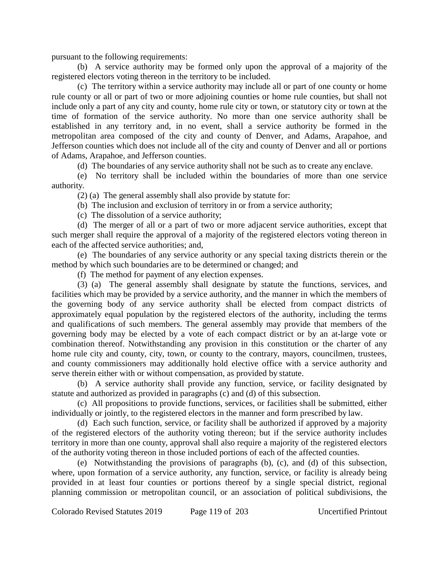pursuant to the following requirements:

(b) A service authority may be formed only upon the approval of a majority of the registered electors voting thereon in the territory to be included.

(c) The territory within a service authority may include all or part of one county or home rule county or all or part of two or more adjoining counties or home rule counties, but shall not include only a part of any city and county, home rule city or town, or statutory city or town at the time of formation of the service authority. No more than one service authority shall be established in any territory and, in no event, shall a service authority be formed in the metropolitan area composed of the city and county of Denver, and Adams, Arapahoe, and Jefferson counties which does not include all of the city and county of Denver and all or portions of Adams, Arapahoe, and Jefferson counties.

(d) The boundaries of any service authority shall not be such as to create any enclave.

(e) No territory shall be included within the boundaries of more than one service authority.

(2) (a) The general assembly shall also provide by statute for:

(b) The inclusion and exclusion of territory in or from a service authority;

(c) The dissolution of a service authority;

(d) The merger of all or a part of two or more adjacent service authorities, except that such merger shall require the approval of a majority of the registered electors voting thereon in each of the affected service authorities; and,

(e) The boundaries of any service authority or any special taxing districts therein or the method by which such boundaries are to be determined or changed; and

(f) The method for payment of any election expenses.

(3) (a) The general assembly shall designate by statute the functions, services, and facilities which may be provided by a service authority, and the manner in which the members of the governing body of any service authority shall be elected from compact districts of approximately equal population by the registered electors of the authority, including the terms and qualifications of such members. The general assembly may provide that members of the governing body may be elected by a vote of each compact district or by an at-large vote or combination thereof. Notwithstanding any provision in this constitution or the charter of any home rule city and county, city, town, or county to the contrary, mayors, councilmen, trustees, and county commissioners may additionally hold elective office with a service authority and serve therein either with or without compensation, as provided by statute.

(b) A service authority shall provide any function, service, or facility designated by statute and authorized as provided in paragraphs (c) and (d) of this subsection.

(c) All propositions to provide functions, services, or facilities shall be submitted, either individually or jointly, to the registered electors in the manner and form prescribed by law.

(d) Each such function, service, or facility shall be authorized if approved by a majority of the registered electors of the authority voting thereon; but if the service authority includes territory in more than one county, approval shall also require a majority of the registered electors of the authority voting thereon in those included portions of each of the affected counties.

(e) Notwithstanding the provisions of paragraphs (b), (c), and (d) of this subsection, where, upon formation of a service authority, any function, service, or facility is already being provided in at least four counties or portions thereof by a single special district, regional planning commission or metropolitan council, or an association of political subdivisions, the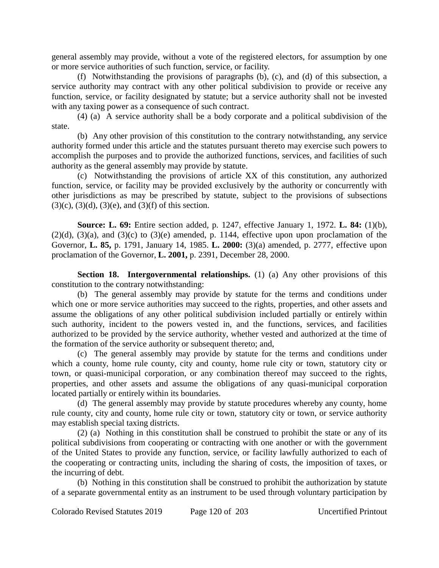general assembly may provide, without a vote of the registered electors, for assumption by one or more service authorities of such function, service, or facility.

(f) Notwithstanding the provisions of paragraphs (b), (c), and (d) of this subsection, a service authority may contract with any other political subdivision to provide or receive any function, service, or facility designated by statute; but a service authority shall not be invested with any taxing power as a consequence of such contract.

(4) (a) A service authority shall be a body corporate and a political subdivision of the state.

(b) Any other provision of this constitution to the contrary notwithstanding, any service authority formed under this article and the statutes pursuant thereto may exercise such powers to accomplish the purposes and to provide the authorized functions, services, and facilities of such authority as the general assembly may provide by statute.

(c) Notwithstanding the provisions of article XX of this constitution, any authorized function, service, or facility may be provided exclusively by the authority or concurrently with other jurisdictions as may be prescribed by statute, subject to the provisions of subsections  $(3)(c)$ ,  $(3)(d)$ ,  $(3)(e)$ , and  $(3)(f)$  of this section.

**Source: L. 69:** Entire section added, p. 1247, effective January 1, 1972. **L. 84:** (1)(b),  $(2)(d)$ ,  $(3)(a)$ , and  $(3)(c)$  to  $(3)(e)$  amended, p. 1144, effective upon upon proclamation of the Governor, **L. 85,** p. 1791, January 14, 1985. **L. 2000:** (3)(a) amended, p. 2777, effective upon proclamation of the Governor, **L. 2001,** p. 2391, December 28, 2000.

**Section 18. Intergovernmental relationships.** (1) (a) Any other provisions of this constitution to the contrary notwithstanding:

(b) The general assembly may provide by statute for the terms and conditions under which one or more service authorities may succeed to the rights, properties, and other assets and assume the obligations of any other political subdivision included partially or entirely within such authority, incident to the powers vested in, and the functions, services, and facilities authorized to be provided by the service authority, whether vested and authorized at the time of the formation of the service authority or subsequent thereto; and,

(c) The general assembly may provide by statute for the terms and conditions under which a county, home rule county, city and county, home rule city or town, statutory city or town, or quasi-municipal corporation, or any combination thereof may succeed to the rights, properties, and other assets and assume the obligations of any quasi-municipal corporation located partially or entirely within its boundaries.

(d) The general assembly may provide by statute procedures whereby any county, home rule county, city and county, home rule city or town, statutory city or town, or service authority may establish special taxing districts.

(2) (a) Nothing in this constitution shall be construed to prohibit the state or any of its political subdivisions from cooperating or contracting with one another or with the government of the United States to provide any function, service, or facility lawfully authorized to each of the cooperating or contracting units, including the sharing of costs, the imposition of taxes, or the incurring of debt.

(b) Nothing in this constitution shall be construed to prohibit the authorization by statute of a separate governmental entity as an instrument to be used through voluntary participation by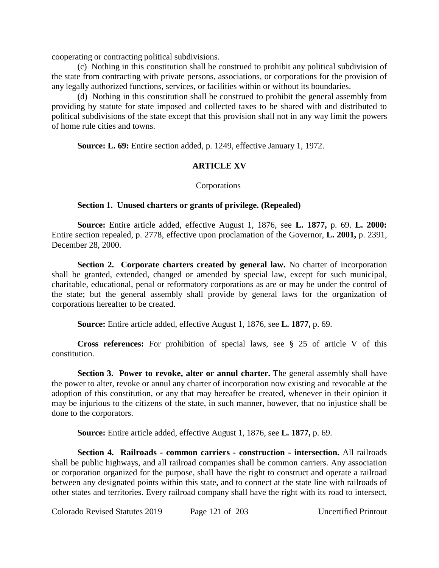cooperating or contracting political subdivisions.

(c) Nothing in this constitution shall be construed to prohibit any political subdivision of the state from contracting with private persons, associations, or corporations for the provision of any legally authorized functions, services, or facilities within or without its boundaries.

(d) Nothing in this constitution shall be construed to prohibit the general assembly from providing by statute for state imposed and collected taxes to be shared with and distributed to political subdivisions of the state except that this provision shall not in any way limit the powers of home rule cities and towns.

**Source: L. 69:** Entire section added, p. 1249, effective January 1, 1972.

# **ARTICLE XV**

## Corporations

## **Section 1. Unused charters or grants of privilege. (Repealed)**

**Source:** Entire article added, effective August 1, 1876, see **L. 1877,** p. 69. **L. 2000:** Entire section repealed, p. 2778, effective upon proclamation of the Governor, **L. 2001,** p. 2391, December 28, 2000.

**Section 2. Corporate charters created by general law.** No charter of incorporation shall be granted, extended, changed or amended by special law, except for such municipal, charitable, educational, penal or reformatory corporations as are or may be under the control of the state; but the general assembly shall provide by general laws for the organization of corporations hereafter to be created.

**Source:** Entire article added, effective August 1, 1876, see **L. 1877,** p. 69.

**Cross references:** For prohibition of special laws, see § 25 of article V of this constitution.

**Section 3. Power to revoke, alter or annul charter.** The general assembly shall have the power to alter, revoke or annul any charter of incorporation now existing and revocable at the adoption of this constitution, or any that may hereafter be created, whenever in their opinion it may be injurious to the citizens of the state, in such manner, however, that no injustice shall be done to the corporators.

**Source:** Entire article added, effective August 1, 1876, see **L. 1877,** p. 69.

**Section 4. Railroads - common carriers - construction - intersection.** All railroads shall be public highways, and all railroad companies shall be common carriers. Any association or corporation organized for the purpose, shall have the right to construct and operate a railroad between any designated points within this state, and to connect at the state line with railroads of other states and territories. Every railroad company shall have the right with its road to intersect,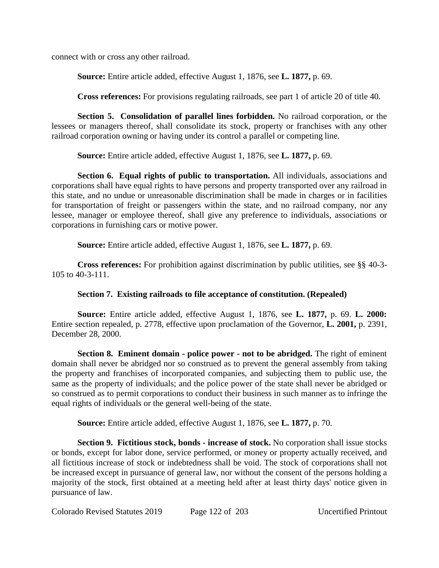connect with or cross any other railroad.

**Source:** Entire article added, effective August 1, 1876, see **L. 1877,** p. 69.

**Cross references:** For provisions regulating railroads, see part 1 of article 20 of title 40.

**Section 5. Consolidation of parallel lines forbidden.** No railroad corporation, or the lessees or managers thereof, shall consolidate its stock, property or franchises with any other railroad corporation owning or having under its control a parallel or competing line.

**Source:** Entire article added, effective August 1, 1876, see **L. 1877,** p. 69.

**Section 6. Equal rights of public to transportation.** All individuals, associations and corporations shall have equal rights to have persons and property transported over any railroad in this state, and no undue or unreasonable discrimination shall be made in charges or in facilities for transportation of freight or passengers within the state, and no railroad company, nor any lessee, manager or employee thereof, shall give any preference to individuals, associations or corporations in furnishing cars or motive power.

**Source:** Entire article added, effective August 1, 1876, see **L. 1877,** p. 69.

**Cross references:** For prohibition against discrimination by public utilities, see §§ 40-3- 105 to 40-3-111.

# **Section 7. Existing railroads to file acceptance of constitution. (Repealed)**

**Source:** Entire article added, effective August 1, 1876, see **L. 1877,** p. 69. **L. 2000:** Entire section repealed, p. 2778, effective upon proclamation of the Governor, **L. 2001,** p. 2391, December 28, 2000.

**Section 8. Eminent domain - police power - not to be abridged.** The right of eminent domain shall never be abridged nor so construed as to prevent the general assembly from taking the property and franchises of incorporated companies, and subjecting them to public use, the same as the property of individuals; and the police power of the state shall never be abridged or so construed as to permit corporations to conduct their business in such manner as to infringe the equal rights of individuals or the general well-being of the state.

**Source:** Entire article added, effective August 1, 1876, see **L. 1877,** p. 70.

**Section 9. Fictitious stock, bonds - increase of stock.** No corporation shall issue stocks or bonds, except for labor done, service performed, or money or property actually received, and all fictitious increase of stock or indebtedness shall be void. The stock of corporations shall not be increased except in pursuance of general law, nor without the consent of the persons holding a majority of the stock, first obtained at a meeting held after at least thirty days' notice given in pursuance of law.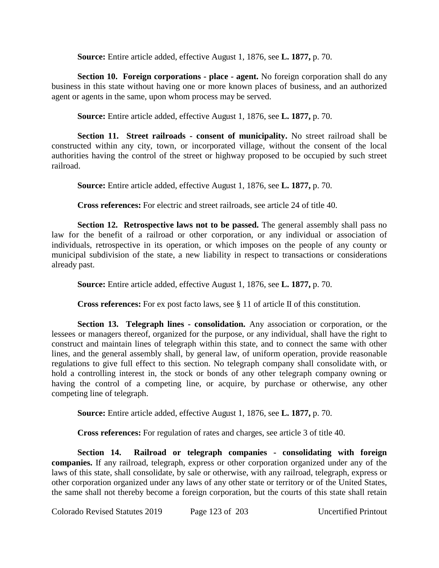**Source:** Entire article added, effective August 1, 1876, see **L. 1877,** p. 70.

**Section 10. Foreign corporations - place - agent.** No foreign corporation shall do any business in this state without having one or more known places of business, and an authorized agent or agents in the same, upon whom process may be served.

**Source:** Entire article added, effective August 1, 1876, see **L. 1877,** p. 70.

**Section 11. Street railroads - consent of municipality.** No street railroad shall be constructed within any city, town, or incorporated village, without the consent of the local authorities having the control of the street or highway proposed to be occupied by such street railroad.

**Source:** Entire article added, effective August 1, 1876, see **L. 1877,** p. 70.

**Cross references:** For electric and street railroads, see article 24 of title 40.

**Section 12. Retrospective laws not to be passed.** The general assembly shall pass no law for the benefit of a railroad or other corporation, or any individual or association of individuals, retrospective in its operation, or which imposes on the people of any county or municipal subdivision of the state, a new liability in respect to transactions or considerations already past.

**Source:** Entire article added, effective August 1, 1876, see **L. 1877,** p. 70.

**Cross references:** For ex post facto laws, see § 11 of article II of this constitution.

**Section 13. Telegraph lines - consolidation.** Any association or corporation, or the lessees or managers thereof, organized for the purpose, or any individual, shall have the right to construct and maintain lines of telegraph within this state, and to connect the same with other lines, and the general assembly shall, by general law, of uniform operation, provide reasonable regulations to give full effect to this section. No telegraph company shall consolidate with, or hold a controlling interest in, the stock or bonds of any other telegraph company owning or having the control of a competing line, or acquire, by purchase or otherwise, any other competing line of telegraph.

**Source:** Entire article added, effective August 1, 1876, see **L. 1877,** p. 70.

**Cross references:** For regulation of rates and charges, see article 3 of title 40.

**Section 14. Railroad or telegraph companies - consolidating with foreign companies.** If any railroad, telegraph, express or other corporation organized under any of the laws of this state, shall consolidate, by sale or otherwise, with any railroad, telegraph, express or other corporation organized under any laws of any other state or territory or of the United States, the same shall not thereby become a foreign corporation, but the courts of this state shall retain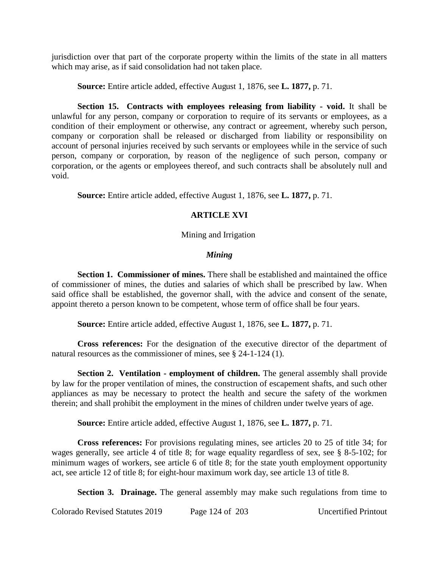jurisdiction over that part of the corporate property within the limits of the state in all matters which may arise, as if said consolidation had not taken place.

**Source:** Entire article added, effective August 1, 1876, see **L. 1877,** p. 71.

**Section 15. Contracts with employees releasing from liability - void.** It shall be unlawful for any person, company or corporation to require of its servants or employees, as a condition of their employment or otherwise, any contract or agreement, whereby such person, company or corporation shall be released or discharged from liability or responsibility on account of personal injuries received by such servants or employees while in the service of such person, company or corporation, by reason of the negligence of such person, company or corporation, or the agents or employees thereof, and such contracts shall be absolutely null and void.

**Source:** Entire article added, effective August 1, 1876, see **L. 1877,** p. 71.

# **ARTICLE XVI**

## Mining and Irrigation

## *Mining*

**Section 1. Commissioner of mines.** There shall be established and maintained the office of commissioner of mines, the duties and salaries of which shall be prescribed by law. When said office shall be established, the governor shall, with the advice and consent of the senate, appoint thereto a person known to be competent, whose term of office shall be four years.

**Source:** Entire article added, effective August 1, 1876, see **L. 1877,** p. 71.

**Cross references:** For the designation of the executive director of the department of natural resources as the commissioner of mines, see § 24-1-124 (1).

**Section 2. Ventilation - employment of children.** The general assembly shall provide by law for the proper ventilation of mines, the construction of escapement shafts, and such other appliances as may be necessary to protect the health and secure the safety of the workmen therein; and shall prohibit the employment in the mines of children under twelve years of age.

**Source:** Entire article added, effective August 1, 1876, see **L. 1877,** p. 71.

**Cross references:** For provisions regulating mines, see articles 20 to 25 of title 34; for wages generally, see article 4 of title 8; for wage equality regardless of sex, see § 8-5-102; for minimum wages of workers, see article 6 of title 8; for the state youth employment opportunity act, see article 12 of title 8; for eight-hour maximum work day, see article 13 of title 8.

**Section 3. Drainage.** The general assembly may make such regulations from time to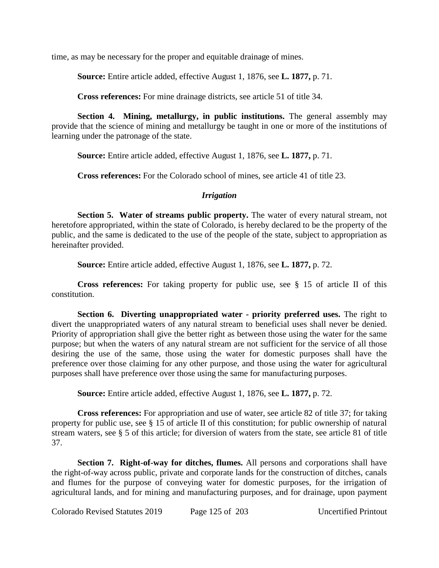time, as may be necessary for the proper and equitable drainage of mines.

**Source:** Entire article added, effective August 1, 1876, see **L. 1877,** p. 71.

**Cross references:** For mine drainage districts, see article 51 of title 34.

**Section 4. Mining, metallurgy, in public institutions.** The general assembly may provide that the science of mining and metallurgy be taught in one or more of the institutions of learning under the patronage of the state.

**Source:** Entire article added, effective August 1, 1876, see **L. 1877,** p. 71.

**Cross references:** For the Colorado school of mines, see article 41 of title 23.

# *Irrigation*

**Section 5. Water of streams public property.** The water of every natural stream, not heretofore appropriated, within the state of Colorado, is hereby declared to be the property of the public, and the same is dedicated to the use of the people of the state, subject to appropriation as hereinafter provided.

**Source:** Entire article added, effective August 1, 1876, see **L. 1877,** p. 72.

**Cross references:** For taking property for public use, see § 15 of article II of this constitution.

**Section 6. Diverting unappropriated water - priority preferred uses.** The right to divert the unappropriated waters of any natural stream to beneficial uses shall never be denied. Priority of appropriation shall give the better right as between those using the water for the same purpose; but when the waters of any natural stream are not sufficient for the service of all those desiring the use of the same, those using the water for domestic purposes shall have the preference over those claiming for any other purpose, and those using the water for agricultural purposes shall have preference over those using the same for manufacturing purposes.

**Source:** Entire article added, effective August 1, 1876, see **L. 1877,** p. 72.

**Cross references:** For appropriation and use of water, see article 82 of title 37; for taking property for public use, see § 15 of article II of this constitution; for public ownership of natural stream waters, see § 5 of this article; for diversion of waters from the state, see article 81 of title 37.

**Section 7. Right-of-way for ditches, flumes.** All persons and corporations shall have the right-of-way across public, private and corporate lands for the construction of ditches, canals and flumes for the purpose of conveying water for domestic purposes, for the irrigation of agricultural lands, and for mining and manufacturing purposes, and for drainage, upon payment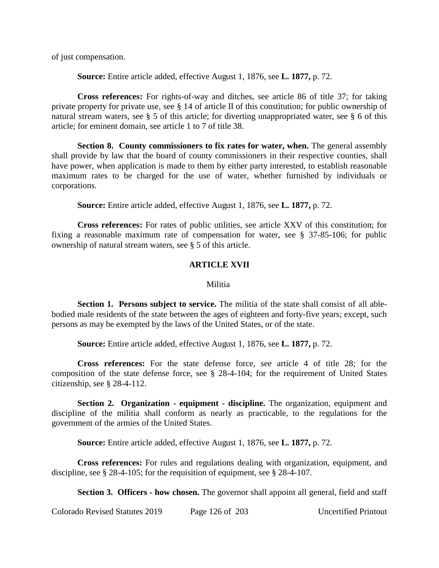of just compensation.

**Source:** Entire article added, effective August 1, 1876, see **L. 1877,** p. 72.

**Cross references:** For rights-of-way and ditches, see article 86 of title 37; for taking private property for private use, see § 14 of article II of this constitution; for public ownership of natural stream waters, see § 5 of this article; for diverting unappropriated water, see § 6 of this article; for eminent domain, see article 1 to 7 of title 38.

**Section 8. County commissioners to fix rates for water, when.** The general assembly shall provide by law that the board of county commissioners in their respective counties, shall have power, when application is made to them by either party interested, to establish reasonable maximum rates to be charged for the use of water, whether furnished by individuals or corporations.

**Source:** Entire article added, effective August 1, 1876, see **L. 1877,** p. 72.

**Cross references:** For rates of public utilities, see article XXV of this constitution; for fixing a reasonable maximum rate of compensation for water, see § 37-85-106; for public ownership of natural stream waters, see § 5 of this article.

## **ARTICLE XVII**

### Militia

Section 1. Persons subject to service. The militia of the state shall consist of all ablebodied male residents of the state between the ages of eighteen and forty-five years; except, such persons as may be exempted by the laws of the United States, or of the state.

**Source:** Entire article added, effective August 1, 1876, see **L. 1877,** p. 72.

**Cross references:** For the state defense force, see article 4 of title 28; for the composition of the state defense force, see § 28-4-104; for the requirement of United States citizenship, see § 28-4-112.

**Section 2. Organization - equipment - discipline.** The organization, equipment and discipline of the militia shall conform as nearly as practicable, to the regulations for the government of the armies of the United States.

**Source:** Entire article added, effective August 1, 1876, see **L. 1877,** p. 72.

**Cross references:** For rules and regulations dealing with organization, equipment, and discipline, see § 28-4-105; for the requisition of equipment, see § 28-4-107.

**Section 3. Officers - how chosen.** The governor shall appoint all general, field and staff

Colorado Revised Statutes 2019 Page 126 of 203 Uncertified Printout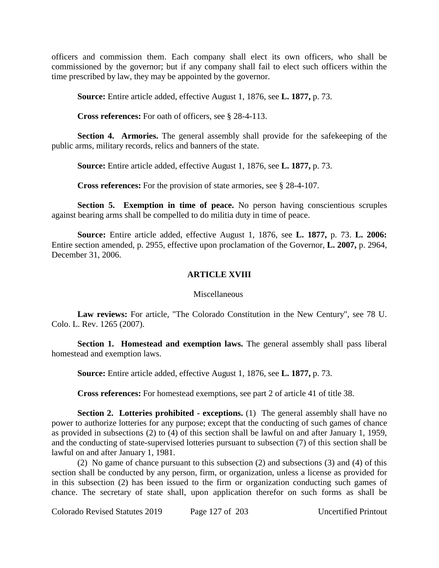officers and commission them. Each company shall elect its own officers, who shall be commissioned by the governor; but if any company shall fail to elect such officers within the time prescribed by law, they may be appointed by the governor.

**Source:** Entire article added, effective August 1, 1876, see **L. 1877,** p. 73.

**Cross references:** For oath of officers, see § 28-4-113.

**Section 4. Armories.** The general assembly shall provide for the safekeeping of the public arms, military records, relics and banners of the state.

**Source:** Entire article added, effective August 1, 1876, see **L. 1877,** p. 73.

**Cross references:** For the provision of state armories, see § 28-4-107.

**Section 5. Exemption in time of peace.** No person having conscientious scruples against bearing arms shall be compelled to do militia duty in time of peace.

**Source:** Entire article added, effective August 1, 1876, see **L. 1877,** p. 73. **L. 2006:** Entire section amended, p. 2955, effective upon proclamation of the Governor, **L. 2007,** p. 2964, December 31, 2006.

# **ARTICLE XVIII**

## **Miscellaneous**

**Law reviews:** For article, "The Colorado Constitution in the New Century", see 78 U. Colo. L. Rev. 1265 (2007).

**Section 1. Homestead and exemption laws.** The general assembly shall pass liberal homestead and exemption laws.

**Source:** Entire article added, effective August 1, 1876, see **L. 1877,** p. 73.

**Cross references:** For homestead exemptions, see part 2 of article 41 of title 38.

**Section 2. Lotteries prohibited - exceptions.** (1) The general assembly shall have no power to authorize lotteries for any purpose; except that the conducting of such games of chance as provided in subsections (2) to (4) of this section shall be lawful on and after January 1, 1959, and the conducting of state-supervised lotteries pursuant to subsection (7) of this section shall be lawful on and after January 1, 1981.

(2) No game of chance pursuant to this subsection (2) and subsections (3) and (4) of this section shall be conducted by any person, firm, or organization, unless a license as provided for in this subsection (2) has been issued to the firm or organization conducting such games of chance. The secretary of state shall, upon application therefor on such forms as shall be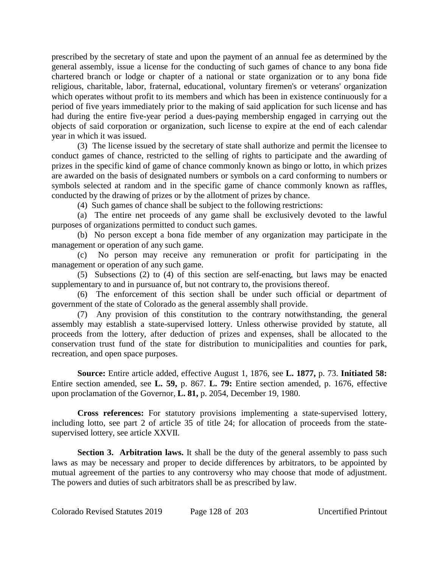prescribed by the secretary of state and upon the payment of an annual fee as determined by the general assembly, issue a license for the conducting of such games of chance to any bona fide chartered branch or lodge or chapter of a national or state organization or to any bona fide religious, charitable, labor, fraternal, educational, voluntary firemen's or veterans' organization which operates without profit to its members and which has been in existence continuously for a period of five years immediately prior to the making of said application for such license and has had during the entire five-year period a dues-paying membership engaged in carrying out the objects of said corporation or organization, such license to expire at the end of each calendar year in which it was issued.

(3) The license issued by the secretary of state shall authorize and permit the licensee to conduct games of chance, restricted to the selling of rights to participate and the awarding of prizes in the specific kind of game of chance commonly known as bingo or lotto, in which prizes are awarded on the basis of designated numbers or symbols on a card conforming to numbers or symbols selected at random and in the specific game of chance commonly known as raffles, conducted by the drawing of prizes or by the allotment of prizes by chance.

(4) Such games of chance shall be subject to the following restrictions:

(a) The entire net proceeds of any game shall be exclusively devoted to the lawful purposes of organizations permitted to conduct such games.

(b) No person except a bona fide member of any organization may participate in the management or operation of any such game.

(c) No person may receive any remuneration or profit for participating in the management or operation of any such game.

(5) Subsections (2) to (4) of this section are self-enacting, but laws may be enacted supplementary to and in pursuance of, but not contrary to, the provisions thereof.

(6) The enforcement of this section shall be under such official or department of government of the state of Colorado as the general assembly shall provide.

(7) Any provision of this constitution to the contrary notwithstanding, the general assembly may establish a state-supervised lottery. Unless otherwise provided by statute, all proceeds from the lottery, after deduction of prizes and expenses, shall be allocated to the conservation trust fund of the state for distribution to municipalities and counties for park, recreation, and open space purposes.

**Source:** Entire article added, effective August 1, 1876, see **L. 1877,** p. 73. **Initiated 58:** Entire section amended, see **L. 59,** p. 867. **L. 79:** Entire section amended, p. 1676, effective upon proclamation of the Governor, **L. 81,** p. 2054, December 19, 1980.

**Cross references:** For statutory provisions implementing a state-supervised lottery, including lotto, see part 2 of article 35 of title 24; for allocation of proceeds from the statesupervised lottery, see article XXVII.

**Section 3. Arbitration laws.** It shall be the duty of the general assembly to pass such laws as may be necessary and proper to decide differences by arbitrators, to be appointed by mutual agreement of the parties to any controversy who may choose that mode of adjustment. The powers and duties of such arbitrators shall be as prescribed by law.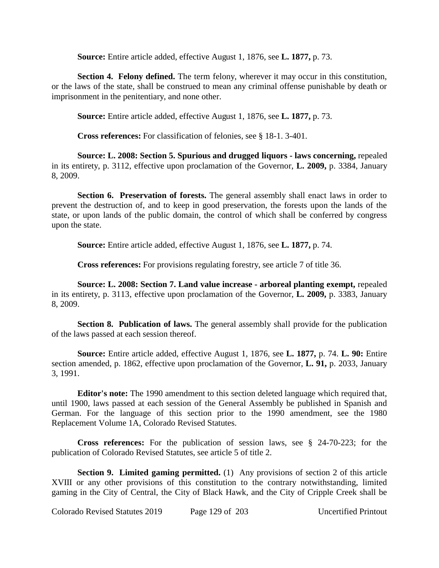**Source:** Entire article added, effective August 1, 1876, see **L. 1877,** p. 73.

**Section 4. Felony defined.** The term felony, wherever it may occur in this constitution, or the laws of the state, shall be construed to mean any criminal offense punishable by death or imprisonment in the penitentiary, and none other.

**Source:** Entire article added, effective August 1, 1876, see **L. 1877,** p. 73.

**Cross references:** For classification of felonies, see § 18-1. 3-401.

**Source: L. 2008: Section 5. Spurious and drugged liquors - laws concerning,** repealed in its entirety, p. 3112, effective upon proclamation of the Governor, **L. 2009,** p. 3384, January 8, 2009.

**Section 6. Preservation of forests.** The general assembly shall enact laws in order to prevent the destruction of, and to keep in good preservation, the forests upon the lands of the state, or upon lands of the public domain, the control of which shall be conferred by congress upon the state.

**Source:** Entire article added, effective August 1, 1876, see **L. 1877,** p. 74.

**Cross references:** For provisions regulating forestry, see article 7 of title 36.

**Source: L. 2008: Section 7. Land value increase - arboreal planting exempt,** repealed in its entirety, p. 3113, effective upon proclamation of the Governor, **L. 2009,** p. 3383, January 8, 2009.

**Section 8. Publication of laws.** The general assembly shall provide for the publication of the laws passed at each session thereof.

**Source:** Entire article added, effective August 1, 1876, see **L. 1877,** p. 74. **L. 90:** Entire section amended, p. 1862, effective upon proclamation of the Governor, **L. 91,** p. 2033, January 3, 1991.

**Editor's note:** The 1990 amendment to this section deleted language which required that, until 1900, laws passed at each session of the General Assembly be published in Spanish and German. For the language of this section prior to the 1990 amendment, see the 1980 Replacement Volume 1A, Colorado Revised Statutes.

**Cross references:** For the publication of session laws, see § 24-70-223; for the publication of Colorado Revised Statutes, see article 5 of title 2.

**Section 9. Limited gaming permitted.** (1) Any provisions of section 2 of this article XVIII or any other provisions of this constitution to the contrary notwithstanding, limited gaming in the City of Central, the City of Black Hawk, and the City of Cripple Creek shall be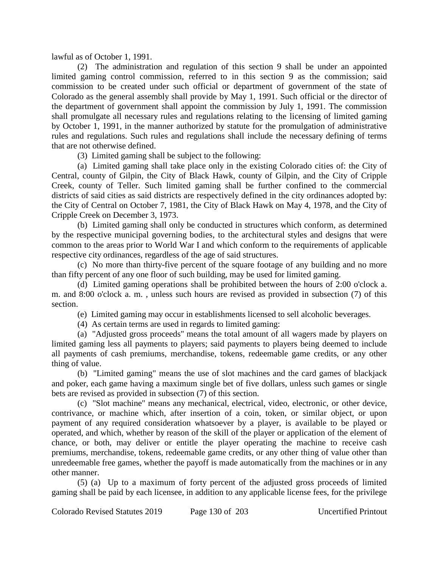lawful as of October 1, 1991.

(2) The administration and regulation of this section 9 shall be under an appointed limited gaming control commission, referred to in this section 9 as the commission; said commission to be created under such official or department of government of the state of Colorado as the general assembly shall provide by May 1, 1991. Such official or the director of the department of government shall appoint the commission by July 1, 1991. The commission shall promulgate all necessary rules and regulations relating to the licensing of limited gaming by October 1, 1991, in the manner authorized by statute for the promulgation of administrative rules and regulations. Such rules and regulations shall include the necessary defining of terms that are not otherwise defined.

(3) Limited gaming shall be subject to the following:

(a) Limited gaming shall take place only in the existing Colorado cities of: the City of Central, county of Gilpin, the City of Black Hawk, county of Gilpin, and the City of Cripple Creek, county of Teller. Such limited gaming shall be further confined to the commercial districts of said cities as said districts are respectively defined in the city ordinances adopted by: the City of Central on October 7, 1981, the City of Black Hawk on May 4, 1978, and the City of Cripple Creek on December 3, 1973.

(b) Limited gaming shall only be conducted in structures which conform, as determined by the respective municipal governing bodies, to the architectural styles and designs that were common to the areas prior to World War I and which conform to the requirements of applicable respective city ordinances, regardless of the age of said structures.

(c) No more than thirty-five percent of the square footage of any building and no more than fifty percent of any one floor of such building, may be used for limited gaming.

(d) Limited gaming operations shall be prohibited between the hours of 2:00 o'clock a. m. and 8:00 o'clock a. m. , unless such hours are revised as provided in subsection (7) of this section.

(e) Limited gaming may occur in establishments licensed to sell alcoholic beverages.

(4) As certain terms are used in regards to limited gaming:

(a) "Adjusted gross proceeds" means the total amount of all wagers made by players on limited gaming less all payments to players; said payments to players being deemed to include all payments of cash premiums, merchandise, tokens, redeemable game credits, or any other thing of value.

(b) "Limited gaming" means the use of slot machines and the card games of blackjack and poker, each game having a maximum single bet of five dollars, unless such games or single bets are revised as provided in subsection (7) of this section.

(c) "Slot machine" means any mechanical, electrical, video, electronic, or other device, contrivance, or machine which, after insertion of a coin, token, or similar object, or upon payment of any required consideration whatsoever by a player, is available to be played or operated, and which, whether by reason of the skill of the player or application of the element of chance, or both, may deliver or entitle the player operating the machine to receive cash premiums, merchandise, tokens, redeemable game credits, or any other thing of value other than unredeemable free games, whether the payoff is made automatically from the machines or in any other manner.

(5) (a) Up to a maximum of forty percent of the adjusted gross proceeds of limited gaming shall be paid by each licensee, in addition to any applicable license fees, for the privilege

Colorado Revised Statutes 2019 Page 130 of 203 Uncertified Printout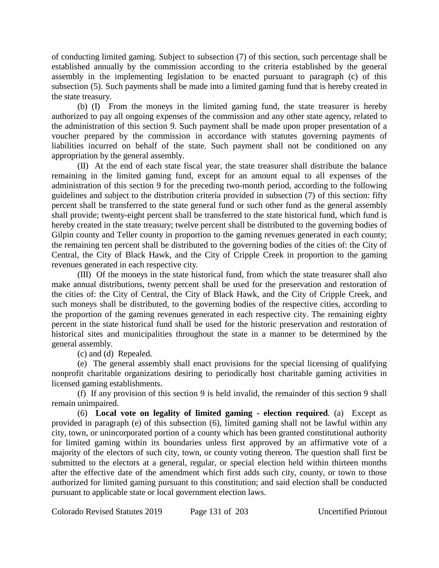of conducting limited gaming. Subject to subsection (7) of this section, such percentage shall be established annually by the commission according to the criteria established by the general assembly in the implementing legislation to be enacted pursuant to paragraph (c) of this subsection (5). Such payments shall be made into a limited gaming fund that is hereby created in the state treasury.

(b) (I) From the moneys in the limited gaming fund, the state treasurer is hereby authorized to pay all ongoing expenses of the commission and any other state agency, related to the administration of this section 9. Such payment shall be made upon proper presentation of a voucher prepared by the commission in accordance with statutes governing payments of liabilities incurred on behalf of the state. Such payment shall not be conditioned on any appropriation by the general assembly.

(II) At the end of each state fiscal year, the state treasurer shall distribute the balance remaining in the limited gaming fund, except for an amount equal to all expenses of the administration of this section 9 for the preceding two-month period, according to the following guidelines and subject to the distribution criteria provided in subsection (7) of this section: fifty percent shall be transferred to the state general fund or such other fund as the general assembly shall provide; twenty-eight percent shall be transferred to the state historical fund, which fund is hereby created in the state treasury; twelve percent shall be distributed to the governing bodies of Gilpin county and Teller county in proportion to the gaming revenues generated in each county; the remaining ten percent shall be distributed to the governing bodies of the cities of: the City of Central, the City of Black Hawk, and the City of Cripple Creek in proportion to the gaming revenues generated in each respective city.

(III) Of the moneys in the state historical fund, from which the state treasurer shall also make annual distributions, twenty percent shall be used for the preservation and restoration of the cities of: the City of Central, the City of Black Hawk, and the City of Cripple Creek, and such moneys shall be distributed, to the governing bodies of the respective cities, according to the proportion of the gaming revenues generated in each respective city. The remaining eighty percent in the state historical fund shall be used for the historic preservation and restoration of historical sites and municipalities throughout the state in a manner to be determined by the general assembly.

(c) and (d) Repealed.

(e) The general assembly shall enact provisions for the special licensing of qualifying nonprofit charitable organizations desiring to periodically host charitable gaming activities in licensed gaming establishments.

(f) If any provision of this section 9 is held invalid, the remainder of this section 9 shall remain unimpaired.

(6) **Local vote on legality of limited gaming - election required**. (a) Except as provided in paragraph (e) of this subsection (6), limited gaming shall not be lawful within any city, town, or unincorporated portion of a county which has been granted constitutional authority for limited gaming within its boundaries unless first approved by an affirmative vote of a majority of the electors of such city, town, or county voting thereon. The question shall first be submitted to the electors at a general, regular, or special election held within thirteen months after the effective date of the amendment which first adds such city, county, or town to those authorized for limited gaming pursuant to this constitution; and said election shall be conducted pursuant to applicable state or local government election laws.

Colorado Revised Statutes 2019 Page 131 of 203 Uncertified Printout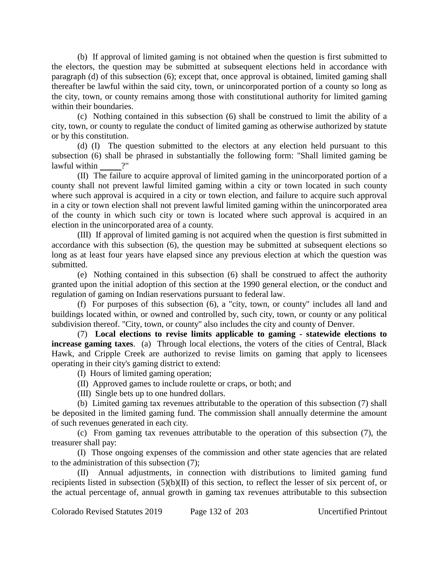(b) If approval of limited gaming is not obtained when the question is first submitted to the electors, the question may be submitted at subsequent elections held in accordance with paragraph (d) of this subsection (6); except that, once approval is obtained, limited gaming shall thereafter be lawful within the said city, town, or unincorporated portion of a county so long as the city, town, or county remains among those with constitutional authority for limited gaming within their boundaries.

(c) Nothing contained in this subsection (6) shall be construed to limit the ability of a city, town, or county to regulate the conduct of limited gaming as otherwise authorized by statute or by this constitution.

(d) (I) The question submitted to the electors at any election held pursuant to this subsection (6) shall be phrased in substantially the following form: "Shall limited gaming be lawful within ?"

(II) The failure to acquire approval of limited gaming in the unincorporated portion of a county shall not prevent lawful limited gaming within a city or town located in such county where such approval is acquired in a city or town election, and failure to acquire such approval in a city or town election shall not prevent lawful limited gaming within the unincorporated area of the county in which such city or town is located where such approval is acquired in an election in the unincorporated area of a county.

(III) If approval of limited gaming is not acquired when the question is first submitted in accordance with this subsection (6), the question may be submitted at subsequent elections so long as at least four years have elapsed since any previous election at which the question was submitted.

(e) Nothing contained in this subsection (6) shall be construed to affect the authority granted upon the initial adoption of this section at the 1990 general election, or the conduct and regulation of gaming on Indian reservations pursuant to federal law.

(f) For purposes of this subsection (6), a "city, town, or county" includes all land and buildings located within, or owned and controlled by, such city, town, or county or any political subdivision thereof. "City, town, or county" also includes the city and county of Denver.

(7) **Local elections to revise limits applicable to gaming - statewide elections to increase gaming taxes.** (a) Through local elections, the voters of the cities of Central, Black Hawk, and Cripple Creek are authorized to revise limits on gaming that apply to licensees operating in their city's gaming district to extend:

(I) Hours of limited gaming operation;

(II) Approved games to include roulette or craps, or both; and

(III) Single bets up to one hundred dollars.

(b) Limited gaming tax revenues attributable to the operation of this subsection (7) shall be deposited in the limited gaming fund. The commission shall annually determine the amount of such revenues generated in each city.

(c) From gaming tax revenues attributable to the operation of this subsection (7), the treasurer shall pay:

(I) Those ongoing expenses of the commission and other state agencies that are related to the administration of this subsection (7);

(II) Annual adjustments, in connection with distributions to limited gaming fund recipients listed in subsection  $(5)(b)(II)$  of this section, to reflect the lesser of six percent of, or the actual percentage of, annual growth in gaming tax revenues attributable to this subsection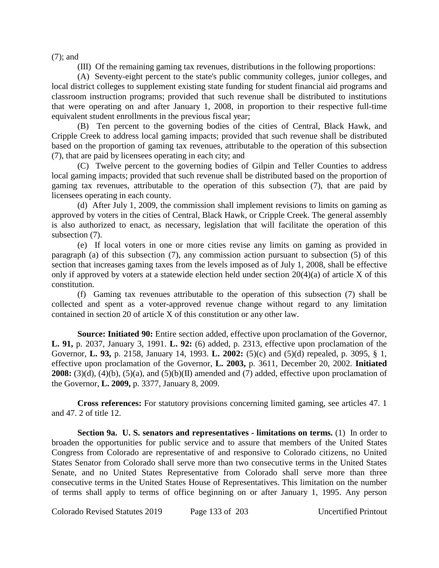(7); and

(III) Of the remaining gaming tax revenues, distributions in the following proportions:

(A) Seventy-eight percent to the state's public community colleges, junior colleges, and local district colleges to supplement existing state funding for student financial aid programs and classroom instruction programs; provided that such revenue shall be distributed to institutions that were operating on and after January 1, 2008, in proportion to their respective full-time equivalent student enrollments in the previous fiscal year;

(B) Ten percent to the governing bodies of the cities of Central, Black Hawk, and Cripple Creek to address local gaming impacts; provided that such revenue shall be distributed based on the proportion of gaming tax revenues, attributable to the operation of this subsection (7), that are paid by licensees operating in each city; and

(C) Twelve percent to the governing bodies of Gilpin and Teller Counties to address local gaming impacts; provided that such revenue shall be distributed based on the proportion of gaming tax revenues, attributable to the operation of this subsection (7), that are paid by licensees operating in each county.

(d) After July 1, 2009, the commission shall implement revisions to limits on gaming as approved by voters in the cities of Central, Black Hawk, or Cripple Creek. The general assembly is also authorized to enact, as necessary, legislation that will facilitate the operation of this subsection (7).

(e) If local voters in one or more cities revise any limits on gaming as provided in paragraph (a) of this subsection (7), any commission action pursuant to subsection (5) of this section that increases gaming taxes from the levels imposed as of July 1, 2008, shall be effective only if approved by voters at a statewide election held under section  $20(4)(a)$  of article X of this constitution.

(f) Gaming tax revenues attributable to the operation of this subsection (7) shall be collected and spent as a voter-approved revenue change without regard to any limitation contained in section 20 of article X of this constitution or any other law.

**Source: Initiated 90:** Entire section added, effective upon proclamation of the Governor, **L. 91,** p. 2037, January 3, 1991. **L. 92:** (6) added, p. 2313, effective upon proclamation of the Governor, **L. 93,** p. 2158, January 14, 1993. **L. 2002:** (5)(c) and (5)(d) repealed, p. 3095, § 1, effective upon proclamation of the Governor, **L. 2003,** p. 3611, December 20, 2002. **Initiated 2008:** (3)(d), (4)(b), (5)(a), and (5)(b)(II) amended and (7) added, effective upon proclamation of the Governor, **L. 2009,** p. 3377, January 8, 2009.

**Cross references:** For statutory provisions concerning limited gaming, see articles 47. 1 and 47. 2 of title 12.

**Section 9a. U. S. senators and representatives - limitations on terms.** (1) In order to broaden the opportunities for public service and to assure that members of the United States Congress from Colorado are representative of and responsive to Colorado citizens, no United States Senator from Colorado shall serve more than two consecutive terms in the United States Senate, and no United States Representative from Colorado shall serve more than three consecutive terms in the United States House of Representatives. This limitation on the number of terms shall apply to terms of office beginning on or after January 1, 1995. Any person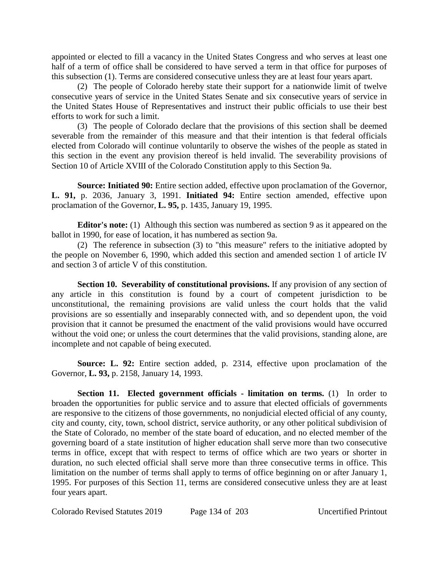appointed or elected to fill a vacancy in the United States Congress and who serves at least one half of a term of office shall be considered to have served a term in that office for purposes of this subsection (1). Terms are considered consecutive unless they are at least four years apart.

(2) The people of Colorado hereby state their support for a nationwide limit of twelve consecutive years of service in the United States Senate and six consecutive years of service in the United States House of Representatives and instruct their public officials to use their best efforts to work for such a limit.

(3) The people of Colorado declare that the provisions of this section shall be deemed severable from the remainder of this measure and that their intention is that federal officials elected from Colorado will continue voluntarily to observe the wishes of the people as stated in this section in the event any provision thereof is held invalid. The severability provisions of Section 10 of Article XVIII of the Colorado Constitution apply to this Section 9a.

**Source: Initiated 90:** Entire section added, effective upon proclamation of the Governor, **L. 91,** p. 2036, January 3, 1991. **Initiated 94:** Entire section amended, effective upon proclamation of the Governor, **L. 95,** p. 1435, January 19, 1995.

**Editor's note:** (1) Although this section was numbered as section 9 as it appeared on the ballot in 1990, for ease of location, it has numbered as section 9a.

(2) The reference in subsection (3) to "this measure" refers to the initiative adopted by the people on November 6, 1990, which added this section and amended section 1 of article IV and section 3 of article V of this constitution.

**Section 10. Severability of constitutional provisions.** If any provision of any section of any article in this constitution is found by a court of competent jurisdiction to be unconstitutional, the remaining provisions are valid unless the court holds that the valid provisions are so essentially and inseparably connected with, and so dependent upon, the void provision that it cannot be presumed the enactment of the valid provisions would have occurred without the void one; or unless the court determines that the valid provisions, standing alone, are incomplete and not capable of being executed.

**Source: L. 92:** Entire section added, p. 2314, effective upon proclamation of the Governor, **L. 93,** p. 2158, January 14, 1993.

**Section 11. Elected government officials - limitation on terms.** (1) In order to broaden the opportunities for public service and to assure that elected officials of governments are responsive to the citizens of those governments, no nonjudicial elected official of any county, city and county, city, town, school district, service authority, or any other political subdivision of the State of Colorado, no member of the state board of education, and no elected member of the governing board of a state institution of higher education shall serve more than two consecutive terms in office, except that with respect to terms of office which are two years or shorter in duration, no such elected official shall serve more than three consecutive terms in office. This limitation on the number of terms shall apply to terms of office beginning on or after January 1, 1995. For purposes of this Section 11, terms are considered consecutive unless they are at least four years apart.

Colorado Revised Statutes 2019 Page 134 of 203 Uncertified Printout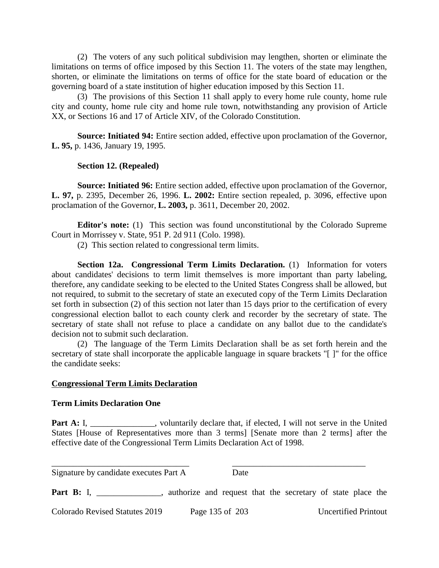(2) The voters of any such political subdivision may lengthen, shorten or eliminate the limitations on terms of office imposed by this Section 11. The voters of the state may lengthen, shorten, or eliminate the limitations on terms of office for the state board of education or the governing board of a state institution of higher education imposed by this Section 11.

(3) The provisions of this Section 11 shall apply to every home rule county, home rule city and county, home rule city and home rule town, notwithstanding any provision of Article XX, or Sections 16 and 17 of Article XIV, of the Colorado Constitution.

**Source: Initiated 94:** Entire section added, effective upon proclamation of the Governor, **L. 95,** p. 1436, January 19, 1995.

### **Section 12. (Repealed)**

**Source: Initiated 96:** Entire section added, effective upon proclamation of the Governor, **L. 97,** p. 2395, December 26, 1996. **L. 2002:** Entire section repealed, p. 3096, effective upon proclamation of the Governor, **L. 2003,** p. 3611, December 20, 2002.

**Editor's note:** (1) This section was found unconstitutional by the Colorado Supreme Court in Morrissey v. State, 951 P. 2d 911 (Colo. 1998).

(2) This section related to congressional term limits.

**Section 12a. Congressional Term Limits Declaration.** (1) Information for voters about candidates' decisions to term limit themselves is more important than party labeling, therefore, any candidate seeking to be elected to the United States Congress shall be allowed, but not required, to submit to the secretary of state an executed copy of the Term Limits Declaration set forth in subsection (2) of this section not later than 15 days prior to the certification of every congressional election ballot to each county clerk and recorder by the secretary of state. The secretary of state shall not refuse to place a candidate on any ballot due to the candidate's decision not to submit such declaration.

(2) The language of the Term Limits Declaration shall be as set forth herein and the secretary of state shall incorporate the applicable language in square brackets "[]" for the office the candidate seeks:

### **Congressional Term Limits Declaration**

### **Term Limits Declaration One**

Part A: I, \_\_\_\_\_\_\_\_\_\_\_\_\_, voluntarily declare that, if elected, I will not serve in the United States [House of Representatives more than 3 terms] [Senate more than 2 terms] after the effective date of the Congressional Term Limits Declaration Act of 1998.

Signature by candidate executes Part A Date

**Part B:** I, \_\_\_\_\_\_\_\_\_\_\_, authorize and request that the secretary of state place the

\_\_\_\_\_\_\_\_\_\_\_\_\_\_\_\_\_\_\_\_\_\_\_\_\_\_\_\_\_\_\_\_ \_\_\_\_\_\_\_\_\_\_\_\_\_\_\_\_\_\_\_\_\_\_\_\_\_\_\_\_\_\_\_

Colorado Revised Statutes 2019 Page 135 of 203 Uncertified Printout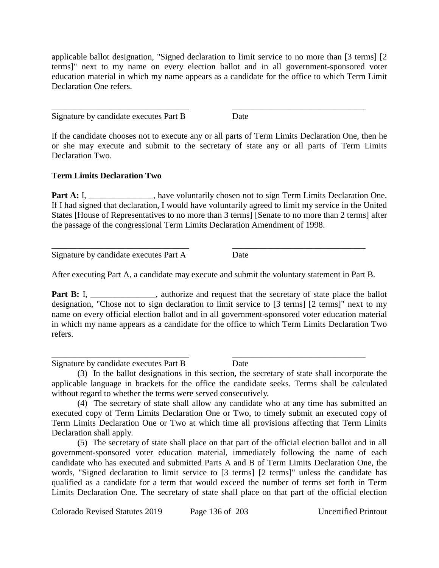applicable ballot designation, "Signed declaration to limit service to no more than [3 terms] [2 terms]" next to my name on every election ballot and in all government-sponsored voter education material in which my name appears as a candidate for the office to which Term Limit Declaration One refers.

\_\_\_\_\_\_\_\_\_\_\_\_\_\_\_\_\_\_\_\_\_\_\_\_\_\_\_\_\_\_\_\_ \_\_\_\_\_\_\_\_\_\_\_\_\_\_\_\_\_\_\_\_\_\_\_\_\_\_\_\_\_\_\_ Signature by candidate executes Part B Date

If the candidate chooses not to execute any or all parts of Term Limits Declaration One, then he or she may execute and submit to the secretary of state any or all parts of Term Limits Declaration Two.

## **Term Limits Declaration Two**

**Part A:** I, \_\_\_\_\_\_\_\_\_\_\_\_, have voluntarily chosen not to sign Term Limits Declaration One. If I had signed that declaration, I would have voluntarily agreed to limit my service in the United States [House of Representatives to no more than 3 terms] [Senate to no more than 2 terms] after the passage of the congressional Term Limits Declaration Amendment of 1998.

\_\_\_\_\_\_\_\_\_\_\_\_\_\_\_\_\_\_\_\_\_\_\_\_\_\_\_\_\_\_\_\_ \_\_\_\_\_\_\_\_\_\_\_\_\_\_\_\_\_\_\_\_\_\_\_\_\_\_\_\_\_\_\_ Signature by candidate executes Part A Date

After executing Part A, a candidate may execute and submit the voluntary statement in Part B.

**Part B:** I, \_\_\_\_\_\_\_\_\_\_\_\_, authorize and request that the secretary of state place the ballot designation, "Chose not to sign declaration to limit service to [3 terms] [2 terms]" next to my name on every official election ballot and in all government-sponsored voter education material in which my name appears as a candidate for the office to which Term Limits Declaration Two refers.

\_\_\_\_\_\_\_\_\_\_\_\_\_\_\_\_\_\_\_\_\_\_\_\_\_\_\_\_\_\_\_\_ \_\_\_\_\_\_\_\_\_\_\_\_\_\_\_\_\_\_\_\_\_\_\_\_\_\_\_\_\_\_\_ Signature by candidate executes Part B Date

(4) The secretary of state shall allow any candidate who at any time has submitted an executed copy of Term Limits Declaration One or Two, to timely submit an executed copy of Term Limits Declaration One or Two at which time all provisions affecting that Term Limits Declaration shall apply.

(5) The secretary of state shall place on that part of the official election ballot and in all government-sponsored voter education material, immediately following the name of each candidate who has executed and submitted Parts A and B of Term Limits Declaration One, the words, "Signed declaration to limit service to [3 terms] [2 terms]" unless the candidate has qualified as a candidate for a term that would exceed the number of terms set forth in Term Limits Declaration One. The secretary of state shall place on that part of the official election

<sup>(3)</sup> In the ballot designations in this section, the secretary of state shall incorporate the applicable language in brackets for the office the candidate seeks. Terms shall be calculated without regard to whether the terms were served consecutively.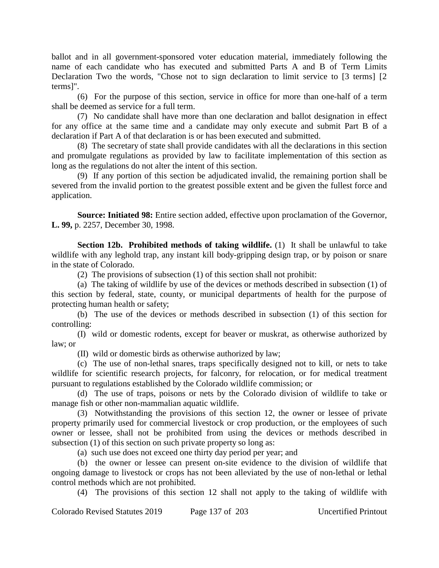ballot and in all government-sponsored voter education material, immediately following the name of each candidate who has executed and submitted Parts A and B of Term Limits Declaration Two the words, "Chose not to sign declaration to limit service to [3 terms] [2 terms]".

(6) For the purpose of this section, service in office for more than one-half of a term shall be deemed as service for a full term.

(7) No candidate shall have more than one declaration and ballot designation in effect for any office at the same time and a candidate may only execute and submit Part B of a declaration if Part A of that declaration is or has been executed and submitted.

(8) The secretary of state shall provide candidates with all the declarations in this section and promulgate regulations as provided by law to facilitate implementation of this section as long as the regulations do not alter the intent of this section.

(9) If any portion of this section be adjudicated invalid, the remaining portion shall be severed from the invalid portion to the greatest possible extent and be given the fullest force and application.

**Source: Initiated 98:** Entire section added, effective upon proclamation of the Governor, **L. 99,** p. 2257, December 30, 1998.

**Section 12b. Prohibited methods of taking wildlife.** (1) It shall be unlawful to take wildlife with any leghold trap, any instant kill body-gripping design trap, or by poison or snare in the state of Colorado.

(2) The provisions of subsection (1) of this section shall not prohibit:

(a) The taking of wildlife by use of the devices or methods described in subsection (1) of this section by federal, state, county, or municipal departments of health for the purpose of protecting human health or safety;

(b) The use of the devices or methods described in subsection (1) of this section for controlling:

(I) wild or domestic rodents, except for beaver or muskrat, as otherwise authorized by law; or

(II) wild or domestic birds as otherwise authorized by law;

(c) The use of non-lethal snares, traps specifically designed not to kill, or nets to take wildlife for scientific research projects, for falconry, for relocation, or for medical treatment pursuant to regulations established by the Colorado wildlife commission; or

(d) The use of traps, poisons or nets by the Colorado division of wildlife to take or manage fish or other non-mammalian aquatic wildlife.

(3) Notwithstanding the provisions of this section 12, the owner or lessee of private property primarily used for commercial livestock or crop production, or the employees of such owner or lessee, shall not be prohibited from using the devices or methods described in subsection (1) of this section on such private property so long as:

(a) such use does not exceed one thirty day period per year; and

(b) the owner or lessee can present on-site evidence to the division of wildlife that ongoing damage to livestock or crops has not been alleviated by the use of non-lethal or lethal control methods which are not prohibited.

(4) The provisions of this section 12 shall not apply to the taking of wildlife with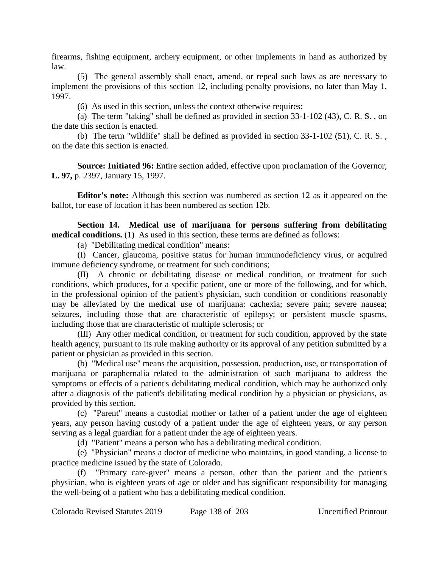firearms, fishing equipment, archery equipment, or other implements in hand as authorized by law.

(5) The general assembly shall enact, amend, or repeal such laws as are necessary to implement the provisions of this section 12, including penalty provisions, no later than May 1, 1997.

(6) As used in this section, unless the context otherwise requires:

(a) The term "taking" shall be defined as provided in section 33-1-102 (43), C. R. S. , on the date this section is enacted.

(b) The term "wildlife" shall be defined as provided in section 33-1-102 (51), C. R. S. , on the date this section is enacted.

**Source: Initiated 96:** Entire section added, effective upon proclamation of the Governor, **L. 97,** p. 2397, January 15, 1997.

**Editor's note:** Although this section was numbered as section 12 as it appeared on the ballot, for ease of location it has been numbered as section 12b.

# **Section 14. Medical use of marijuana for persons suffering from debilitating medical conditions.** (1) As used in this section, these terms are defined as follows:

(a) "Debilitating medical condition" means:

(I) Cancer, glaucoma, positive status for human immunodeficiency virus, or acquired immune deficiency syndrome, or treatment for such conditions;

(II) A chronic or debilitating disease or medical condition, or treatment for such conditions, which produces, for a specific patient, one or more of the following, and for which, in the professional opinion of the patient's physician, such condition or conditions reasonably may be alleviated by the medical use of marijuana: cachexia; severe pain; severe nausea; seizures, including those that are characteristic of epilepsy; or persistent muscle spasms, including those that are characteristic of multiple sclerosis; or

(III) Any other medical condition, or treatment for such condition, approved by the state health agency, pursuant to its rule making authority or its approval of any petition submitted by a patient or physician as provided in this section.

(b) "Medical use" means the acquisition, possession, production, use, or transportation of marijuana or paraphernalia related to the administration of such marijuana to address the symptoms or effects of a patient's debilitating medical condition, which may be authorized only after a diagnosis of the patient's debilitating medical condition by a physician or physicians, as provided by this section.

(c) "Parent" means a custodial mother or father of a patient under the age of eighteen years, any person having custody of a patient under the age of eighteen years, or any person serving as a legal guardian for a patient under the age of eighteen years.

(d) "Patient" means a person who has a debilitating medical condition.

(e) "Physician" means a doctor of medicine who maintains, in good standing, a license to practice medicine issued by the state of Colorado.

(f) "Primary care-giver" means a person, other than the patient and the patient's physician, who is eighteen years of age or older and has significant responsibility for managing the well-being of a patient who has a debilitating medical condition.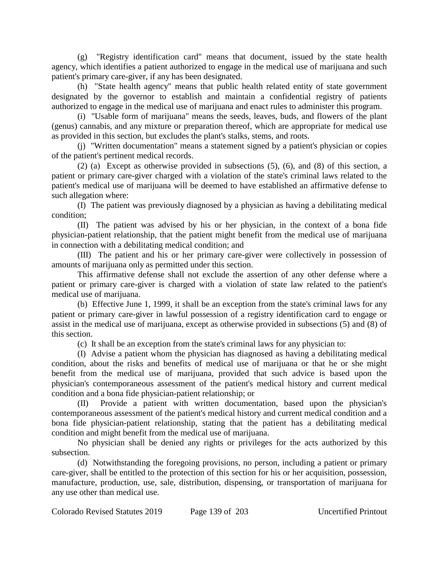(g) "Registry identification card" means that document, issued by the state health agency, which identifies a patient authorized to engage in the medical use of marijuana and such patient's primary care-giver, if any has been designated.

(h) "State health agency" means that public health related entity of state government designated by the governor to establish and maintain a confidential registry of patients authorized to engage in the medical use of marijuana and enact rules to administer this program.

(i) "Usable form of marijuana" means the seeds, leaves, buds, and flowers of the plant (genus) cannabis, and any mixture or preparation thereof, which are appropriate for medical use as provided in this section, but excludes the plant's stalks, stems, and roots.

(j) "Written documentation" means a statement signed by a patient's physician or copies of the patient's pertinent medical records.

(2) (a) Except as otherwise provided in subsections (5), (6), and (8) of this section, a patient or primary care-giver charged with a violation of the state's criminal laws related to the patient's medical use of marijuana will be deemed to have established an affirmative defense to such allegation where:

(I) The patient was previously diagnosed by a physician as having a debilitating medical condition;

(II) The patient was advised by his or her physician, in the context of a bona fide physician-patient relationship, that the patient might benefit from the medical use of marijuana in connection with a debilitating medical condition; and

(III) The patient and his or her primary care-giver were collectively in possession of amounts of marijuana only as permitted under this section.

This affirmative defense shall not exclude the assertion of any other defense where a patient or primary care-giver is charged with a violation of state law related to the patient's medical use of marijuana.

(b) Effective June 1, 1999, it shall be an exception from the state's criminal laws for any patient or primary care-giver in lawful possession of a registry identification card to engage or assist in the medical use of marijuana, except as otherwise provided in subsections (5) and (8) of this section.

(c) It shall be an exception from the state's criminal laws for any physician to:

(I) Advise a patient whom the physician has diagnosed as having a debilitating medical condition, about the risks and benefits of medical use of marijuana or that he or she might benefit from the medical use of marijuana, provided that such advice is based upon the physician's contemporaneous assessment of the patient's medical history and current medical condition and a bona fide physician-patient relationship; or

Provide a patient with written documentation, based upon the physician's contemporaneous assessment of the patient's medical history and current medical condition and a bona fide physician-patient relationship, stating that the patient has a debilitating medical condition and might benefit from the medical use of marijuana.

No physician shall be denied any rights or privileges for the acts authorized by this subsection.

(d) Notwithstanding the foregoing provisions, no person, including a patient or primary care-giver, shall be entitled to the protection of this section for his or her acquisition, possession, manufacture, production, use, sale, distribution, dispensing, or transportation of marijuana for any use other than medical use.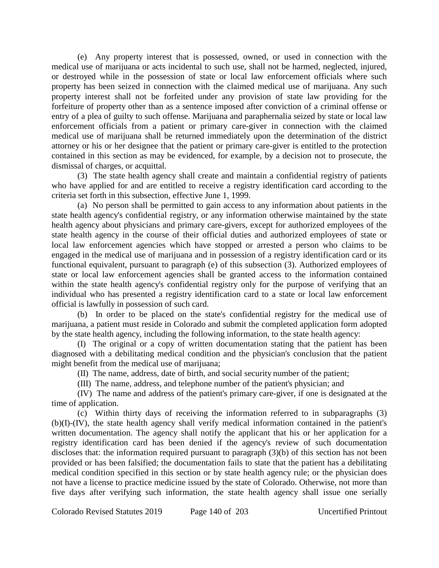(e) Any property interest that is possessed, owned, or used in connection with the medical use of marijuana or acts incidental to such use, shall not be harmed, neglected, injured, or destroyed while in the possession of state or local law enforcement officials where such property has been seized in connection with the claimed medical use of marijuana. Any such property interest shall not be forfeited under any provision of state law providing for the forfeiture of property other than as a sentence imposed after conviction of a criminal offense or entry of a plea of guilty to such offense. Marijuana and paraphernalia seized by state or local law enforcement officials from a patient or primary care-giver in connection with the claimed medical use of marijuana shall be returned immediately upon the determination of the district attorney or his or her designee that the patient or primary care-giver is entitled to the protection contained in this section as may be evidenced, for example, by a decision not to prosecute, the dismissal of charges, or acquittal.

(3) The state health agency shall create and maintain a confidential registry of patients who have applied for and are entitled to receive a registry identification card according to the criteria set forth in this subsection, effective June 1, 1999.

(a) No person shall be permitted to gain access to any information about patients in the state health agency's confidential registry, or any information otherwise maintained by the state health agency about physicians and primary care-givers, except for authorized employees of the state health agency in the course of their official duties and authorized employees of state or local law enforcement agencies which have stopped or arrested a person who claims to be engaged in the medical use of marijuana and in possession of a registry identification card or its functional equivalent, pursuant to paragraph (e) of this subsection (3). Authorized employees of state or local law enforcement agencies shall be granted access to the information contained within the state health agency's confidential registry only for the purpose of verifying that an individual who has presented a registry identification card to a state or local law enforcement official is lawfully in possession of such card.

(b) In order to be placed on the state's confidential registry for the medical use of marijuana, a patient must reside in Colorado and submit the completed application form adopted by the state health agency, including the following information, to the state health agency:

(I) The original or a copy of written documentation stating that the patient has been diagnosed with a debilitating medical condition and the physician's conclusion that the patient might benefit from the medical use of marijuana;

(II) The name, address, date of birth, and social security number of the patient;

(III) The name, address, and telephone number of the patient's physician; and

(IV) The name and address of the patient's primary care-giver, if one is designated at the time of application.

(c) Within thirty days of receiving the information referred to in subparagraphs (3) (b)(I)-(IV), the state health agency shall verify medical information contained in the patient's written documentation. The agency shall notify the applicant that his or her application for a registry identification card has been denied if the agency's review of such documentation discloses that: the information required pursuant to paragraph (3)(b) of this section has not been provided or has been falsified; the documentation fails to state that the patient has a debilitating medical condition specified in this section or by state health agency rule; or the physician does not have a license to practice medicine issued by the state of Colorado. Otherwise, not more than five days after verifying such information, the state health agency shall issue one serially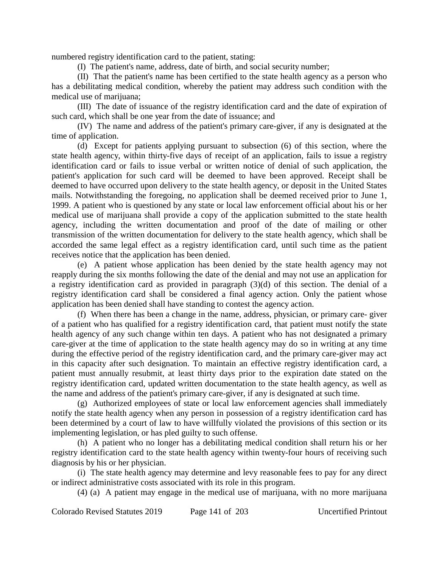numbered registry identification card to the patient, stating:

(I) The patient's name, address, date of birth, and social security number;

(II) That the patient's name has been certified to the state health agency as a person who has a debilitating medical condition, whereby the patient may address such condition with the medical use of marijuana;

(III) The date of issuance of the registry identification card and the date of expiration of such card, which shall be one year from the date of issuance; and

(IV) The name and address of the patient's primary care-giver, if any is designated at the time of application.

(d) Except for patients applying pursuant to subsection (6) of this section, where the state health agency, within thirty-five days of receipt of an application, fails to issue a registry identification card or fails to issue verbal or written notice of denial of such application, the patient's application for such card will be deemed to have been approved. Receipt shall be deemed to have occurred upon delivery to the state health agency, or deposit in the United States mails. Notwithstanding the foregoing, no application shall be deemed received prior to June 1, 1999. A patient who is questioned by any state or local law enforcement official about his or her medical use of marijuana shall provide a copy of the application submitted to the state health agency, including the written documentation and proof of the date of mailing or other transmission of the written documentation for delivery to the state health agency, which shall be accorded the same legal effect as a registry identification card, until such time as the patient receives notice that the application has been denied.

(e) A patient whose application has been denied by the state health agency may not reapply during the six months following the date of the denial and may not use an application for a registry identification card as provided in paragraph (3)(d) of this section. The denial of a registry identification card shall be considered a final agency action. Only the patient whose application has been denied shall have standing to contest the agency action.

(f) When there has been a change in the name, address, physician, or primary care- giver of a patient who has qualified for a registry identification card, that patient must notify the state health agency of any such change within ten days. A patient who has not designated a primary care-giver at the time of application to the state health agency may do so in writing at any time during the effective period of the registry identification card, and the primary care-giver may act in this capacity after such designation. To maintain an effective registry identification card, a patient must annually resubmit, at least thirty days prior to the expiration date stated on the registry identification card, updated written documentation to the state health agency, as well as the name and address of the patient's primary care-giver, if any is designated at such time.

(g) Authorized employees of state or local law enforcement agencies shall immediately notify the state health agency when any person in possession of a registry identification card has been determined by a court of law to have willfully violated the provisions of this section or its implementing legislation, or has pled guilty to such offense.

(h) A patient who no longer has a debilitating medical condition shall return his or her registry identification card to the state health agency within twenty-four hours of receiving such diagnosis by his or her physician.

(i) The state health agency may determine and levy reasonable fees to pay for any direct or indirect administrative costs associated with its role in this program.

(4) (a) A patient may engage in the medical use of marijuana, with no more marijuana

Colorado Revised Statutes 2019 Page 141 of 203 Uncertified Printout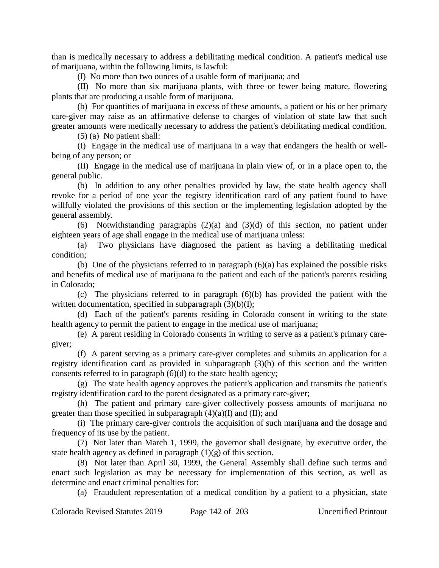than is medically necessary to address a debilitating medical condition. A patient's medical use of marijuana, within the following limits, is lawful:

(I) No more than two ounces of a usable form of marijuana; and

(II) No more than six marijuana plants, with three or fewer being mature, flowering plants that are producing a usable form of marijuana.

(b) For quantities of marijuana in excess of these amounts, a patient or his or her primary care-giver may raise as an affirmative defense to charges of violation of state law that such greater amounts were medically necessary to address the patient's debilitating medical condition.

(5) (a) No patient shall:

(I) Engage in the medical use of marijuana in a way that endangers the health or wellbeing of any person; or

(II) Engage in the medical use of marijuana in plain view of, or in a place open to, the general public.

(b) In addition to any other penalties provided by law, the state health agency shall revoke for a period of one year the registry identification card of any patient found to have willfully violated the provisions of this section or the implementing legislation adopted by the general assembly.

(6) Notwithstanding paragraphs (2)(a) and (3)(d) of this section, no patient under eighteen years of age shall engage in the medical use of marijuana unless:

(a) Two physicians have diagnosed the patient as having a debilitating medical condition;

(b) One of the physicians referred to in paragraph (6)(a) has explained the possible risks and benefits of medical use of marijuana to the patient and each of the patient's parents residing in Colorado;

(c) The physicians referred to in paragraph (6)(b) has provided the patient with the written documentation, specified in subparagraph  $(3)(b)(I)$ ;

(d) Each of the patient's parents residing in Colorado consent in writing to the state health agency to permit the patient to engage in the medical use of marijuana;

(e) A parent residing in Colorado consents in writing to serve as a patient's primary caregiver;

(f) A parent serving as a primary care-giver completes and submits an application for a registry identification card as provided in subparagraph (3)(b) of this section and the written consents referred to in paragraph (6)(d) to the state health agency;

(g) The state health agency approves the patient's application and transmits the patient's registry identification card to the parent designated as a primary care-giver;

(h) The patient and primary care-giver collectively possess amounts of marijuana no greater than those specified in subparagraph  $(4)(a)(I)$  and  $(II)$ ; and

(i) The primary care-giver controls the acquisition of such marijuana and the dosage and frequency of its use by the patient.

(7) Not later than March 1, 1999, the governor shall designate, by executive order, the state health agency as defined in paragraph  $(1)(g)$  of this section.

(8) Not later than April 30, 1999, the General Assembly shall define such terms and enact such legislation as may be necessary for implementation of this section, as well as determine and enact criminal penalties for:

(a) Fraudulent representation of a medical condition by a patient to a physician, state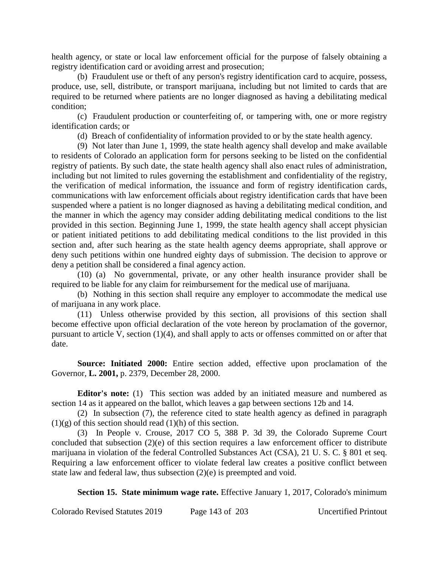health agency, or state or local law enforcement official for the purpose of falsely obtaining a registry identification card or avoiding arrest and prosecution;

(b) Fraudulent use or theft of any person's registry identification card to acquire, possess, produce, use, sell, distribute, or transport marijuana, including but not limited to cards that are required to be returned where patients are no longer diagnosed as having a debilitating medical condition;

(c) Fraudulent production or counterfeiting of, or tampering with, one or more registry identification cards; or

(d) Breach of confidentiality of information provided to or by the state health agency.

(9) Not later than June 1, 1999, the state health agency shall develop and make available to residents of Colorado an application form for persons seeking to be listed on the confidential registry of patients. By such date, the state health agency shall also enact rules of administration, including but not limited to rules governing the establishment and confidentiality of the registry, the verification of medical information, the issuance and form of registry identification cards, communications with law enforcement officials about registry identification cards that have been suspended where a patient is no longer diagnosed as having a debilitating medical condition, and the manner in which the agency may consider adding debilitating medical conditions to the list provided in this section. Beginning June 1, 1999, the state health agency shall accept physician or patient initiated petitions to add debilitating medical conditions to the list provided in this section and, after such hearing as the state health agency deems appropriate, shall approve or deny such petitions within one hundred eighty days of submission. The decision to approve or deny a petition shall be considered a final agency action.

(10) (a) No governmental, private, or any other health insurance provider shall be required to be liable for any claim for reimbursement for the medical use of marijuana.

(b) Nothing in this section shall require any employer to accommodate the medical use of marijuana in any work place.

(11) Unless otherwise provided by this section, all provisions of this section shall become effective upon official declaration of the vote hereon by proclamation of the governor, pursuant to article V, section (1)(4), and shall apply to acts or offenses committed on or after that date.

**Source: Initiated 2000:** Entire section added, effective upon proclamation of the Governor, **L. 2001,** p. 2379, December 28, 2000.

**Editor's note:** (1) This section was added by an initiated measure and numbered as section 14 as it appeared on the ballot, which leaves a gap between sections 12b and 14.

(2) In subsection (7), the reference cited to state health agency as defined in paragraph  $(1)(g)$  of this section should read  $(1)(h)$  of this section.

(3) In People v. Crouse, 2017 CO 5, 388 P. 3d 39, the Colorado Supreme Court concluded that subsection (2)(e) of this section requires a law enforcement officer to distribute marijuana in violation of the federal Controlled Substances Act (CSA), 21 U. S. C. § 801 et seq. Requiring a law enforcement officer to violate federal law creates a positive conflict between state law and federal law, thus subsection (2)(e) is preempted and void.

**Section 15. State minimum wage rate.** Effective January 1, 2017, Colorado's minimum

Colorado Revised Statutes 2019 Page 143 of 203 Uncertified Printout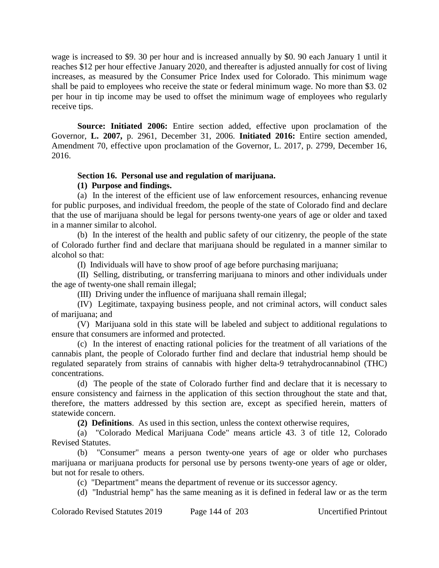wage is increased to \$9. 30 per hour and is increased annually by \$0. 90 each January 1 until it reaches \$12 per hour effective January 2020, and thereafter is adjusted annually for cost of living increases, as measured by the Consumer Price Index used for Colorado. This minimum wage shall be paid to employees who receive the state or federal minimum wage. No more than \$3. 02 per hour in tip income may be used to offset the minimum wage of employees who regularly receive tips.

**Source: Initiated 2006:** Entire section added, effective upon proclamation of the Governor, **L. 2007,** p. 2961, December 31, 2006. **Initiated 2016:** Entire section amended, Amendment 70, effective upon proclamation of the Governor, L. 2017, p. 2799, December 16, 2016.

### **Section 16. Personal use and regulation of marijuana.**

### **(1) Purpose and findings.**

(a) In the interest of the efficient use of law enforcement resources, enhancing revenue for public purposes, and individual freedom, the people of the state of Colorado find and declare that the use of marijuana should be legal for persons twenty-one years of age or older and taxed in a manner similar to alcohol.

(b) In the interest of the health and public safety of our citizenry, the people of the state of Colorado further find and declare that marijuana should be regulated in a manner similar to alcohol so that:

(I) Individuals will have to show proof of age before purchasing marijuana;

(II) Selling, distributing, or transferring marijuana to minors and other individuals under the age of twenty-one shall remain illegal;

(III) Driving under the influence of marijuana shall remain illegal;

(IV) Legitimate, taxpaying business people, and not criminal actors, will conduct sales of marijuana; and

(V) Marijuana sold in this state will be labeled and subject to additional regulations to ensure that consumers are informed and protected.

(c) In the interest of enacting rational policies for the treatment of all variations of the cannabis plant, the people of Colorado further find and declare that industrial hemp should be regulated separately from strains of cannabis with higher delta-9 tetrahydrocannabinol (THC) concentrations.

(d) The people of the state of Colorado further find and declare that it is necessary to ensure consistency and fairness in the application of this section throughout the state and that, therefore, the matters addressed by this section are, except as specified herein, matters of statewide concern.

**(2) Definitions**. As used in this section, unless the context otherwise requires,

(a) "Colorado Medical Marijuana Code" means article 43. 3 of title 12, Colorado Revised Statutes.

(b) "Consumer" means a person twenty-one years of age or older who purchases marijuana or marijuana products for personal use by persons twenty-one years of age or older, but not for resale to others.

(c) "Department" means the department of revenue or its successor agency.

(d) "Industrial hemp" has the same meaning as it is defined in federal law or as the term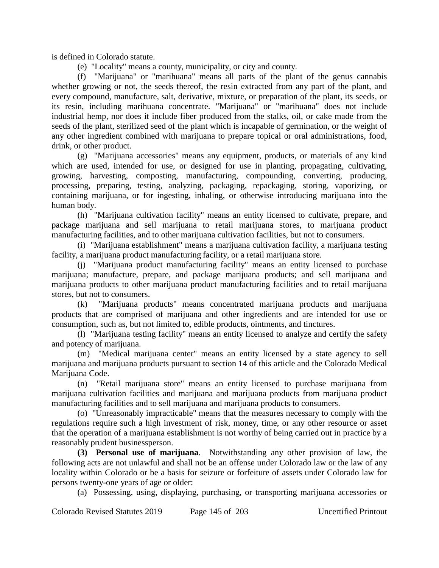is defined in Colorado statute.

(e) "Locality" means a county, municipality, or city and county.

(f) "Marijuana" or "marihuana" means all parts of the plant of the genus cannabis whether growing or not, the seeds thereof, the resin extracted from any part of the plant, and every compound, manufacture, salt, derivative, mixture, or preparation of the plant, its seeds, or its resin, including marihuana concentrate. "Marijuana" or "marihuana" does not include industrial hemp, nor does it include fiber produced from the stalks, oil, or cake made from the seeds of the plant, sterilized seed of the plant which is incapable of germination, or the weight of any other ingredient combined with marijuana to prepare topical or oral administrations, food, drink, or other product.

(g) "Marijuana accessories" means any equipment, products, or materials of any kind which are used, intended for use, or designed for use in planting, propagating, cultivating, growing, harvesting, composting, manufacturing, compounding, converting, producing, processing, preparing, testing, analyzing, packaging, repackaging, storing, vaporizing, or containing marijuana, or for ingesting, inhaling, or otherwise introducing marijuana into the human body.

(h) "Marijuana cultivation facility" means an entity licensed to cultivate, prepare, and package marijuana and sell marijuana to retail marijuana stores, to marijuana product manufacturing facilities, and to other marijuana cultivation facilities, but not to consumers.

(i) "Marijuana establishment" means a marijuana cultivation facility, a marijuana testing facility, a marijuana product manufacturing facility, or a retail marijuana store.

(j) "Marijuana product manufacturing facility" means an entity licensed to purchase marijuana; manufacture, prepare, and package marijuana products; and sell marijuana and marijuana products to other marijuana product manufacturing facilities and to retail marijuana stores, but not to consumers.

(k) "Marijuana products" means concentrated marijuana products and marijuana products that are comprised of marijuana and other ingredients and are intended for use or consumption, such as, but not limited to, edible products, ointments, and tinctures.

(l) "Marijuana testing facility" means an entity licensed to analyze and certify the safety and potency of marijuana.

(m) "Medical marijuana center" means an entity licensed by a state agency to sell marijuana and marijuana products pursuant to section 14 of this article and the Colorado Medical Marijuana Code.

(n) "Retail marijuana store" means an entity licensed to purchase marijuana from marijuana cultivation facilities and marijuana and marijuana products from marijuana product manufacturing facilities and to sell marijuana and marijuana products to consumers.

(o) "Unreasonably impracticable" means that the measures necessary to comply with the regulations require such a high investment of risk, money, time, or any other resource or asset that the operation of a marijuana establishment is not worthy of being carried out in practice by a reasonably prudent businessperson.

**(3) Personal use of marijuana**. Notwithstanding any other provision of law, the following acts are not unlawful and shall not be an offense under Colorado law or the law of any locality within Colorado or be a basis for seizure or forfeiture of assets under Colorado law for persons twenty-one years of age or older:

(a) Possessing, using, displaying, purchasing, or transporting marijuana accessories or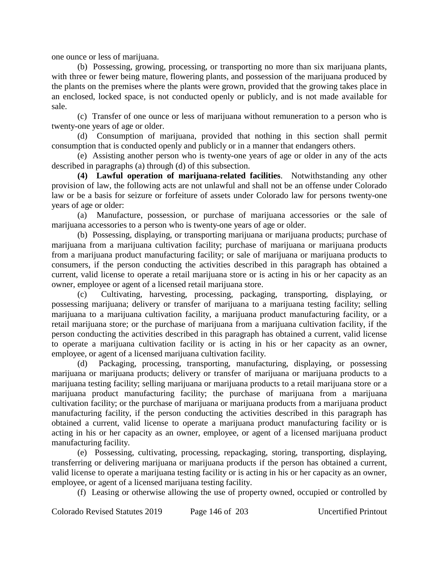one ounce or less of marijuana.

(b) Possessing, growing, processing, or transporting no more than six marijuana plants, with three or fewer being mature, flowering plants, and possession of the marijuana produced by the plants on the premises where the plants were grown, provided that the growing takes place in an enclosed, locked space, is not conducted openly or publicly, and is not made available for sale.

(c) Transfer of one ounce or less of marijuana without remuneration to a person who is twenty-one years of age or older.

(d) Consumption of marijuana, provided that nothing in this section shall permit consumption that is conducted openly and publicly or in a manner that endangers others.

(e) Assisting another person who is twenty-one years of age or older in any of the acts described in paragraphs (a) through (d) of this subsection.

**(4) Lawful operation of marijuana-related facilities**. Notwithstanding any other provision of law, the following acts are not unlawful and shall not be an offense under Colorado law or be a basis for seizure or forfeiture of assets under Colorado law for persons twenty-one years of age or older:

(a) Manufacture, possession, or purchase of marijuana accessories or the sale of marijuana accessories to a person who is twenty-one years of age or older.

(b) Possessing, displaying, or transporting marijuana or marijuana products; purchase of marijuana from a marijuana cultivation facility; purchase of marijuana or marijuana products from a marijuana product manufacturing facility; or sale of marijuana or marijuana products to consumers, if the person conducting the activities described in this paragraph has obtained a current, valid license to operate a retail marijuana store or is acting in his or her capacity as an owner, employee or agent of a licensed retail marijuana store.

(c) Cultivating, harvesting, processing, packaging, transporting, displaying, or possessing marijuana; delivery or transfer of marijuana to a marijuana testing facility; selling marijuana to a marijuana cultivation facility, a marijuana product manufacturing facility, or a retail marijuana store; or the purchase of marijuana from a marijuana cultivation facility, if the person conducting the activities described in this paragraph has obtained a current, valid license to operate a marijuana cultivation facility or is acting in his or her capacity as an owner, employee, or agent of a licensed marijuana cultivation facility.

(d) Packaging, processing, transporting, manufacturing, displaying, or possessing marijuana or marijuana products; delivery or transfer of marijuana or marijuana products to a marijuana testing facility; selling marijuana or marijuana products to a retail marijuana store or a marijuana product manufacturing facility; the purchase of marijuana from a marijuana cultivation facility; or the purchase of marijuana or marijuana products from a marijuana product manufacturing facility, if the person conducting the activities described in this paragraph has obtained a current, valid license to operate a marijuana product manufacturing facility or is acting in his or her capacity as an owner, employee, or agent of a licensed marijuana product manufacturing facility.

(e) Possessing, cultivating, processing, repackaging, storing, transporting, displaying, transferring or delivering marijuana or marijuana products if the person has obtained a current, valid license to operate a marijuana testing facility or is acting in his or her capacity as an owner, employee, or agent of a licensed marijuana testing facility.

(f) Leasing or otherwise allowing the use of property owned, occupied or controlled by

Colorado Revised Statutes 2019 Page 146 of 203 Uncertified Printout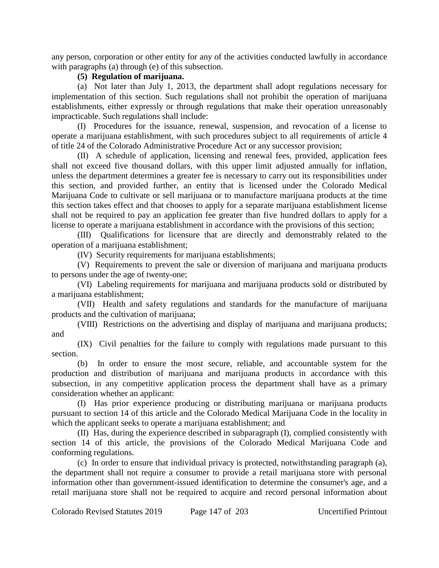any person, corporation or other entity for any of the activities conducted lawfully in accordance with paragraphs (a) through (e) of this subsection.

## **(5) Regulation of marijuana.**

(a) Not later than July 1, 2013, the department shall adopt regulations necessary for implementation of this section. Such regulations shall not prohibit the operation of marijuana establishments, either expressly or through regulations that make their operation unreasonably impracticable. Such regulations shall include:

(I) Procedures for the issuance, renewal, suspension, and revocation of a license to operate a marijuana establishment, with such procedures subject to all requirements of article 4 of title 24 of the Colorado Administrative Procedure Act or any successor provision;

(II) A schedule of application, licensing and renewal fees, provided, application fees shall not exceed five thousand dollars, with this upper limit adjusted annually for inflation, unless the department determines a greater fee is necessary to carry out its responsibilities under this section, and provided further, an entity that is licensed under the Colorado Medical Marijuana Code to cultivate or sell marijuana or to manufacture marijuana products at the time this section takes effect and that chooses to apply for a separate marijuana establishment license shall not be required to pay an application fee greater than five hundred dollars to apply for a license to operate a marijuana establishment in accordance with the provisions of this section;

(III) Qualifications for licensure that are directly and demonstrably related to the operation of a marijuana establishment;

(IV) Security requirements for marijuana establishments;

(V) Requirements to prevent the sale or diversion of marijuana and marijuana products to persons under the age of twenty-one;

(VI) Labeling requirements for marijuana and marijuana products sold or distributed by a marijuana establishment;

(VII) Health and safety regulations and standards for the manufacture of marijuana products and the cultivation of marijuana;

(VIII) Restrictions on the advertising and display of marijuana and marijuana products; and

(IX) Civil penalties for the failure to comply with regulations made pursuant to this section.

(b) In order to ensure the most secure, reliable, and accountable system for the production and distribution of marijuana and marijuana products in accordance with this subsection, in any competitive application process the department shall have as a primary consideration whether an applicant:

(I) Has prior experience producing or distributing marijuana or marijuana products pursuant to section 14 of this article and the Colorado Medical Marijuana Code in the locality in which the applicant seeks to operate a marijuana establishment; and

(II) Has, during the experience described in subparagraph (I), complied consistently with section 14 of this article, the provisions of the Colorado Medical Marijuana Code and conforming regulations.

(c) In order to ensure that individual privacy is protected, notwithstanding paragraph (a), the department shall not require a consumer to provide a retail marijuana store with personal information other than government-issued identification to determine the consumer's age, and a retail marijuana store shall not be required to acquire and record personal information about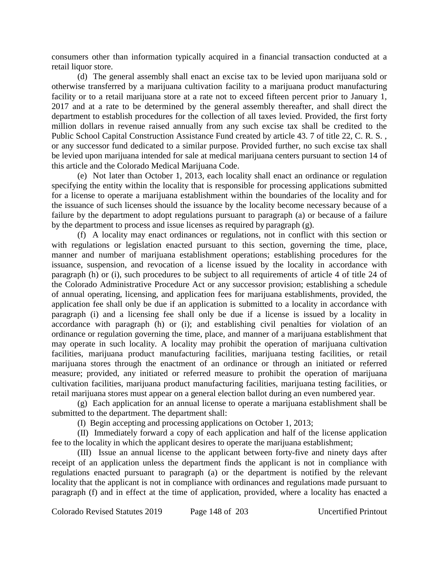consumers other than information typically acquired in a financial transaction conducted at a retail liquor store.

(d) The general assembly shall enact an excise tax to be levied upon marijuana sold or otherwise transferred by a marijuana cultivation facility to a marijuana product manufacturing facility or to a retail marijuana store at a rate not to exceed fifteen percent prior to January 1, 2017 and at a rate to be determined by the general assembly thereafter, and shall direct the department to establish procedures for the collection of all taxes levied. Provided, the first forty million dollars in revenue raised annually from any such excise tax shall be credited to the Public School Capital Construction Assistance Fund created by article 43. 7 of title 22, C. R. S. , or any successor fund dedicated to a similar purpose. Provided further, no such excise tax shall be levied upon marijuana intended for sale at medical marijuana centers pursuant to section 14 of this article and the Colorado Medical Marijuana Code.

(e) Not later than October 1, 2013, each locality shall enact an ordinance or regulation specifying the entity within the locality that is responsible for processing applications submitted for a license to operate a marijuana establishment within the boundaries of the locality and for the issuance of such licenses should the issuance by the locality become necessary because of a failure by the department to adopt regulations pursuant to paragraph (a) or because of a failure by the department to process and issue licenses as required by paragraph (g).

(f) A locality may enact ordinances or regulations, not in conflict with this section or with regulations or legislation enacted pursuant to this section, governing the time, place, manner and number of marijuana establishment operations; establishing procedures for the issuance, suspension, and revocation of a license issued by the locality in accordance with paragraph (h) or (i), such procedures to be subject to all requirements of article 4 of title 24 of the Colorado Administrative Procedure Act or any successor provision; establishing a schedule of annual operating, licensing, and application fees for marijuana establishments, provided, the application fee shall only be due if an application is submitted to a locality in accordance with paragraph (i) and a licensing fee shall only be due if a license is issued by a locality in accordance with paragraph (h) or (i); and establishing civil penalties for violation of an ordinance or regulation governing the time, place, and manner of a marijuana establishment that may operate in such locality. A locality may prohibit the operation of marijuana cultivation facilities, marijuana product manufacturing facilities, marijuana testing facilities, or retail marijuana stores through the enactment of an ordinance or through an initiated or referred measure; provided, any initiated or referred measure to prohibit the operation of marijuana cultivation facilities, marijuana product manufacturing facilities, marijuana testing facilities, or retail marijuana stores must appear on a general election ballot during an even numbered year.

(g) Each application for an annual license to operate a marijuana establishment shall be submitted to the department. The department shall:

(I) Begin accepting and processing applications on October 1, 2013;

(II) Immediately forward a copy of each application and half of the license application fee to the locality in which the applicant desires to operate the marijuana establishment;

(III) Issue an annual license to the applicant between forty-five and ninety days after receipt of an application unless the department finds the applicant is not in compliance with regulations enacted pursuant to paragraph (a) or the department is notified by the relevant locality that the applicant is not in compliance with ordinances and regulations made pursuant to paragraph (f) and in effect at the time of application, provided, where a locality has enacted a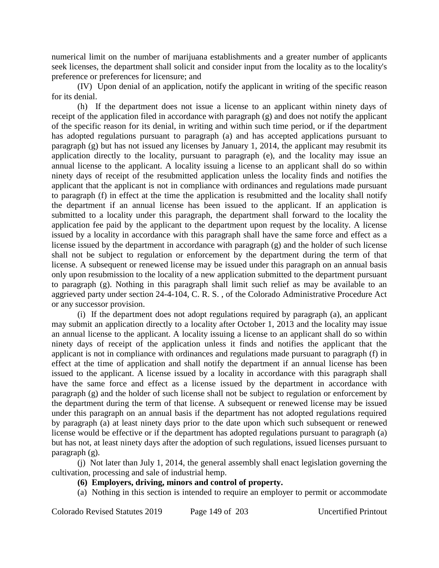numerical limit on the number of marijuana establishments and a greater number of applicants seek licenses, the department shall solicit and consider input from the locality as to the locality's preference or preferences for licensure; and

(IV) Upon denial of an application, notify the applicant in writing of the specific reason for its denial.

(h) If the department does not issue a license to an applicant within ninety days of receipt of the application filed in accordance with paragraph (g) and does not notify the applicant of the specific reason for its denial, in writing and within such time period, or if the department has adopted regulations pursuant to paragraph (a) and has accepted applications pursuant to paragraph (g) but has not issued any licenses by January 1, 2014, the applicant may resubmit its application directly to the locality, pursuant to paragraph (e), and the locality may issue an annual license to the applicant. A locality issuing a license to an applicant shall do so within ninety days of receipt of the resubmitted application unless the locality finds and notifies the applicant that the applicant is not in compliance with ordinances and regulations made pursuant to paragraph (f) in effect at the time the application is resubmitted and the locality shall notify the department if an annual license has been issued to the applicant. If an application is submitted to a locality under this paragraph, the department shall forward to the locality the application fee paid by the applicant to the department upon request by the locality. A license issued by a locality in accordance with this paragraph shall have the same force and effect as a license issued by the department in accordance with paragraph (g) and the holder of such license shall not be subject to regulation or enforcement by the department during the term of that license. A subsequent or renewed license may be issued under this paragraph on an annual basis only upon resubmission to the locality of a new application submitted to the department pursuant to paragraph (g). Nothing in this paragraph shall limit such relief as may be available to an aggrieved party under section 24-4-104, C. R. S. , of the Colorado Administrative Procedure Act or any successor provision.

(i) If the department does not adopt regulations required by paragraph (a), an applicant may submit an application directly to a locality after October 1, 2013 and the locality may issue an annual license to the applicant. A locality issuing a license to an applicant shall do so within ninety days of receipt of the application unless it finds and notifies the applicant that the applicant is not in compliance with ordinances and regulations made pursuant to paragraph (f) in effect at the time of application and shall notify the department if an annual license has been issued to the applicant. A license issued by a locality in accordance with this paragraph shall have the same force and effect as a license issued by the department in accordance with paragraph (g) and the holder of such license shall not be subject to regulation or enforcement by the department during the term of that license. A subsequent or renewed license may be issued under this paragraph on an annual basis if the department has not adopted regulations required by paragraph (a) at least ninety days prior to the date upon which such subsequent or renewed license would be effective or if the department has adopted regulations pursuant to paragraph (a) but has not, at least ninety days after the adoption of such regulations, issued licenses pursuant to paragraph (g).

(j) Not later than July 1, 2014, the general assembly shall enact legislation governing the cultivation, processing and sale of industrial hemp.

## **(6) Employers, driving, minors and control of property.**

(a) Nothing in this section is intended to require an employer to permit or accommodate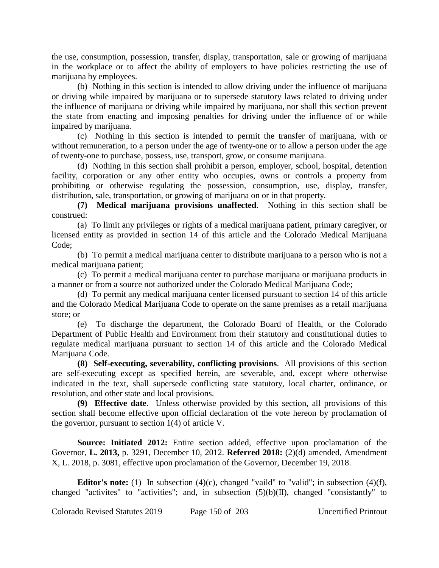the use, consumption, possession, transfer, display, transportation, sale or growing of marijuana in the workplace or to affect the ability of employers to have policies restricting the use of marijuana by employees.

(b) Nothing in this section is intended to allow driving under the influence of marijuana or driving while impaired by marijuana or to supersede statutory laws related to driving under the influence of marijuana or driving while impaired by marijuana, nor shall this section prevent the state from enacting and imposing penalties for driving under the influence of or while impaired by marijuana.

(c) Nothing in this section is intended to permit the transfer of marijuana, with or without remuneration, to a person under the age of twenty-one or to allow a person under the age of twenty-one to purchase, possess, use, transport, grow, or consume marijuana.

(d) Nothing in this section shall prohibit a person, employer, school, hospital, detention facility, corporation or any other entity who occupies, owns or controls a property from prohibiting or otherwise regulating the possession, consumption, use, display, transfer, distribution, sale, transportation, or growing of marijuana on or in that property.

**(7) Medical marijuana provisions unaffected**. Nothing in this section shall be construed:

(a) To limit any privileges or rights of a medical marijuana patient, primary caregiver, or licensed entity as provided in section 14 of this article and the Colorado Medical Marijuana Code;

(b) To permit a medical marijuana center to distribute marijuana to a person who is not a medical marijuana patient;

(c) To permit a medical marijuana center to purchase marijuana or marijuana products in a manner or from a source not authorized under the Colorado Medical Marijuana Code;

(d) To permit any medical marijuana center licensed pursuant to section 14 of this article and the Colorado Medical Marijuana Code to operate on the same premises as a retail marijuana store; or

(e) To discharge the department, the Colorado Board of Health, or the Colorado Department of Public Health and Environment from their statutory and constitutional duties to regulate medical marijuana pursuant to section 14 of this article and the Colorado Medical Marijuana Code.

**(8) Self-executing, severability, conflicting provisions**. All provisions of this section are self-executing except as specified herein, are severable, and, except where otherwise indicated in the text, shall supersede conflicting state statutory, local charter, ordinance, or resolution, and other state and local provisions.

**(9) Effective date**. Unless otherwise provided by this section, all provisions of this section shall become effective upon official declaration of the vote hereon by proclamation of the governor, pursuant to section 1(4) of article V.

**Source: Initiated 2012:** Entire section added, effective upon proclamation of the Governor, **L. 2013,** p. 3291, December 10, 2012. **Referred 2018:** (2)(d) amended, Amendment X, L. 2018, p. 3081, effective upon proclamation of the Governor, December 19, 2018.

**Editor's note:** (1) In subsection (4)(c), changed "vaild" to "valid"; in subsection (4)(f), changed "activites" to "activities"; and, in subsection  $(5)(b)(II)$ , changed "consistantly" to

Colorado Revised Statutes 2019 Page 150 of 203 Uncertified Printout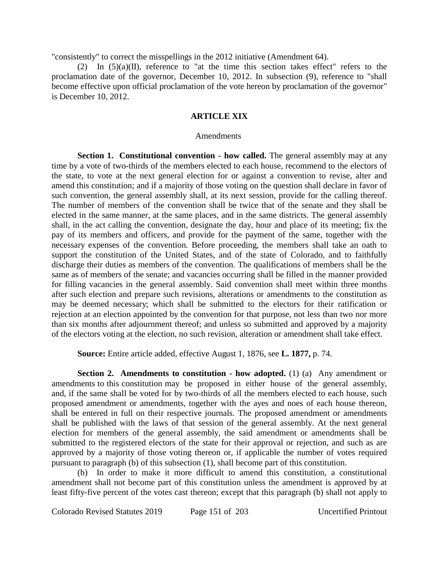"consistently" to correct the misspellings in the 2012 initiative (Amendment 64).

(2) In  $(5)(a)(II)$ , reference to "at the time this section takes effect" refers to the proclamation date of the governor, December 10, 2012. In subsection (9), reference to "shall become effective upon official proclamation of the vote hereon by proclamation of the governor" is December 10, 2012.

## **ARTICLE XIX**

#### Amendments

**Section 1. Constitutional convention - how called.** The general assembly may at any time by a vote of two-thirds of the members elected to each house, recommend to the electors of the state, to vote at the next general election for or against a convention to revise, alter and amend this constitution; and if a majority of those voting on the question shall declare in favor of such convention, the general assembly shall, at its next session, provide for the calling thereof. The number of members of the convention shall be twice that of the senate and they shall be elected in the same manner, at the same places, and in the same districts. The general assembly shall, in the act calling the convention, designate the day, hour and place of its meeting; fix the pay of its members and officers, and provide for the payment of the same, together with the necessary expenses of the convention. Before proceeding, the members shall take an oath to support the constitution of the United States, and of the state of Colorado, and to faithfully discharge their duties as members of the convention. The qualifications of members shall be the same as of members of the senate; and vacancies occurring shall be filled in the manner provided for filling vacancies in the general assembly. Said convention shall meet within three months after such election and prepare such revisions, alterations or amendments to the constitution as may be deemed necessary; which shall be submitted to the electors for their ratification or rejection at an election appointed by the convention for that purpose, not less than two nor more than six months after adjournment thereof; and unless so submitted and approved by a majority of the electors voting at the election, no such revision, alteration or amendment shall take effect.

**Source:** Entire article added, effective August 1, 1876, see **L. 1877,** p. 74.

**Section 2. Amendments to constitution - how adopted.** (1) (a) Any amendment or amendments to this constitution may be proposed in either house of the general assembly, and, if the same shall be voted for by two-thirds of all the members elected to each house, such proposed amendment or amendments, together with the ayes and noes of each house thereon, shall be entered in full on their respective journals. The proposed amendment or amendments shall be published with the laws of that session of the general assembly. At the next general election for members of the general assembly, the said amendment or amendments shall be submitted to the registered electors of the state for their approval or rejection, and such as are approved by a majority of those voting thereon or, if applicable the number of votes required pursuant to paragraph (b) of this subsection (1), shall become part of this constitution.

(b) In order to make it more difficult to amend this constitution, a constitutional amendment shall not become part of this constitution unless the amendment is approved by at least fifty-five percent of the votes cast thereon; except that this paragraph (b) shall not apply to

Colorado Revised Statutes 2019 Page 151 of 203 Uncertified Printout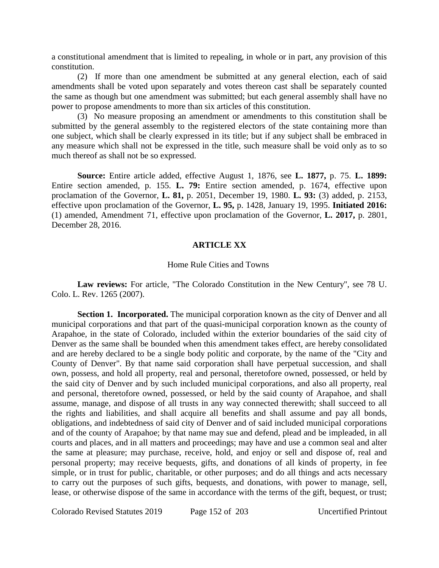a constitutional amendment that is limited to repealing, in whole or in part, any provision of this constitution.

(2) If more than one amendment be submitted at any general election, each of said amendments shall be voted upon separately and votes thereon cast shall be separately counted the same as though but one amendment was submitted; but each general assembly shall have no power to propose amendments to more than six articles of this constitution.

(3) No measure proposing an amendment or amendments to this constitution shall be submitted by the general assembly to the registered electors of the state containing more than one subject, which shall be clearly expressed in its title; but if any subject shall be embraced in any measure which shall not be expressed in the title, such measure shall be void only as to so much thereof as shall not be so expressed.

**Source:** Entire article added, effective August 1, 1876, see **L. 1877,** p. 75. **L. 1899:** Entire section amended, p. 155. **L. 79:** Entire section amended, p. 1674, effective upon proclamation of the Governor, **L. 81,** p. 2051, December 19, 1980. **L. 93:** (3) added, p. 2153, effective upon proclamation of the Governor, **L. 95,** p. 1428, January 19, 1995. **Initiated 2016:** (1) amended, Amendment 71, effective upon proclamation of the Governor, **L. 2017,** p. 2801, December 28, 2016.

### **ARTICLE XX**

## Home Rule Cities and Towns

**Law reviews:** For article, "The Colorado Constitution in the New Century", see 78 U. Colo. L. Rev. 1265 (2007).

**Section 1. Incorporated.** The municipal corporation known as the city of Denver and all municipal corporations and that part of the quasi-municipal corporation known as the county of Arapahoe, in the state of Colorado, included within the exterior boundaries of the said city of Denver as the same shall be bounded when this amendment takes effect, are hereby consolidated and are hereby declared to be a single body politic and corporate, by the name of the "City and County of Denver". By that name said corporation shall have perpetual succession, and shall own, possess, and hold all property, real and personal, theretofore owned, possessed, or held by the said city of Denver and by such included municipal corporations, and also all property, real and personal, theretofore owned, possessed, or held by the said county of Arapahoe, and shall assume, manage, and dispose of all trusts in any way connected therewith; shall succeed to all the rights and liabilities, and shall acquire all benefits and shall assume and pay all bonds, obligations, and indebtedness of said city of Denver and of said included municipal corporations and of the county of Arapahoe; by that name may sue and defend, plead and be impleaded, in all courts and places, and in all matters and proceedings; may have and use a common seal and alter the same at pleasure; may purchase, receive, hold, and enjoy or sell and dispose of, real and personal property; may receive bequests, gifts, and donations of all kinds of property, in fee simple, or in trust for public, charitable, or other purposes; and do all things and acts necessary to carry out the purposes of such gifts, bequests, and donations, with power to manage, sell, lease, or otherwise dispose of the same in accordance with the terms of the gift, bequest, or trust;

Colorado Revised Statutes 2019 Page 152 of 203 Uncertified Printout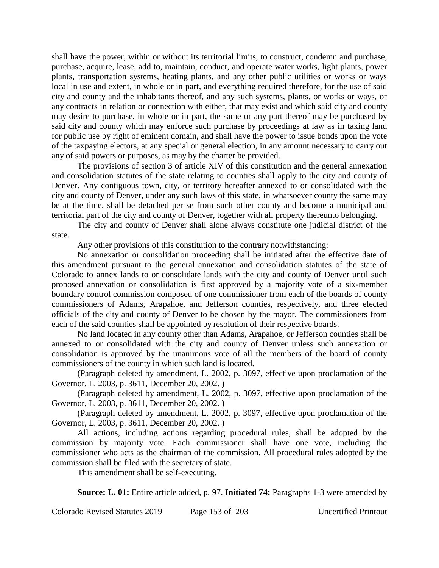shall have the power, within or without its territorial limits, to construct, condemn and purchase, purchase, acquire, lease, add to, maintain, conduct, and operate water works, light plants, power plants, transportation systems, heating plants, and any other public utilities or works or ways local in use and extent, in whole or in part, and everything required therefore, for the use of said city and county and the inhabitants thereof, and any such systems, plants, or works or ways, or any contracts in relation or connection with either, that may exist and which said city and county may desire to purchase, in whole or in part, the same or any part thereof may be purchased by said city and county which may enforce such purchase by proceedings at law as in taking land for public use by right of eminent domain, and shall have the power to issue bonds upon the vote of the taxpaying electors, at any special or general election, in any amount necessary to carry out any of said powers or purposes, as may by the charter be provided.

The provisions of section 3 of article XIV of this constitution and the general annexation and consolidation statutes of the state relating to counties shall apply to the city and county of Denver. Any contiguous town, city, or territory hereafter annexed to or consolidated with the city and county of Denver, under any such laws of this state, in whatsoever county the same may be at the time, shall be detached per se from such other county and become a municipal and territorial part of the city and county of Denver, together with all property thereunto belonging.

The city and county of Denver shall alone always constitute one judicial district of the state.

Any other provisions of this constitution to the contrary notwithstanding:

No annexation or consolidation proceeding shall be initiated after the effective date of this amendment pursuant to the general annexation and consolidation statutes of the state of Colorado to annex lands to or consolidate lands with the city and county of Denver until such proposed annexation or consolidation is first approved by a majority vote of a six-member boundary control commission composed of one commissioner from each of the boards of county commissioners of Adams, Arapahoe, and Jefferson counties, respectively, and three elected officials of the city and county of Denver to be chosen by the mayor. The commissioners from each of the said counties shall be appointed by resolution of their respective boards.

No land located in any county other than Adams, Arapahoe, or Jefferson counties shall be annexed to or consolidated with the city and county of Denver unless such annexation or consolidation is approved by the unanimous vote of all the members of the board of county commissioners of the county in which such land is located.

(Paragraph deleted by amendment, L. 2002, p. 3097, effective upon proclamation of the Governor, L. 2003, p. 3611, December 20, 2002. )

(Paragraph deleted by amendment, L. 2002, p. 3097, effective upon proclamation of the Governor, L. 2003, p. 3611, December 20, 2002. )

(Paragraph deleted by amendment, L. 2002, p. 3097, effective upon proclamation of the Governor, L. 2003, p. 3611, December 20, 2002. )

All actions, including actions regarding procedural rules, shall be adopted by the commission by majority vote. Each commissioner shall have one vote, including the commissioner who acts as the chairman of the commission. All procedural rules adopted by the commission shall be filed with the secretary of state.

This amendment shall be self-executing.

**Source: L. 01:** Entire article added, p. 97. **Initiated 74:** Paragraphs 1-3 were amended by

Colorado Revised Statutes 2019 Page 153 of 203 Uncertified Printout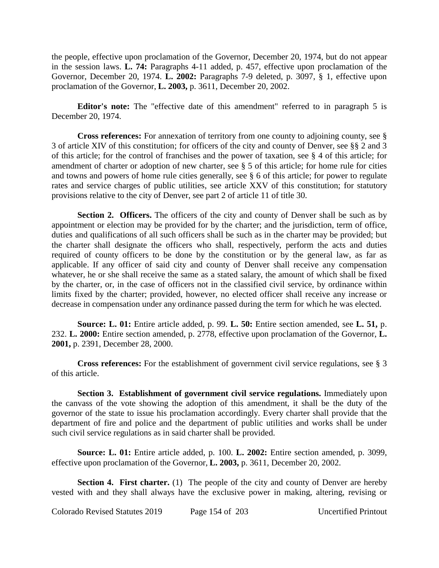the people, effective upon proclamation of the Governor, December 20, 1974, but do not appear in the session laws. **L. 74:** Paragraphs 4-11 added, p. 457, effective upon proclamation of the Governor, December 20, 1974. **L. 2002:** Paragraphs 7-9 deleted, p. 3097, § 1, effective upon proclamation of the Governor, **L. 2003,** p. 3611, December 20, 2002.

**Editor's note:** The "effective date of this amendment" referred to in paragraph 5 is December 20, 1974.

**Cross references:** For annexation of territory from one county to adjoining county, see § 3 of article XIV of this constitution; for officers of the city and county of Denver, see §§ 2 and 3 of this article; for the control of franchises and the power of taxation, see § 4 of this article; for amendment of charter or adoption of new charter, see § 5 of this article; for home rule for cities and towns and powers of home rule cities generally, see § 6 of this article; for power to regulate rates and service charges of public utilities, see article XXV of this constitution; for statutory provisions relative to the city of Denver, see part 2 of article 11 of title 30.

**Section 2. Officers.** The officers of the city and county of Denver shall be such as by appointment or election may be provided for by the charter; and the jurisdiction, term of office, duties and qualifications of all such officers shall be such as in the charter may be provided; but the charter shall designate the officers who shall, respectively, perform the acts and duties required of county officers to be done by the constitution or by the general law, as far as applicable. If any officer of said city and county of Denver shall receive any compensation whatever, he or she shall receive the same as a stated salary, the amount of which shall be fixed by the charter, or, in the case of officers not in the classified civil service, by ordinance within limits fixed by the charter; provided, however, no elected officer shall receive any increase or decrease in compensation under any ordinance passed during the term for which he was elected.

**Source: L. 01:** Entire article added, p. 99. **L. 50:** Entire section amended, see **L. 51,** p. 232. **L. 2000:** Entire section amended, p. 2778, effective upon proclamation of the Governor, **L. 2001,** p. 2391, December 28, 2000.

**Cross references:** For the establishment of government civil service regulations, see § 3 of this article.

**Section 3. Establishment of government civil service regulations.** Immediately upon the canvass of the vote showing the adoption of this amendment, it shall be the duty of the governor of the state to issue his proclamation accordingly. Every charter shall provide that the department of fire and police and the department of public utilities and works shall be under such civil service regulations as in said charter shall be provided.

**Source: L. 01:** Entire article added, p. 100. **L. 2002:** Entire section amended, p. 3099, effective upon proclamation of the Governor, **L. 2003,** p. 3611, December 20, 2002.

**Section 4. First charter.** (1) The people of the city and county of Denver are hereby vested with and they shall always have the exclusive power in making, altering, revising or

Colorado Revised Statutes 2019 Page 154 of 203 Uncertified Printout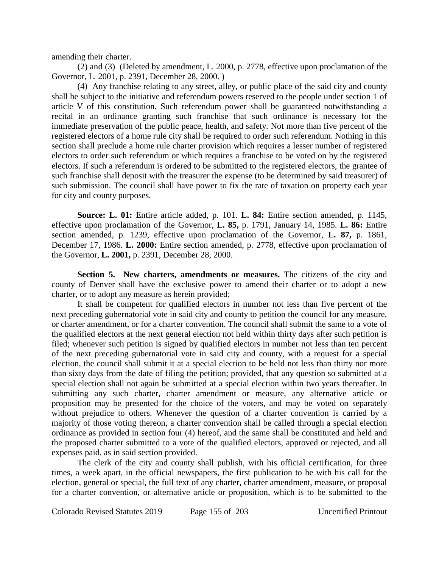amending their charter.

(2) and (3) (Deleted by amendment, L. 2000, p. 2778, effective upon proclamation of the Governor, L. 2001, p. 2391, December 28, 2000. )

(4) Any franchise relating to any street, alley, or public place of the said city and county shall be subject to the initiative and referendum powers reserved to the people under section 1 of article V of this constitution. Such referendum power shall be guaranteed notwithstanding a recital in an ordinance granting such franchise that such ordinance is necessary for the immediate preservation of the public peace, health, and safety. Not more than five percent of the registered electors of a home rule city shall be required to order such referendum. Nothing in this section shall preclude a home rule charter provision which requires a lesser number of registered electors to order such referendum or which requires a franchise to be voted on by the registered electors. If such a referendum is ordered to be submitted to the registered electors, the grantee of such franchise shall deposit with the treasurer the expense (to be determined by said treasurer) of such submission. The council shall have power to fix the rate of taxation on property each year for city and county purposes.

**Source: L. 01:** Entire article added, p. 101. **L. 84:** Entire section amended, p. 1145, effective upon proclamation of the Governor, **L. 85,** p. 1791, January 14, 1985. **L. 86:** Entire section amended, p. 1239, effective upon proclamation of the Governor, **L. 87,** p. 1861, December 17, 1986. **L. 2000:** Entire section amended, p. 2778, effective upon proclamation of the Governor, **L. 2001,** p. 2391, December 28, 2000.

**Section 5. New charters, amendments or measures.** The citizens of the city and county of Denver shall have the exclusive power to amend their charter or to adopt a new charter, or to adopt any measure as herein provided;

It shall be competent for qualified electors in number not less than five percent of the next preceding gubernatorial vote in said city and county to petition the council for any measure, or charter amendment, or for a charter convention. The council shall submit the same to a vote of the qualified electors at the next general election not held within thirty days after such petition is filed; whenever such petition is signed by qualified electors in number not less than ten percent of the next preceding gubernatorial vote in said city and county, with a request for a special election, the council shall submit it at a special election to be held not less than thirty nor more than sixty days from the date of filing the petition; provided, that any question so submitted at a special election shall not again be submitted at a special election within two years thereafter. In submitting any such charter, charter amendment or measure, any alternative article or proposition may be presented for the choice of the voters, and may be voted on separately without prejudice to others. Whenever the question of a charter convention is carried by a majority of those voting thereon, a charter convention shall be called through a special election ordinance as provided in section four (4) hereof, and the same shall be constituted and held and the proposed charter submitted to a vote of the qualified electors, approved or rejected, and all expenses paid, as in said section provided.

The clerk of the city and county shall publish, with his official certification, for three times, a week apart, in the official newspapers, the first publication to be with his call for the election, general or special, the full text of any charter, charter amendment, measure, or proposal for a charter convention, or alternative article or proposition, which is to be submitted to the

Colorado Revised Statutes 2019 Page 155 of 203 Uncertified Printout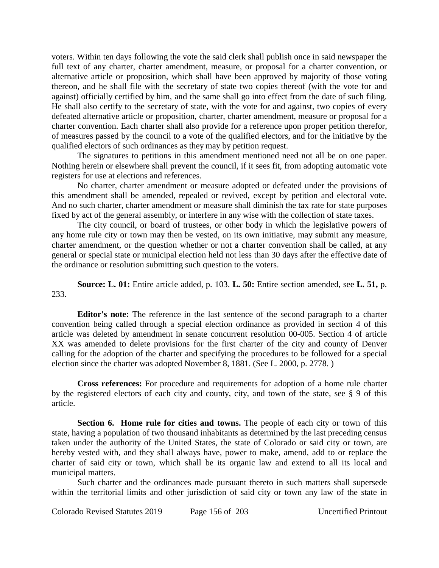voters. Within ten days following the vote the said clerk shall publish once in said newspaper the full text of any charter, charter amendment, measure, or proposal for a charter convention, or alternative article or proposition, which shall have been approved by majority of those voting thereon, and he shall file with the secretary of state two copies thereof (with the vote for and against) officially certified by him, and the same shall go into effect from the date of such filing. He shall also certify to the secretary of state, with the vote for and against, two copies of every defeated alternative article or proposition, charter, charter amendment, measure or proposal for a charter convention. Each charter shall also provide for a reference upon proper petition therefor, of measures passed by the council to a vote of the qualified electors, and for the initiative by the qualified electors of such ordinances as they may by petition request.

The signatures to petitions in this amendment mentioned need not all be on one paper. Nothing herein or elsewhere shall prevent the council, if it sees fit, from adopting automatic vote registers for use at elections and references.

No charter, charter amendment or measure adopted or defeated under the provisions of this amendment shall be amended, repealed or revived, except by petition and electoral vote. And no such charter, charter amendment or measure shall diminish the tax rate for state purposes fixed by act of the general assembly, or interfere in any wise with the collection of state taxes.

The city council, or board of trustees, or other body in which the legislative powers of any home rule city or town may then be vested, on its own initiative, may submit any measure, charter amendment, or the question whether or not a charter convention shall be called, at any general or special state or municipal election held not less than 30 days after the effective date of the ordinance or resolution submitting such question to the voters.

**Source: L. 01:** Entire article added, p. 103. **L. 50:** Entire section amended, see **L. 51,** p. 233.

**Editor's note:** The reference in the last sentence of the second paragraph to a charter convention being called through a special election ordinance as provided in section 4 of this article was deleted by amendment in senate concurrent resolution 00-005. Section 4 of article XX was amended to delete provisions for the first charter of the city and county of Denver calling for the adoption of the charter and specifying the procedures to be followed for a special election since the charter was adopted November 8, 1881. (See L. 2000, p. 2778. )

**Cross references:** For procedure and requirements for adoption of a home rule charter by the registered electors of each city and county, city, and town of the state, see § 9 of this article.

**Section 6. Home rule for cities and towns.** The people of each city or town of this state, having a population of two thousand inhabitants as determined by the last preceding census taken under the authority of the United States, the state of Colorado or said city or town, are hereby vested with, and they shall always have, power to make, amend, add to or replace the charter of said city or town, which shall be its organic law and extend to all its local and municipal matters.

Such charter and the ordinances made pursuant thereto in such matters shall supersede within the territorial limits and other jurisdiction of said city or town any law of the state in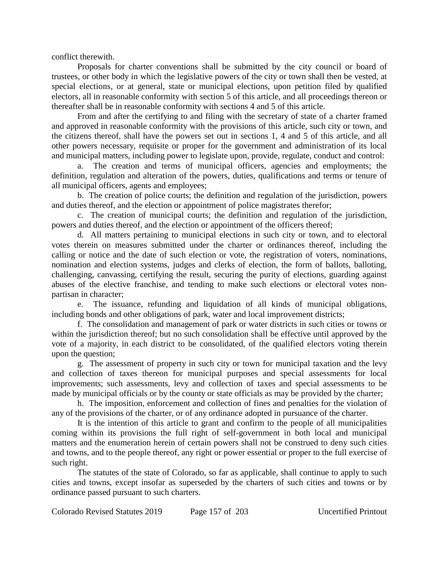conflict therewith.

Proposals for charter conventions shall be submitted by the city council or board of trustees, or other body in which the legislative powers of the city or town shall then be vested, at special elections, or at general, state or municipal elections, upon petition filed by qualified electors, all in reasonable conformity with section 5 of this article, and all proceedings thereon or thereafter shall be in reasonable conformity with sections 4 and 5 of this article.

From and after the certifying to and filing with the secretary of state of a charter framed and approved in reasonable conformity with the provisions of this article, such city or town, and the citizens thereof, shall have the powers set out in sections 1, 4 and 5 of this article, and all other powers necessary, requisite or proper for the government and administration of its local and municipal matters, including power to legislate upon, provide, regulate, conduct and control:

a. The creation and terms of municipal officers, agencies and employments; the definition, regulation and alteration of the powers, duties, qualifications and terms or tenure of all municipal officers, agents and employees;

b. The creation of police courts; the definition and regulation of the jurisdiction, powers and duties thereof, and the election or appointment of police magistrates therefor;

c. The creation of municipal courts; the definition and regulation of the jurisdiction, powers and duties thereof, and the election or appointment of the officers thereof;

d. All matters pertaining to municipal elections in such city or town, and to electoral votes therein on measures submitted under the charter or ordinances thereof, including the calling or notice and the date of such election or vote, the registration of voters, nominations, nomination and election systems, judges and clerks of election, the form of ballots, balloting, challenging, canvassing, certifying the result, securing the purity of elections, guarding against abuses of the elective franchise, and tending to make such elections or electoral votes nonpartisan in character;

e. The issuance, refunding and liquidation of all kinds of municipal obligations, including bonds and other obligations of park, water and local improvement districts;

f. The consolidation and management of park or water districts in such cities or towns or within the jurisdiction thereof; but no such consolidation shall be effective until approved by the vote of a majority, in each district to be consolidated, of the qualified electors voting therein upon the question;

g. The assessment of property in such city or town for municipal taxation and the levy and collection of taxes thereon for municipal purposes and special assessments for local improvements; such assessments, levy and collection of taxes and special assessments to be made by municipal officials or by the county or state officials as may be provided by the charter;

h. The imposition, enforcement and collection of fines and penalties for the violation of any of the provisions of the charter, or of any ordinance adopted in pursuance of the charter.

It is the intention of this article to grant and confirm to the people of all municipalities coming within its provisions the full right of self-government in both local and municipal matters and the enumeration herein of certain powers shall not be construed to deny such cities and towns, and to the people thereof, any right or power essential or proper to the full exercise of such right.

The statutes of the state of Colorado, so far as applicable, shall continue to apply to such cities and towns, except insofar as superseded by the charters of such cities and towns or by ordinance passed pursuant to such charters.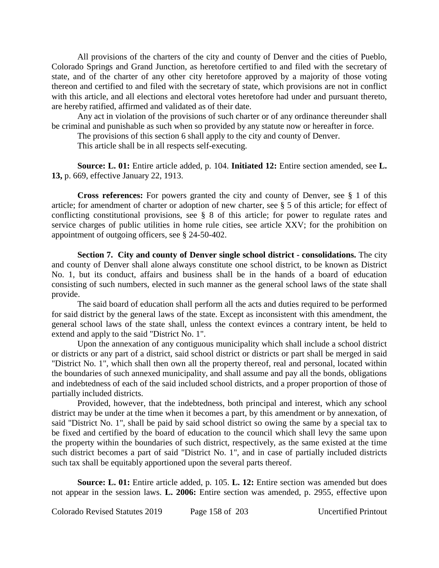All provisions of the charters of the city and county of Denver and the cities of Pueblo, Colorado Springs and Grand Junction, as heretofore certified to and filed with the secretary of state, and of the charter of any other city heretofore approved by a majority of those voting thereon and certified to and filed with the secretary of state, which provisions are not in conflict with this article, and all elections and electoral votes heretofore had under and pursuant thereto, are hereby ratified, affirmed and validated as of their date.

Any act in violation of the provisions of such charter or of any ordinance thereunder shall be criminal and punishable as such when so provided by any statute now or hereafter in force.

The provisions of this section 6 shall apply to the city and county of Denver.

This article shall be in all respects self-executing.

**Source: L. 01:** Entire article added, p. 104. **Initiated 12:** Entire section amended, see **L. 13,** p. 669, effective January 22, 1913.

**Cross references:** For powers granted the city and county of Denver, see § 1 of this article; for amendment of charter or adoption of new charter, see § 5 of this article; for effect of conflicting constitutional provisions, see § 8 of this article; for power to regulate rates and service charges of public utilities in home rule cities, see article XXV; for the prohibition on appointment of outgoing officers, see § 24-50-402.

**Section 7. City and county of Denver single school district - consolidations.** The city and county of Denver shall alone always constitute one school district, to be known as District No. 1, but its conduct, affairs and business shall be in the hands of a board of education consisting of such numbers, elected in such manner as the general school laws of the state shall provide.

The said board of education shall perform all the acts and duties required to be performed for said district by the general laws of the state. Except as inconsistent with this amendment, the general school laws of the state shall, unless the context evinces a contrary intent, be held to extend and apply to the said "District No. 1".

Upon the annexation of any contiguous municipality which shall include a school district or districts or any part of a district, said school district or districts or part shall be merged in said "District No. 1", which shall then own all the property thereof, real and personal, located within the boundaries of such annexed municipality, and shall assume and pay all the bonds, obligations and indebtedness of each of the said included school districts, and a proper proportion of those of partially included districts.

Provided, however, that the indebtedness, both principal and interest, which any school district may be under at the time when it becomes a part, by this amendment or by annexation, of said "District No. 1", shall be paid by said school district so owing the same by a special tax to be fixed and certified by the board of education to the council which shall levy the same upon the property within the boundaries of such district, respectively, as the same existed at the time such district becomes a part of said "District No. 1", and in case of partially included districts such tax shall be equitably apportioned upon the several parts thereof.

**Source: L. 01:** Entire article added, p. 105. **L. 12:** Entire section was amended but does not appear in the session laws. **L. 2006:** Entire section was amended, p. 2955, effective upon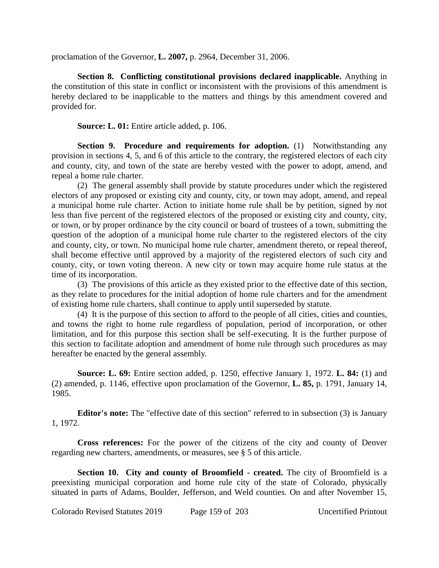proclamation of the Governor, **L. 2007,** p. 2964, December 31, 2006.

**Section 8. Conflicting constitutional provisions declared inapplicable.** Anything in the constitution of this state in conflict or inconsistent with the provisions of this amendment is hereby declared to be inapplicable to the matters and things by this amendment covered and provided for.

**Source: L. 01:** Entire article added, p. 106.

**Section 9. Procedure and requirements for adoption.** (1) Notwithstanding any provision in sections 4, 5, and 6 of this article to the contrary, the registered electors of each city and county, city, and town of the state are hereby vested with the power to adopt, amend, and repeal a home rule charter.

(2) The general assembly shall provide by statute procedures under which the registered electors of any proposed or existing city and county, city, or town may adopt, amend, and repeal a municipal home rule charter. Action to initiate home rule shall be by petition, signed by not less than five percent of the registered electors of the proposed or existing city and county, city, or town, or by proper ordinance by the city council or board of trustees of a town, submitting the question of the adoption of a municipal home rule charter to the registered electors of the city and county, city, or town. No municipal home rule charter, amendment thereto, or repeal thereof, shall become effective until approved by a majority of the registered electors of such city and county, city, or town voting thereon. A new city or town may acquire home rule status at the time of its incorporation.

(3) The provisions of this article as they existed prior to the effective date of this section, as they relate to procedures for the initial adoption of home rule charters and for the amendment of existing home rule charters, shall continue to apply until superseded by statute.

(4) It is the purpose of this section to afford to the people of all cities, cities and counties, and towns the right to home rule regardless of population, period of incorporation, or other limitation, and for this purpose this section shall be self-executing. It is the further purpose of this section to facilitate adoption and amendment of home rule through such procedures as may hereafter be enacted by the general assembly.

**Source: L. 69:** Entire section added, p. 1250, effective January 1, 1972. **L. 84:** (1) and (2) amended, p. 1146, effective upon proclamation of the Governor, **L. 85,** p. 1791, January 14, 1985.

**Editor's note:** The "effective date of this section" referred to in subsection (3) is January 1, 1972.

**Cross references:** For the power of the citizens of the city and county of Denver regarding new charters, amendments, or measures, see § 5 of this article.

**Section 10. City and county of Broomfield - created.** The city of Broomfield is a preexisting municipal corporation and home rule city of the state of Colorado, physically situated in parts of Adams, Boulder, Jefferson, and Weld counties. On and after November 15,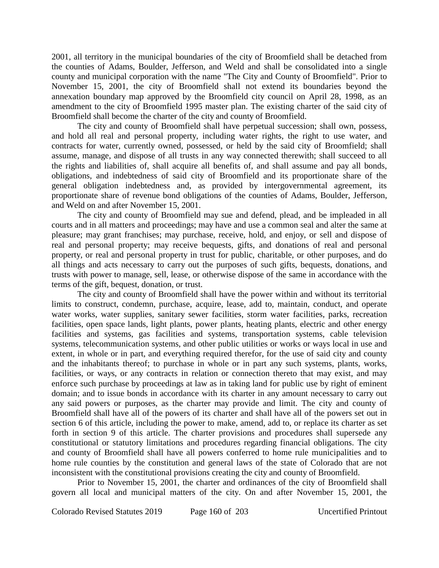2001, all territory in the municipal boundaries of the city of Broomfield shall be detached from the counties of Adams, Boulder, Jefferson, and Weld and shall be consolidated into a single county and municipal corporation with the name "The City and County of Broomfield". Prior to November 15, 2001, the city of Broomfield shall not extend its boundaries beyond the annexation boundary map approved by the Broomfield city council on April 28, 1998, as an amendment to the city of Broomfield 1995 master plan. The existing charter of the said city of Broomfield shall become the charter of the city and county of Broomfield.

The city and county of Broomfield shall have perpetual succession; shall own, possess, and hold all real and personal property, including water rights, the right to use water, and contracts for water, currently owned, possessed, or held by the said city of Broomfield; shall assume, manage, and dispose of all trusts in any way connected therewith; shall succeed to all the rights and liabilities of, shall acquire all benefits of, and shall assume and pay all bonds, obligations, and indebtedness of said city of Broomfield and its proportionate share of the general obligation indebtedness and, as provided by intergovernmental agreement, its proportionate share of revenue bond obligations of the counties of Adams, Boulder, Jefferson, and Weld on and after November 15, 2001.

The city and county of Broomfield may sue and defend, plead, and be impleaded in all courts and in all matters and proceedings; may have and use a common seal and alter the same at pleasure; may grant franchises; may purchase, receive, hold, and enjoy, or sell and dispose of real and personal property; may receive bequests, gifts, and donations of real and personal property, or real and personal property in trust for public, charitable, or other purposes, and do all things and acts necessary to carry out the purposes of such gifts, bequests, donations, and trusts with power to manage, sell, lease, or otherwise dispose of the same in accordance with the terms of the gift, bequest, donation, or trust.

The city and county of Broomfield shall have the power within and without its territorial limits to construct, condemn, purchase, acquire, lease, add to, maintain, conduct, and operate water works, water supplies, sanitary sewer facilities, storm water facilities, parks, recreation facilities, open space lands, light plants, power plants, heating plants, electric and other energy facilities and systems, gas facilities and systems, transportation systems, cable television systems, telecommunication systems, and other public utilities or works or ways local in use and extent, in whole or in part, and everything required therefor, for the use of said city and county and the inhabitants thereof; to purchase in whole or in part any such systems, plants, works, facilities, or ways, or any contracts in relation or connection thereto that may exist, and may enforce such purchase by proceedings at law as in taking land for public use by right of eminent domain; and to issue bonds in accordance with its charter in any amount necessary to carry out any said powers or purposes, as the charter may provide and limit. The city and county of Broomfield shall have all of the powers of its charter and shall have all of the powers set out in section 6 of this article, including the power to make, amend, add to, or replace its charter as set forth in section 9 of this article. The charter provisions and procedures shall supersede any constitutional or statutory limitations and procedures regarding financial obligations. The city and county of Broomfield shall have all powers conferred to home rule municipalities and to home rule counties by the constitution and general laws of the state of Colorado that are not inconsistent with the constitutional provisions creating the city and county of Broomfield.

Prior to November 15, 2001, the charter and ordinances of the city of Broomfield shall govern all local and municipal matters of the city. On and after November 15, 2001, the

Colorado Revised Statutes 2019 Page 160 of 203 Uncertified Printout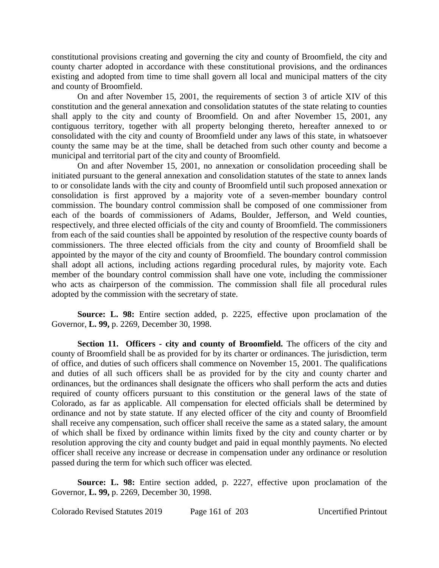constitutional provisions creating and governing the city and county of Broomfield, the city and county charter adopted in accordance with these constitutional provisions, and the ordinances existing and adopted from time to time shall govern all local and municipal matters of the city and county of Broomfield.

On and after November 15, 2001, the requirements of section 3 of article XIV of this constitution and the general annexation and consolidation statutes of the state relating to counties shall apply to the city and county of Broomfield. On and after November 15, 2001, any contiguous territory, together with all property belonging thereto, hereafter annexed to or consolidated with the city and county of Broomfield under any laws of this state, in whatsoever county the same may be at the time, shall be detached from such other county and become a municipal and territorial part of the city and county of Broomfield.

On and after November 15, 2001, no annexation or consolidation proceeding shall be initiated pursuant to the general annexation and consolidation statutes of the state to annex lands to or consolidate lands with the city and county of Broomfield until such proposed annexation or consolidation is first approved by a majority vote of a seven-member boundary control commission. The boundary control commission shall be composed of one commissioner from each of the boards of commissioners of Adams, Boulder, Jefferson, and Weld counties, respectively, and three elected officials of the city and county of Broomfield. The commissioners from each of the said counties shall be appointed by resolution of the respective county boards of commissioners. The three elected officials from the city and county of Broomfield shall be appointed by the mayor of the city and county of Broomfield. The boundary control commission shall adopt all actions, including actions regarding procedural rules, by majority vote. Each member of the boundary control commission shall have one vote, including the commissioner who acts as chairperson of the commission. The commission shall file all procedural rules adopted by the commission with the secretary of state.

**Source: L. 98:** Entire section added, p. 2225, effective upon proclamation of the Governor, **L. 99,** p. 2269, December 30, 1998.

**Section 11. Officers - city and county of Broomfield.** The officers of the city and county of Broomfield shall be as provided for by its charter or ordinances. The jurisdiction, term of office, and duties of such officers shall commence on November 15, 2001. The qualifications and duties of all such officers shall be as provided for by the city and county charter and ordinances, but the ordinances shall designate the officers who shall perform the acts and duties required of county officers pursuant to this constitution or the general laws of the state of Colorado, as far as applicable. All compensation for elected officials shall be determined by ordinance and not by state statute. If any elected officer of the city and county of Broomfield shall receive any compensation, such officer shall receive the same as a stated salary, the amount of which shall be fixed by ordinance within limits fixed by the city and county charter or by resolution approving the city and county budget and paid in equal monthly payments. No elected officer shall receive any increase or decrease in compensation under any ordinance or resolution passed during the term for which such officer was elected.

**Source: L. 98:** Entire section added, p. 2227, effective upon proclamation of the Governor, **L. 99,** p. 2269, December 30, 1998.

Colorado Revised Statutes 2019 Page 161 of 203 Uncertified Printout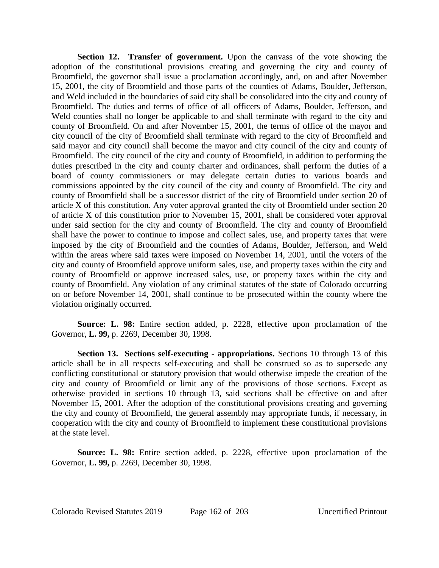**Section 12. Transfer of government.** Upon the canvass of the vote showing the adoption of the constitutional provisions creating and governing the city and county of Broomfield, the governor shall issue a proclamation accordingly, and, on and after November 15, 2001, the city of Broomfield and those parts of the counties of Adams, Boulder, Jefferson, and Weld included in the boundaries of said city shall be consolidated into the city and county of Broomfield. The duties and terms of office of all officers of Adams, Boulder, Jefferson, and Weld counties shall no longer be applicable to and shall terminate with regard to the city and county of Broomfield. On and after November 15, 2001, the terms of office of the mayor and city council of the city of Broomfield shall terminate with regard to the city of Broomfield and said mayor and city council shall become the mayor and city council of the city and county of Broomfield. The city council of the city and county of Broomfield, in addition to performing the duties prescribed in the city and county charter and ordinances, shall perform the duties of a board of county commissioners or may delegate certain duties to various boards and commissions appointed by the city council of the city and county of Broomfield. The city and county of Broomfield shall be a successor district of the city of Broomfield under section 20 of article X of this constitution. Any voter approval granted the city of Broomfield under section 20 of article X of this constitution prior to November 15, 2001, shall be considered voter approval under said section for the city and county of Broomfield. The city and county of Broomfield shall have the power to continue to impose and collect sales, use, and property taxes that were imposed by the city of Broomfield and the counties of Adams, Boulder, Jefferson, and Weld within the areas where said taxes were imposed on November 14, 2001, until the voters of the city and county of Broomfield approve uniform sales, use, and property taxes within the city and county of Broomfield or approve increased sales, use, or property taxes within the city and county of Broomfield. Any violation of any criminal statutes of the state of Colorado occurring on or before November 14, 2001, shall continue to be prosecuted within the county where the violation originally occurred.

**Source: L. 98:** Entire section added, p. 2228, effective upon proclamation of the Governor, **L. 99,** p. 2269, December 30, 1998.

**Section 13. Sections self-executing - appropriations.** Sections 10 through 13 of this article shall be in all respects self-executing and shall be construed so as to supersede any conflicting constitutional or statutory provision that would otherwise impede the creation of the city and county of Broomfield or limit any of the provisions of those sections. Except as otherwise provided in sections 10 through 13, said sections shall be effective on and after November 15, 2001. After the adoption of the constitutional provisions creating and governing the city and county of Broomfield, the general assembly may appropriate funds, if necessary, in cooperation with the city and county of Broomfield to implement these constitutional provisions at the state level.

**Source: L. 98:** Entire section added, p. 2228, effective upon proclamation of the Governor, **L. 99,** p. 2269, December 30, 1998.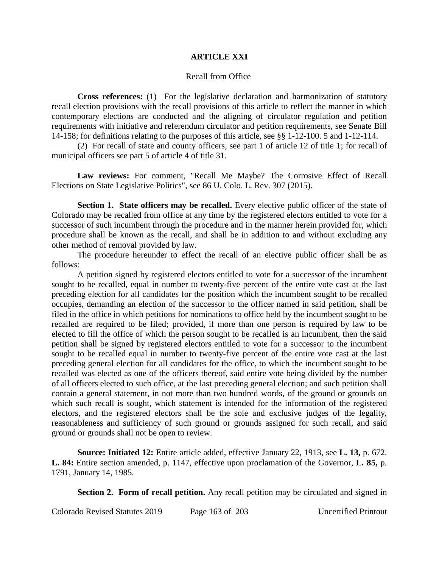#### **ARTICLE XXI**

#### Recall from Office

**Cross references:** (1) For the legislative declaration and harmonization of statutory recall election provisions with the recall provisions of this article to reflect the manner in which contemporary elections are conducted and the aligning of circulator regulation and petition requirements with initiative and referendum circulator and petition requirements, see Senate Bill 14-158; for definitions relating to the purposes of this article, see §§ 1-12-100. 5 and 1-12-114.

(2) For recall of state and county officers, see part 1 of article 12 of title 1; for recall of municipal officers see part 5 of article 4 of title 31.

**Law reviews:** For comment, "Recall Me Maybe? The Corrosive Effect of Recall Elections on State Legislative Politics", see 86 U. Colo. L. Rev. 307 (2015).

**Section 1. State officers may be recalled.** Every elective public officer of the state of Colorado may be recalled from office at any time by the registered electors entitled to vote for a successor of such incumbent through the procedure and in the manner herein provided for, which procedure shall be known as the recall, and shall be in addition to and without excluding any other method of removal provided by law.

The procedure hereunder to effect the recall of an elective public officer shall be as follows:

A petition signed by registered electors entitled to vote for a successor of the incumbent sought to be recalled, equal in number to twenty-five percent of the entire vote cast at the last preceding election for all candidates for the position which the incumbent sought to be recalled occupies, demanding an election of the successor to the officer named in said petition, shall be filed in the office in which petitions for nominations to office held by the incumbent sought to be recalled are required to be filed; provided, if more than one person is required by law to be elected to fill the office of which the person sought to be recalled is an incumbent, then the said petition shall be signed by registered electors entitled to vote for a successor to the incumbent sought to be recalled equal in number to twenty-five percent of the entire vote cast at the last preceding general election for all candidates for the office, to which the incumbent sought to be recalled was elected as one of the officers thereof, said entire vote being divided by the number of all officers elected to such office, at the last preceding general election; and such petition shall contain a general statement, in not more than two hundred words, of the ground or grounds on which such recall is sought, which statement is intended for the information of the registered electors, and the registered electors shall be the sole and exclusive judges of the legality, reasonableness and sufficiency of such ground or grounds assigned for such recall, and said ground or grounds shall not be open to review.

**Source: Initiated 12:** Entire article added, effective January 22, 1913, see **L. 13,** p. 672. **L. 84:** Entire section amended, p. 1147, effective upon proclamation of the Governor, **L. 85,** p. 1791, January 14, 1985.

**Section 2. Form of recall petition.** Any recall petition may be circulated and signed in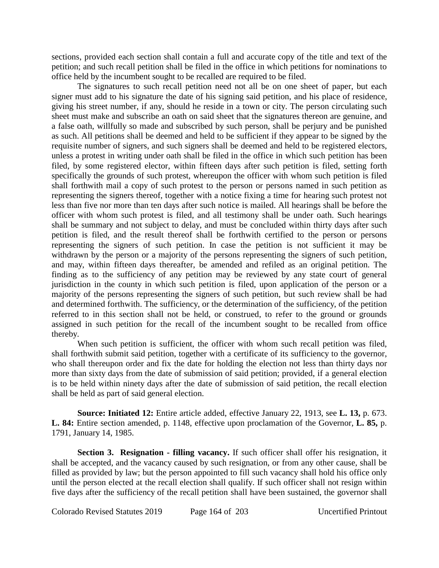sections, provided each section shall contain a full and accurate copy of the title and text of the petition; and such recall petition shall be filed in the office in which petitions for nominations to office held by the incumbent sought to be recalled are required to be filed.

The signatures to such recall petition need not all be on one sheet of paper, but each signer must add to his signature the date of his signing said petition, and his place of residence, giving his street number, if any, should he reside in a town or city. The person circulating such sheet must make and subscribe an oath on said sheet that the signatures thereon are genuine, and a false oath, willfully so made and subscribed by such person, shall be perjury and be punished as such. All petitions shall be deemed and held to be sufficient if they appear to be signed by the requisite number of signers, and such signers shall be deemed and held to be registered electors, unless a protest in writing under oath shall be filed in the office in which such petition has been filed, by some registered elector, within fifteen days after such petition is filed, setting forth specifically the grounds of such protest, whereupon the officer with whom such petition is filed shall forthwith mail a copy of such protest to the person or persons named in such petition as representing the signers thereof, together with a notice fixing a time for hearing such protest not less than five nor more than ten days after such notice is mailed. All hearings shall be before the officer with whom such protest is filed, and all testimony shall be under oath. Such hearings shall be summary and not subject to delay, and must be concluded within thirty days after such petition is filed, and the result thereof shall be forthwith certified to the person or persons representing the signers of such petition. In case the petition is not sufficient it may be withdrawn by the person or a majority of the persons representing the signers of such petition, and may, within fifteen days thereafter, be amended and refiled as an original petition. The finding as to the sufficiency of any petition may be reviewed by any state court of general jurisdiction in the county in which such petition is filed, upon application of the person or a majority of the persons representing the signers of such petition, but such review shall be had and determined forthwith. The sufficiency, or the determination of the sufficiency, of the petition referred to in this section shall not be held, or construed, to refer to the ground or grounds assigned in such petition for the recall of the incumbent sought to be recalled from office thereby.

When such petition is sufficient, the officer with whom such recall petition was filed, shall forthwith submit said petition, together with a certificate of its sufficiency to the governor, who shall thereupon order and fix the date for holding the election not less than thirty days nor more than sixty days from the date of submission of said petition; provided, if a general election is to be held within ninety days after the date of submission of said petition, the recall election shall be held as part of said general election.

**Source: Initiated 12:** Entire article added, effective January 22, 1913, see **L. 13,** p. 673. **L. 84:** Entire section amended, p. 1148, effective upon proclamation of the Governor, **L. 85,** p. 1791, January 14, 1985.

**Section 3. Resignation - filling vacancy.** If such officer shall offer his resignation, it shall be accepted, and the vacancy caused by such resignation, or from any other cause, shall be filled as provided by law; but the person appointed to fill such vacancy shall hold his office only until the person elected at the recall election shall qualify. If such officer shall not resign within five days after the sufficiency of the recall petition shall have been sustained, the governor shall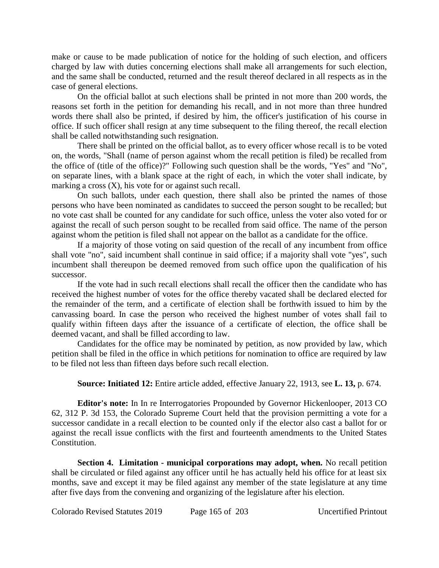make or cause to be made publication of notice for the holding of such election, and officers charged by law with duties concerning elections shall make all arrangements for such election, and the same shall be conducted, returned and the result thereof declared in all respects as in the case of general elections.

On the official ballot at such elections shall be printed in not more than 200 words, the reasons set forth in the petition for demanding his recall, and in not more than three hundred words there shall also be printed, if desired by him, the officer's justification of his course in office. If such officer shall resign at any time subsequent to the filing thereof, the recall election shall be called notwithstanding such resignation.

There shall be printed on the official ballot, as to every officer whose recall is to be voted on, the words, "Shall (name of person against whom the recall petition is filed) be recalled from the office of (title of the office)?" Following such question shall be the words, "Yes" and "No", on separate lines, with a blank space at the right of each, in which the voter shall indicate, by marking a cross  $(X)$ , his vote for or against such recall.

On such ballots, under each question, there shall also be printed the names of those persons who have been nominated as candidates to succeed the person sought to be recalled; but no vote cast shall be counted for any candidate for such office, unless the voter also voted for or against the recall of such person sought to be recalled from said office. The name of the person against whom the petition is filed shall not appear on the ballot as a candidate for the office.

If a majority of those voting on said question of the recall of any incumbent from office shall vote "no", said incumbent shall continue in said office; if a majority shall vote "yes", such incumbent shall thereupon be deemed removed from such office upon the qualification of his successor.

If the vote had in such recall elections shall recall the officer then the candidate who has received the highest number of votes for the office thereby vacated shall be declared elected for the remainder of the term, and a certificate of election shall be forthwith issued to him by the canvassing board. In case the person who received the highest number of votes shall fail to qualify within fifteen days after the issuance of a certificate of election, the office shall be deemed vacant, and shall be filled according to law.

Candidates for the office may be nominated by petition, as now provided by law, which petition shall be filed in the office in which petitions for nomination to office are required by law to be filed not less than fifteen days before such recall election.

**Source: Initiated 12:** Entire article added, effective January 22, 1913, see **L. 13,** p. 674.

**Editor's note:** In In re Interrogatories Propounded by Governor Hickenlooper, 2013 CO 62, 312 P. 3d 153, the Colorado Supreme Court held that the provision permitting a vote for a successor candidate in a recall election to be counted only if the elector also cast a ballot for or against the recall issue conflicts with the first and fourteenth amendments to the United States Constitution.

**Section 4. Limitation - municipal corporations may adopt, when.** No recall petition shall be circulated or filed against any officer until he has actually held his office for at least six months, save and except it may be filed against any member of the state legislature at any time after five days from the convening and organizing of the legislature after his election.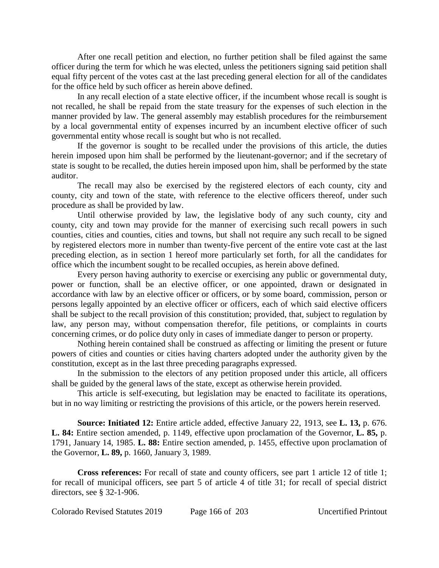After one recall petition and election, no further petition shall be filed against the same officer during the term for which he was elected, unless the petitioners signing said petition shall equal fifty percent of the votes cast at the last preceding general election for all of the candidates for the office held by such officer as herein above defined.

In any recall election of a state elective officer, if the incumbent whose recall is sought is not recalled, he shall be repaid from the state treasury for the expenses of such election in the manner provided by law. The general assembly may establish procedures for the reimbursement by a local governmental entity of expenses incurred by an incumbent elective officer of such governmental entity whose recall is sought but who is not recalled.

If the governor is sought to be recalled under the provisions of this article, the duties herein imposed upon him shall be performed by the lieutenant-governor; and if the secretary of state is sought to be recalled, the duties herein imposed upon him, shall be performed by the state auditor.

The recall may also be exercised by the registered electors of each county, city and county, city and town of the state, with reference to the elective officers thereof, under such procedure as shall be provided by law.

Until otherwise provided by law, the legislative body of any such county, city and county, city and town may provide for the manner of exercising such recall powers in such counties, cities and counties, cities and towns, but shall not require any such recall to be signed by registered electors more in number than twenty-five percent of the entire vote cast at the last preceding election, as in section 1 hereof more particularly set forth, for all the candidates for office which the incumbent sought to be recalled occupies, as herein above defined.

Every person having authority to exercise or exercising any public or governmental duty, power or function, shall be an elective officer, or one appointed, drawn or designated in accordance with law by an elective officer or officers, or by some board, commission, person or persons legally appointed by an elective officer or officers, each of which said elective officers shall be subject to the recall provision of this constitution; provided, that, subject to regulation by law, any person may, without compensation therefor, file petitions, or complaints in courts concerning crimes, or do police duty only in cases of immediate danger to person or property.

Nothing herein contained shall be construed as affecting or limiting the present or future powers of cities and counties or cities having charters adopted under the authority given by the constitution, except as in the last three preceding paragraphs expressed.

In the submission to the electors of any petition proposed under this article, all officers shall be guided by the general laws of the state, except as otherwise herein provided.

This article is self-executing, but legislation may be enacted to facilitate its operations, but in no way limiting or restricting the provisions of this article, or the powers herein reserved.

**Source: Initiated 12:** Entire article added, effective January 22, 1913, see **L. 13,** p. 676. **L. 84:** Entire section amended, p. 1149, effective upon proclamation of the Governor, **L. 85,** p. 1791, January 14, 1985. **L. 88:** Entire section amended, p. 1455, effective upon proclamation of the Governor, **L. 89,** p. 1660, January 3, 1989.

**Cross references:** For recall of state and county officers, see part 1 article 12 of title 1; for recall of municipal officers, see part 5 of article 4 of title 31; for recall of special district directors, see § 32-1-906.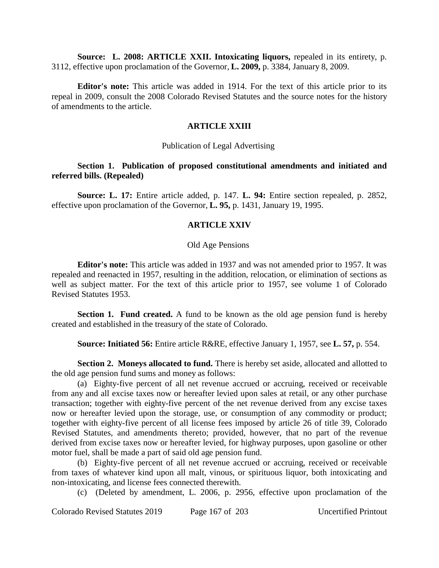**Source: L. 2008: ARTICLE XXII. Intoxicating liquors,** repealed in its entirety, p. 3112, effective upon proclamation of the Governor, **L. 2009,** p. 3384, January 8, 2009.

**Editor's note:** This article was added in 1914. For the text of this article prior to its repeal in 2009, consult the 2008 Colorado Revised Statutes and the source notes for the history of amendments to the article.

## **ARTICLE XXIII**

#### Publication of Legal Advertising

## **Section 1. Publication of proposed constitutional amendments and initiated and referred bills. (Repealed)**

**Source: L. 17:** Entire article added, p. 147. **L. 94:** Entire section repealed, p. 2852, effective upon proclamation of the Governor, **L. 95,** p. 1431, January 19, 1995.

### **ARTICLE XXIV**

### Old Age Pensions

**Editor's note:** This article was added in 1937 and was not amended prior to 1957. It was repealed and reenacted in 1957, resulting in the addition, relocation, or elimination of sections as well as subject matter. For the text of this article prior to 1957, see volume 1 of Colorado Revised Statutes 1953.

**Section 1. Fund created.** A fund to be known as the old age pension fund is hereby created and established in the treasury of the state of Colorado.

**Source: Initiated 56:** Entire article R&RE, effective January 1, 1957, see **L. 57,** p. 554.

**Section 2. Moneys allocated to fund.** There is hereby set aside, allocated and allotted to the old age pension fund sums and money as follows:

(a) Eighty-five percent of all net revenue accrued or accruing, received or receivable from any and all excise taxes now or hereafter levied upon sales at retail, or any other purchase transaction; together with eighty-five percent of the net revenue derived from any excise taxes now or hereafter levied upon the storage, use, or consumption of any commodity or product; together with eighty-five percent of all license fees imposed by article 26 of title 39, Colorado Revised Statutes, and amendments thereto; provided, however, that no part of the revenue derived from excise taxes now or hereafter levied, for highway purposes, upon gasoline or other motor fuel, shall be made a part of said old age pension fund.

(b) Eighty-five percent of all net revenue accrued or accruing, received or receivable from taxes of whatever kind upon all malt, vinous, or spirituous liquor, both intoxicating and non-intoxicating, and license fees connected therewith.

(c) (Deleted by amendment, L. 2006, p. 2956, effective upon proclamation of the

Colorado Revised Statutes 2019 Page 167 of 203 Uncertified Printout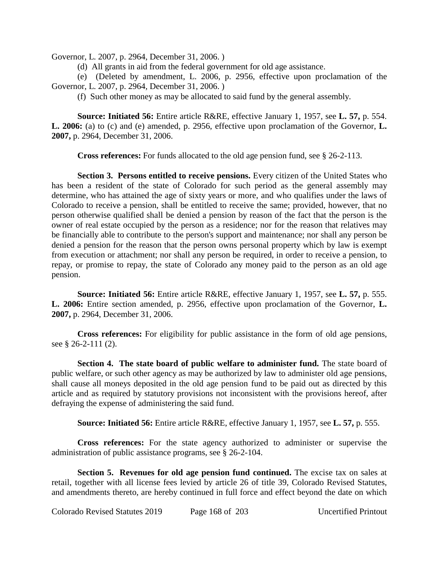Governor, L. 2007, p. 2964, December 31, 2006. )

(d) All grants in aid from the federal government for old age assistance.

(e) (Deleted by amendment, L. 2006, p. 2956, effective upon proclamation of the Governor, L. 2007, p. 2964, December 31, 2006. )

(f) Such other money as may be allocated to said fund by the general assembly.

**Source: Initiated 56:** Entire article R&RE, effective January 1, 1957, see **L. 57,** p. 554. **L. 2006:** (a) to (c) and (e) amended, p. 2956, effective upon proclamation of the Governor, **L. 2007,** p. 2964, December 31, 2006.

**Cross references:** For funds allocated to the old age pension fund, see § 26-2-113.

**Section 3. Persons entitled to receive pensions.** Every citizen of the United States who has been a resident of the state of Colorado for such period as the general assembly may determine, who has attained the age of sixty years or more, and who qualifies under the laws of Colorado to receive a pension, shall be entitled to receive the same; provided, however, that no person otherwise qualified shall be denied a pension by reason of the fact that the person is the owner of real estate occupied by the person as a residence; nor for the reason that relatives may be financially able to contribute to the person's support and maintenance; nor shall any person be denied a pension for the reason that the person owns personal property which by law is exempt from execution or attachment; nor shall any person be required, in order to receive a pension, to repay, or promise to repay, the state of Colorado any money paid to the person as an old age pension.

**Source: Initiated 56:** Entire article R&RE, effective January 1, 1957, see **L. 57,** p. 555. **L. 2006:** Entire section amended, p. 2956, effective upon proclamation of the Governor, **L. 2007,** p. 2964, December 31, 2006.

**Cross references:** For eligibility for public assistance in the form of old age pensions, see § 26-2-111 (2).

**Section 4. The state board of public welfare to administer fund.** The state board of public welfare, or such other agency as may be authorized by law to administer old age pensions, shall cause all moneys deposited in the old age pension fund to be paid out as directed by this article and as required by statutory provisions not inconsistent with the provisions hereof, after defraying the expense of administering the said fund.

**Source: Initiated 56:** Entire article R&RE, effective January 1, 1957, see **L. 57,** p. 555.

**Cross references:** For the state agency authorized to administer or supervise the administration of public assistance programs, see § 26-2-104.

**Section 5. Revenues for old age pension fund continued.** The excise tax on sales at retail, together with all license fees levied by article 26 of title 39, Colorado Revised Statutes, and amendments thereto, are hereby continued in full force and effect beyond the date on which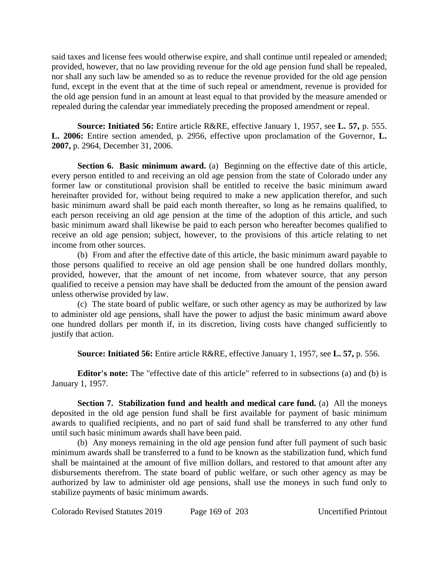said taxes and license fees would otherwise expire, and shall continue until repealed or amended; provided, however, that no law providing revenue for the old age pension fund shall be repealed, nor shall any such law be amended so as to reduce the revenue provided for the old age pension fund, except in the event that at the time of such repeal or amendment, revenue is provided for the old age pension fund in an amount at least equal to that provided by the measure amended or repealed during the calendar year immediately preceding the proposed amendment or repeal.

**Source: Initiated 56:** Entire article R&RE, effective January 1, 1957, see **L. 57,** p. 555. **L. 2006:** Entire section amended, p. 2956, effective upon proclamation of the Governor, **L. 2007,** p. 2964, December 31, 2006.

**Section 6. Basic minimum award.** (a) Beginning on the effective date of this article, every person entitled to and receiving an old age pension from the state of Colorado under any former law or constitutional provision shall be entitled to receive the basic minimum award hereinafter provided for, without being required to make a new application therefor, and such basic minimum award shall be paid each month thereafter, so long as he remains qualified, to each person receiving an old age pension at the time of the adoption of this article, and such basic minimum award shall likewise be paid to each person who hereafter becomes qualified to receive an old age pension; subject, however, to the provisions of this article relating to net income from other sources.

(b) From and after the effective date of this article, the basic minimum award payable to those persons qualified to receive an old age pension shall be one hundred dollars monthly, provided, however, that the amount of net income, from whatever source, that any person qualified to receive a pension may have shall be deducted from the amount of the pension award unless otherwise provided by law.

(c) The state board of public welfare, or such other agency as may be authorized by law to administer old age pensions, shall have the power to adjust the basic minimum award above one hundred dollars per month if, in its discretion, living costs have changed sufficiently to justify that action.

**Source: Initiated 56:** Entire article R&RE, effective January 1, 1957, see **L. 57,** p. 556.

**Editor's note:** The "effective date of this article" referred to in subsections (a) and (b) is January 1, 1957.

**Section 7. Stabilization fund and health and medical care fund.** (a) All the moneys deposited in the old age pension fund shall be first available for payment of basic minimum awards to qualified recipients, and no part of said fund shall be transferred to any other fund until such basic minimum awards shall have been paid.

(b) Any moneys remaining in the old age pension fund after full payment of such basic minimum awards shall be transferred to a fund to be known as the stabilization fund, which fund shall be maintained at the amount of five million dollars, and restored to that amount after any disbursements therefrom. The state board of public welfare, or such other agency as may be authorized by law to administer old age pensions, shall use the moneys in such fund only to stabilize payments of basic minimum awards.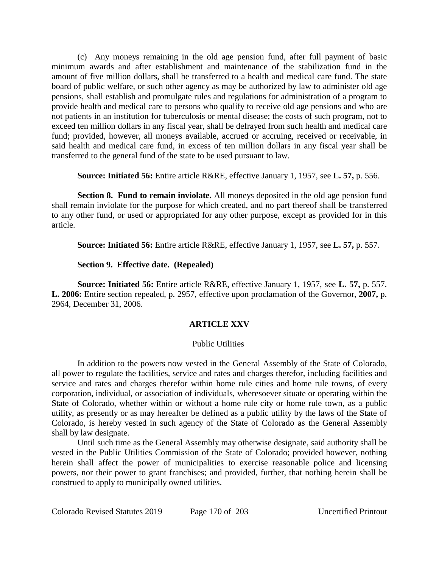(c) Any moneys remaining in the old age pension fund, after full payment of basic minimum awards and after establishment and maintenance of the stabilization fund in the amount of five million dollars, shall be transferred to a health and medical care fund. The state board of public welfare, or such other agency as may be authorized by law to administer old age pensions, shall establish and promulgate rules and regulations for administration of a program to provide health and medical care to persons who qualify to receive old age pensions and who are not patients in an institution for tuberculosis or mental disease; the costs of such program, not to exceed ten million dollars in any fiscal year, shall be defrayed from such health and medical care fund; provided, however, all moneys available, accrued or accruing, received or receivable, in said health and medical care fund, in excess of ten million dollars in any fiscal year shall be transferred to the general fund of the state to be used pursuant to law.

**Source: Initiated 56:** Entire article R&RE, effective January 1, 1957, see **L. 57,** p. 556.

**Section 8. Fund to remain inviolate.** All moneys deposited in the old age pension fund shall remain inviolate for the purpose for which created, and no part thereof shall be transferred to any other fund, or used or appropriated for any other purpose, except as provided for in this article.

**Source: Initiated 56:** Entire article R&RE, effective January 1, 1957, see **L. 57,** p. 557.

## **Section 9. Effective date. (Repealed)**

**Source: Initiated 56:** Entire article R&RE, effective January 1, 1957, see **L. 57,** p. 557. **L. 2006:** Entire section repealed, p. 2957, effective upon proclamation of the Governor, **2007,** p. 2964, December 31, 2006.

# **ARTICLE XXV**

## Public Utilities

In addition to the powers now vested in the General Assembly of the State of Colorado, all power to regulate the facilities, service and rates and charges therefor, including facilities and service and rates and charges therefor within home rule cities and home rule towns, of every corporation, individual, or association of individuals, wheresoever situate or operating within the State of Colorado, whether within or without a home rule city or home rule town, as a public utility, as presently or as may hereafter be defined as a public utility by the laws of the State of Colorado, is hereby vested in such agency of the State of Colorado as the General Assembly shall by law designate.

Until such time as the General Assembly may otherwise designate, said authority shall be vested in the Public Utilities Commission of the State of Colorado; provided however, nothing herein shall affect the power of municipalities to exercise reasonable police and licensing powers, nor their power to grant franchises; and provided, further, that nothing herein shall be construed to apply to municipally owned utilities.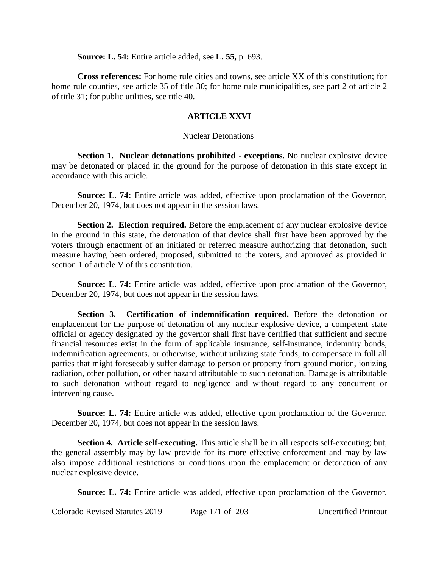**Source: L. 54:** Entire article added, see **L. 55,** p. 693.

**Cross references:** For home rule cities and towns, see article XX of this constitution; for home rule counties, see article 35 of title 30; for home rule municipalities, see part 2 of article 2 of title 31; for public utilities, see title 40.

# **ARTICLE XXVI**

### Nuclear Detonations

**Section 1. Nuclear detonations prohibited - exceptions.** No nuclear explosive device may be detonated or placed in the ground for the purpose of detonation in this state except in accordance with this article.

**Source: L. 74:** Entire article was added, effective upon proclamation of the Governor, December 20, 1974, but does not appear in the session laws.

**Section 2. Election required.** Before the emplacement of any nuclear explosive device in the ground in this state, the detonation of that device shall first have been approved by the voters through enactment of an initiated or referred measure authorizing that detonation, such measure having been ordered, proposed, submitted to the voters, and approved as provided in section 1 of article V of this constitution.

**Source: L. 74:** Entire article was added, effective upon proclamation of the Governor, December 20, 1974, but does not appear in the session laws.

**Section 3. Certification of indemnification required.** Before the detonation or emplacement for the purpose of detonation of any nuclear explosive device, a competent state official or agency designated by the governor shall first have certified that sufficient and secure financial resources exist in the form of applicable insurance, self-insurance, indemnity bonds, indemnification agreements, or otherwise, without utilizing state funds, to compensate in full all parties that might foreseeably suffer damage to person or property from ground motion, ionizing radiation, other pollution, or other hazard attributable to such detonation. Damage is attributable to such detonation without regard to negligence and without regard to any concurrent or intervening cause.

**Source: L. 74:** Entire article was added, effective upon proclamation of the Governor, December 20, 1974, but does not appear in the session laws.

**Section 4. Article self-executing.** This article shall be in all respects self-executing; but, the general assembly may by law provide for its more effective enforcement and may by law also impose additional restrictions or conditions upon the emplacement or detonation of any nuclear explosive device.

**Source: L. 74:** Entire article was added, effective upon proclamation of the Governor,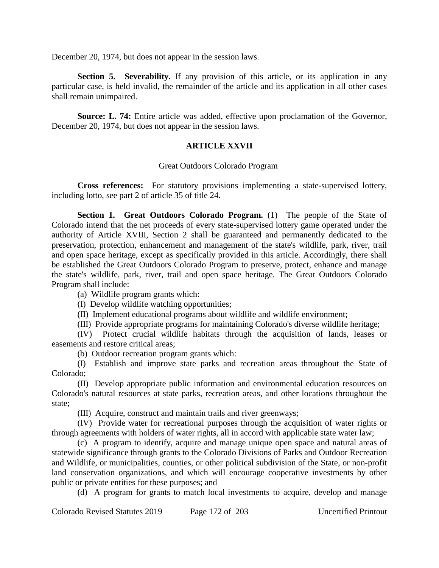December 20, 1974, but does not appear in the session laws.

**Section 5. Severability.** If any provision of this article, or its application in any particular case, is held invalid, the remainder of the article and its application in all other cases shall remain unimpaired.

**Source: L. 74:** Entire article was added, effective upon proclamation of the Governor, December 20, 1974, but does not appear in the session laws.

# **ARTICLE XXVII**

## Great Outdoors Colorado Program

**Cross references:** For statutory provisions implementing a state-supervised lottery, including lotto, see part 2 of article 35 of title 24.

**Section 1. Great Outdoors Colorado Program.** (1) The people of the State of Colorado intend that the net proceeds of every state-supervised lottery game operated under the authority of Article XVIII, Section 2 shall be guaranteed and permanently dedicated to the preservation, protection, enhancement and management of the state's wildlife, park, river, trail and open space heritage, except as specifically provided in this article. Accordingly, there shall be established the Great Outdoors Colorado Program to preserve, protect, enhance and manage the state's wildlife, park, river, trail and open space heritage. The Great Outdoors Colorado Program shall include:

(a) Wildlife program grants which:

(I) Develop wildlife watching opportunities;

(II) Implement educational programs about wildlife and wildlife environment;

(III) Provide appropriate programs for maintaining Colorado's diverse wildlife heritage;

(IV) Protect crucial wildlife habitats through the acquisition of lands, leases or easements and restore critical areas;

(b) Outdoor recreation program grants which:

(I) Establish and improve state parks and recreation areas throughout the State of Colorado;

(II) Develop appropriate public information and environmental education resources on Colorado's natural resources at state parks, recreation areas, and other locations throughout the state;

(III) Acquire, construct and maintain trails and river greenways;

(IV) Provide water for recreational purposes through the acquisition of water rights or through agreements with holders of water rights, all in accord with applicable state water law;

(c) A program to identify, acquire and manage unique open space and natural areas of statewide significance through grants to the Colorado Divisions of Parks and Outdoor Recreation and Wildlife, or municipalities, counties, or other political subdivision of the State, or non-profit land conservation organizations, and which will encourage cooperative investments by other public or private entities for these purposes; and

(d) A program for grants to match local investments to acquire, develop and manage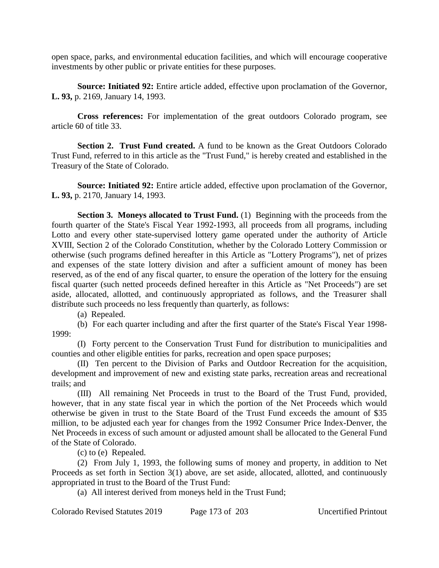open space, parks, and environmental education facilities, and which will encourage cooperative investments by other public or private entities for these purposes.

**Source: Initiated 92:** Entire article added, effective upon proclamation of the Governor, **L. 93,** p. 2169, January 14, 1993.

**Cross references:** For implementation of the great outdoors Colorado program, see article 60 of title 33.

**Section 2. Trust Fund created.** A fund to be known as the Great Outdoors Colorado Trust Fund, referred to in this article as the "Trust Fund," is hereby created and established in the Treasury of the State of Colorado.

**Source: Initiated 92:** Entire article added, effective upon proclamation of the Governor, **L. 93,** p. 2170, January 14, 1993.

**Section 3. Moneys allocated to Trust Fund.** (1) Beginning with the proceeds from the fourth quarter of the State's Fiscal Year 1992-1993, all proceeds from all programs, including Lotto and every other state-supervised lottery game operated under the authority of Article XVIII, Section 2 of the Colorado Constitution, whether by the Colorado Lottery Commission or otherwise (such programs defined hereafter in this Article as "Lottery Programs"), net of prizes and expenses of the state lottery division and after a sufficient amount of money has been reserved, as of the end of any fiscal quarter, to ensure the operation of the lottery for the ensuing fiscal quarter (such netted proceeds defined hereafter in this Article as "Net Proceeds") are set aside, allocated, allotted, and continuously appropriated as follows, and the Treasurer shall distribute such proceeds no less frequently than quarterly, as follows:

(a) Repealed.

(b) For each quarter including and after the first quarter of the State's Fiscal Year 1998- 1999:

(I) Forty percent to the Conservation Trust Fund for distribution to municipalities and counties and other eligible entities for parks, recreation and open space purposes;

(II) Ten percent to the Division of Parks and Outdoor Recreation for the acquisition, development and improvement of new and existing state parks, recreation areas and recreational trails; and

(III) All remaining Net Proceeds in trust to the Board of the Trust Fund, provided, however, that in any state fiscal year in which the portion of the Net Proceeds which would otherwise be given in trust to the State Board of the Trust Fund exceeds the amount of \$35 million, to be adjusted each year for changes from the 1992 Consumer Price Index-Denver, the Net Proceeds in excess of such amount or adjusted amount shall be allocated to the General Fund of the State of Colorado.

(c) to (e) Repealed.

(2) From July 1, 1993, the following sums of money and property, in addition to Net Proceeds as set forth in Section 3(1) above, are set aside, allocated, allotted, and continuously appropriated in trust to the Board of the Trust Fund:

(a) All interest derived from moneys held in the Trust Fund;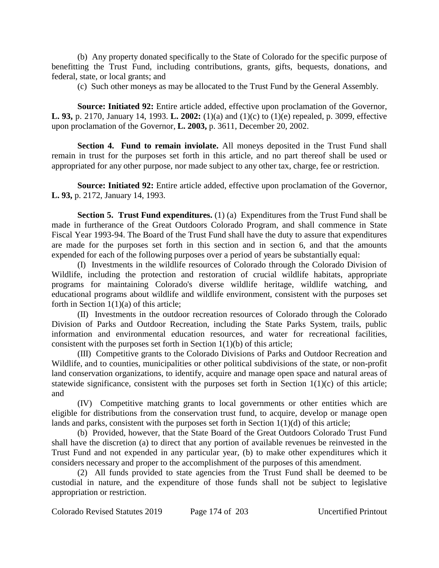(b) Any property donated specifically to the State of Colorado for the specific purpose of benefitting the Trust Fund, including contributions, grants, gifts, bequests, donations, and federal, state, or local grants; and

(c) Such other moneys as may be allocated to the Trust Fund by the General Assembly.

**Source: Initiated 92:** Entire article added, effective upon proclamation of the Governor, **L. 93,** p. 2170, January 14, 1993. **L. 2002:** (1)(a) and (1)(c) to (1)(e) repealed, p. 3099, effective upon proclamation of the Governor, **L. 2003,** p. 3611, December 20, 2002.

**Section 4. Fund to remain inviolate.** All moneys deposited in the Trust Fund shall remain in trust for the purposes set forth in this article, and no part thereof shall be used or appropriated for any other purpose, nor made subject to any other tax, charge, fee or restriction.

**Source: Initiated 92:** Entire article added, effective upon proclamation of the Governor, **L. 93,** p. 2172, January 14, 1993.

**Section 5. Trust Fund expenditures.** (1) (a) Expenditures from the Trust Fund shall be made in furtherance of the Great Outdoors Colorado Program, and shall commence in State Fiscal Year 1993-94. The Board of the Trust Fund shall have the duty to assure that expenditures are made for the purposes set forth in this section and in section 6, and that the amounts expended for each of the following purposes over a period of years be substantially equal:

(I) Investments in the wildlife resources of Colorado through the Colorado Division of Wildlife, including the protection and restoration of crucial wildlife habitats, appropriate programs for maintaining Colorado's diverse wildlife heritage, wildlife watching, and educational programs about wildlife and wildlife environment, consistent with the purposes set forth in Section  $1(1)(a)$  of this article;

(II) Investments in the outdoor recreation resources of Colorado through the Colorado Division of Parks and Outdoor Recreation, including the State Parks System, trails, public information and environmental education resources, and water for recreational facilities, consistent with the purposes set forth in Section 1(1)(b) of this article;

(III) Competitive grants to the Colorado Divisions of Parks and Outdoor Recreation and Wildlife, and to counties, municipalities or other political subdivisions of the state, or non-profit land conservation organizations, to identify, acquire and manage open space and natural areas of statewide significance, consistent with the purposes set forth in Section 1(1)(c) of this article; and

(IV) Competitive matching grants to local governments or other entities which are eligible for distributions from the conservation trust fund, to acquire, develop or manage open lands and parks, consistent with the purposes set forth in Section 1(1)(d) of this article;

(b) Provided, however, that the State Board of the Great Outdoors Colorado Trust Fund shall have the discretion (a) to direct that any portion of available revenues be reinvested in the Trust Fund and not expended in any particular year, (b) to make other expenditures which it considers necessary and proper to the accomplishment of the purposes of this amendment.

(2) All funds provided to state agencies from the Trust Fund shall be deemed to be custodial in nature, and the expenditure of those funds shall not be subject to legislative appropriation or restriction.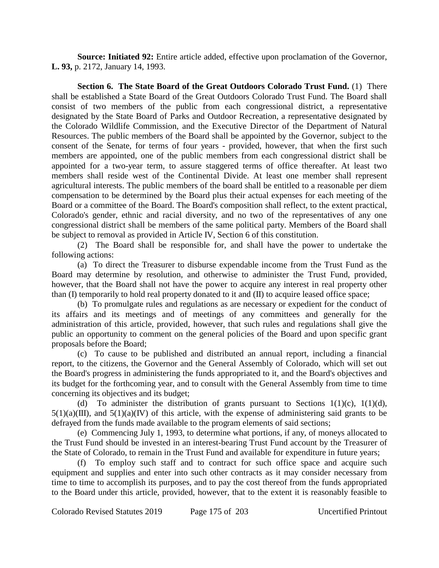**Source: Initiated 92:** Entire article added, effective upon proclamation of the Governor, **L. 93,** p. 2172, January 14, 1993.

**Section 6. The State Board of the Great Outdoors Colorado Trust Fund.** (1) There shall be established a State Board of the Great Outdoors Colorado Trust Fund. The Board shall consist of two members of the public from each congressional district, a representative designated by the State Board of Parks and Outdoor Recreation, a representative designated by the Colorado Wildlife Commission, and the Executive Director of the Department of Natural Resources. The public members of the Board shall be appointed by the Governor, subject to the consent of the Senate, for terms of four years - provided, however, that when the first such members are appointed, one of the public members from each congressional district shall be appointed for a two-year term, to assure staggered terms of office thereafter. At least two members shall reside west of the Continental Divide. At least one member shall represent agricultural interests. The public members of the board shall be entitled to a reasonable per diem compensation to be determined by the Board plus their actual expenses for each meeting of the Board or a committee of the Board. The Board's composition shall reflect, to the extent practical, Colorado's gender, ethnic and racial diversity, and no two of the representatives of any one congressional district shall be members of the same political party. Members of the Board shall be subject to removal as provided in Article IV, Section 6 of this constitution.

(2) The Board shall be responsible for, and shall have the power to undertake the following actions:

(a) To direct the Treasurer to disburse expendable income from the Trust Fund as the Board may determine by resolution, and otherwise to administer the Trust Fund, provided, however, that the Board shall not have the power to acquire any interest in real property other than (I) temporarily to hold real property donated to it and (II) to acquire leased office space;

(b) To promulgate rules and regulations as are necessary or expedient for the conduct of its affairs and its meetings and of meetings of any committees and generally for the administration of this article, provided, however, that such rules and regulations shall give the public an opportunity to comment on the general policies of the Board and upon specific grant proposals before the Board;

(c) To cause to be published and distributed an annual report, including a financial report, to the citizens, the Governor and the General Assembly of Colorado, which will set out the Board's progress in administering the funds appropriated to it, and the Board's objectives and its budget for the forthcoming year, and to consult with the General Assembly from time to time concerning its objectives and its budget;

(d) To administer the distribution of grants pursuant to Sections 1(1)(c), 1(1)(d),  $5(1)(a)(III)$ , and  $5(1)(a)(IV)$  of this article, with the expense of administering said grants to be defrayed from the funds made available to the program elements of said sections;

(e) Commencing July 1, 1993, to determine what portions, if any, of moneys allocated to the Trust Fund should be invested in an interest-bearing Trust Fund account by the Treasurer of the State of Colorado, to remain in the Trust Fund and available for expenditure in future years;

(f) To employ such staff and to contract for such office space and acquire such equipment and supplies and enter into such other contracts as it may consider necessary from time to time to accomplish its purposes, and to pay the cost thereof from the funds appropriated to the Board under this article, provided, however, that to the extent it is reasonably feasible to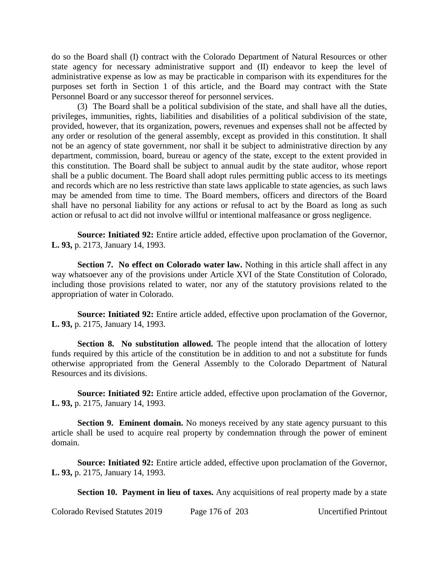do so the Board shall (I) contract with the Colorado Department of Natural Resources or other state agency for necessary administrative support and (II) endeavor to keep the level of administrative expense as low as may be practicable in comparison with its expenditures for the purposes set forth in Section 1 of this article, and the Board may contract with the State Personnel Board or any successor thereof for personnel services.

(3) The Board shall be a political subdivision of the state, and shall have all the duties, privileges, immunities, rights, liabilities and disabilities of a political subdivision of the state, provided, however, that its organization, powers, revenues and expenses shall not be affected by any order or resolution of the general assembly, except as provided in this constitution. It shall not be an agency of state government, nor shall it be subject to administrative direction by any department, commission, board, bureau or agency of the state, except to the extent provided in this constitution. The Board shall be subject to annual audit by the state auditor, whose report shall be a public document. The Board shall adopt rules permitting public access to its meetings and records which are no less restrictive than state laws applicable to state agencies, as such laws may be amended from time to time. The Board members, officers and directors of the Board shall have no personal liability for any actions or refusal to act by the Board as long as such action or refusal to act did not involve willful or intentional malfeasance or gross negligence.

**Source: Initiated 92:** Entire article added, effective upon proclamation of the Governor, **L. 93,** p. 2173, January 14, 1993.

**Section 7. No effect on Colorado water law.** Nothing in this article shall affect in any way whatsoever any of the provisions under Article XVI of the State Constitution of Colorado, including those provisions related to water, nor any of the statutory provisions related to the appropriation of water in Colorado.

**Source: Initiated 92:** Entire article added, effective upon proclamation of the Governor, **L. 93,** p. 2175, January 14, 1993.

**Section 8.** No substitution allowed. The people intend that the allocation of lottery funds required by this article of the constitution be in addition to and not a substitute for funds otherwise appropriated from the General Assembly to the Colorado Department of Natural Resources and its divisions.

**Source: Initiated 92:** Entire article added, effective upon proclamation of the Governor, **L. 93,** p. 2175, January 14, 1993.

**Section 9. Eminent domain.** No moneys received by any state agency pursuant to this article shall be used to acquire real property by condemnation through the power of eminent domain.

**Source: Initiated 92:** Entire article added, effective upon proclamation of the Governor, **L. 93,** p. 2175, January 14, 1993.

**Section 10. Payment in lieu of taxes.** Any acquisitions of real property made by a state

Colorado Revised Statutes 2019 Page 176 of 203 Uncertified Printout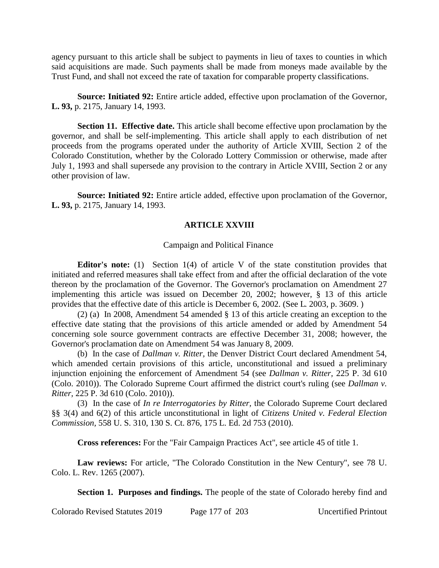agency pursuant to this article shall be subject to payments in lieu of taxes to counties in which said acquisitions are made. Such payments shall be made from moneys made available by the Trust Fund, and shall not exceed the rate of taxation for comparable property classifications.

**Source: Initiated 92:** Entire article added, effective upon proclamation of the Governor, **L. 93,** p. 2175, January 14, 1993.

**Section 11. Effective date.** This article shall become effective upon proclamation by the governor, and shall be self-implementing. This article shall apply to each distribution of net proceeds from the programs operated under the authority of Article XVIII, Section 2 of the Colorado Constitution, whether by the Colorado Lottery Commission or otherwise, made after July 1, 1993 and shall supersede any provision to the contrary in Article XVIII, Section 2 or any other provision of law.

**Source: Initiated 92:** Entire article added, effective upon proclamation of the Governor, **L. 93,** p. 2175, January 14, 1993.

## **ARTICLE XXVIII**

#### Campaign and Political Finance

**Editor's note:** (1) Section 1(4) of article V of the state constitution provides that initiated and referred measures shall take effect from and after the official declaration of the vote thereon by the proclamation of the Governor. The Governor's proclamation on Amendment 27 implementing this article was issued on December 20, 2002; however, § 13 of this article provides that the effective date of this article is December 6, 2002. (See L. 2003, p. 3609. )

(2) (a) In 2008, Amendment 54 amended § 13 of this article creating an exception to the effective date stating that the provisions of this article amended or added by Amendment 54 concerning sole source government contracts are effective December 31, 2008; however, the Governor's proclamation date on Amendment 54 was January 8, 2009.

(b) In the case of *Dallman v. Ritter,* the Denver District Court declared Amendment 54, which amended certain provisions of this article, unconstitutional and issued a preliminary injunction enjoining the enforcement of Amendment 54 (see *Dallman v. Ritter,* 225 P. 3d 610 (Colo. 2010)). The Colorado Supreme Court affirmed the district court's ruling (see *Dallman v. Ritter,* 225 P. 3d 610 (Colo. 2010)).

(3) In the case of *In re Interrogatories by Ritter,* the Colorado Supreme Court declared §§ 3(4) and 6(2) of this article unconstitutional in light of *Citizens United v. Federal Election Commission,* 558 U. S. 310, 130 S. Ct. 876, 175 L. Ed. 2d 753 (2010).

**Cross references:** For the "Fair Campaign Practices Act", see article 45 of title 1.

**Law reviews:** For article, "The Colorado Constitution in the New Century", see 78 U. Colo. L. Rev. 1265 (2007).

**Section 1. Purposes and findings.** The people of the state of Colorado hereby find and

Colorado Revised Statutes 2019 Page 177 of 203 Uncertified Printout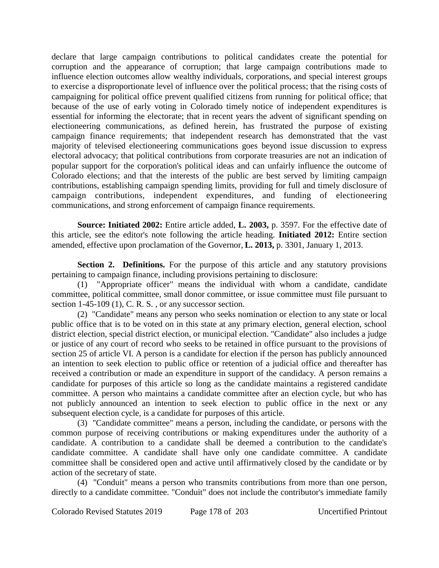declare that large campaign contributions to political candidates create the potential for corruption and the appearance of corruption; that large campaign contributions made to influence election outcomes allow wealthy individuals, corporations, and special interest groups to exercise a disproportionate level of influence over the political process; that the rising costs of campaigning for political office prevent qualified citizens from running for political office; that because of the use of early voting in Colorado timely notice of independent expenditures is essential for informing the electorate; that in recent years the advent of significant spending on electioneering communications, as defined herein, has frustrated the purpose of existing campaign finance requirements; that independent research has demonstrated that the vast majority of televised electioneering communications goes beyond issue discussion to express electoral advocacy; that political contributions from corporate treasuries are not an indication of popular support for the corporation's political ideas and can unfairly influence the outcome of Colorado elections; and that the interests of the public are best served by limiting campaign contributions, establishing campaign spending limits, providing for full and timely disclosure of campaign contributions, independent expenditures, and funding of electioneering communications, and strong enforcement of campaign finance requirements.

**Source: Initiated 2002:** Entire article added, **L. 2003,** p. 3597. For the effective date of this article, see the editor's note following the article heading. **Initiated 2012:** Entire section amended, effective upon proclamation of the Governor, **L. 2013,** p. 3301, January 1, 2013.

**Section 2. Definitions.** For the purpose of this article and any statutory provisions pertaining to campaign finance, including provisions pertaining to disclosure:

(1) "Appropriate officer" means the individual with whom a candidate, candidate committee, political committee, small donor committee, or issue committee must file pursuant to section 1-45-109 (1), C. R. S. , or any successor section.

(2) "Candidate" means any person who seeks nomination or election to any state or local public office that is to be voted on in this state at any primary election, general election, school district election, special district election, or municipal election. "Candidate" also includes a judge or justice of any court of record who seeks to be retained in office pursuant to the provisions of section 25 of article VI. A person is a candidate for election if the person has publicly announced an intention to seek election to public office or retention of a judicial office and thereafter has received a contribution or made an expenditure in support of the candidacy. A person remains a candidate for purposes of this article so long as the candidate maintains a registered candidate committee. A person who maintains a candidate committee after an election cycle, but who has not publicly announced an intention to seek election to public office in the next or any subsequent election cycle, is a candidate for purposes of this article.

(3) "Candidate committee" means a person, including the candidate, or persons with the common purpose of receiving contributions or making expenditures under the authority of a candidate. A contribution to a candidate shall be deemed a contribution to the candidate's candidate committee. A candidate shall have only one candidate committee. A candidate committee shall be considered open and active until affirmatively closed by the candidate or by action of the secretary of state.

(4) "Conduit" means a person who transmits contributions from more than one person, directly to a candidate committee. "Conduit" does not include the contributor's immediate family

Colorado Revised Statutes 2019 Page 178 of 203 Uncertified Printout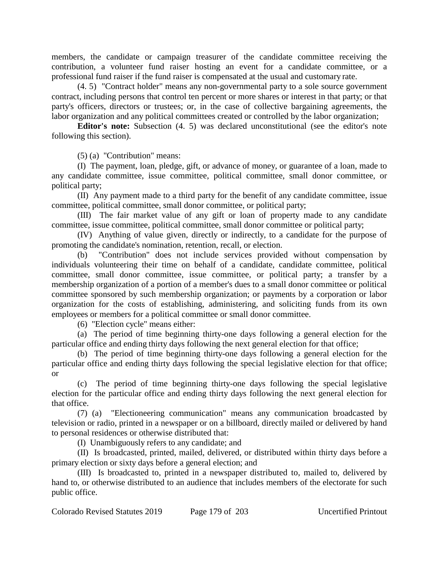members, the candidate or campaign treasurer of the candidate committee receiving the contribution, a volunteer fund raiser hosting an event for a candidate committee, or a professional fund raiser if the fund raiser is compensated at the usual and customary rate.

(4. 5) "Contract holder" means any non-governmental party to a sole source government contract, including persons that control ten percent or more shares or interest in that party; or that party's officers, directors or trustees; or, in the case of collective bargaining agreements, the labor organization and any political committees created or controlled by the labor organization;

**Editor's note:** Subsection (4. 5) was declared unconstitutional (see the editor's note following this section).

(5) (a) "Contribution" means:

(I) The payment, loan, pledge, gift, or advance of money, or guarantee of a loan, made to any candidate committee, issue committee, political committee, small donor committee, or political party;

(II) Any payment made to a third party for the benefit of any candidate committee, issue committee, political committee, small donor committee, or political party;

(III) The fair market value of any gift or loan of property made to any candidate committee, issue committee, political committee, small donor committee or political party;

(IV) Anything of value given, directly or indirectly, to a candidate for the purpose of promoting the candidate's nomination, retention, recall, or election.

(b) "Contribution" does not include services provided without compensation by individuals volunteering their time on behalf of a candidate, candidate committee, political committee, small donor committee, issue committee, or political party; a transfer by a membership organization of a portion of a member's dues to a small donor committee or political committee sponsored by such membership organization; or payments by a corporation or labor organization for the costs of establishing, administering, and soliciting funds from its own employees or members for a political committee or small donor committee.

(6) "Election cycle" means either:

(a) The period of time beginning thirty-one days following a general election for the particular office and ending thirty days following the next general election for that office;

(b) The period of time beginning thirty-one days following a general election for the particular office and ending thirty days following the special legislative election for that office; or

(c) The period of time beginning thirty-one days following the special legislative election for the particular office and ending thirty days following the next general election for that office.

(7) (a) "Electioneering communication" means any communication broadcasted by television or radio, printed in a newspaper or on a billboard, directly mailed or delivered by hand to personal residences or otherwise distributed that:

(I) Unambiguously refers to any candidate; and

(II) Is broadcasted, printed, mailed, delivered, or distributed within thirty days before a primary election or sixty days before a general election; and

(III) Is broadcasted to, printed in a newspaper distributed to, mailed to, delivered by hand to, or otherwise distributed to an audience that includes members of the electorate for such public office.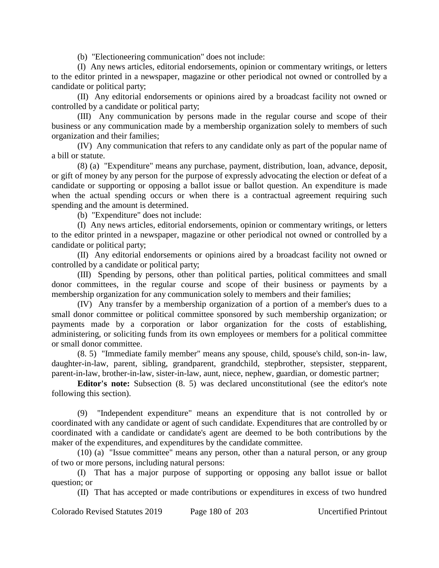(b) "Electioneering communication" does not include:

(I) Any news articles, editorial endorsements, opinion or commentary writings, or letters to the editor printed in a newspaper, magazine or other periodical not owned or controlled by a candidate or political party;

(II) Any editorial endorsements or opinions aired by a broadcast facility not owned or controlled by a candidate or political party;

(III) Any communication by persons made in the regular course and scope of their business or any communication made by a membership organization solely to members of such organization and their families;

(IV) Any communication that refers to any candidate only as part of the popular name of a bill or statute.

(8) (a) "Expenditure" means any purchase, payment, distribution, loan, advance, deposit, or gift of money by any person for the purpose of expressly advocating the election or defeat of a candidate or supporting or opposing a ballot issue or ballot question. An expenditure is made when the actual spending occurs or when there is a contractual agreement requiring such spending and the amount is determined.

(b) "Expenditure" does not include:

(I) Any news articles, editorial endorsements, opinion or commentary writings, or letters to the editor printed in a newspaper, magazine or other periodical not owned or controlled by a candidate or political party;

(II) Any editorial endorsements or opinions aired by a broadcast facility not owned or controlled by a candidate or political party;

(III) Spending by persons, other than political parties, political committees and small donor committees, in the regular course and scope of their business or payments by a membership organization for any communication solely to members and their families;

(IV) Any transfer by a membership organization of a portion of a member's dues to a small donor committee or political committee sponsored by such membership organization; or payments made by a corporation or labor organization for the costs of establishing, administering, or soliciting funds from its own employees or members for a political committee or small donor committee.

(8. 5) "Immediate family member" means any spouse, child, spouse's child, son-in- law, daughter-in-law, parent, sibling, grandparent, grandchild, stepbrother, stepsister, stepparent, parent-in-law, brother-in-law, sister-in-law, aunt, niece, nephew, guardian, or domestic partner;

**Editor's note:** Subsection  $(8, 5)$  was declared unconstitutional (see the editor's note following this section).

(9) "Independent expenditure" means an expenditure that is not controlled by or coordinated with any candidate or agent of such candidate. Expenditures that are controlled by or coordinated with a candidate or candidate's agent are deemed to be both contributions by the maker of the expenditures, and expenditures by the candidate committee.

(10) (a) "Issue committee" means any person, other than a natural person, or any group of two or more persons, including natural persons:

(I) That has a major purpose of supporting or opposing any ballot issue or ballot question; or

(II) That has accepted or made contributions or expenditures in excess of two hundred

Colorado Revised Statutes 2019 Page 180 of 203 Uncertified Printout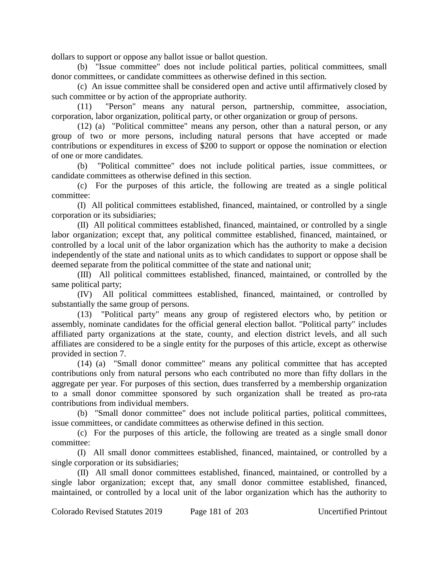dollars to support or oppose any ballot issue or ballot question.

(b) "Issue committee" does not include political parties, political committees, small donor committees, or candidate committees as otherwise defined in this section.

(c) An issue committee shall be considered open and active until affirmatively closed by such committee or by action of the appropriate authority.

(11) "Person" means any natural person, partnership, committee, association, corporation, labor organization, political party, or other organization or group of persons.

(12) (a) "Political committee" means any person, other than a natural person, or any group of two or more persons, including natural persons that have accepted or made contributions or expenditures in excess of \$200 to support or oppose the nomination or election of one or more candidates.

(b) "Political committee" does not include political parties, issue committees, or candidate committees as otherwise defined in this section.

(c) For the purposes of this article, the following are treated as a single political committee:

(I) All political committees established, financed, maintained, or controlled by a single corporation or its subsidiaries;

(II) All political committees established, financed, maintained, or controlled by a single labor organization; except that, any political committee established, financed, maintained, or controlled by a local unit of the labor organization which has the authority to make a decision independently of the state and national units as to which candidates to support or oppose shall be deemed separate from the political committee of the state and national unit;

(III) All political committees established, financed, maintained, or controlled by the same political party;

(IV) All political committees established, financed, maintained, or controlled by substantially the same group of persons.

(13) "Political party" means any group of registered electors who, by petition or assembly, nominate candidates for the official general election ballot. "Political party" includes affiliated party organizations at the state, county, and election district levels, and all such affiliates are considered to be a single entity for the purposes of this article, except as otherwise provided in section 7.

(14) (a) "Small donor committee" means any political committee that has accepted contributions only from natural persons who each contributed no more than fifty dollars in the aggregate per year. For purposes of this section, dues transferred by a membership organization to a small donor committee sponsored by such organization shall be treated as pro-rata contributions from individual members.

(b) "Small donor committee" does not include political parties, political committees, issue committees, or candidate committees as otherwise defined in this section.

(c) For the purposes of this article, the following are treated as a single small donor committee:

(I) All small donor committees established, financed, maintained, or controlled by a single corporation or its subsidiaries;

(II) All small donor committees established, financed, maintained, or controlled by a single labor organization; except that, any small donor committee established, financed, maintained, or controlled by a local unit of the labor organization which has the authority to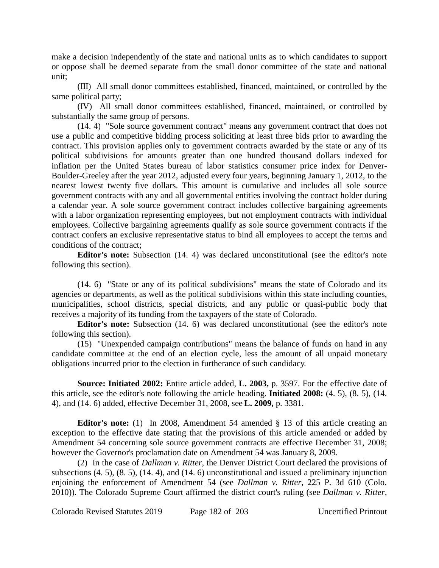make a decision independently of the state and national units as to which candidates to support or oppose shall be deemed separate from the small donor committee of the state and national unit;

(III) All small donor committees established, financed, maintained, or controlled by the same political party;

(IV) All small donor committees established, financed, maintained, or controlled by substantially the same group of persons.

(14. 4) "Sole source government contract" means any government contract that does not use a public and competitive bidding process soliciting at least three bids prior to awarding the contract. This provision applies only to government contracts awarded by the state or any of its political subdivisions for amounts greater than one hundred thousand dollars indexed for inflation per the United States bureau of labor statistics consumer price index for Denver-Boulder-Greeley after the year 2012, adjusted every four years, beginning January 1, 2012, to the nearest lowest twenty five dollars. This amount is cumulative and includes all sole source government contracts with any and all governmental entities involving the contract holder during a calendar year. A sole source government contract includes collective bargaining agreements with a labor organization representing employees, but not employment contracts with individual employees. Collective bargaining agreements qualify as sole source government contracts if the contract confers an exclusive representative status to bind all employees to accept the terms and conditions of the contract;

**Editor's note:** Subsection (14. 4) was declared unconstitutional (see the editor's note following this section).

(14. 6) "State or any of its political subdivisions" means the state of Colorado and its agencies or departments, as well as the political subdivisions within this state including counties, municipalities, school districts, special districts, and any public or quasi-public body that receives a majority of its funding from the taxpayers of the state of Colorado.

**Editor's note:** Subsection (14. 6) was declared unconstitutional (see the editor's note following this section).

(15) "Unexpended campaign contributions" means the balance of funds on hand in any candidate committee at the end of an election cycle, less the amount of all unpaid monetary obligations incurred prior to the election in furtherance of such candidacy.

**Source: Initiated 2002:** Entire article added, **L. 2003,** p. 3597. For the effective date of this article, see the editor's note following the article heading. **Initiated 2008:** (4. 5), (8. 5), (14. 4), and (14. 6) added, effective December 31, 2008, see **L. 2009,** p. 3381.

**Editor's note:** (1) In 2008, Amendment 54 amended § 13 of this article creating an exception to the effective date stating that the provisions of this article amended or added by Amendment 54 concerning sole source government contracts are effective December 31, 2008; however the Governor's proclamation date on Amendment 54 was January 8, 2009.

(2) In the case of *Dallman v. Ritter,* the Denver District Court declared the provisions of subsections (4. 5), (8. 5), (14. 4), and (14. 6) unconstitutional and issued a preliminary injunction enjoining the enforcement of Amendment 54 (see *Dallman v. Ritter,* 225 P. 3d 610 (Colo. 2010)). The Colorado Supreme Court affirmed the district court's ruling (see *Dallman v. Ritter,*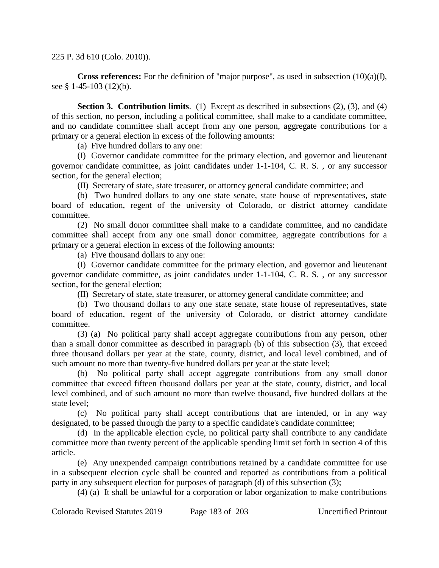225 P. 3d 610 (Colo. 2010)).

**Cross references:** For the definition of "major purpose", as used in subsection  $(10)(a)(I)$ , see § 1-45-103 (12)(b).

**Section 3. Contribution limits**. (1) Except as described in subsections (2), (3), and (4) of this section, no person, including a political committee, shall make to a candidate committee, and no candidate committee shall accept from any one person, aggregate contributions for a primary or a general election in excess of the following amounts:

(a) Five hundred dollars to any one:

(I) Governor candidate committee for the primary election, and governor and lieutenant governor candidate committee, as joint candidates under 1-1-104, C. R. S. , or any successor section, for the general election;

(II) Secretary of state, state treasurer, or attorney general candidate committee; and

(b) Two hundred dollars to any one state senate, state house of representatives, state board of education, regent of the university of Colorado, or district attorney candidate committee.

(2) No small donor committee shall make to a candidate committee, and no candidate committee shall accept from any one small donor committee, aggregate contributions for a primary or a general election in excess of the following amounts:

(a) Five thousand dollars to any one:

(I) Governor candidate committee for the primary election, and governor and lieutenant governor candidate committee, as joint candidates under 1-1-104, C. R. S. , or any successor section, for the general election;

(II) Secretary of state, state treasurer, or attorney general candidate committee; and

(b) Two thousand dollars to any one state senate, state house of representatives, state board of education, regent of the university of Colorado, or district attorney candidate committee.

(3) (a) No political party shall accept aggregate contributions from any person, other than a small donor committee as described in paragraph (b) of this subsection (3), that exceed three thousand dollars per year at the state, county, district, and local level combined, and of such amount no more than twenty-five hundred dollars per year at the state level;

(b) No political party shall accept aggregate contributions from any small donor committee that exceed fifteen thousand dollars per year at the state, county, district, and local level combined, and of such amount no more than twelve thousand, five hundred dollars at the state level;

(c) No political party shall accept contributions that are intended, or in any way designated, to be passed through the party to a specific candidate's candidate committee;

(d) In the applicable election cycle, no political party shall contribute to any candidate committee more than twenty percent of the applicable spending limit set forth in section 4 of this article.

(e) Any unexpended campaign contributions retained by a candidate committee for use in a subsequent election cycle shall be counted and reported as contributions from a political party in any subsequent election for purposes of paragraph (d) of this subsection (3);

(4) (a) It shall be unlawful for a corporation or labor organization to make contributions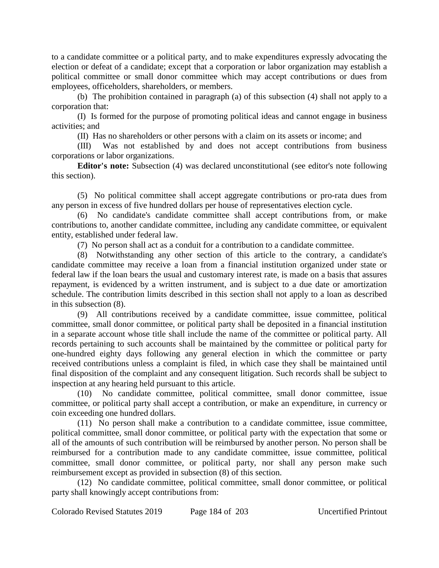to a candidate committee or a political party, and to make expenditures expressly advocating the election or defeat of a candidate; except that a corporation or labor organization may establish a political committee or small donor committee which may accept contributions or dues from employees, officeholders, shareholders, or members.

(b) The prohibition contained in paragraph (a) of this subsection (4) shall not apply to a corporation that:

(I) Is formed for the purpose of promoting political ideas and cannot engage in business activities; and

(II) Has no shareholders or other persons with a claim on its assets or income; and

(III) Was not established by and does not accept contributions from business corporations or labor organizations.

**Editor's note:** Subsection (4) was declared unconstitutional (see editor's note following this section).

(5) No political committee shall accept aggregate contributions or pro-rata dues from any person in excess of five hundred dollars per house of representatives election cycle.

(6) No candidate's candidate committee shall accept contributions from, or make contributions to, another candidate committee, including any candidate committee, or equivalent entity, established under federal law.

(7) No person shall act as a conduit for a contribution to a candidate committee.

(8) Notwithstanding any other section of this article to the contrary, a candidate's candidate committee may receive a loan from a financial institution organized under state or federal law if the loan bears the usual and customary interest rate, is made on a basis that assures repayment, is evidenced by a written instrument, and is subject to a due date or amortization schedule. The contribution limits described in this section shall not apply to a loan as described in this subsection (8).

(9) All contributions received by a candidate committee, issue committee, political committee, small donor committee, or political party shall be deposited in a financial institution in a separate account whose title shall include the name of the committee or political party. All records pertaining to such accounts shall be maintained by the committee or political party for one-hundred eighty days following any general election in which the committee or party received contributions unless a complaint is filed, in which case they shall be maintained until final disposition of the complaint and any consequent litigation. Such records shall be subject to inspection at any hearing held pursuant to this article.

(10) No candidate committee, political committee, small donor committee, issue committee, or political party shall accept a contribution, or make an expenditure, in currency or coin exceeding one hundred dollars.

(11) No person shall make a contribution to a candidate committee, issue committee, political committee, small donor committee, or political party with the expectation that some or all of the amounts of such contribution will be reimbursed by another person. No person shall be reimbursed for a contribution made to any candidate committee, issue committee, political committee, small donor committee, or political party, nor shall any person make such reimbursement except as provided in subsection (8) of this section.

(12) No candidate committee, political committee, small donor committee, or political party shall knowingly accept contributions from:

Colorado Revised Statutes 2019 Page 184 of 203 Uncertified Printout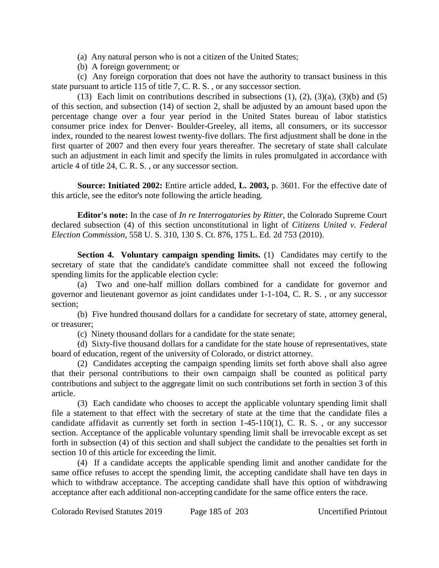- (a) Any natural person who is not a citizen of the United States;
- (b) A foreign government; or

(c) Any foreign corporation that does not have the authority to transact business in this state pursuant to article 115 of title 7, C. R. S. , or any successor section.

(13) Each limit on contributions described in subsections  $(1)$ ,  $(2)$ ,  $(3)(a)$ ,  $(3)(b)$  and  $(5)$ of this section, and subsection (14) of section 2, shall be adjusted by an amount based upon the percentage change over a four year period in the United States bureau of labor statistics consumer price index for Denver- Boulder-Greeley, all items, all consumers, or its successor index, rounded to the nearest lowest twenty-five dollars. The first adjustment shall be done in the first quarter of 2007 and then every four years thereafter. The secretary of state shall calculate such an adjustment in each limit and specify the limits in rules promulgated in accordance with article 4 of title 24, C. R. S. , or any successor section.

**Source: Initiated 2002:** Entire article added, **L. 2003,** p. 3601. For the effective date of this article, see the editor's note following the article heading.

**Editor's note:** In the case of *In re Interrogatories by Ritter,* the Colorado Supreme Court declared subsection (4) of this section unconstitutional in light of *Citizens United v. Federal Election Commission,* 558 U. S. 310, 130 S. Ct. 876, 175 L. Ed. 2d 753 (2010).

**Section 4. Voluntary campaign spending limits.** (1) Candidates may certify to the secretary of state that the candidate's candidate committee shall not exceed the following spending limits for the applicable election cycle:

(a) Two and one-half million dollars combined for a candidate for governor and governor and lieutenant governor as joint candidates under 1-1-104, C. R. S. , or any successor section;

(b) Five hundred thousand dollars for a candidate for secretary of state, attorney general, or treasurer;

(c) Ninety thousand dollars for a candidate for the state senate;

(d) Sixty-five thousand dollars for a candidate for the state house of representatives, state board of education, regent of the university of Colorado, or district attorney.

(2) Candidates accepting the campaign spending limits set forth above shall also agree that their personal contributions to their own campaign shall be counted as political party contributions and subject to the aggregate limit on such contributions set forth in section 3 of this article.

(3) Each candidate who chooses to accept the applicable voluntary spending limit shall file a statement to that effect with the secretary of state at the time that the candidate files a candidate affidavit as currently set forth in section 1-45-110(1), C. R. S. , or any successor section. Acceptance of the applicable voluntary spending limit shall be irrevocable except as set forth in subsection (4) of this section and shall subject the candidate to the penalties set forth in section 10 of this article for exceeding the limit.

(4) If a candidate accepts the applicable spending limit and another candidate for the same office refuses to accept the spending limit, the accepting candidate shall have ten days in which to withdraw acceptance. The accepting candidate shall have this option of withdrawing acceptance after each additional non-accepting candidate for the same office enters the race.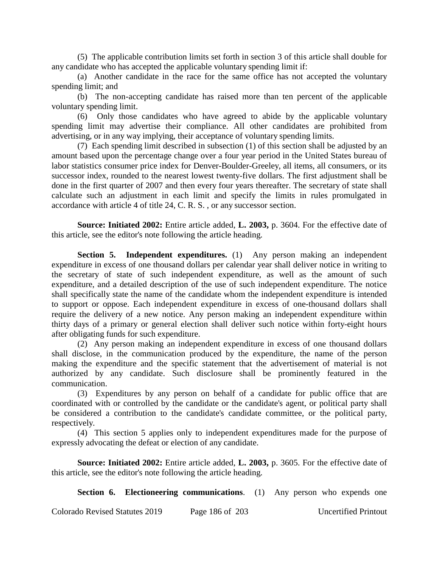(5) The applicable contribution limits set forth in section 3 of this article shall double for any candidate who has accepted the applicable voluntary spending limit if:

(a) Another candidate in the race for the same office has not accepted the voluntary spending limit; and

(b) The non-accepting candidate has raised more than ten percent of the applicable voluntary spending limit.

(6) Only those candidates who have agreed to abide by the applicable voluntary spending limit may advertise their compliance. All other candidates are prohibited from advertising, or in any way implying, their acceptance of voluntary spending limits.

(7) Each spending limit described in subsection (1) of this section shall be adjusted by an amount based upon the percentage change over a four year period in the United States bureau of labor statistics consumer price index for Denver-Boulder-Greeley, all items, all consumers, or its successor index, rounded to the nearest lowest twenty-five dollars. The first adjustment shall be done in the first quarter of 2007 and then every four years thereafter. The secretary of state shall calculate such an adjustment in each limit and specify the limits in rules promulgated in accordance with article 4 of title 24, C. R. S. , or any successor section.

**Source: Initiated 2002:** Entire article added, **L. 2003,** p. 3604. For the effective date of this article, see the editor's note following the article heading.

**Section 5. Independent expenditures.** (1) Any person making an independent expenditure in excess of one thousand dollars per calendar year shall deliver notice in writing to the secretary of state of such independent expenditure, as well as the amount of such expenditure, and a detailed description of the use of such independent expenditure. The notice shall specifically state the name of the candidate whom the independent expenditure is intended to support or oppose. Each independent expenditure in excess of one-thousand dollars shall require the delivery of a new notice. Any person making an independent expenditure within thirty days of a primary or general election shall deliver such notice within forty-eight hours after obligating funds for such expenditure.

(2) Any person making an independent expenditure in excess of one thousand dollars shall disclose, in the communication produced by the expenditure, the name of the person making the expenditure and the specific statement that the advertisement of material is not authorized by any candidate. Such disclosure shall be prominently featured in the communication.

(3) Expenditures by any person on behalf of a candidate for public office that are coordinated with or controlled by the candidate or the candidate's agent, or political party shall be considered a contribution to the candidate's candidate committee, or the political party, respectively.

(4) This section 5 applies only to independent expenditures made for the purpose of expressly advocating the defeat or election of any candidate.

**Source: Initiated 2002:** Entire article added, **L. 2003,** p. 3605. For the effective date of this article, see the editor's note following the article heading.

**Section 6. Electioneering communications.** (1) Any person who expends one

Colorado Revised Statutes 2019 Page 186 of 203 Uncertified Printout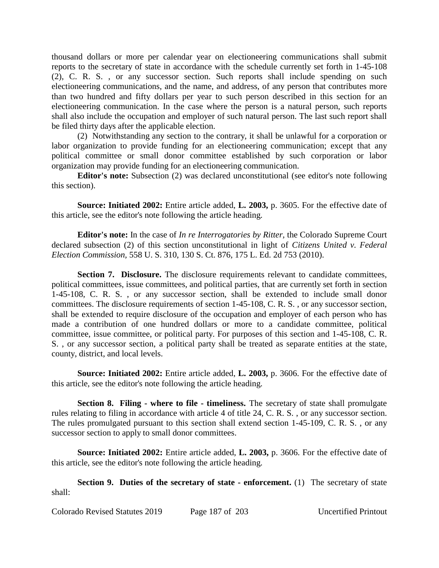thousand dollars or more per calendar year on electioneering communications shall submit reports to the secretary of state in accordance with the schedule currently set forth in 1-45-108 (2), C. R. S. , or any successor section. Such reports shall include spending on such electioneering communications, and the name, and address, of any person that contributes more than two hundred and fifty dollars per year to such person described in this section for an electioneering communication. In the case where the person is a natural person, such reports shall also include the occupation and employer of such natural person. The last such report shall be filed thirty days after the applicable election.

(2) Notwithstanding any section to the contrary, it shall be unlawful for a corporation or labor organization to provide funding for an electioneering communication; except that any political committee or small donor committee established by such corporation or labor organization may provide funding for an electioneering communication.

**Editor's note:** Subsection (2) was declared unconstitutional (see editor's note following this section).

**Source: Initiated 2002:** Entire article added, **L. 2003,** p. 3605. For the effective date of this article, see the editor's note following the article heading.

**Editor's note:** In the case of *In re Interrogatories by Ritter,* the Colorado Supreme Court declared subsection (2) of this section unconstitutional in light of *Citizens United v. Federal Election Commission,* 558 U. S. 310, 130 S. Ct. 876, 175 L. Ed. 2d 753 (2010).

**Section 7. Disclosure.** The disclosure requirements relevant to candidate committees, political committees, issue committees, and political parties, that are currently set forth in section 1-45-108, C. R. S. , or any successor section, shall be extended to include small donor committees. The disclosure requirements of section 1-45-108, C. R. S. , or any successor section, shall be extended to require disclosure of the occupation and employer of each person who has made a contribution of one hundred dollars or more to a candidate committee, political committee, issue committee, or political party. For purposes of this section and 1-45-108, C. R. S. , or any successor section, a political party shall be treated as separate entities at the state, county, district, and local levels.

**Source: Initiated 2002:** Entire article added, **L. 2003,** p. 3606. For the effective date of this article, see the editor's note following the article heading.

**Section 8. Filing - where to file - timeliness.** The secretary of state shall promulgate rules relating to filing in accordance with article 4 of title 24, C. R. S. , or any successor section. The rules promulgated pursuant to this section shall extend section 1-45-109, C. R. S. , or any successor section to apply to small donor committees.

**Source: Initiated 2002:** Entire article added, **L. 2003,** p. 3606. For the effective date of this article, see the editor's note following the article heading.

**Section 9. Duties of the secretary of state - enforcement.** (1) The secretary of state shall:

Colorado Revised Statutes 2019 Page 187 of 203 Uncertified Printout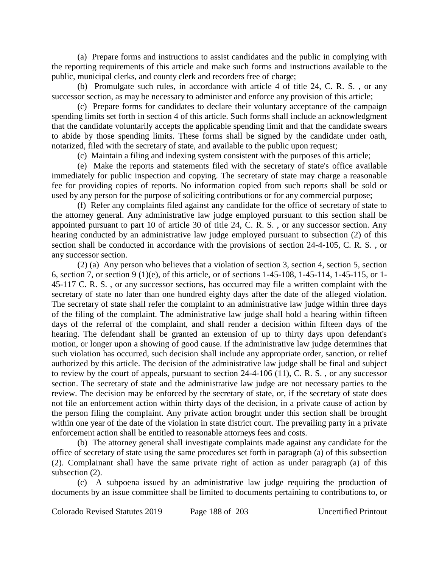(a) Prepare forms and instructions to assist candidates and the public in complying with the reporting requirements of this article and make such forms and instructions available to the public, municipal clerks, and county clerk and recorders free of charge;

(b) Promulgate such rules, in accordance with article 4 of title 24, C. R. S. , or any successor section, as may be necessary to administer and enforce any provision of this article;

(c) Prepare forms for candidates to declare their voluntary acceptance of the campaign spending limits set forth in section 4 of this article. Such forms shall include an acknowledgment that the candidate voluntarily accepts the applicable spending limit and that the candidate swears to abide by those spending limits. These forms shall be signed by the candidate under oath, notarized, filed with the secretary of state, and available to the public upon request;

(c) Maintain a filing and indexing system consistent with the purposes of this article;

(e) Make the reports and statements filed with the secretary of state's office available immediately for public inspection and copying. The secretary of state may charge a reasonable fee for providing copies of reports. No information copied from such reports shall be sold or used by any person for the purpose of soliciting contributions or for any commercial purpose;

(f) Refer any complaints filed against any candidate for the office of secretary of state to the attorney general. Any administrative law judge employed pursuant to this section shall be appointed pursuant to part 10 of article 30 of title 24, C. R. S. , or any successor section. Any hearing conducted by an administrative law judge employed pursuant to subsection (2) of this section shall be conducted in accordance with the provisions of section 24-4-105, C. R. S., or any successor section.

(2) (a) Any person who believes that a violation of section 3, section 4, section 5, section 6, section 7, or section 9 (1)(e), of this article, or of sections 1-45-108, 1-45-114, 1-45-115, or 1- 45-117 C. R. S. , or any successor sections, has occurred may file a written complaint with the secretary of state no later than one hundred eighty days after the date of the alleged violation. The secretary of state shall refer the complaint to an administrative law judge within three days of the filing of the complaint. The administrative law judge shall hold a hearing within fifteen days of the referral of the complaint, and shall render a decision within fifteen days of the hearing. The defendant shall be granted an extension of up to thirty days upon defendant's motion, or longer upon a showing of good cause. If the administrative law judge determines that such violation has occurred, such decision shall include any appropriate order, sanction, or relief authorized by this article. The decision of the administrative law judge shall be final and subject to review by the court of appeals, pursuant to section 24-4-106 (11), C. R. S. , or any successor section. The secretary of state and the administrative law judge are not necessary parties to the review. The decision may be enforced by the secretary of state, or, if the secretary of state does not file an enforcement action within thirty days of the decision, in a private cause of action by the person filing the complaint. Any private action brought under this section shall be brought within one year of the date of the violation in state district court. The prevailing party in a private enforcement action shall be entitled to reasonable attorneys fees and costs.

(b) The attorney general shall investigate complaints made against any candidate for the office of secretary of state using the same procedures set forth in paragraph (a) of this subsection (2). Complainant shall have the same private right of action as under paragraph (a) of this subsection  $(2)$ .

(c) A subpoena issued by an administrative law judge requiring the production of documents by an issue committee shall be limited to documents pertaining to contributions to, or

Colorado Revised Statutes 2019 Page 188 of 203 Uncertified Printout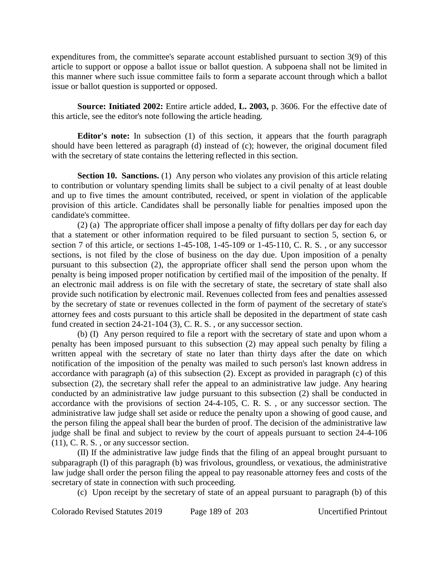expenditures from, the committee's separate account established pursuant to section 3(9) of this article to support or oppose a ballot issue or ballot question. A subpoena shall not be limited in this manner where such issue committee fails to form a separate account through which a ballot issue or ballot question is supported or opposed.

**Source: Initiated 2002:** Entire article added, **L. 2003,** p. 3606. For the effective date of this article, see the editor's note following the article heading.

**Editor's note:** In subsection (1) of this section, it appears that the fourth paragraph should have been lettered as paragraph (d) instead of (c); however, the original document filed with the secretary of state contains the lettering reflected in this section.

**Section 10. Sanctions.** (1) Any person who violates any provision of this article relating to contribution or voluntary spending limits shall be subject to a civil penalty of at least double and up to five times the amount contributed, received, or spent in violation of the applicable provision of this article. Candidates shall be personally liable for penalties imposed upon the candidate's committee.

(2) (a) The appropriate officer shall impose a penalty of fifty dollars per day for each day that a statement or other information required to be filed pursuant to section 5, section 6, or section 7 of this article, or sections 1-45-108, 1-45-109 or 1-45-110, C. R. S. , or any successor sections, is not filed by the close of business on the day due. Upon imposition of a penalty pursuant to this subsection (2), the appropriate officer shall send the person upon whom the penalty is being imposed proper notification by certified mail of the imposition of the penalty. If an electronic mail address is on file with the secretary of state, the secretary of state shall also provide such notification by electronic mail. Revenues collected from fees and penalties assessed by the secretary of state or revenues collected in the form of payment of the secretary of state's attorney fees and costs pursuant to this article shall be deposited in the department of state cash fund created in section 24-21-104 (3), C. R. S. , or any successor section.

(b) (I) Any person required to file a report with the secretary of state and upon whom a penalty has been imposed pursuant to this subsection (2) may appeal such penalty by filing a written appeal with the secretary of state no later than thirty days after the date on which notification of the imposition of the penalty was mailed to such person's last known address in accordance with paragraph (a) of this subsection (2). Except as provided in paragraph (c) of this subsection (2), the secretary shall refer the appeal to an administrative law judge. Any hearing conducted by an administrative law judge pursuant to this subsection (2) shall be conducted in accordance with the provisions of section 24-4-105, C. R. S. , or any successor section. The administrative law judge shall set aside or reduce the penalty upon a showing of good cause, and the person filing the appeal shall bear the burden of proof. The decision of the administrative law judge shall be final and subject to review by the court of appeals pursuant to section 24-4-106 (11), C. R. S. , or any successor section.

(II) If the administrative law judge finds that the filing of an appeal brought pursuant to subparagraph (I) of this paragraph (b) was frivolous, groundless, or vexatious, the administrative law judge shall order the person filing the appeal to pay reasonable attorney fees and costs of the secretary of state in connection with such proceeding.

(c) Upon receipt by the secretary of state of an appeal pursuant to paragraph (b) of this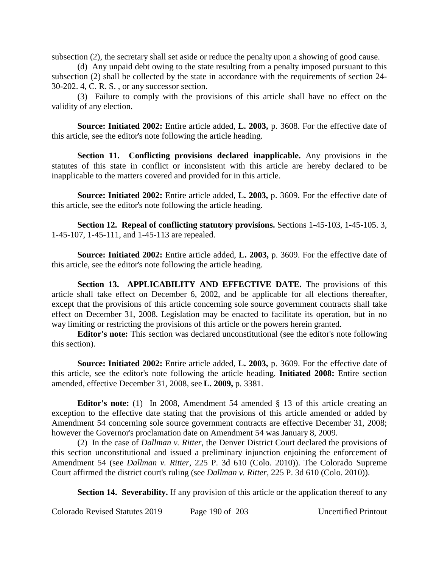subsection (2), the secretary shall set aside or reduce the penalty upon a showing of good cause.

(d) Any unpaid debt owing to the state resulting from a penalty imposed pursuant to this subsection (2) shall be collected by the state in accordance with the requirements of section 24- 30-202. 4, C. R. S. , or any successor section.

(3) Failure to comply with the provisions of this article shall have no effect on the validity of any election.

**Source: Initiated 2002:** Entire article added, **L. 2003,** p. 3608. For the effective date of this article, see the editor's note following the article heading.

**Section 11. Conflicting provisions declared inapplicable.** Any provisions in the statutes of this state in conflict or inconsistent with this article are hereby declared to be inapplicable to the matters covered and provided for in this article.

**Source: Initiated 2002:** Entire article added, **L. 2003,** p. 3609. For the effective date of this article, see the editor's note following the article heading.

**Section 12. Repeal of conflicting statutory provisions.** Sections 1-45-103, 1-45-105. 3, 1-45-107, 1-45-111, and 1-45-113 are repealed.

**Source: Initiated 2002:** Entire article added, **L. 2003,** p. 3609. For the effective date of this article, see the editor's note following the article heading.

**Section 13. APPLICABILITY AND EFFECTIVE DATE.** The provisions of this article shall take effect on December 6, 2002, and be applicable for all elections thereafter, except that the provisions of this article concerning sole source government contracts shall take effect on December 31, 2008. Legislation may be enacted to facilitate its operation, but in no way limiting or restricting the provisions of this article or the powers herein granted.

**Editor's note:** This section was declared unconstitutional (see the editor's note following this section).

**Source: Initiated 2002:** Entire article added, **L. 2003,** p. 3609. For the effective date of this article, see the editor's note following the article heading. **Initiated 2008:** Entire section amended, effective December 31, 2008, see **L. 2009,** p. 3381.

**Editor's note:** (1) In 2008, Amendment 54 amended § 13 of this article creating an exception to the effective date stating that the provisions of this article amended or added by Amendment 54 concerning sole source government contracts are effective December 31, 2008; however the Governor's proclamation date on Amendment 54 was January 8, 2009.

(2) In the case of *Dallman v. Ritter,* the Denver District Court declared the provisions of this section unconstitutional and issued a preliminary injunction enjoining the enforcement of Amendment 54 (see *Dallman v. Ritter,* 225 P. 3d 610 (Colo. 2010)). The Colorado Supreme Court affirmed the district court's ruling (see *Dallman v. Ritter,* 225 P. 3d 610 (Colo. 2010)).

**Section 14. Severability.** If any provision of this article or the application thereof to any

Colorado Revised Statutes 2019 Page 190 of 203 Uncertified Printout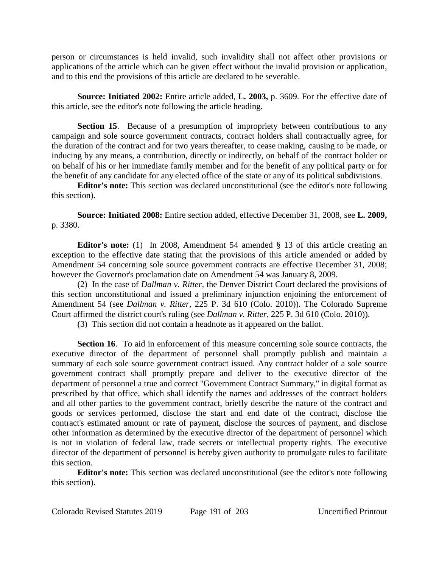person or circumstances is held invalid, such invalidity shall not affect other provisions or applications of the article which can be given effect without the invalid provision or application, and to this end the provisions of this article are declared to be severable.

**Source: Initiated 2002:** Entire article added, **L. 2003,** p. 3609. For the effective date of this article, see the editor's note following the article heading.

**Section 15**. Because of a presumption of impropriety between contributions to any campaign and sole source government contracts, contract holders shall contractually agree, for the duration of the contract and for two years thereafter, to cease making, causing to be made, or inducing by any means, a contribution, directly or indirectly, on behalf of the contract holder or on behalf of his or her immediate family member and for the benefit of any political party or for the benefit of any candidate for any elected office of the state or any of its political subdivisions.

**Editor's note:** This section was declared unconstitutional (see the editor's note following this section).

**Source: Initiated 2008:** Entire section added, effective December 31, 2008, see **L. 2009,** p. 3380.

**Editor's note:** (1) In 2008, Amendment 54 amended § 13 of this article creating an exception to the effective date stating that the provisions of this article amended or added by Amendment 54 concerning sole source government contracts are effective December 31, 2008; however the Governor's proclamation date on Amendment 54 was January 8, 2009.

(2) In the case of *Dallman v. Ritter,* the Denver District Court declared the provisions of this section unconstitutional and issued a preliminary injunction enjoining the enforcement of Amendment 54 (see *Dallman v. Ritter,* 225 P. 3d 610 (Colo. 2010)). The Colorado Supreme Court affirmed the district court's ruling (see *Dallman v. Ritter,* 225 P. 3d 610 (Colo. 2010)).

(3) This section did not contain a headnote as it appeared on the ballot.

**Section 16.** To aid in enforcement of this measure concerning sole source contracts, the executive director of the department of personnel shall promptly publish and maintain a summary of each sole source government contract issued. Any contract holder of a sole source government contract shall promptly prepare and deliver to the executive director of the department of personnel a true and correct "Government Contract Summary," in digital format as prescribed by that office, which shall identify the names and addresses of the contract holders and all other parties to the government contract, briefly describe the nature of the contract and goods or services performed, disclose the start and end date of the contract, disclose the contract's estimated amount or rate of payment, disclose the sources of payment, and disclose other information as determined by the executive director of the department of personnel which is not in violation of federal law, trade secrets or intellectual property rights. The executive director of the department of personnel is hereby given authority to promulgate rules to facilitate this section.

**Editor's note:** This section was declared unconstitutional (see the editor's note following this section).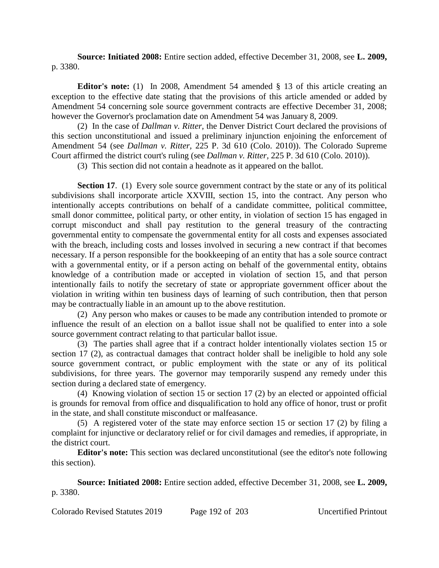**Source: Initiated 2008:** Entire section added, effective December 31, 2008, see **L. 2009,** p. 3380.

**Editor's note:** (1) In 2008, Amendment 54 amended § 13 of this article creating an exception to the effective date stating that the provisions of this article amended or added by Amendment 54 concerning sole source government contracts are effective December 31, 2008; however the Governor's proclamation date on Amendment 54 was January 8, 2009.

(2) In the case of *Dallman v. Ritter,* the Denver District Court declared the provisions of this section unconstitutional and issued a preliminary injunction enjoining the enforcement of Amendment 54 (see *Dallman v. Ritter,* 225 P. 3d 610 (Colo. 2010)). The Colorado Supreme Court affirmed the district court's ruling (see *Dallman v. Ritter,* 225 P. 3d 610 (Colo. 2010)).

(3) This section did not contain a headnote as it appeared on the ballot.

**Section 17.** (1) Every sole source government contract by the state or any of its political subdivisions shall incorporate article XXVIII, section 15, into the contract. Any person who intentionally accepts contributions on behalf of a candidate committee, political committee, small donor committee, political party, or other entity, in violation of section 15 has engaged in corrupt misconduct and shall pay restitution to the general treasury of the contracting governmental entity to compensate the governmental entity for all costs and expenses associated with the breach, including costs and losses involved in securing a new contract if that becomes necessary. If a person responsible for the bookkeeping of an entity that has a sole source contract with a governmental entity, or if a person acting on behalf of the governmental entity, obtains knowledge of a contribution made or accepted in violation of section 15, and that person intentionally fails to notify the secretary of state or appropriate government officer about the violation in writing within ten business days of learning of such contribution, then that person may be contractually liable in an amount up to the above restitution.

(2) Any person who makes or causes to be made any contribution intended to promote or influence the result of an election on a ballot issue shall not be qualified to enter into a sole source government contract relating to that particular ballot issue.

(3) The parties shall agree that if a contract holder intentionally violates section 15 or section 17 (2), as contractual damages that contract holder shall be ineligible to hold any sole source government contract, or public employment with the state or any of its political subdivisions, for three years. The governor may temporarily suspend any remedy under this section during a declared state of emergency.

(4) Knowing violation of section 15 or section 17 (2) by an elected or appointed official is grounds for removal from office and disqualification to hold any office of honor, trust or profit in the state, and shall constitute misconduct or malfeasance.

(5) A registered voter of the state may enforce section 15 or section 17 (2) by filing a complaint for injunctive or declaratory relief or for civil damages and remedies, if appropriate, in the district court.

**Editor's note:** This section was declared unconstitutional (see the editor's note following this section).

**Source: Initiated 2008:** Entire section added, effective December 31, 2008, see **L. 2009,** p. 3380.

Colorado Revised Statutes 2019 Page 192 of 203 Uncertified Printout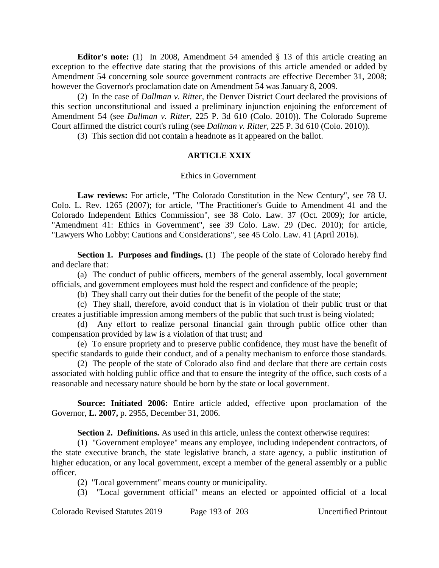**Editor's note:** (1) In 2008, Amendment 54 amended § 13 of this article creating an exception to the effective date stating that the provisions of this article amended or added by Amendment 54 concerning sole source government contracts are effective December 31, 2008; however the Governor's proclamation date on Amendment 54 was January 8, 2009.

(2) In the case of *Dallman v. Ritter,* the Denver District Court declared the provisions of this section unconstitutional and issued a preliminary injunction enjoining the enforcement of Amendment 54 (see *Dallman v. Ritter,* 225 P. 3d 610 (Colo. 2010)). The Colorado Supreme Court affirmed the district court's ruling (see *Dallman v. Ritter,* 225 P. 3d 610 (Colo. 2010)).

(3) This section did not contain a headnote as it appeared on the ballot.

## **ARTICLE XXIX**

## Ethics in Government

**Law reviews:** For article, "The Colorado Constitution in the New Century", see 78 U. Colo. L. Rev. 1265 (2007); for article, "The Practitioner's Guide to Amendment 41 and the Colorado Independent Ethics Commission", see 38 Colo. Law. 37 (Oct. 2009); for article, "Amendment 41: Ethics in Government", see 39 Colo. Law. 29 (Dec. 2010); for article, "Lawyers Who Lobby: Cautions and Considerations", see 45 Colo. Law. 41 (April 2016).

**Section 1. Purposes and findings.** (1) The people of the state of Colorado hereby find and declare that:

(a) The conduct of public officers, members of the general assembly, local government officials, and government employees must hold the respect and confidence of the people;

(b) They shall carry out their duties for the benefit of the people of the state;

(c) They shall, therefore, avoid conduct that is in violation of their public trust or that creates a justifiable impression among members of the public that such trust is being violated;

(d) Any effort to realize personal financial gain through public office other than compensation provided by law is a violation of that trust; and

(e) To ensure propriety and to preserve public confidence, they must have the benefit of specific standards to guide their conduct, and of a penalty mechanism to enforce those standards.

(2) The people of the state of Colorado also find and declare that there are certain costs associated with holding public office and that to ensure the integrity of the office, such costs of a reasonable and necessary nature should be born by the state or local government.

**Source: Initiated 2006:** Entire article added, effective upon proclamation of the Governor, **L. 2007,** p. 2955, December 31, 2006.

**Section 2. Definitions.** As used in this article, unless the context otherwise requires:

(1) "Government employee" means any employee, including independent contractors, of the state executive branch, the state legislative branch, a state agency, a public institution of higher education, or any local government, except a member of the general assembly or a public officer.

(2) "Local government" means county or municipality.

(3) "Local government official" means an elected or appointed official of a local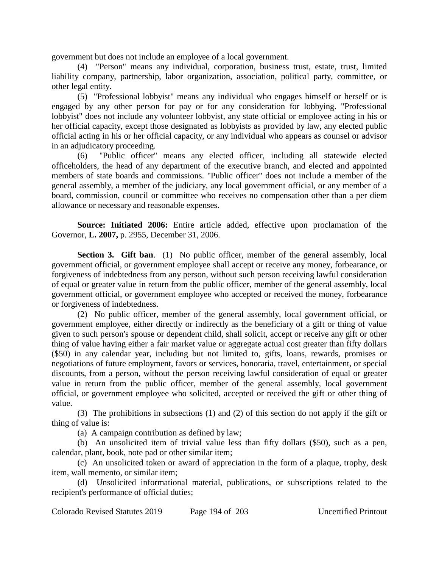government but does not include an employee of a local government.

(4) "Person" means any individual, corporation, business trust, estate, trust, limited liability company, partnership, labor organization, association, political party, committee, or other legal entity.

(5) "Professional lobbyist" means any individual who engages himself or herself or is engaged by any other person for pay or for any consideration for lobbying. "Professional lobbyist" does not include any volunteer lobbyist, any state official or employee acting in his or her official capacity, except those designated as lobbyists as provided by law, any elected public official acting in his or her official capacity, or any individual who appears as counsel or advisor in an adjudicatory proceeding.

(6) "Public officer" means any elected officer, including all statewide elected officeholders, the head of any department of the executive branch, and elected and appointed members of state boards and commissions. "Public officer" does not include a member of the general assembly, a member of the judiciary, any local government official, or any member of a board, commission, council or committee who receives no compensation other than a per diem allowance or necessary and reasonable expenses.

**Source: Initiated 2006:** Entire article added, effective upon proclamation of the Governor, **L. 2007,** p. 2955, December 31, 2006.

**Section 3. Gift ban.** (1) No public officer, member of the general assembly, local government official, or government employee shall accept or receive any money, forbearance, or forgiveness of indebtedness from any person, without such person receiving lawful consideration of equal or greater value in return from the public officer, member of the general assembly, local government official, or government employee who accepted or received the money, forbearance or forgiveness of indebtedness.

(2) No public officer, member of the general assembly, local government official, or government employee, either directly or indirectly as the beneficiary of a gift or thing of value given to such person's spouse or dependent child, shall solicit, accept or receive any gift or other thing of value having either a fair market value or aggregate actual cost greater than fifty dollars (\$50) in any calendar year, including but not limited to, gifts, loans, rewards, promises or negotiations of future employment, favors or services, honoraria, travel, entertainment, or special discounts, from a person, without the person receiving lawful consideration of equal or greater value in return from the public officer, member of the general assembly, local government official, or government employee who solicited, accepted or received the gift or other thing of value.

(3) The prohibitions in subsections (1) and (2) of this section do not apply if the gift or thing of value is:

(a) A campaign contribution as defined by law;

(b) An unsolicited item of trivial value less than fifty dollars (\$50), such as a pen, calendar, plant, book, note pad or other similar item;

(c) An unsolicited token or award of appreciation in the form of a plaque, trophy, desk item, wall memento, or similar item;

(d) Unsolicited informational material, publications, or subscriptions related to the recipient's performance of official duties;

Colorado Revised Statutes 2019 Page 194 of 203 Uncertified Printout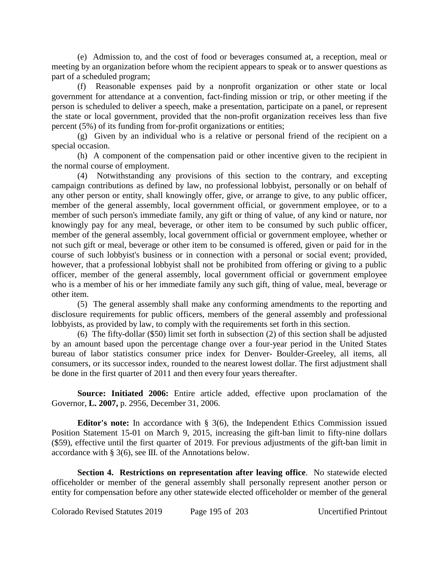(e) Admission to, and the cost of food or beverages consumed at, a reception, meal or meeting by an organization before whom the recipient appears to speak or to answer questions as part of a scheduled program;

(f) Reasonable expenses paid by a nonprofit organization or other state or local government for attendance at a convention, fact-finding mission or trip, or other meeting if the person is scheduled to deliver a speech, make a presentation, participate on a panel, or represent the state or local government, provided that the non-profit organization receives less than five percent (5%) of its funding from for-profit organizations or entities;

(g) Given by an individual who is a relative or personal friend of the recipient on a special occasion.

(h) A component of the compensation paid or other incentive given to the recipient in the normal course of employment.

(4) Notwithstanding any provisions of this section to the contrary, and excepting campaign contributions as defined by law, no professional lobbyist, personally or on behalf of any other person or entity, shall knowingly offer, give, or arrange to give, to any public officer, member of the general assembly, local government official, or government employee, or to a member of such person's immediate family, any gift or thing of value, of any kind or nature, nor knowingly pay for any meal, beverage, or other item to be consumed by such public officer, member of the general assembly, local government official or government employee, whether or not such gift or meal, beverage or other item to be consumed is offered, given or paid for in the course of such lobbyist's business or in connection with a personal or social event; provided, however, that a professional lobbyist shall not be prohibited from offering or giving to a public officer, member of the general assembly, local government official or government employee who is a member of his or her immediate family any such gift, thing of value, meal, beverage or other item.

(5) The general assembly shall make any conforming amendments to the reporting and disclosure requirements for public officers, members of the general assembly and professional lobbyists, as provided by law, to comply with the requirements set forth in this section.

(6) The fifty-dollar (\$50) limit set forth in subsection (2) of this section shall be adjusted by an amount based upon the percentage change over a four-year period in the United States bureau of labor statistics consumer price index for Denver- Boulder-Greeley, all items, all consumers, or its successor index, rounded to the nearest lowest dollar. The first adjustment shall be done in the first quarter of 2011 and then every four years thereafter.

**Source: Initiated 2006:** Entire article added, effective upon proclamation of the Governor, **L. 2007,** p. 2956, December 31, 2006.

**Editor's note:** In accordance with § 3(6), the Independent Ethics Commission issued Position Statement 15-01 on March 9, 2015, increasing the gift-ban limit to fifty-nine dollars (\$59), effective until the first quarter of 2019. For previous adjustments of the gift-ban limit in accordance with § 3(6), see III. of the Annotations below.

**Section 4. Restrictions on representation after leaving office**. No statewide elected officeholder or member of the general assembly shall personally represent another person or entity for compensation before any other statewide elected officeholder or member of the general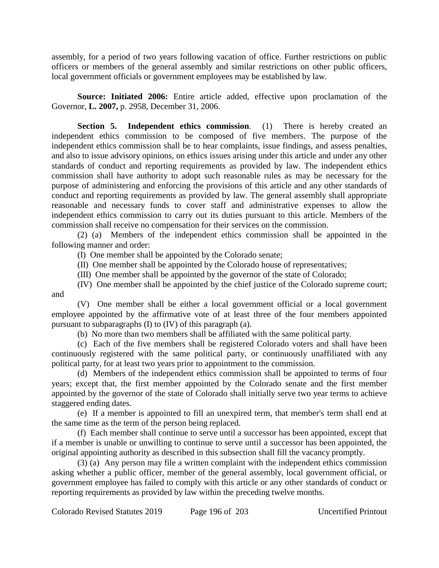assembly, for a period of two years following vacation of office. Further restrictions on public officers or members of the general assembly and similar restrictions on other public officers, local government officials or government employees may be established by law.

**Source: Initiated 2006:** Entire article added, effective upon proclamation of the Governor, **L. 2007,** p. 2958, December 31, 2006.

**Section 5. Independent ethics commission**. (1) There is hereby created an independent ethics commission to be composed of five members. The purpose of the independent ethics commission shall be to hear complaints, issue findings, and assess penalties, and also to issue advisory opinions, on ethics issues arising under this article and under any other standards of conduct and reporting requirements as provided by law. The independent ethics commission shall have authority to adopt such reasonable rules as may be necessary for the purpose of administering and enforcing the provisions of this article and any other standards of conduct and reporting requirements as provided by law. The general assembly shall appropriate reasonable and necessary funds to cover staff and administrative expenses to allow the independent ethics commission to carry out its duties pursuant to this article. Members of the commission shall receive no compensation for their services on the commission.

(2) (a) Members of the independent ethics commission shall be appointed in the following manner and order:

(I) One member shall be appointed by the Colorado senate;

(II) One member shall be appointed by the Colorado house of representatives;

(III) One member shall be appointed by the governor of the state of Colorado;

(IV) One member shall be appointed by the chief justice of the Colorado supreme court; and

(V) One member shall be either a local government official or a local government employee appointed by the affirmative vote of at least three of the four members appointed pursuant to subparagraphs (I) to (IV) of this paragraph (a).

(b) No more than two members shall be affiliated with the same political party.

(c) Each of the five members shall be registered Colorado voters and shall have been continuously registered with the same political party, or continuously unaffiliated with any political party, for at least two years prior to appointment to the commission.

(d) Members of the independent ethics commission shall be appointed to terms of four years; except that, the first member appointed by the Colorado senate and the first member appointed by the governor of the state of Colorado shall initially serve two year terms to achieve staggered ending dates.

(e) If a member is appointed to fill an unexpired term, that member's term shall end at the same time as the term of the person being replaced.

(f) Each member shall continue to serve until a successor has been appointed, except that if a member is unable or unwilling to continue to serve until a successor has been appointed, the original appointing authority as described in this subsection shall fill the vacancy promptly.

(3) (a) Any person may file a written complaint with the independent ethics commission asking whether a public officer, member of the general assembly, local government official, or government employee has failed to comply with this article or any other standards of conduct or reporting requirements as provided by law within the preceding twelve months.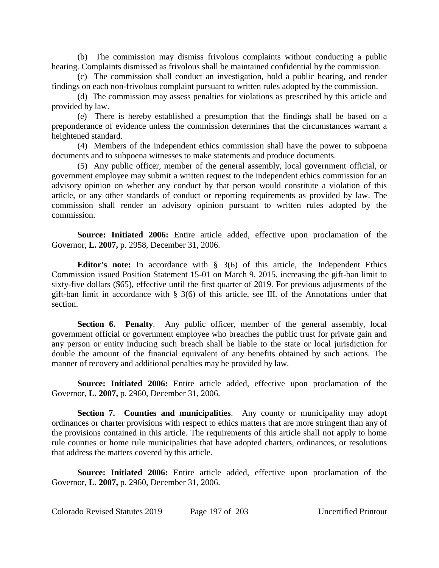(b) The commission may dismiss frivolous complaints without conducting a public hearing. Complaints dismissed as frivolous shall be maintained confidential by the commission.

(c) The commission shall conduct an investigation, hold a public hearing, and render findings on each non-frivolous complaint pursuant to written rules adopted by the commission.

(d) The commission may assess penalties for violations as prescribed by this article and provided by law.

(e) There is hereby established a presumption that the findings shall be based on a preponderance of evidence unless the commission determines that the circumstances warrant a heightened standard.

(4) Members of the independent ethics commission shall have the power to subpoena documents and to subpoena witnesses to make statements and produce documents.

(5) Any public officer, member of the general assembly, local government official, or government employee may submit a written request to the independent ethics commission for an advisory opinion on whether any conduct by that person would constitute a violation of this article, or any other standards of conduct or reporting requirements as provided by law. The commission shall render an advisory opinion pursuant to written rules adopted by the commission.

**Source: Initiated 2006:** Entire article added, effective upon proclamation of the Governor, **L. 2007,** p. 2958, December 31, 2006.

**Editor's note:** In accordance with § 3(6) of this article, the Independent Ethics Commission issued Position Statement 15-01 on March 9, 2015, increasing the gift-ban limit to sixty-five dollars (\$65), effective until the first quarter of 2019. For previous adjustments of the gift-ban limit in accordance with § 3(6) of this article, see III. of the Annotations under that section.

**Section 6. Penalty**. Any public officer, member of the general assembly, local government official or government employee who breaches the public trust for private gain and any person or entity inducing such breach shall be liable to the state or local jurisdiction for double the amount of the financial equivalent of any benefits obtained by such actions. The manner of recovery and additional penalties may be provided by law.

**Source: Initiated 2006:** Entire article added, effective upon proclamation of the Governor, **L. 2007,** p. 2960, December 31, 2006.

**Section 7. Counties and municipalities**. Any county or municipality may adopt ordinances or charter provisions with respect to ethics matters that are more stringent than any of the provisions contained in this article. The requirements of this article shall not apply to home rule counties or home rule municipalities that have adopted charters, ordinances, or resolutions that address the matters covered by this article.

**Source: Initiated 2006:** Entire article added, effective upon proclamation of the Governor, **L. 2007,** p. 2960, December 31, 2006.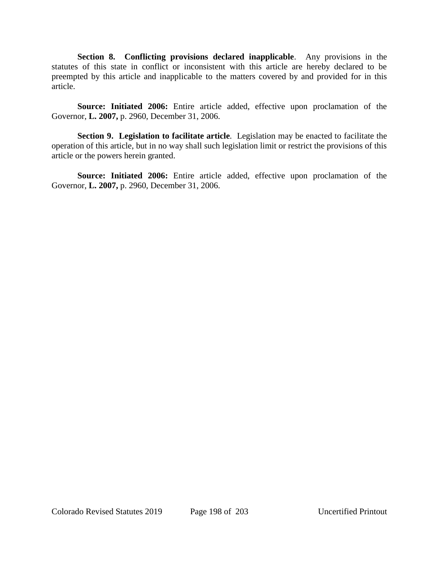**Section 8. Conflicting provisions declared inapplicable**. Any provisions in the statutes of this state in conflict or inconsistent with this article are hereby declared to be preempted by this article and inapplicable to the matters covered by and provided for in this article.

**Source: Initiated 2006:** Entire article added, effective upon proclamation of the Governor, **L. 2007,** p. 2960, December 31, 2006.

**Section 9. Legislation to facilitate article**. Legislation may be enacted to facilitate the operation of this article, but in no way shall such legislation limit or restrict the provisions of this article or the powers herein granted.

**Source: Initiated 2006:** Entire article added, effective upon proclamation of the Governor, **L. 2007,** p. 2960, December 31, 2006.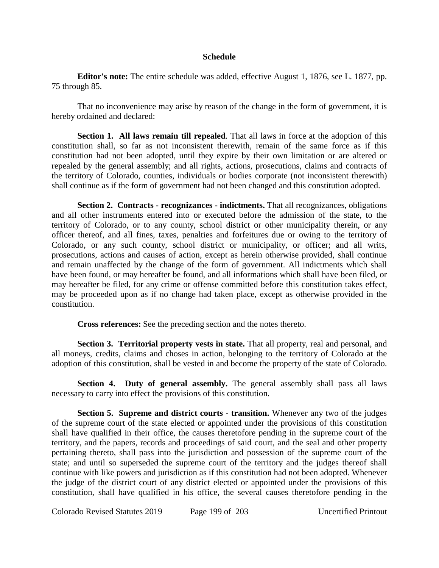## **Schedule**

**Editor's note:** The entire schedule was added, effective August 1, 1876, see L. 1877, pp. 75 through 85.

That no inconvenience may arise by reason of the change in the form of government, it is hereby ordained and declared:

**Section 1. All laws remain till repealed**. That all laws in force at the adoption of this constitution shall, so far as not inconsistent therewith, remain of the same force as if this constitution had not been adopted, until they expire by their own limitation or are altered or repealed by the general assembly; and all rights, actions, prosecutions, claims and contracts of the territory of Colorado, counties, individuals or bodies corporate (not inconsistent therewith) shall continue as if the form of government had not been changed and this constitution adopted.

**Section 2. Contracts - recognizances - indictments.** That all recognizances, obligations and all other instruments entered into or executed before the admission of the state, to the territory of Colorado, or to any county, school district or other municipality therein, or any officer thereof, and all fines, taxes, penalties and forfeitures due or owing to the territory of Colorado, or any such county, school district or municipality, or officer; and all writs, prosecutions, actions and causes of action, except as herein otherwise provided, shall continue and remain unaffected by the change of the form of government. All indictments which shall have been found, or may hereafter be found, and all informations which shall have been filed, or may hereafter be filed, for any crime or offense committed before this constitution takes effect, may be proceeded upon as if no change had taken place, except as otherwise provided in the constitution.

**Cross references:** See the preceding section and the notes thereto.

**Section 3. Territorial property vests in state.** That all property, real and personal, and all moneys, credits, claims and choses in action, belonging to the territory of Colorado at the adoption of this constitution, shall be vested in and become the property of the state of Colorado.

**Section 4. Duty of general assembly.** The general assembly shall pass all laws necessary to carry into effect the provisions of this constitution.

**Section 5. Supreme and district courts - transition.** Whenever any two of the judges of the supreme court of the state elected or appointed under the provisions of this constitution shall have qualified in their office, the causes theretofore pending in the supreme court of the territory, and the papers, records and proceedings of said court, and the seal and other property pertaining thereto, shall pass into the jurisdiction and possession of the supreme court of the state; and until so superseded the supreme court of the territory and the judges thereof shall continue with like powers and jurisdiction as if this constitution had not been adopted. Whenever the judge of the district court of any district elected or appointed under the provisions of this constitution, shall have qualified in his office, the several causes theretofore pending in the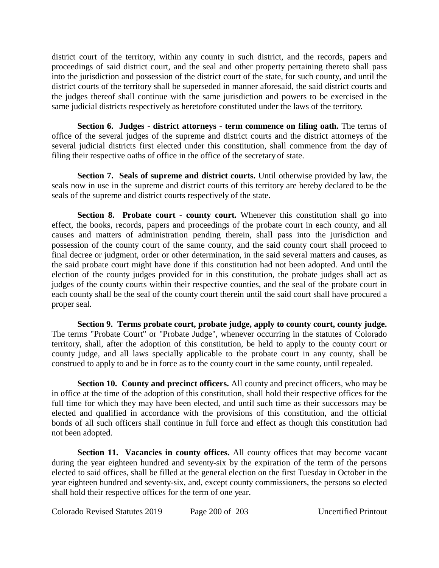district court of the territory, within any county in such district, and the records, papers and proceedings of said district court, and the seal and other property pertaining thereto shall pass into the jurisdiction and possession of the district court of the state, for such county, and until the district courts of the territory shall be superseded in manner aforesaid, the said district courts and the judges thereof shall continue with the same jurisdiction and powers to be exercised in the same judicial districts respectively as heretofore constituted under the laws of the territory.

**Section 6. Judges - district attorneys - term commence on filing oath.** The terms of office of the several judges of the supreme and district courts and the district attorneys of the several judicial districts first elected under this constitution, shall commence from the day of filing their respective oaths of office in the office of the secretary of state.

**Section 7. Seals of supreme and district courts.** Until otherwise provided by law, the seals now in use in the supreme and district courts of this territory are hereby declared to be the seals of the supreme and district courts respectively of the state.

**Section 8. Probate court - county court.** Whenever this constitution shall go into effect, the books, records, papers and proceedings of the probate court in each county, and all causes and matters of administration pending therein, shall pass into the jurisdiction and possession of the county court of the same county, and the said county court shall proceed to final decree or judgment, order or other determination, in the said several matters and causes, as the said probate court might have done if this constitution had not been adopted. And until the election of the county judges provided for in this constitution, the probate judges shall act as judges of the county courts within their respective counties, and the seal of the probate court in each county shall be the seal of the county court therein until the said court shall have procured a proper seal.

**Section 9. Terms probate court, probate judge, apply to county court, county judge.** The terms "Probate Court" or "Probate Judge", whenever occurring in the statutes of Colorado territory, shall, after the adoption of this constitution, be held to apply to the county court or county judge, and all laws specially applicable to the probate court in any county, shall be construed to apply to and be in force as to the county court in the same county, until repealed.

**Section 10. County and precinct officers.** All county and precinct officers, who may be in office at the time of the adoption of this constitution, shall hold their respective offices for the full time for which they may have been elected, and until such time as their successors may be elected and qualified in accordance with the provisions of this constitution, and the official bonds of all such officers shall continue in full force and effect as though this constitution had not been adopted.

**Section 11. Vacancies in county offices.** All county offices that may become vacant during the year eighteen hundred and seventy-six by the expiration of the term of the persons elected to said offices, shall be filled at the general election on the first Tuesday in October in the year eighteen hundred and seventy-six, and, except county commissioners, the persons so elected shall hold their respective offices for the term of one year.

Colorado Revised Statutes 2019 Page 200 of 203 Uncertified Printout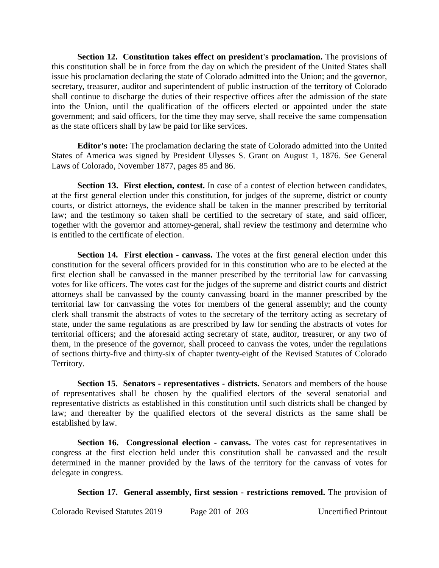**Section 12. Constitution takes effect on president's proclamation.** The provisions of this constitution shall be in force from the day on which the president of the United States shall issue his proclamation declaring the state of Colorado admitted into the Union; and the governor, secretary, treasurer, auditor and superintendent of public instruction of the territory of Colorado shall continue to discharge the duties of their respective offices after the admission of the state into the Union, until the qualification of the officers elected or appointed under the state government; and said officers, for the time they may serve, shall receive the same compensation as the state officers shall by law be paid for like services.

**Editor's note:** The proclamation declaring the state of Colorado admitted into the United States of America was signed by President Ulysses S. Grant on August 1, 1876. See General Laws of Colorado, November 1877, pages 85 and 86.

**Section 13. First election, contest.** In case of a contest of election between candidates, at the first general election under this constitution, for judges of the supreme, district or county courts, or district attorneys, the evidence shall be taken in the manner prescribed by territorial law; and the testimony so taken shall be certified to the secretary of state, and said officer, together with the governor and attorney-general, shall review the testimony and determine who is entitled to the certificate of election.

**Section 14. First election - canvass.** The votes at the first general election under this constitution for the several officers provided for in this constitution who are to be elected at the first election shall be canvassed in the manner prescribed by the territorial law for canvassing votes for like officers. The votes cast for the judges of the supreme and district courts and district attorneys shall be canvassed by the county canvassing board in the manner prescribed by the territorial law for canvassing the votes for members of the general assembly; and the county clerk shall transmit the abstracts of votes to the secretary of the territory acting as secretary of state, under the same regulations as are prescribed by law for sending the abstracts of votes for territorial officers; and the aforesaid acting secretary of state, auditor, treasurer, or any two of them, in the presence of the governor, shall proceed to canvass the votes, under the regulations of sections thirty-five and thirty-six of chapter twenty-eight of the Revised Statutes of Colorado Territory.

**Section 15. Senators - representatives - districts.** Senators and members of the house of representatives shall be chosen by the qualified electors of the several senatorial and representative districts as established in this constitution until such districts shall be changed by law; and thereafter by the qualified electors of the several districts as the same shall be established by law.

**Section 16. Congressional election - canvass.** The votes cast for representatives in congress at the first election held under this constitution shall be canvassed and the result determined in the manner provided by the laws of the territory for the canvass of votes for delegate in congress.

**Section 17. General assembly, first session - restrictions removed.** The provision of

Colorado Revised Statutes 2019 Page 201 of 203 Uncertified Printout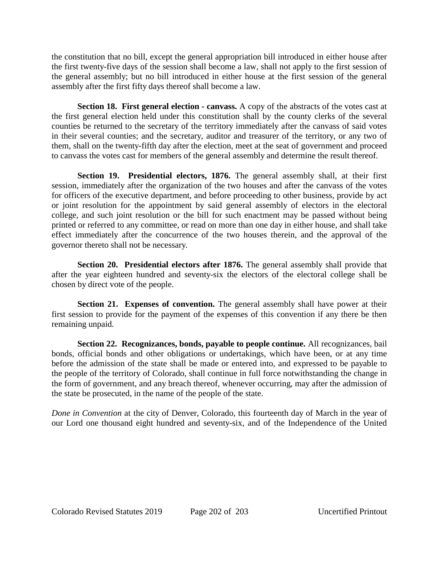the constitution that no bill, except the general appropriation bill introduced in either house after the first twenty-five days of the session shall become a law, shall not apply to the first session of the general assembly; but no bill introduced in either house at the first session of the general assembly after the first fifty days thereof shall become a law.

**Section 18. First general election - canvass.** A copy of the abstracts of the votes cast at the first general election held under this constitution shall by the county clerks of the several counties be returned to the secretary of the territory immediately after the canvass of said votes in their several counties; and the secretary, auditor and treasurer of the territory, or any two of them, shall on the twenty-fifth day after the election, meet at the seat of government and proceed to canvass the votes cast for members of the general assembly and determine the result thereof.

**Section 19. Presidential electors, 1876.** The general assembly shall, at their first session, immediately after the organization of the two houses and after the canvass of the votes for officers of the executive department, and before proceeding to other business, provide by act or joint resolution for the appointment by said general assembly of electors in the electoral college, and such joint resolution or the bill for such enactment may be passed without being printed or referred to any committee, or read on more than one day in either house, and shall take effect immediately after the concurrence of the two houses therein, and the approval of the governor thereto shall not be necessary.

**Section 20. Presidential electors after 1876.** The general assembly shall provide that after the year eighteen hundred and seventy-six the electors of the electoral college shall be chosen by direct vote of the people.

**Section 21. Expenses of convention.** The general assembly shall have power at their first session to provide for the payment of the expenses of this convention if any there be then remaining unpaid.

**Section 22. Recognizances, bonds, payable to people continue.** All recognizances, bail bonds, official bonds and other obligations or undertakings, which have been, or at any time before the admission of the state shall be made or entered into, and expressed to be payable to the people of the territory of Colorado, shall continue in full force notwithstanding the change in the form of government, and any breach thereof, whenever occurring, may after the admission of the state be prosecuted, in the name of the people of the state.

*Done in Convention* at the city of Denver, Colorado, this fourteenth day of March in the year of our Lord one thousand eight hundred and seventy-six, and of the Independence of the United